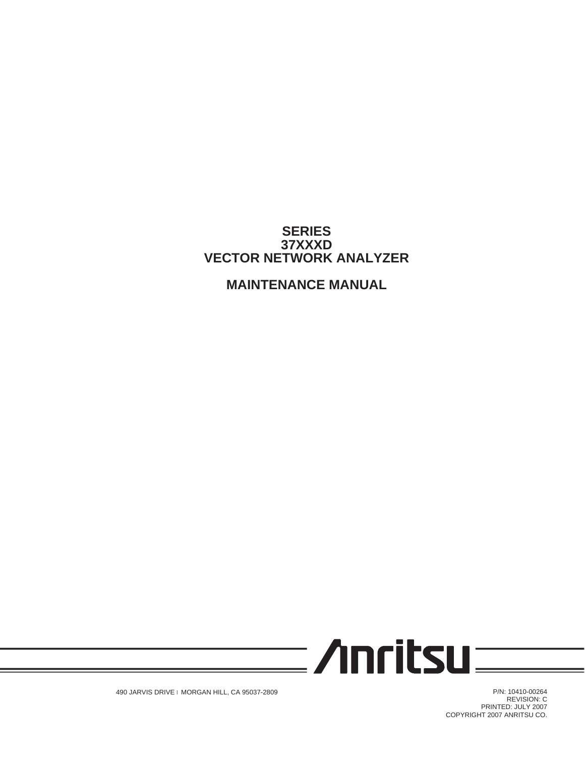## **SERIES 37XXXD VECTOR NETWORK ANALYZER**

# **MAINTENANCE MANUAL**



490 JARVIS DRIVE l MORGAN HILL, CA 95037-2809

P/N: 10410-00264 REVISION: C PRINTED: JULY 2007 COPYRIGHT 2007 ANRITSU CO.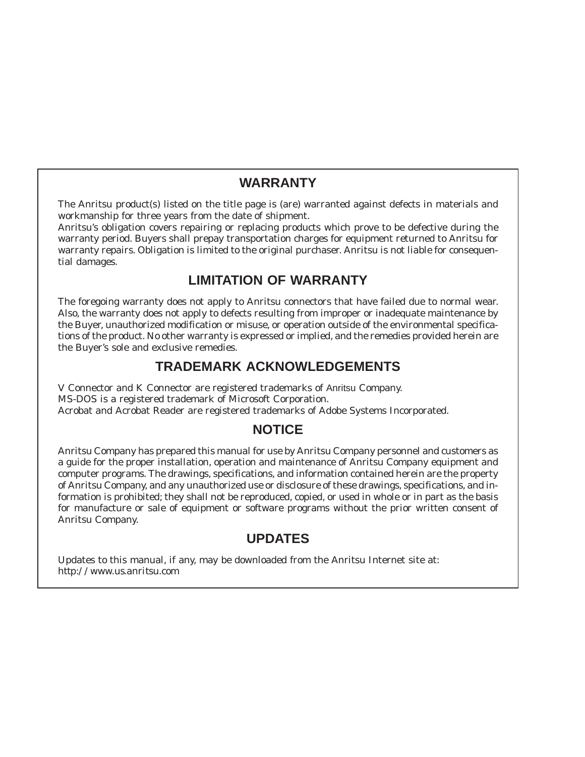## **WARRANTY**

The Anritsu product(s) listed on the title page is (are) warranted against defects in materials and workmanship for three years from the date of shipment.

Anritsu's obligation covers repairing or replacing products which prove to be defective during the warranty period. Buyers shall prepay transportation charges for equipment returned to Anritsu for warranty repairs. Obligation is limited to the original purchaser. Anritsu is not liable for consequential damages.

# **LIMITATION OF WARRANTY**

The foregoing warranty does not apply to Anritsu connectors that have failed due to normal wear. Also, the warranty does not apply to defects resulting from improper or inadequate maintenance by the Buyer, unauthorized modification or misuse, or operation outside of the environmental specifications of the product. No other warranty is expressed or implied, and the remedies provided herein are the Buyer's sole and exclusive remedies.

# **TRADEMARK ACKNOWLEDGEMENTS**

V Connector and K Connector are registered trademarks of Anritsu Company. MS-DOS is a registered trademark of Microsoft Corporation. Acrobat and Acrobat Reader are registered trademarks of Adobe Systems Incorporated.

# **NOTICE**

Anritsu Company has prepared this manual for use by Anritsu Company personnel and customers as a guide for the proper installation, operation and maintenance of Anritsu Company equipment and computer programs. The drawings, specifications, and information contained herein are the property of Anritsu Company, and any unauthorized use or disclosure of these drawings, specifications, and information is prohibited; they shall not be reproduced, copied, or used in whole or in part as the basis for manufacture or sale of equipment or software programs without the prior written consent of Anritsu Company.

# **UPDATES**

Updates to this manual, if any, may be downloaded from the Anritsu Internet site at: *http://www.us.anritsu.com*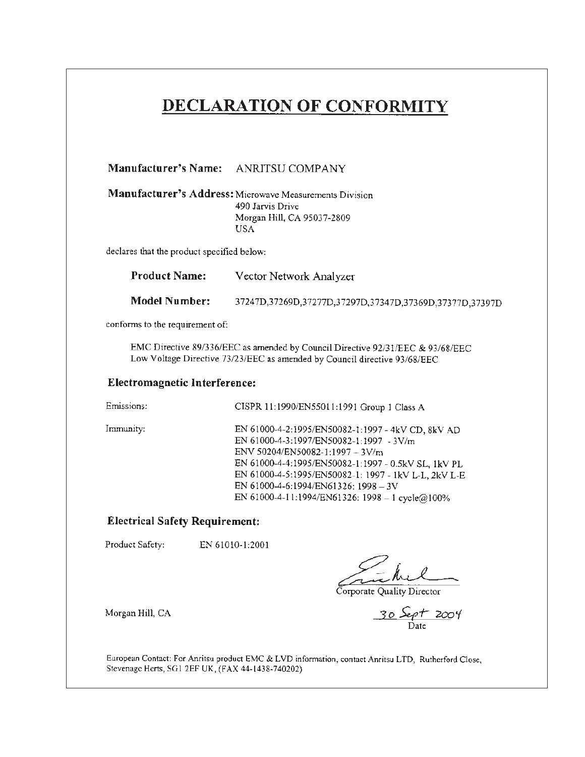# DECLARATION OF CONFORMITY

|                                            | Manufacturer's Name: ANRITSU COMPANY                                                                                                                                                                                                                                                                                                      |
|--------------------------------------------|-------------------------------------------------------------------------------------------------------------------------------------------------------------------------------------------------------------------------------------------------------------------------------------------------------------------------------------------|
|                                            | Manufacturer's Address: Microwave Measurements Division<br>490 Jarvis Drive<br>Morgan Hill, CA 95037-2809<br>USA.                                                                                                                                                                                                                         |
| declares that the product specified below: |                                                                                                                                                                                                                                                                                                                                           |
| <b>Product Name:</b>                       | Vector Network Analyzer                                                                                                                                                                                                                                                                                                                   |
| <b>Model Number:</b>                       | 37247D,37269D,37277D,37297D,37347D,37369D,37377D,37397D                                                                                                                                                                                                                                                                                   |
| conforms to the requirement of:            |                                                                                                                                                                                                                                                                                                                                           |
|                                            | EMC Directive 89/336/EEC as amended by Council Directive 92/31/EEC & 93/68/EEC<br>Low Voltage Directive 73/23/EEC as amended by Council directive 93/68/EEC                                                                                                                                                                               |
| <b>Electromagnetic Interference:</b>       |                                                                                                                                                                                                                                                                                                                                           |
| Emissions:                                 | CISPR 11:1990/EN55011:1991 Group 1 Class A                                                                                                                                                                                                                                                                                                |
| Immunity:                                  | EN 61000-4-2:1995/EN50082-1:1997 - 4kV CD, 8kV AD<br>EN 61000-4-3:1997/EN50082-1:1997 - 3V/m<br>ENV 50204/EN50082-1:1997 - 3V/m<br>EN 61000-4-4:1995/EN50082-1:1997 - 0.5kV SL, 1kV PL<br>EN 61000-4-5:1995/EN50082-1: 1997 - 1kV L-L, 2kV L-E<br>EN 61000-4-6:1994/EN61326: 1998 - 3V<br>EN 61000-4-11:1994/EN61326: 1998 - 1 cycle@100% |
| <b>Electrical Safety Requirement:</b>      |                                                                                                                                                                                                                                                                                                                                           |
| Product Safety:                            | EN 61010-1:2001<br>Corporate Quality Director                                                                                                                                                                                                                                                                                             |
| Morgan Hill, CA                            | 30 Sept 2004                                                                                                                                                                                                                                                                                                                              |

European Contact: For Anritsu product EMC & LVD information, contact Anritsu LTD, Rutherford Close, Stevenage Herts, SG1 2EF UK, (FAX 44-1438-740202)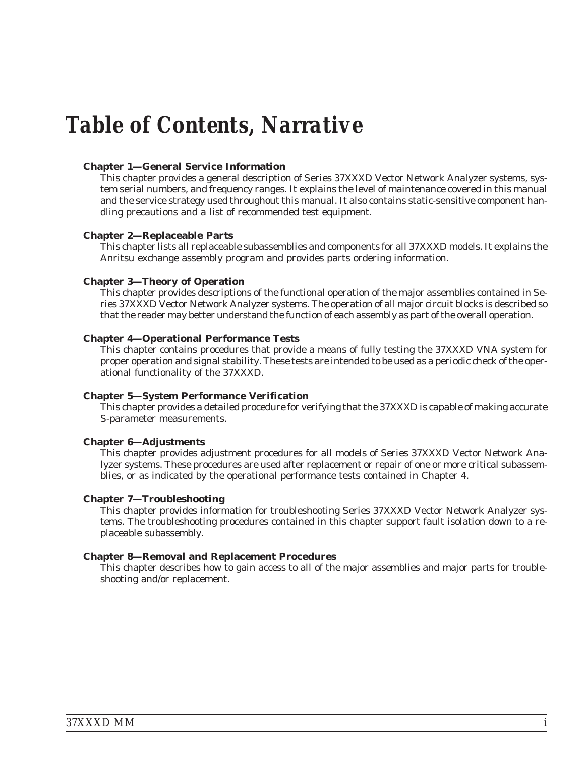# *Table of Contents, Narrative*

### **Chapter 1—General Service Information**

This chapter provides a general description of Series 37XXXD Vector Network Analyzer systems, system serial numbers, and frequency ranges. It explains the level of maintenance covered in this manual and the service strategy used throughout this manual. It also contains static-sensitive component handling precautions and a list of recommended test equipment.

### **Chapter 2—Replaceable Parts**

This chapter lists all replaceable subassemblies and components for all 37XXXD models. It explains the Anritsu exchange assembly program and provides parts ordering information.

### **Chapter 3—Theory of Operation**

This chapter provides descriptions of the functional operation of the major assemblies contained in Series 37XXXD Vector Network Analyzer systems. The operation of all major circuit blocks is described so that the reader may better understand the function of each assembly as part of the overall operation.

### **Chapter 4—Operational Performance Tests**

This chapter contains procedures that provide a means of fully testing the 37XXXD VNA system for proper operation and signal stability. These tests are intended to be used as a periodic check of the operational functionality of the 37XXXD.

### **Chapter 5—System Performance Verification**

This chapter provides a detailed procedure for verifying that the 37XXXD is capable of making accurate S-parameter measurements.

### **Chapter 6—Adjustments**

This chapter provides adjustment procedures for all models of Series 37XXXD Vector Network Analyzer systems. These procedures are used after replacement or repair of one or more critical subassemblies, or as indicated by the operational performance tests contained in Chapter 4.

### **Chapter 7—Troubleshooting**

This chapter provides information for troubleshooting Series 37XXXD Vector Network Analyzer systems. The troubleshooting procedures contained in this chapter support fault isolation down to a replaceable subassembly.

### **Chapter 8—Removal and Replacement Procedures**

This chapter describes how to gain access to all of the major assemblies and major parts for troubleshooting and/or replacement.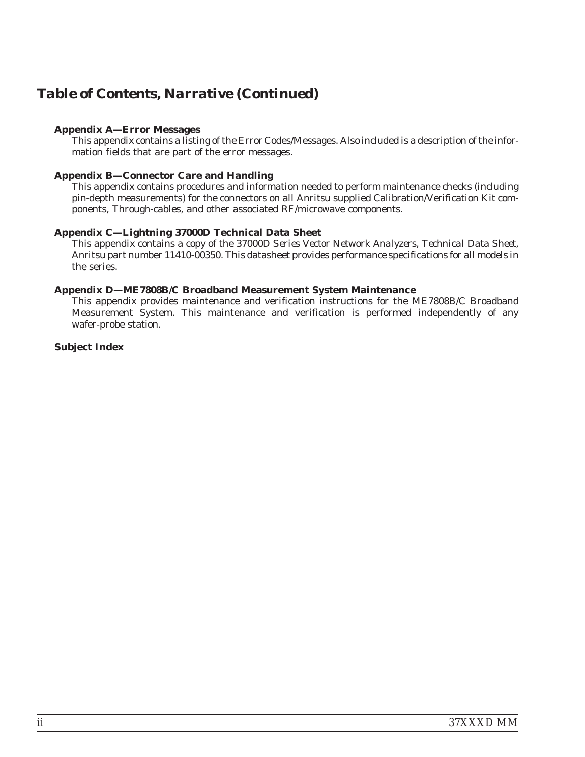### **Appendix A—Error Messages**

This appendix contains a listing of the Error Codes/Messages. Also included is a description of the information fields that are part of the error messages.

### **Appendix B—Connector Care and Handling**

This appendix contains procedures and information needed to perform maintenance checks (including pin-depth measurements) for the connectors on all Anritsu supplied Calibration/Verification Kit components, Through-cables, and other associated RF/microwave components.

### **Appendix C—Lightning 37000D Technical Data Sheet**

This appendix contains a copy of the *37000D Series Vector Network Analyzers, Technical Data Sheet*, Anritsu part number 11410-00350. This datasheet provides performance specifications for all models in the series.

### **Appendix D—ME7808B/C Broadband Measurement System Maintenance**

This appendix provides maintenance and verification instructions for the ME7808B/C Broadband Measurement System. This maintenance and verification is performed independently of any wafer-probe station.

### **Subject Index**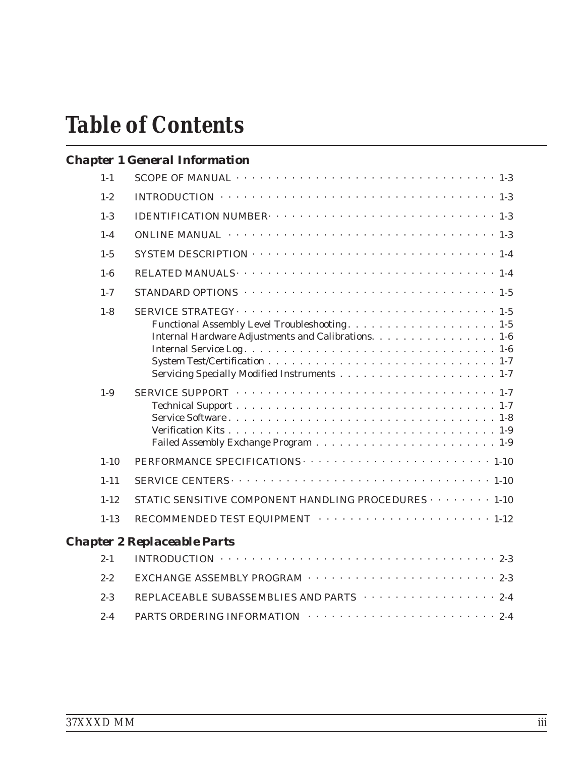# *Table of Contents*

# *[Chapter 1 General Information](#page-14-0)*

| $1 - 1$  |                                                                                                            |
|----------|------------------------------------------------------------------------------------------------------------|
| $1 - 2$  | INTRODUCTION $\cdots \cdots \cdots \cdots \cdots \cdots \cdots \cdots \cdots \cdots \cdots \cdots 1-3$     |
| $1-3$    |                                                                                                            |
| $1-4$    |                                                                                                            |
| $1 - 5$  |                                                                                                            |
| $1-6$    |                                                                                                            |
| $1 - 7$  | STANDARD OPTIONS $\cdots \cdots \cdots \cdots \cdots \cdots \cdots \cdots \cdots \cdots \cdots \cdots 1-5$ |
| $1 - 8$  | Internal Hardware Adjustments and Calibrations. 1-6                                                        |
| $1-9$    |                                                                                                            |
| $1 - 10$ |                                                                                                            |
| $1 - 11$ |                                                                                                            |
| $1 - 12$ | STATIC SENSITIVE COMPONENT HANDLING PROCEDURES 1-10                                                        |
| $1 - 13$ | RECOMMENDED TEST EQUIPMENT $\cdots \cdots \cdots \cdots \cdots \cdots \cdots \cdots 1-12$                  |
|          | <b>Chapter 2 Replaceable Parts</b>                                                                         |
| $2 - 1$  | INTRODUCTION $\cdots \cdots \cdots \cdots \cdots \cdots \cdots \cdots \cdots \cdots \cdots \cdots 2-3$     |
| $2 - 2$  |                                                                                                            |
| $2 - 3$  | REPLACEABLE SUBASSEMBLIES AND PARTS 2-4                                                                    |
|          |                                                                                                            |

2-4 PARTS ORDERING INFORMATION [· · · · · · · · · · · · · · · · · · · · · · · · 2-4](#page-29-0)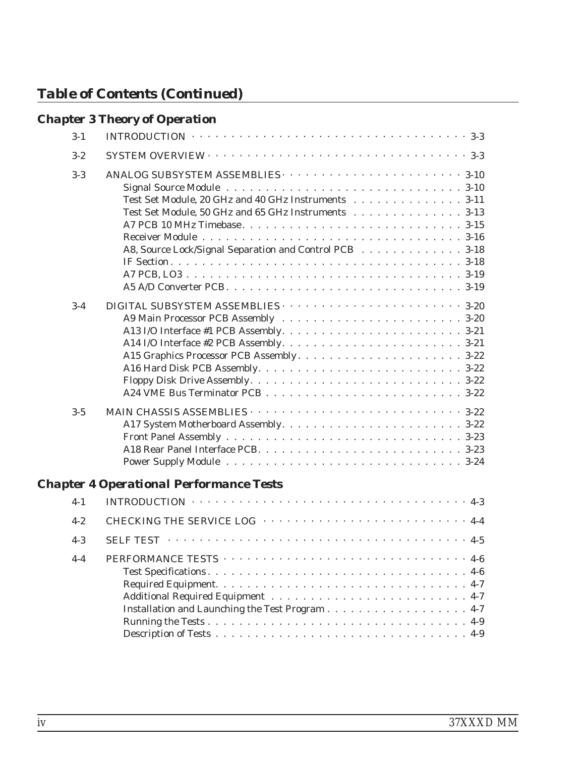|         | <b>Chapter 3 Theory of Operation</b>                                                                                                                                 |
|---------|----------------------------------------------------------------------------------------------------------------------------------------------------------------------|
| $3-1$   | INTRODUCTION $\cdots \cdots \cdots \cdots \cdots \cdots \cdots \cdots \cdots \cdots \cdots \cdots \cdots 3-3$                                                        |
| $3 - 2$ |                                                                                                                                                                      |
| $3 - 3$ | Test Set Module, 20 GHz and 40 GHz Instruments 3-11<br>Test Set Module, 50 GHz and 65 GHz Instruments 3-13<br>A8, Source Lock/Signal Separation and Control PCB 3-18 |
| $3 - 4$ |                                                                                                                                                                      |
| $3 - 5$ |                                                                                                                                                                      |

# *[Chapter 4 Operational Performance Tests](#page-62-0)*

| $4-1$   | INTRODUCTION $\cdots \cdots \cdots \cdots \cdots \cdots \cdots \cdots \cdots \cdots \cdots \cdots 4-3$ |
|---------|--------------------------------------------------------------------------------------------------------|
| $4 - 2$ | CHECKING THE SERVICE LOG ··································                                            |
| $4-3$   |                                                                                                        |
| $4 - 4$ |                                                                                                        |
|         | Installation and Launching the Test Program 4-7                                                        |
|         |                                                                                                        |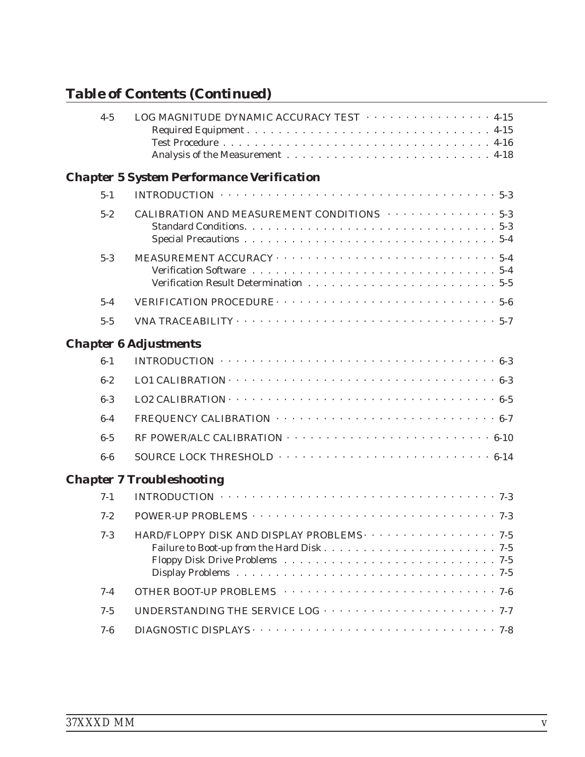| $4 - 5$ | LOG MAGNITUDE DYNAMIC ACCURACY TEST $\cdots \cdots \cdots \cdots \cdots$ 4-15                                      |
|---------|--------------------------------------------------------------------------------------------------------------------|
|         | <b>Chapter 5 System Performance Verification</b>                                                                   |
| $5 - 1$ | INTRODUCTION $\cdots \cdots \cdots \cdots \cdots \cdots \cdots \cdots \cdots \cdots \cdots \cdots 5-3$             |
| $5 - 2$ | CALIBRATION AND MEASUREMENT CONDITIONS $\cdots \cdots \cdots \cdots$ 5-3                                           |
| $5 - 3$ |                                                                                                                    |
| $5-4$   |                                                                                                                    |
| $5 - 5$ | VNA TRACEABILITY $\cdots \cdots \cdots \cdots \cdots \cdots \cdots \cdots \cdots \cdots \cdots \cdots 5-7$         |
|         | <b>Chapter 6 Adjustments</b>                                                                                       |
| $6 - 1$ | INTRODUCTION $\cdots \cdots \cdots \cdots \cdots \cdots \cdots \cdots \cdots \cdots \cdots \cdots 6-3$             |
| $6 - 2$ |                                                                                                                    |
| $6-3$   |                                                                                                                    |
| $6-4$   | FREQUENCY CALIBRATION $\cdots \cdots \cdots \cdots \cdots \cdots \cdots \cdots \cdots \cdots \cdots \cdots \cdots$ |
| $6 - 5$ |                                                                                                                    |
| $6-6$   |                                                                                                                    |
|         | <b>Chapter 7 Troubleshooting</b>                                                                                   |
| $7 - 1$ | INTRODUCTION $\cdots \cdots \cdots \cdots \cdots \cdots \cdots \cdots \cdots \cdots \cdots \cdots \cdots$          |
| $7 - 2$ |                                                                                                                    |
| $7-3$   | HARD/FLOPPY DISK AND DISPLAY PROBLEMS $\cdots \cdots \cdots \cdots \cdots$                                         |
| $7 - 4$ |                                                                                                                    |
| $7 - 5$ |                                                                                                                    |
| $7 - 6$ |                                                                                                                    |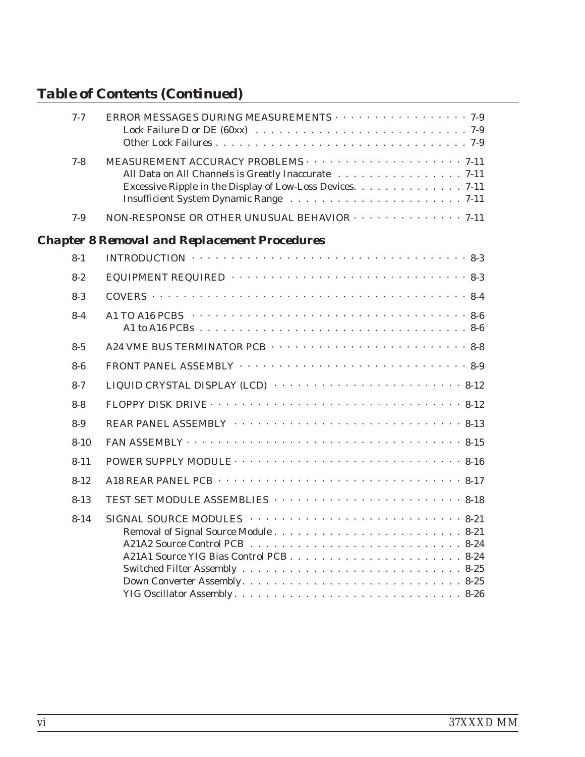| $7 - 7$  | ERROR MESSAGES DURING MEASUREMENTS $\cdots$ 7-9                                                                                                                                                                                                                                                                                         |
|----------|-----------------------------------------------------------------------------------------------------------------------------------------------------------------------------------------------------------------------------------------------------------------------------------------------------------------------------------------|
| $7 - 8$  | All Data on All Channels is Greatly Inaccurate 7-11<br>Excessive Ripple in the Display of Low-Loss Devices. 7-11                                                                                                                                                                                                                        |
| $7-9$    | NON-RESPONSE OR OTHER UNUSUAL BEHAVIOR $\cdots$ 7-11                                                                                                                                                                                                                                                                                    |
|          | <b>Chapter 8 Removal and Replacement Procedures</b>                                                                                                                                                                                                                                                                                     |
| $8 - 1$  | INTRODUCTION $\cdots \cdots \cdots \cdots \cdots \cdots \cdots \cdots \cdots \cdots \cdots \cdots 8-3$                                                                                                                                                                                                                                  |
| $8 - 2$  | EQUIPMENT REQUIRED $\cdots \cdots \cdots \cdots \cdots \cdots \cdots \cdots \cdots \cdots 8-3$                                                                                                                                                                                                                                          |
| $8-3$    |                                                                                                                                                                                                                                                                                                                                         |
| $8 - 4$  |                                                                                                                                                                                                                                                                                                                                         |
| $8-5$    |                                                                                                                                                                                                                                                                                                                                         |
| $8-6$    |                                                                                                                                                                                                                                                                                                                                         |
| $8 - 7$  | LIQUID CRYSTAL DISPLAY (LCD) $\cdots \cdots \cdots \cdots \cdots \cdots \cdots \cdots \cdots 8-12$                                                                                                                                                                                                                                      |
| $8 - 8$  |                                                                                                                                                                                                                                                                                                                                         |
| $8-9$    |                                                                                                                                                                                                                                                                                                                                         |
| $8 - 10$ | FAN ASSEMBLY $\cdots$ $\cdots$ $\cdots$ $\cdots$ $\cdots$ $\cdots$ $\cdots$ $\cdots$ $\cdots$ $\cdots$ $\cdots$ $\cdots$ $\cdots$ $\cdots$ $\cdots$ $\cdots$ $\cdots$ $\cdots$ $\cdots$ $\cdots$ $\cdots$ $\cdots$ $\cdots$ $\cdots$ $\cdots$ $\cdots$ $\cdots$ $\cdots$ $\cdots$ $\cdots$ $\cdots$ $\cdots$ $\cdots$ $\cdots$ $\cdots$ |
| $8 - 11$ | POWER SUPPLY MODULE $\cdots \cdots \cdots \cdots \cdots \cdots \cdots \cdots \cdots \cdots \cdots 8-16$                                                                                                                                                                                                                                 |
| $8 - 12$ | A18 REAR PANEL PCB $\cdots \cdots \cdots \cdots \cdots \cdots \cdots \cdots \cdots \cdots \cdots \cdots 8-17$                                                                                                                                                                                                                           |
| $8 - 13$ |                                                                                                                                                                                                                                                                                                                                         |
| $8 - 14$ | SIGNAL SOURCE MODULES $\cdots \cdots \cdots \cdots \cdots \cdots \cdots \cdots$ 8-21                                                                                                                                                                                                                                                    |
|          |                                                                                                                                                                                                                                                                                                                                         |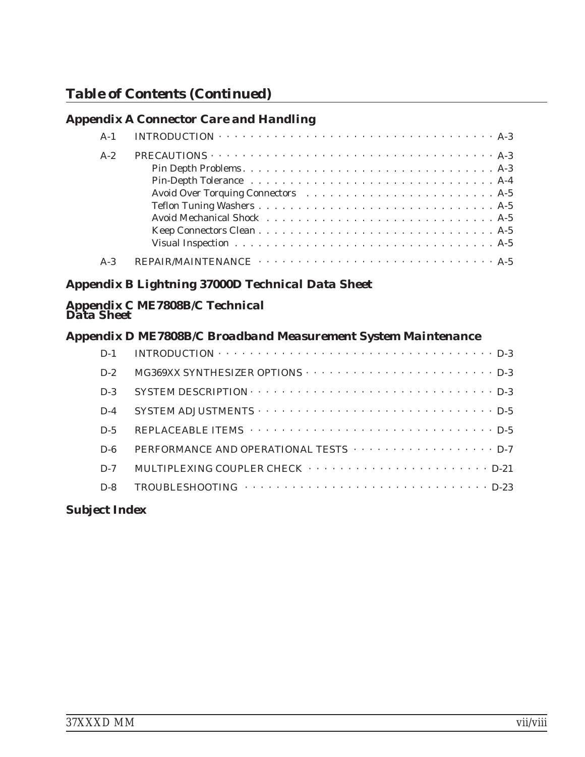## *[Appendix A Connector Care and Handling](#page-148-0)*

| $A-1$ | INTRODUCTION $\cdots \cdots \cdots \cdots \cdots \cdots \cdots \cdots \cdots \cdots \cdots \cdots \cdots$                                                                                                                     |
|-------|-------------------------------------------------------------------------------------------------------------------------------------------------------------------------------------------------------------------------------|
| $A-2$ | PRECAUTIONS $\cdots \cdots \cdots \cdots \cdots \cdots \cdots \cdots \cdots \cdots \cdots \cdots \cdots$                                                                                                                      |
|       |                                                                                                                                                                                                                               |
|       |                                                                                                                                                                                                                               |
|       |                                                                                                                                                                                                                               |
|       |                                                                                                                                                                                                                               |
|       | Avoid Mechanical Shock (assembly) and the set of the set of the set of the set of the set of the set of the set of the set of the set of the set of the set of the set of the set of the set of the set of the set of the set |
|       |                                                                                                                                                                                                                               |
|       | Visual Inspection $\ldots \ldots \ldots \ldots \ldots \ldots \ldots \ldots \ldots \ldots \ldots$                                                                                                                              |
| $A-3$ |                                                                                                                                                                                                                               |

## *[Appendix B Lightning 37000D Technical Data Sheet](#page-152-0)*

### *[Appendix C ME7808B/C Technical](#page-154-0) [Data Sheet](#page-154-0)*

## *[Appendix D ME7808B/C Broadband Measurement System Maintenance](#page-158-0)*

| $D-1$ | INTRODUCTION $\cdots \cdots \cdots \cdots \cdots \cdots \cdots \cdots \cdots \cdots \cdots \cdots \cdots$ |
|-------|-----------------------------------------------------------------------------------------------------------|
| $D-2$ |                                                                                                           |
| $D-3$ |                                                                                                           |
| $D-4$ |                                                                                                           |
| $D-5$ |                                                                                                           |
| $D-6$ | PERFORMANCE AND OPERATIONAL TESTS $\cdots$ D-7                                                            |
| $D-7$ | MULTIPLEXING COUPLER CHECK $\cdots \cdots \cdots \cdots \cdots \cdots \cdots \cdots \cdots$ . D-21        |
| $D-8$ |                                                                                                           |

## *[Subject Index](#page-184-0)*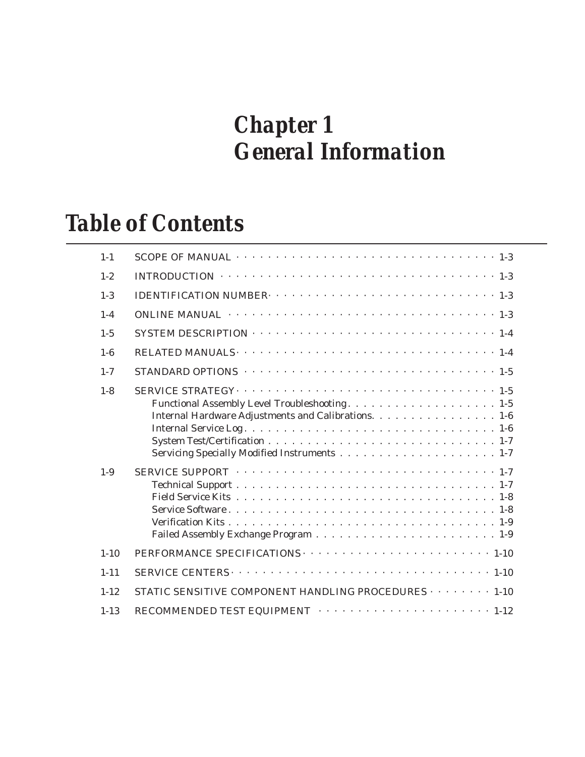# *Chapter 1 General Information*

# *Table of Contents*

| $1 - 1$            |                                                                                                         |
|--------------------|---------------------------------------------------------------------------------------------------------|
| $1 - 2$            | INTRODUCTION $\cdots \cdots \cdots \cdots \cdots \cdots \cdots \cdots \cdots \cdots \cdots \cdots 1-3$  |
| $1 - 3$            |                                                                                                         |
| $1 - 4$            | ONLINE MANUAL $\cdots \cdots \cdots \cdots \cdots \cdots \cdots \cdots \cdots \cdots \cdots \cdots 1-3$ |
| $1 - 5$            |                                                                                                         |
| $1 - 6$            |                                                                                                         |
| $1 - 7$            |                                                                                                         |
| $1 - 8$<br>$1 - 9$ | Internal Hardware Adjustments and Calibrations. 1-6                                                     |
|                    |                                                                                                         |
| $1 - 10$           |                                                                                                         |
| $1 - 11$           |                                                                                                         |
| $1 - 12$           | STATIC SENSITIVE COMPONENT HANDLING PROCEDURES $\cdots$ $\cdots$ $\cdots$ 1-10                          |
| $1 - 13$           |                                                                                                         |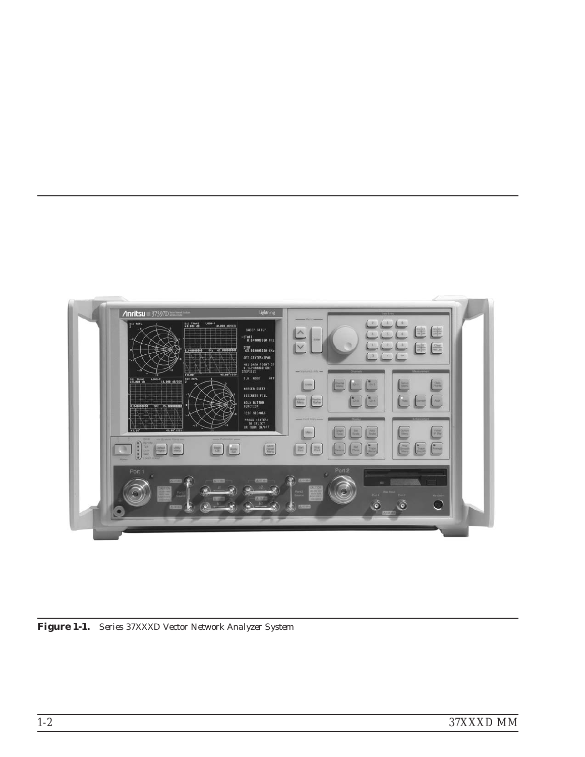

*Figure 1-1. Series 37XXXD Vector Network Analyzer System*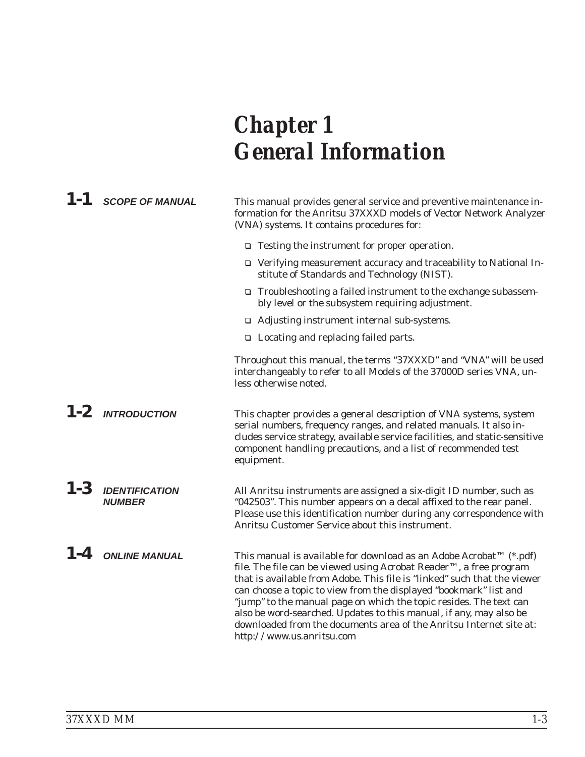# <span id="page-14-0"></span>*Chapter 1 General Information*

|         | $1 - 1$ SCOPE OF MANUAL                | This manual provides general service and preventive maintenance in-<br>formation for the Anritsu 37XXXD models of Vector Network Analyzer<br>(VNA) systems. It contains procedures for:                                                                                                                                                                                                                                                                                                                                                   |  |
|---------|----------------------------------------|-------------------------------------------------------------------------------------------------------------------------------------------------------------------------------------------------------------------------------------------------------------------------------------------------------------------------------------------------------------------------------------------------------------------------------------------------------------------------------------------------------------------------------------------|--|
|         |                                        | $\Box$ Testing the instrument for proper operation.                                                                                                                                                                                                                                                                                                                                                                                                                                                                                       |  |
|         |                                        | □ Verifying measurement accuracy and traceability to National In-<br>stitute of Standards and Technology (NIST).                                                                                                                                                                                                                                                                                                                                                                                                                          |  |
|         |                                        | □ Troubleshooting a failed instrument to the exchange subassem-<br>bly level or the subsystem requiring adjustment.                                                                                                                                                                                                                                                                                                                                                                                                                       |  |
|         |                                        | $\Box$ Adjusting instrument internal sub-systems.                                                                                                                                                                                                                                                                                                                                                                                                                                                                                         |  |
|         |                                        | $\Box$ Locating and replacing failed parts.                                                                                                                                                                                                                                                                                                                                                                                                                                                                                               |  |
|         |                                        | Throughout this manual, the terms "37XXXD" and "VNA" will be used<br>interchangeably to refer to all Models of the 37000D series VNA, un-<br>less otherwise noted.                                                                                                                                                                                                                                                                                                                                                                        |  |
|         | $1-2$ INTRODUCTION                     | This chapter provides a general description of VNA systems, system<br>serial numbers, frequency ranges, and related manuals. It also in-<br>cludes service strategy, available service facilities, and static-sensitive<br>component handling precautions, and a list of recommended test<br>equipment.                                                                                                                                                                                                                                   |  |
| $1 - 3$ | <b>IDENTIFICATION</b><br><b>NUMBER</b> | All Anritsu instruments are assigned a six-digit ID number, such as<br>"042503". This number appears on a decal affixed to the rear panel.<br>Please use this identification number during any correspondence with<br>Anritsu Customer Service about this instrument.                                                                                                                                                                                                                                                                     |  |
| $1 - 4$ | <b>ONLINE MANUAL</b>                   | This manual is available for download as an Adobe Acrobat™ (*.pdf)<br>file. The file can be viewed using Acrobat Reader™, a free program<br>that is available from Adobe. This file is "linked" such that the viewer<br>can choose a topic to view from the displayed "bookmark" list and<br>"jump" to the manual page on which the topic resides. The text can<br>also be word-searched. Updates to this manual, if any, may also be<br>downloaded from the documents area of the Anritsu Internet site at:<br>http://www.us.anritsu.com |  |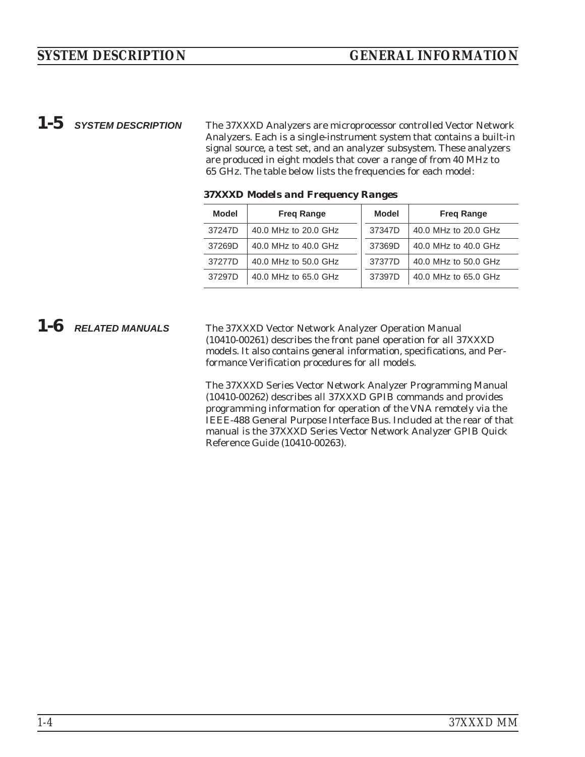<span id="page-15-0"></span>*1-5 SYSTEM DESCRIPTION* The 37XXXD Analyzers are microprocessor controlled Vector Network Analyzers. Each is a single-instrument system that contains a built-in signal source, a test set, and an analyzer subsystem. These analyzers are produced in eight models that cover a range of from 40 MHz to 65 GHz. The table below lists the frequencies for each model:

| Model                                                            | <b>Freg Range</b>    | <b>Model</b> | <b>Freg Range</b>    |
|------------------------------------------------------------------|----------------------|--------------|----------------------|
| 37247D                                                           | 40.0 MHz to 20.0 GHz | 37347D       | 40.0 MHz to 20.0 GHz |
| 37269D                                                           | 40.0 MHz to 40.0 GHz |              | 40.0 MHz to 40.0 GHz |
| 40.0 MHz to 50.0 GHz<br>37277D<br>40.0 MHz to 65.0 GHz<br>37297D |                      | 37377D       | 40.0 MHz to 50.0 GHz |
|                                                                  |                      | 37397D       | 40.0 MHz to 65.0 GHz |

*37XXXD Models and Frequency Ranges*

*1-6 RELATED MANUALS* The 37XXXD Vector Network Analyzer Operation Manual (10410-00261) describes the front panel operation for all 37XXXD models. It also contains general information, specifications, and Performance Verification procedures for all models.

> The 37XXXD Series Vector Network Analyzer Programming Manual (10410-00262) describes all 37XXXD GPIB commands and provides programming information for operation of the VNA remotely via the IEEE-488 General Purpose Interface Bus. Included at the rear of that manual is the 37XXXD Series Vector Network Analyzer GPIB Quick Reference Guide (10410-00263).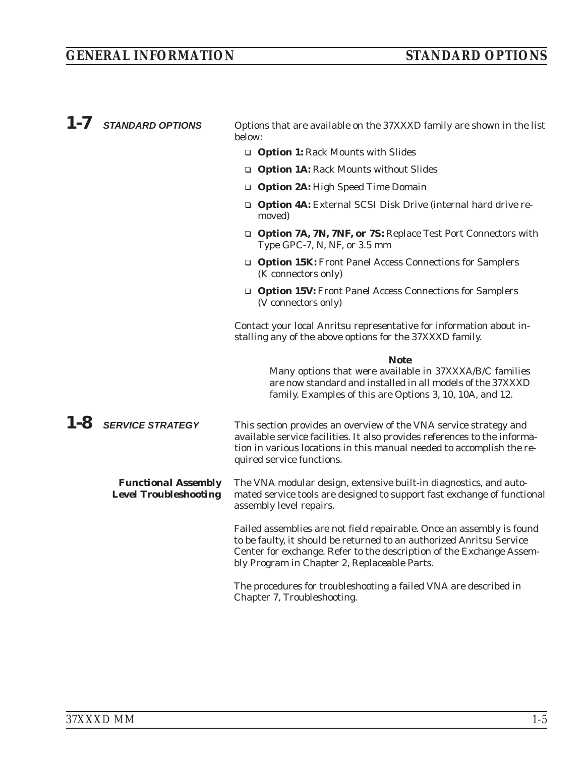<span id="page-16-0"></span>

| 1-7 STANDARD OPTIONS                                       | Options that are available on the 37XXXD family are shown in the list<br>below:                                                                                                                                                                                       |
|------------------------------------------------------------|-----------------------------------------------------------------------------------------------------------------------------------------------------------------------------------------------------------------------------------------------------------------------|
|                                                            | <b>Q Option 1: Rack Mounts with Slides</b>                                                                                                                                                                                                                            |
|                                                            | <b>Q Option 1A: Rack Mounts without Slides</b>                                                                                                                                                                                                                        |
|                                                            | <b>Option 2A: High Speed Time Domain</b>                                                                                                                                                                                                                              |
|                                                            | <b>Option 4A:</b> External SCSI Disk Drive (internal hard drive re-<br>moved)                                                                                                                                                                                         |
|                                                            | <b>Q Option 7A, 7N, 7NF, or 7S: Replace Test Port Connectors with</b><br>Type GPC-7, N, NF, or 3.5 mm                                                                                                                                                                 |
|                                                            | <b>Option 15K:</b> Front Panel Access Connections for Samplers<br>(K connectors only)                                                                                                                                                                                 |
|                                                            | <b>Option 15V:</b> Front Panel Access Connections for Samplers<br>(V connectors only)                                                                                                                                                                                 |
|                                                            | Contact your local Anritsu representative for information about in-<br>stalling any of the above options for the 37XXXD family.                                                                                                                                       |
|                                                            | <b>Note</b><br>Many options that were available in 37XXXA/B/C families<br>are now standard and installed in all models of the 37XXXD<br>family. Examples of this are Options 3, 10, 10A, and 12.                                                                      |
| $1 - 8$ SERVICE STRATEGY                                   | This section provides an overview of the VNA service strategy and<br>available service facilities. It also provides references to the informa-<br>tion in various locations in this manual needed to accomplish the re-<br>quired service functions.                  |
| <b>Functional Assembly</b><br><b>Level Troubleshooting</b> | The VNA modular design, extensive built-in diagnostics, and auto-<br>mated service tools are designed to support fast exchange of functional<br>assembly level repairs.                                                                                               |
|                                                            | Failed assemblies are not field repairable. Once an assembly is found<br>to be faulty, it should be returned to an authorized Anritsu Service<br>Center for exchange. Refer to the description of the Exchange Assem-<br>bly Program in Chapter 2, Replaceable Parts. |
|                                                            | The procedures for troubleshooting a failed VNA are described in<br>Chapter 7, Troubleshooting.                                                                                                                                                                       |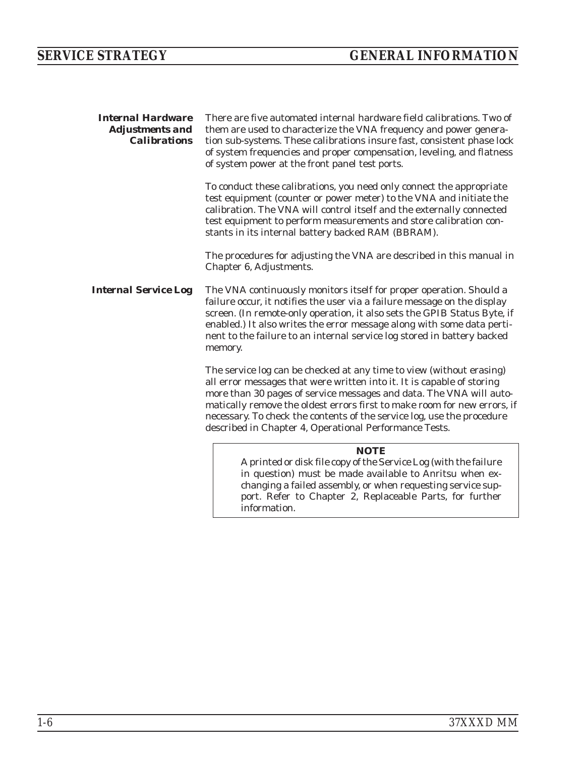<span id="page-17-0"></span>

| <b>Internal Hardware</b><br><b>Adjustments and</b><br><b>Calibrations</b> | There are five automated internal hardware field calibrations. Two of<br>them are used to characterize the VNA frequency and power genera-<br>tion sub-systems. These calibrations insure fast, consistent phase lock<br>of system frequencies and proper compensation, leveling, and flatness<br>of system power at the front panel test ports.                                                                                      |
|---------------------------------------------------------------------------|---------------------------------------------------------------------------------------------------------------------------------------------------------------------------------------------------------------------------------------------------------------------------------------------------------------------------------------------------------------------------------------------------------------------------------------|
|                                                                           | To conduct these calibrations, you need only connect the appropriate<br>test equipment (counter or power meter) to the VNA and initiate the<br>calibration. The VNA will control itself and the externally connected<br>test equipment to perform measurements and store calibration con-<br>stants in its internal battery backed RAM (BBRAM).                                                                                       |
|                                                                           | The procedures for adjusting the VNA are described in this manual in<br>Chapter 6, Adjustments.                                                                                                                                                                                                                                                                                                                                       |
| <b>Internal Service Log</b>                                               | The VNA continuously monitors itself for proper operation. Should a<br>failure occur, it notifies the user via a failure message on the display<br>screen. (In remote-only operation, it also sets the GPIB Status Byte, if<br>enabled.) It also writes the error message along with some data perti-<br>nent to the failure to an internal service log stored in battery backed<br>memory.                                           |
|                                                                           | The service log can be checked at any time to view (without erasing)<br>all error messages that were written into it. It is capable of storing<br>more than 30 pages of service messages and data. The VNA will auto-<br>matically remove the oldest errors first to make room for new errors, if<br>necessary. To check the contents of the service log, use the procedure<br>described in Chapter 4, Operational Performance Tests. |
|                                                                           | <b>NOTE</b><br>A printed or disk file copy of the Service Log (with the failure<br>in question) must be made available to Anritsu when ex-<br>changing a failed assembly, or when requesting service sup-<br>port. Refer to Chapter 2, Replaceable Parts, for further<br>information.                                                                                                                                                 |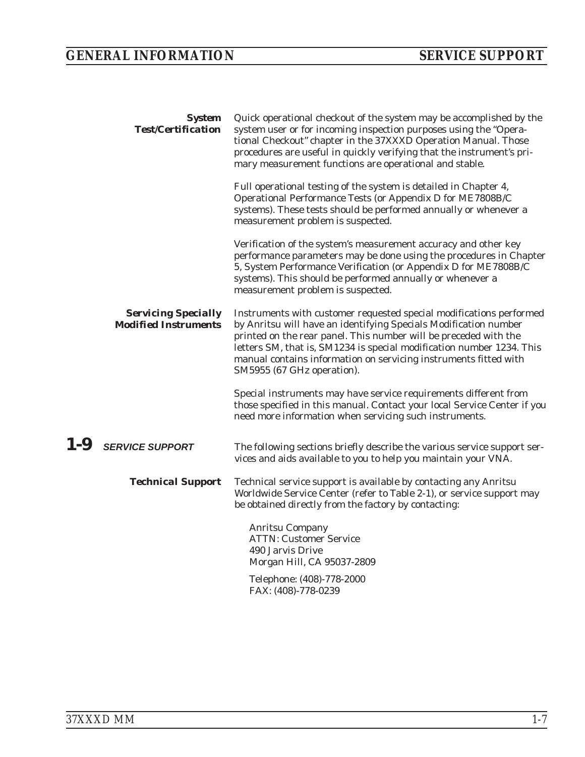# <span id="page-18-0"></span>*GENERAL INFORMATION SERVICE SUPPORT*

| <b>System</b><br><b>Test/Certification</b> |                                                           | Quick operational checkout of the system may be accomplished by the<br>system user or for incoming inspection purposes using the "Opera-<br>tional Checkout" chapter in the 37XXXD Operation Manual. Those<br>procedures are useful in quickly verifying that the instrument's pri-<br>mary measurement functions are operational and stable.                                          |
|--------------------------------------------|-----------------------------------------------------------|----------------------------------------------------------------------------------------------------------------------------------------------------------------------------------------------------------------------------------------------------------------------------------------------------------------------------------------------------------------------------------------|
|                                            |                                                           | Full operational testing of the system is detailed in Chapter 4,<br>Operational Performance Tests (or Appendix D for ME7808B/C<br>systems). These tests should be performed annually or whenever a<br>measurement problem is suspected.                                                                                                                                                |
|                                            |                                                           | Verification of the system's measurement accuracy and other key<br>performance parameters may be done using the procedures in Chapter<br>5, System Performance Verification (or Appendix D for ME7808B/C<br>systems). This should be performed annually or whenever a<br>measurement problem is suspected.                                                                             |
|                                            | <b>Servicing Specially</b><br><b>Modified Instruments</b> | Instruments with customer requested special modifications performed<br>by Anritsu will have an identifying Specials Modification number<br>printed on the rear panel. This number will be preceded with the<br>letters SM, that is, SM1234 is special modification number 1234. This<br>manual contains information on servicing instruments fitted with<br>SM5955 (67 GHz operation). |
|                                            |                                                           | Special instruments may have service requirements different from<br>those specified in this manual. Contact your local Service Center if you<br>need more information when servicing such instruments.                                                                                                                                                                                 |
| 1-9                                        | <b>SERVICE SUPPORT</b>                                    | The following sections briefly describe the various service support ser-<br>vices and aids available to you to help you maintain your VNA.                                                                                                                                                                                                                                             |
|                                            | <b>Technical Support</b>                                  | Technical service support is available by contacting any Anritsu<br>Worldwide Service Center (refer to Table 2-1), or service support may<br>be obtained directly from the factory by contacting:                                                                                                                                                                                      |
|                                            |                                                           | <b>Anritsu Company</b><br><b>ATTN: Customer Service</b><br>490 Jarvis Drive<br>Morgan Hill, CA 95037-2809                                                                                                                                                                                                                                                                              |
|                                            |                                                           | Telephone: (408)-778-2000<br>FAX: (408)-778-0239                                                                                                                                                                                                                                                                                                                                       |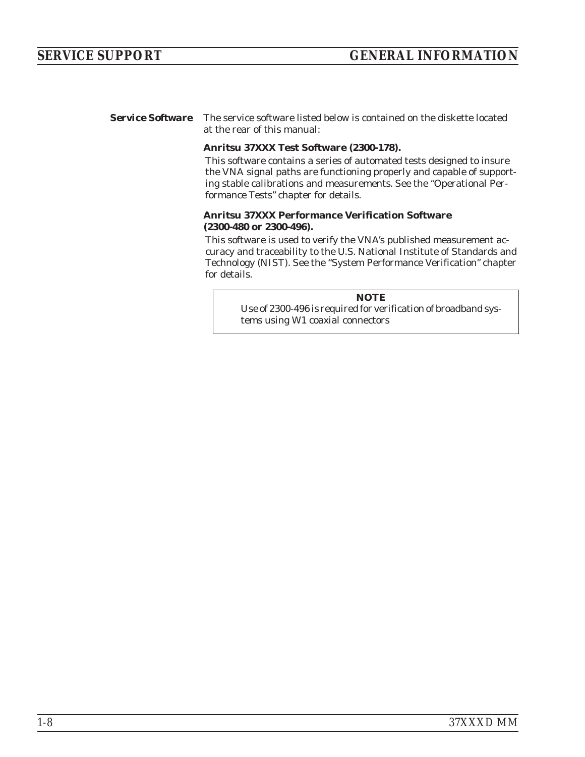<span id="page-19-0"></span>*Service Software* The service software listed below is contained on the diskette located at the rear of this manual:

### **Anritsu 37XXX Test Software (2300-178).**

This software contains a series of automated tests designed to insure the VNA signal paths are functioning properly and capable of supporting stable calibrations and measurements. See the "Operational Performance Tests" chapter for details.

### **Anritsu 37XXX Performance Verification Software (2300-480 or 2300-496).**

This software is used to verify the VNA's published measurement accuracy and traceability to the U.S. National Institute of Standards and Technology (NIST). See the "System Performance Verification" chapter for details.

> *NOTE* Use of 2300-496 is required for verification of broadband systems using W1 coaxial connectors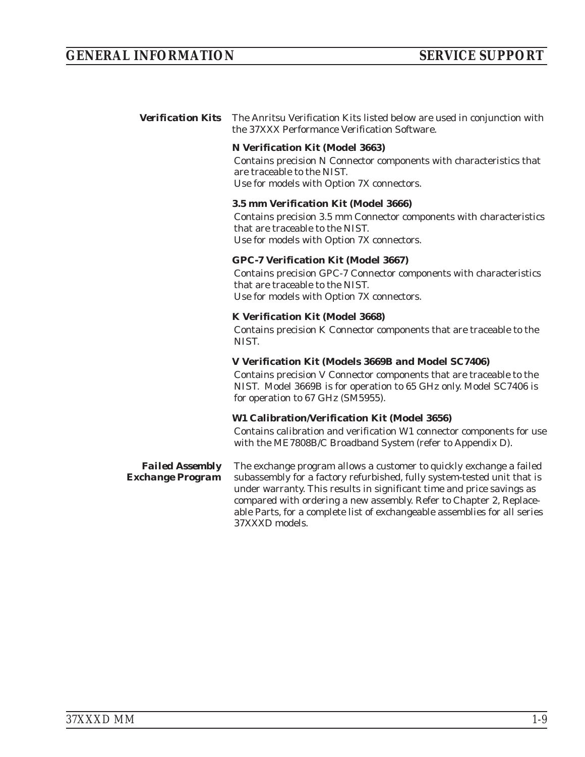<span id="page-20-0"></span>*Verification Kits* The Anritsu Verification Kits listed below are used in conjunction with the 37XXX Performance Verification Software.

### **N Verification Kit (Model 3663)**

Contains precision N Connector components with characteristics that are traceable to the NIST. Use for models with Option 7X connectors.

### **3.5 mm Verification Kit (Model 3666)**

Contains precision 3.5 mm Connector components with characteristics that are traceable to the NIST. Use for models with Option 7X connectors.

### **GPC-7 Verification Kit (Model 3667)**

Contains precision GPC-7 Connector components with characteristics that are traceable to the NIST. Use for models with Option 7X connectors.

### **K Verification Kit (Model 3668)**

Contains precision K Connector components that are traceable to the NIST.

### **V Verification Kit (Models 3669B and Model SC7406)**

Contains precision V Connector components that are traceable to the NIST. Model 3669B is for operation to 65 GHz only. Model SC7406 is for operation to 67 GHz (SM5955).

### **W1 Calibration/Verification Kit (Model 3656)**

Contains calibration and verification W1 connector components for use with the ME7808B/C Broadband System (refer to Appendix D).

*Failed Assembly Exchange Program*

The exchange program allows a customer to quickly exchange a failed subassembly for a factory refurbished, fully system-tested unit that is under warranty. This results in significant time and price savings as compared with ordering a new assembly. Refer to Chapter 2, Replaceable Parts, for a complete list of exchangeable assemblies for all series 37XXXD models.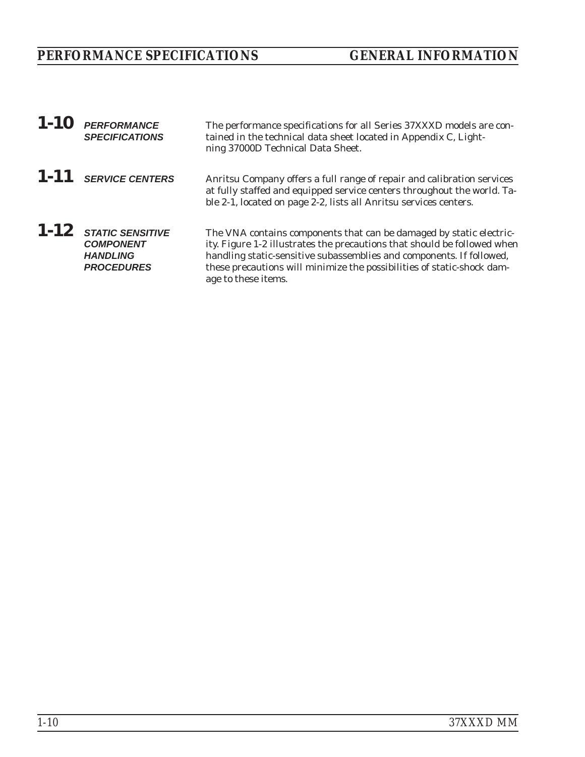# <span id="page-21-0"></span>*PERFORMANCE SPECIFICATIONS GENERAL INFORMATION*

| 1-10 | <b>PERFORMANCE</b><br><b>SPECIFICATIONS</b>                                           | The performance specifications for all Series 37XXXD models are con-<br>tained in the technical data sheet located in Appendix C, Light-<br>ning 37000D Technical Data Sheet.                                                                                                                                            |
|------|---------------------------------------------------------------------------------------|--------------------------------------------------------------------------------------------------------------------------------------------------------------------------------------------------------------------------------------------------------------------------------------------------------------------------|
|      | $1 - 11$ SERVICE CENTERS                                                              | Anritsu Company offers a full range of repair and calibration services<br>at fully staffed and equipped service centers throughout the world. Ta-<br>ble 2-1, located on page 2-2, lists all Anritsu services centers.                                                                                                   |
|      | $1 - 12$ STATIC SENSITIVE<br><b>COMPONENT</b><br><b>HANDLING</b><br><b>PROCEDURES</b> | The VNA contains components that can be damaged by static electric-<br>ity. Figure 1-2 illustrates the precautions that should be followed when<br>handling static-sensitive subassemblies and components. If followed,<br>these precautions will minimize the possibilities of static-shock dam-<br>age to these items. |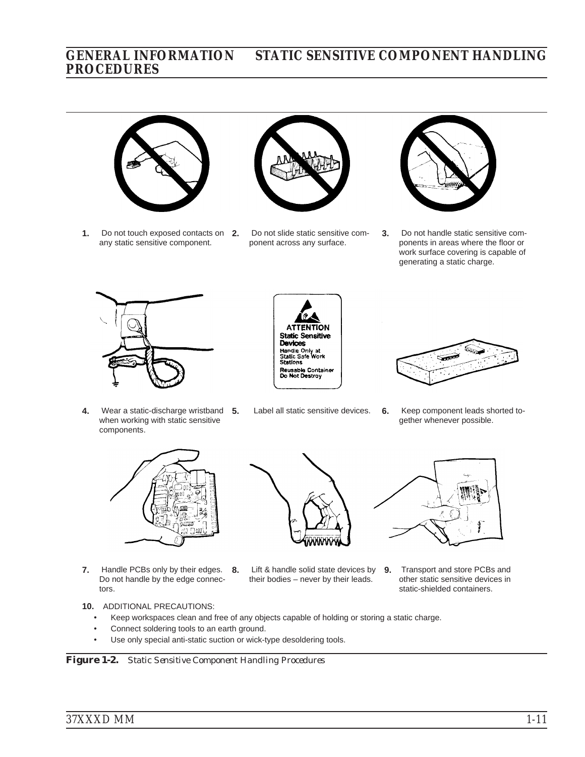## *GENERAL INFORMATION STATIC SENSITIVE COMPONENT HANDLING PROCEDURES*



**1.** Do not touch exposed contacts on **2.** any static sensitive component.



**2.** Do not slide static sensitive component across any surface.



**3.** Do not handle static sensitive components in areas where the floor or work surface covering is capable of generating a static charge.



**4.** Wear a static-discharge wristband **5.** when working with static sensitive components.





**5.** Label all static sensitive devices. **6.** Keep component leads shorted together whenever possible.



- **7.** Handle PCBs only by their edges. **8.** Do not handle by the edge connectors.
- 
- **8.** Lift & handle solid state devices by **9.** Transport and store PCBs and their bodies – never by their leads.



other static sensitive devices in static-shielded containers.

- **10.** ADDITIONAL PRECAUTIONS:
	- -Keep workspaces clean and free of any objects capable of holding or storing a static charge.
	- -Connect soldering tools to an earth ground.
	- -Use only special anti-static suction or wick-type desoldering tools.

*Figure 1-2. Static Sensitive Component Handling Procedures*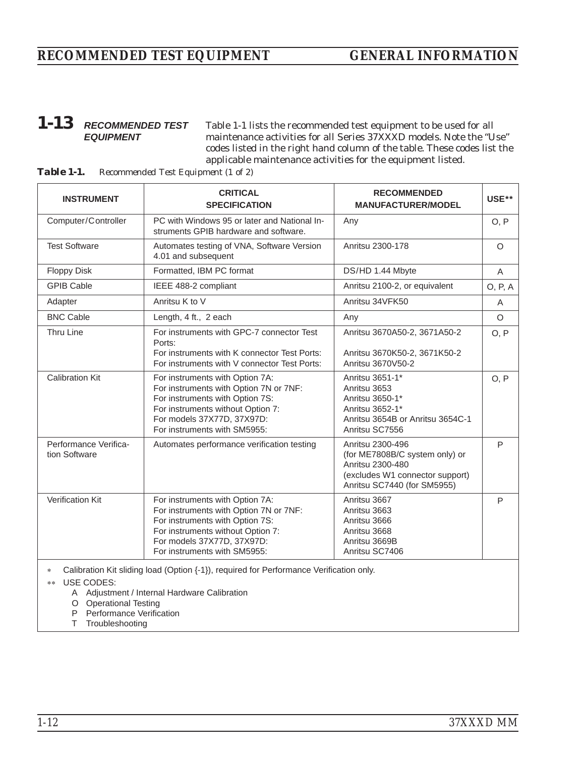## <span id="page-23-0"></span>*1-13 RECOMMENDED TEST EQUIPMENT*

Table 1-1 lists the recommended test equipment to be used for all maintenance activities for all Series 37XXXD models. Note the "Use" codes listed in the right hand column of the table. These codes list the applicable maintenance activities for the equipment listed.

| <b>INSTRUMENT</b>                      | <b>CRITICAL</b><br><b>SPECIFICATION</b>                                                                                                                                                                         | <b>RECOMMENDED</b><br><b>MANUFACTURER/MODEL</b>                                                                                          | USE**    |
|----------------------------------------|-----------------------------------------------------------------------------------------------------------------------------------------------------------------------------------------------------------------|------------------------------------------------------------------------------------------------------------------------------------------|----------|
| Computer/Controller                    | PC with Windows 95 or later and National In-<br>struments GPIB hardware and software.                                                                                                                           | Any                                                                                                                                      | O, P     |
| <b>Test Software</b>                   | Automates testing of VNA, Software Version<br>4.01 and subsequent                                                                                                                                               | Anritsu 2300-178                                                                                                                         | $\Omega$ |
| <b>Floppy Disk</b>                     | Formatted, IBM PC format                                                                                                                                                                                        | DS/HD 1.44 Mbyte                                                                                                                         | A        |
| <b>GPIB Cable</b>                      | IEEE 488-2 compliant                                                                                                                                                                                            | Anritsu 2100-2, or equivalent                                                                                                            | O, P, A  |
| Adapter                                | Anritsu K to V                                                                                                                                                                                                  | Anritsu 34VFK50                                                                                                                          | A        |
| <b>BNC Cable</b>                       | Length, 4 ft., 2 each                                                                                                                                                                                           | Any                                                                                                                                      | $\circ$  |
| Thru Line                              | For instruments with GPC-7 connector Test<br>Ports:<br>For instruments with K connector Test Ports:<br>For instruments with V connector Test Ports:                                                             | Anritsu 3670A50-2, 3671A50-2<br>Anritsu 3670K50-2, 3671K50-2<br>Anritsu 3670V50-2                                                        | O, P     |
| <b>Calibration Kit</b>                 | For instruments with Option 7A:<br>For instruments with Option 7N or 7NF:<br>For instruments with Option 7S:<br>For instruments without Option 7:<br>For models 37X77D, 37X97D:<br>For instruments with SM5955: | Anritsu 3651-1*<br>Anritsu 3653<br>Anritsu 3650-1*<br>Anritsu 3652-1*<br>Anritsu 3654B or Anritsu 3654C-1<br>Anritsu SC7556              | O, P     |
| Performance Verifica-<br>tion Software | Automates performance verification testing                                                                                                                                                                      | Anritsu 2300-496<br>(for ME7808B/C system only) or<br>Anritsu 2300-480<br>(excludes W1 connector support)<br>Anritsu SC7440 (for SM5955) | P        |
| Verification Kit                       | For instruments with Option 7A:<br>For instruments with Option 7N or 7NF:<br>For instruments with Option 7S:<br>For instruments without Option 7:<br>For models 37X77D, 37X97D:<br>For instruments with SM5955: | Anritsu 3667<br>Anritsu 3663<br>Anritsu 3666<br>Anritsu 3668<br>Anritsu 3669B<br>Anritsu SC7406                                          | P        |
| *<br>IIOF                              | Calibration Kit sliding load (Option {-1}), required for Performance Verification only.                                                                                                                         |                                                                                                                                          |          |

*Table 1-1. Recommended Test Equipment (1 of 2)*

USE CODES:

- A Adjustment / Internal Hardware Calibration
- O Operational Testing
- P Performance Verification
- T Troubleshooting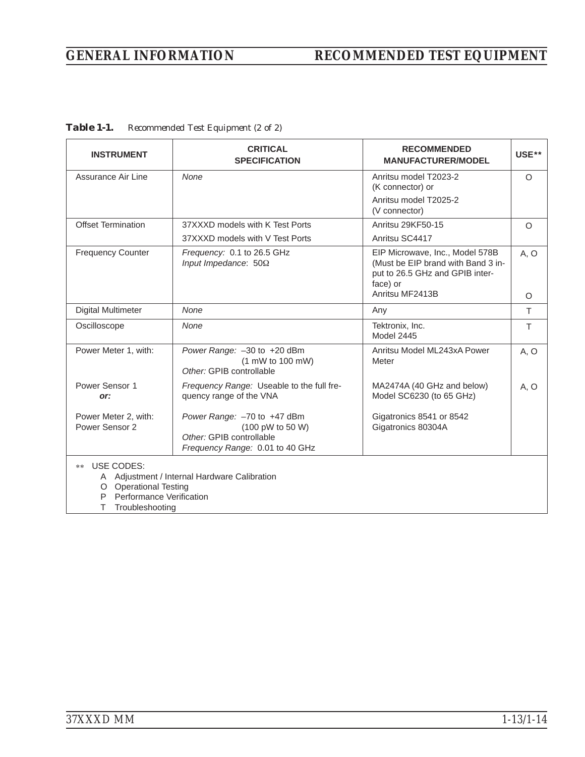# *GENERAL INFORMATION RECOMMENDED TEST EQUIPMENT*

| <b>INSTRUMENT</b>                                                                                  | <b>CRITICAL</b><br><b>SPECIFICATION</b>                                                                        | <b>RECOMMENDED</b><br><b>MANUFACTURER/MODEL</b>                                                                      | USE** |
|----------------------------------------------------------------------------------------------------|----------------------------------------------------------------------------------------------------------------|----------------------------------------------------------------------------------------------------------------------|-------|
| Assurance Air Line                                                                                 | None                                                                                                           | Anritsu model T2023-2<br>(K connector) or                                                                            | O     |
|                                                                                                    |                                                                                                                | Anritsu model T2025-2<br>(V connector)                                                                               |       |
| <b>Offset Termination</b>                                                                          | 37XXXD models with K Test Ports                                                                                | Anritsu 29KF50-15                                                                                                    | O     |
|                                                                                                    | 37XXXD models with V Test Ports                                                                                | Anritsu SC4417                                                                                                       |       |
| <b>Frequency Counter</b>                                                                           | Frequency: 0.1 to 26.5 GHz<br>Input Impedance: $50\Omega$                                                      | EIP Microwave, Inc., Model 578B<br>(Must be EIP brand with Band 3 in-<br>put to 26.5 GHz and GPIB inter-<br>face) or | A, O  |
|                                                                                                    |                                                                                                                | Anritsu MF2413B                                                                                                      | O     |
| <b>Digital Multimeter</b>                                                                          | None                                                                                                           | Any                                                                                                                  | T.    |
| Oscilloscope                                                                                       | None                                                                                                           | Tektronix, Inc.<br>Model 2445                                                                                        | T.    |
| Power Meter 1, with:                                                                               | Power Range: -30 to +20 dBm<br>$(1 \text{ mW to } 100 \text{ mW})$<br>Other: GPIB controllable                 | Anritsu Model ML243xA Power<br>Meter                                                                                 | A, O  |
| Power Sensor 1<br>or:                                                                              | Frequency Range: Useable to the full fre-<br>quency range of the VNA                                           | MA2474A (40 GHz and below)<br>Model SC6230 (to 65 GHz)                                                               | A, O  |
| Power Meter 2, with:<br>Power Sensor 2                                                             | Power Range: -70 to +47 dBm<br>(100 pW to 50 W)<br>Other: GPIB controllable<br>Frequency Range: 0.01 to 40 GHz | Gigatronics 8541 or 8542<br>Gigatronics 80304A                                                                       |       |
| USE CODES:<br>**<br>O Operational Testing<br>Performance Verification<br>P<br>Troubleshooting<br>т | A Adjustment / Internal Hardware Calibration                                                                   |                                                                                                                      |       |

*Table 1-1. Recommended Test Equipment (2 of 2)*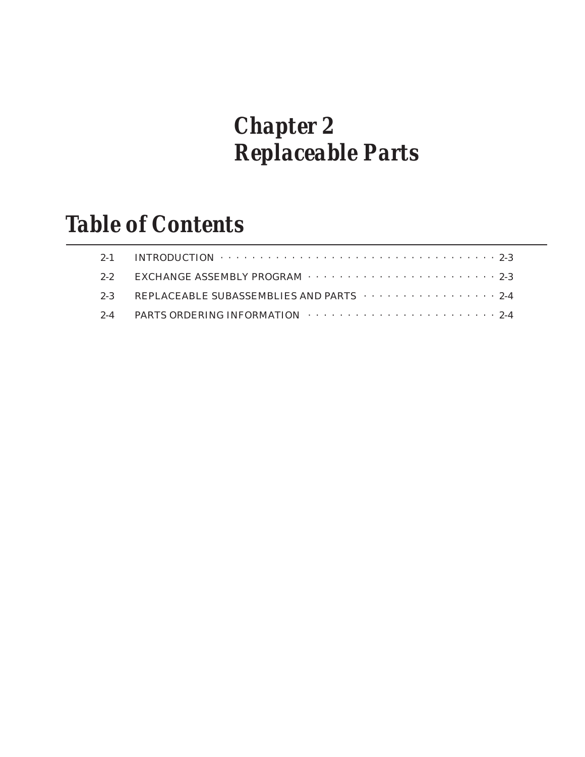# *Chapter 2 Replaceable Parts*

# *Table of Contents*

| 2-1 INTRODUCTION $\cdots \cdots \cdots \cdots \cdots \cdots \cdots \cdots \cdots \cdots \cdots \cdots$ 2-3 |
|------------------------------------------------------------------------------------------------------------|
| 2-2 EXCHANGE ASSEMBLY PROGRAM $\cdots \cdots \cdots \cdots \cdots \cdots \cdots$                           |
| 2-3 REPLACEABLE SUBASSEMBLIES AND PARTS $\cdots \cdots \cdots \cdots$                                      |
| 2-4 PARTS ORDERING INFORMATION $\cdots \cdots \cdots \cdots \cdots \cdots \cdots$                          |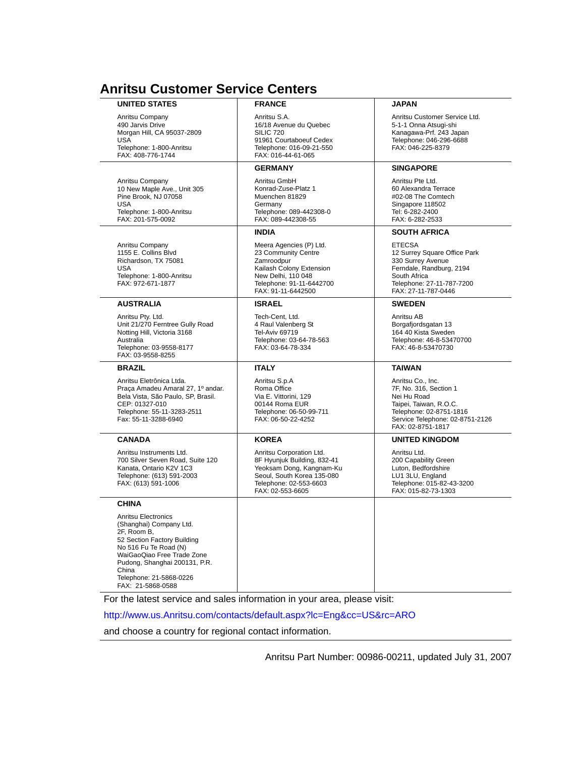# <span id="page-27-0"></span>**Anritsu Customer Service Centers**

| <b>UNITED STATES</b>                                                                                                                                                                                                                          | <b>FRANCE</b>                                                                                                                                                    | JAPAN                                                                                                                                                                   |
|-----------------------------------------------------------------------------------------------------------------------------------------------------------------------------------------------------------------------------------------------|------------------------------------------------------------------------------------------------------------------------------------------------------------------|-------------------------------------------------------------------------------------------------------------------------------------------------------------------------|
| Anritsu Company<br>490 Jarvis Drive<br>Morgan Hill, CA 95037-2809<br><b>USA</b><br>Telephone: 1-800-Anritsu<br>FAX: 408-776-1744                                                                                                              | Anritsu S.A.<br>16/18 Avenue du Quebec<br><b>SILIC 720</b><br>91961 Courtaboeuf Cedex<br>Telephone: 016-09-21-550<br>FAX: 016-44-61-065                          | Anritsu Customer Service Ltd.<br>5-1-1 Onna Atsugi-shi<br>Kanagawa-Prf. 243 Japan<br>Telephone: 046-296-6688<br>FAX: 046-225-8379                                       |
|                                                                                                                                                                                                                                               | <b>GERMANY</b>                                                                                                                                                   | <b>SINGAPORE</b>                                                                                                                                                        |
| Anritsu Company<br>10 New Maple Ave., Unit 305<br>Pine Brook, NJ 07058<br><b>USA</b><br>Telephone: 1-800-Anritsu<br>FAX: 201-575-0092                                                                                                         | Anritsu GmbH<br>Konrad-Zuse-Platz 1<br>Muenchen 81829<br>Germany<br>Telephone: 089-442308-0<br>FAX: 089-442308-55                                                | Anritsu Pte Ltd.<br>60 Alexandra Terrace<br>#02-08 The Comtech<br>Singapore 118502<br>Tel: 6-282-2400<br>FAX: 6-282-2533                                                |
|                                                                                                                                                                                                                                               | <b>INDIA</b>                                                                                                                                                     | <b>SOUTH AFRICA</b>                                                                                                                                                     |
| Anritsu Company<br>1155 E. Collins Blvd<br>Richardson, TX 75081<br><b>USA</b><br>Telephone: 1-800-Anritsu<br>FAX: 972-671-1877                                                                                                                | Meera Agencies (P) Ltd.<br>23 Community Centre<br>Zamroodpur<br>Kailash Colony Extension<br>New Delhi, 110 048<br>Telephone: 91-11-6442700<br>FAX: 91-11-6442500 | <b>ETECSA</b><br>12 Surrey Square Office Park<br>330 Surrey Avenue<br>Ferndale, Randburg, 2194<br>South Africa<br>Telephone: 27-11-787-7200<br>FAX: 27-11-787-0446      |
| <b>AUSTRALIA</b>                                                                                                                                                                                                                              | <b>ISRAEL</b>                                                                                                                                                    | <b>SWEDEN</b>                                                                                                                                                           |
| Anritsu Pty. Ltd.<br>Unit 21/270 Ferntree Gully Road<br>Notting Hill, Victoria 3168<br>Australia<br>Telephone: 03-9558-8177<br>FAX: 03-9558-8255                                                                                              | Tech-Cent. Ltd.<br>4 Raul Valenberg St<br><b>Tel-Aviv 69719</b><br>Telephone: 03-64-78-563<br>FAX: 03-64-78-334                                                  | Anritsu AB<br>Borgafjordsgatan 13<br>164 40 Kista Sweden<br>Telephone: 46-8-53470700<br>FAX: 46-8-53470730                                                              |
| <b>BRAZIL</b>                                                                                                                                                                                                                                 | <b>ITALY</b>                                                                                                                                                     | <b>TAIWAN</b>                                                                                                                                                           |
| Anritsu Eletrônica Ltda.<br>Praça Amadeu Amaral 27, 1º andar.<br>Bela Vista, São Paulo, SP, Brasil.<br>CEP: 01327-010<br>Telephone: 55-11-3283-2511<br>Fax: 55-11-3288-6940                                                                   | Anritsu S.p.A<br>Roma Office<br>Via E. Vittorini, 129<br>00144 Roma EUR<br>Telephone: 06-50-99-711<br>FAX: 06-50-22-4252                                         | Anritsu Co., Inc.<br>7F, No. 316, Section 1<br>Nei Hu Road<br>Taipei, Taiwan, R.O.C.<br>Telephone: 02-8751-1816<br>Service Telephone: 02-8751-2126<br>FAX: 02-8751-1817 |
| <b>CANADA</b>                                                                                                                                                                                                                                 | <b>KOREA</b>                                                                                                                                                     | <b>UNITED KINGDOM</b>                                                                                                                                                   |
| Anritsu Instruments Ltd.<br>700 Silver Seven Road, Suite 120<br>Kanata, Ontario K2V 1C3<br>Telephone: (613) 591-2003<br>FAX: (613) 591-1006                                                                                                   | Anritsu Corporation Ltd.<br>8F Hyunjuk Building, 832-41<br>Yeoksam Dong, Kangnam-Ku<br>Seoul, South Korea 135-080<br>Telephone: 02-553-6603<br>FAX: 02-553-6605  | Anritsu Ltd.<br>200 Capability Green<br>Luton, Bedfordshire<br>LU1 3LU, England<br>Telephone: 015-82-43-3200<br>FAX: 015-82-73-1303                                     |
| <b>CHINA</b>                                                                                                                                                                                                                                  |                                                                                                                                                                  |                                                                                                                                                                         |
| Anritsu Electronics<br>(Shanghai) Company Ltd.<br>2F, Room B,<br>52 Section Factory Building<br>No 516 Fu Te Road (N)<br>WaiGaoQiao Free Trade Zone<br>Pudong, Shanghai 200131, P.R.<br>China<br>Telephone: 21-5868-0226<br>FAX: 21-5868-0588 |                                                                                                                                                                  |                                                                                                                                                                         |
|                                                                                                                                                                                                                                               | For the latest service and sales information in your area, please visit:                                                                                         |                                                                                                                                                                         |

http://www.us.Anritsu.com/contacts/default.aspx?lc=Eng&cc=US&rc=ARO

and choose a country for regional contact information.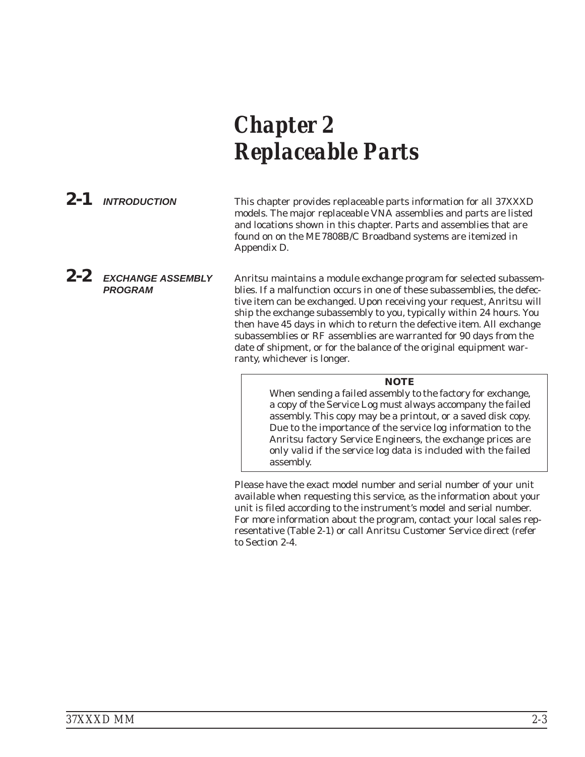# <span id="page-28-0"></span>*Chapter 2 Replaceable Parts*

*2-1 INTRODUCTION* This chapter provides replaceable parts information for all 37XXXD models. The major replaceable VNA assemblies and parts are listed and locations shown in this chapter. Parts and assemblies that are found on on the ME7808B/C Broadband systems are itemized in Appendix D.

*PROGRAM* Anritsu maintains a module exchange program for selected subassemblies. If a malfunction occurs in one of these subassemblies, the defective item can be exchanged. Upon receiving your request, Anritsu will ship the exchange subassembly to you, typically within 24 hours. You then have 45 days in which to return the defective item. All exchange subassemblies or RF assemblies are warranted for 90 days from the date of shipment, or for the balance of the original equipment warranty, whichever is longer.

### *NOTE*

When sending a failed assembly to the factory for exchange, a copy of the Service Log *must always* accompany the failed assembly. This copy may be a printout, or a saved disk copy. Due to the importance of the service log information to the Anritsu factory Service Engineers, the exchange prices are only valid if the service log data is included with the failed assembly.

Please have the exact model number and serial number of your unit available when requesting this service, as the information about your unit is filed according to the instrument's model and serial number. For more information about the program, contact your local sales representative (Table [2](#page-27-0)-[1](#page-27-0)) or call Anritsu Customer Service direct (refer to Section 2-4.

# *2-2 EXCHANGE ASSEMBLY*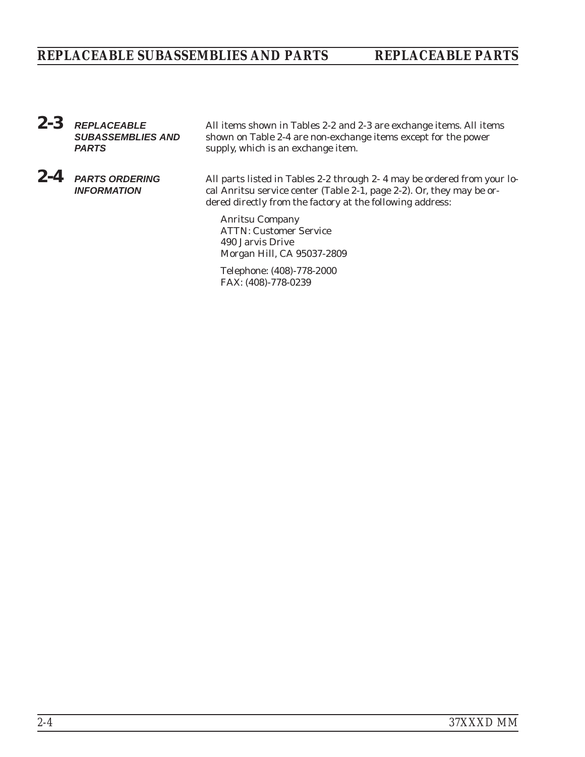# <span id="page-29-0"></span>*REPLACEABLE SUBASSEMBLIES AND PARTS REPLACEABLE PARTS*

- *2-3 REPLACEABLE SUBASSEMBLIES AND PARTS*
- *2-4 PARTS ORDERING INFORMATION*

All items shown in Tables 2-2 and 2-3 are exchange items. All items shown on Table 2-4 are non-exchange items except for the power supply, which is an exchange item.

All parts listed in Tables 2-2 through 2- 4 may be ordered from your local Anritsu service center (Table 2-1, page 2-2). Or, they may be ordered directly from the factory at the following address:

Anritsu Company ATTN: Customer Service 490 Jarvis Drive Morgan Hill, CA 95037-2809

Telephone: (408)-778-2000 FAX: (408)-778-0239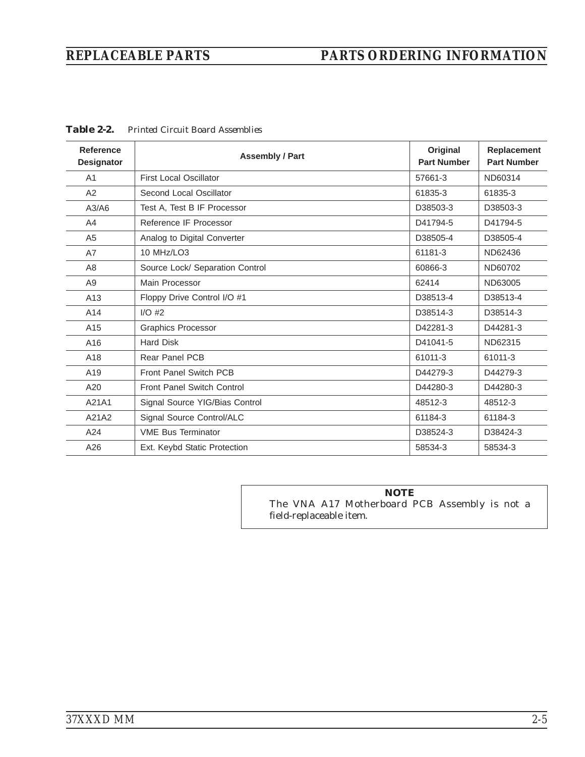# <span id="page-30-0"></span>*REPLACEABLE PARTS PARTS ORDERING INFORMATION*

| Reference<br><b>Designator</b> | <b>Assembly / Part</b>            | Original<br><b>Part Number</b> | <b>Replacement</b><br><b>Part Number</b> |
|--------------------------------|-----------------------------------|--------------------------------|------------------------------------------|
| A <sub>1</sub>                 | <b>First Local Oscillator</b>     | 57661-3                        | ND60314                                  |
| A2                             | Second Local Oscillator           | 61835-3                        | 61835-3                                  |
| A3/A6                          | Test A, Test B IF Processor       | D38503-3                       | D38503-3                                 |
| A4                             | Reference IF Processor            | D41794-5                       | D41794-5                                 |
| A <sub>5</sub>                 | Analog to Digital Converter       | D38505-4                       | D38505-4                                 |
| A7                             | <b>10 MHz/LO3</b>                 | 61181-3                        | ND62436                                  |
| A8                             | Source Lock/ Separation Control   | 60866-3                        | ND60702                                  |
| A <sub>9</sub>                 | Main Processor                    | 62414                          | ND63005                                  |
| A13                            | Floppy Drive Control I/O #1       | D38513-4                       | D38513-4                                 |
| A14                            | $I/O$ #2                          | D38514-3                       | D38514-3                                 |
| A15                            | <b>Graphics Processor</b>         | D42281-3                       | D44281-3                                 |
| A16                            | <b>Hard Disk</b>                  | D41041-5                       | ND62315                                  |
| A18                            | <b>Rear Panel PCB</b>             | 61011-3                        | 61011-3                                  |
| A19                            | <b>Front Panel Switch PCB</b>     | D44279-3                       | D44279-3                                 |
| A20                            | <b>Front Panel Switch Control</b> | D44280-3                       | D44280-3                                 |
| A21A1                          | Signal Source YIG/Bias Control    | 48512-3                        | 48512-3                                  |
| A21A2                          | Signal Source Control/ALC         | 61184-3                        | 61184-3                                  |
| A24                            | <b>VME Bus Terminator</b>         | D38524-3                       | D38424-3                                 |
| A26                            | Ext. Keybd Static Protection      | 58534-3                        | 58534-3                                  |

*Table 2-[2](#page-30-0). Printed Circuit Board Assemblies*

*NOTE* The VNA A17 Motherboard PCB Assembly is not a field-replaceable item.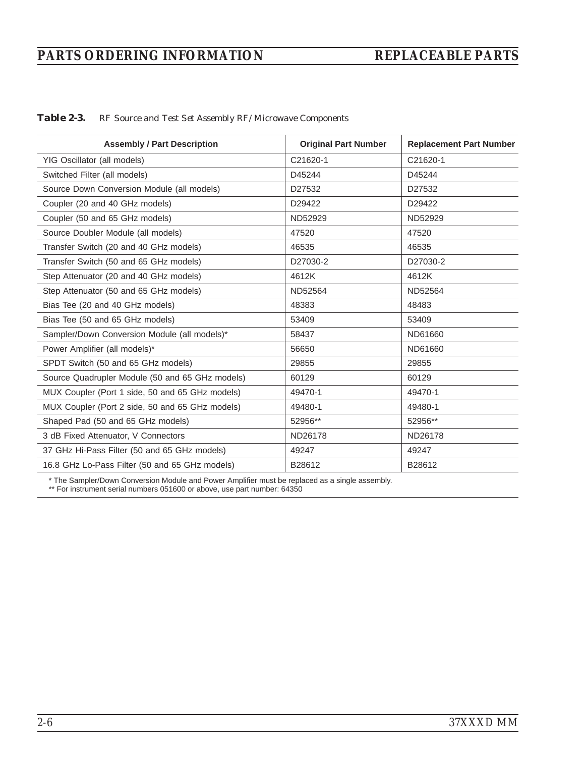# *PARTS ORDERING INFORMATION REPLACEABLE PARTS*

| <b>Assembly / Part Description</b>              | <b>Original Part Number</b> | <b>Replacement Part Number</b> |
|-------------------------------------------------|-----------------------------|--------------------------------|
| YIG Oscillator (all models)                     | C21620-1                    | C21620-1                       |
| Switched Filter (all models)                    | D45244                      | D45244                         |
| Source Down Conversion Module (all models)      | D27532                      | D27532                         |
| Coupler (20 and 40 GHz models)                  | D29422                      | D29422                         |
| Coupler (50 and 65 GHz models)                  | ND52929                     | ND52929                        |
| Source Doubler Module (all models)              | 47520                       | 47520                          |
| Transfer Switch (20 and 40 GHz models)          | 46535                       | 46535                          |
| Transfer Switch (50 and 65 GHz models)          | D27030-2                    | D27030-2                       |
| Step Attenuator (20 and 40 GHz models)          | 4612K                       | 4612K                          |
| Step Attenuator (50 and 65 GHz models)          | ND52564                     | ND52564                        |
| Bias Tee (20 and 40 GHz models)                 | 48383                       | 48483                          |
| Bias Tee (50 and 65 GHz models)                 | 53409                       | 53409                          |
| Sampler/Down Conversion Module (all models)*    | 58437                       | ND61660                        |
| Power Amplifier (all models)*                   | 56650                       | ND61660                        |
| SPDT Switch (50 and 65 GHz models)              | 29855                       | 29855                          |
| Source Quadrupler Module (50 and 65 GHz models) | 60129                       | 60129                          |
| MUX Coupler (Port 1 side, 50 and 65 GHz models) | 49470-1                     | 49470-1                        |
| MUX Coupler (Port 2 side, 50 and 65 GHz models) | 49480-1                     | 49480-1                        |
| Shaped Pad (50 and 65 GHz models)               | 52956**                     | 52956**                        |
| 3 dB Fixed Attenuator, V Connectors             | ND26178                     | ND26178                        |
| 37 GHz Hi-Pass Filter (50 and 65 GHz models)    | 49247                       | 49247                          |
| 16.8 GHz Lo-Pass Filter (50 and 65 GHz models)  | B28612                      | B28612                         |

*Table 2-3. RF Source and Test Set Assembly RF/Microwave Components*

\* The Sampler/Down Conversion Module and Power Amplifier must be replaced as a single assembly.

\*\* For instrument serial numbers 051600 or above, use part number: 64350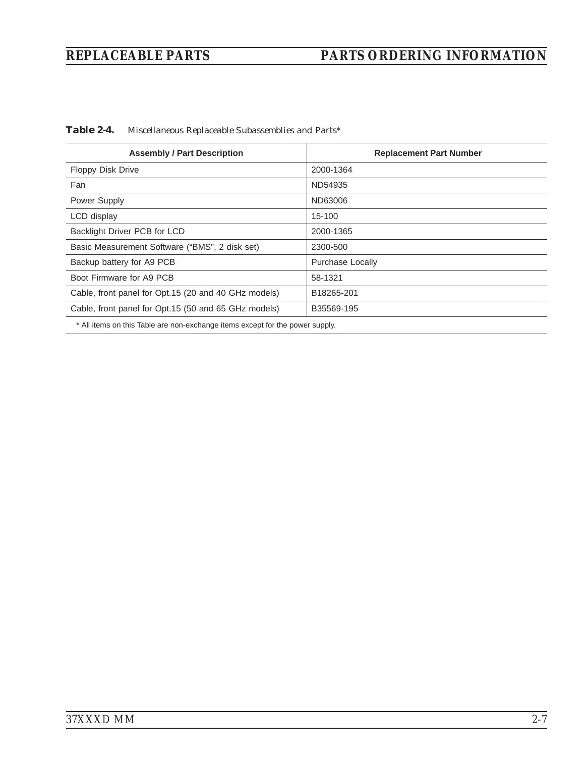# *REPLACEABLE PARTS PARTS ORDERING INFORMATION*

*Table 2-4. Miscellaneous Replaceable Subassemblies and Parts\**

| <b>Assembly / Part Description</b>                   | <b>Replacement Part Number</b> |
|------------------------------------------------------|--------------------------------|
| <b>Floppy Disk Drive</b>                             | 2000-1364                      |
| Fan                                                  | ND54935                        |
| Power Supply                                         | ND63006                        |
| LCD display                                          | 15-100                         |
| Backlight Driver PCB for LCD                         | 2000-1365                      |
| Basic Measurement Software ("BMS", 2 disk set)       | 2300-500                       |
| Backup battery for A9 PCB                            | Purchase Locally               |
| Boot Firmware for A9 PCB                             | 58-1321                        |
| Cable, front panel for Opt.15 (20 and 40 GHz models) | B18265-201                     |
| Cable, front panel for Opt.15 (50 and 65 GHz models) | B35569-195                     |
|                                                      |                                |

\* All items on this Table are non-exchange items except for the power supply.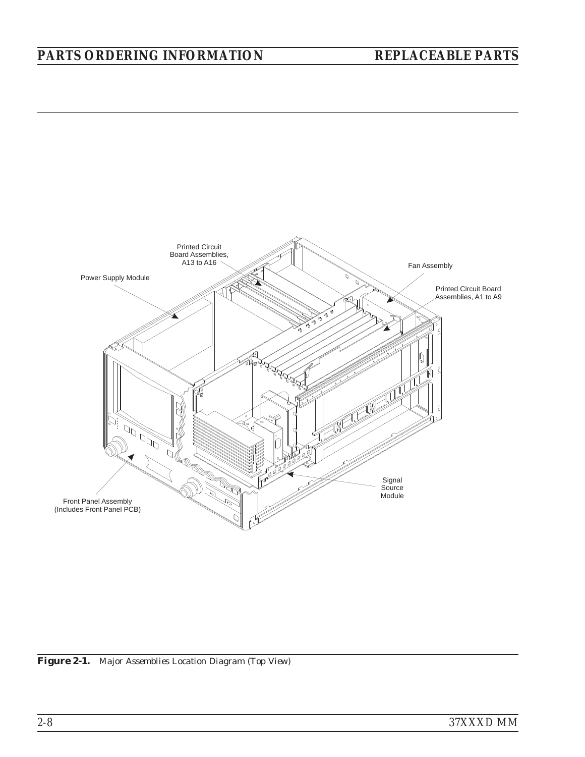# *PARTS ORDERING INFORMATION REPLACEABLE PARTS*



*Figure 2-1. Major Assemblies Location Diagram (Top View)*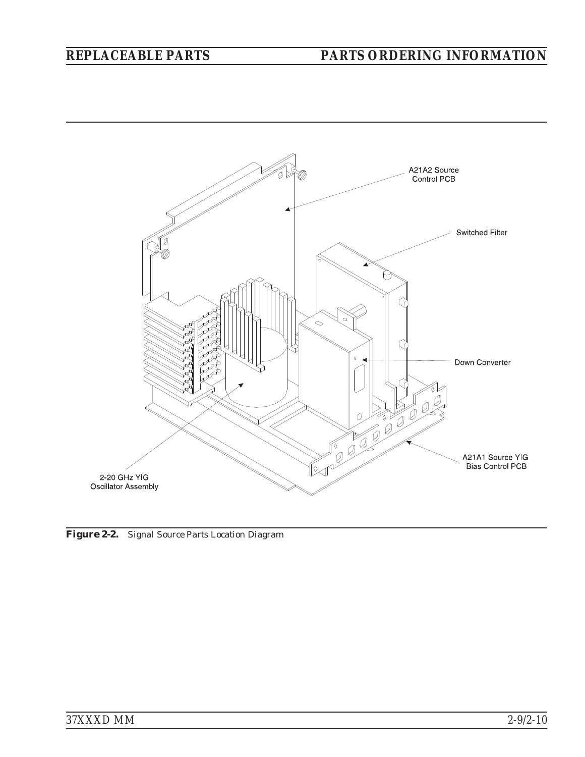# *REPLACEABLE PARTS PARTS ORDERING INFORMATION*



*Figure 2-2. Signal Source Parts Location Diagram*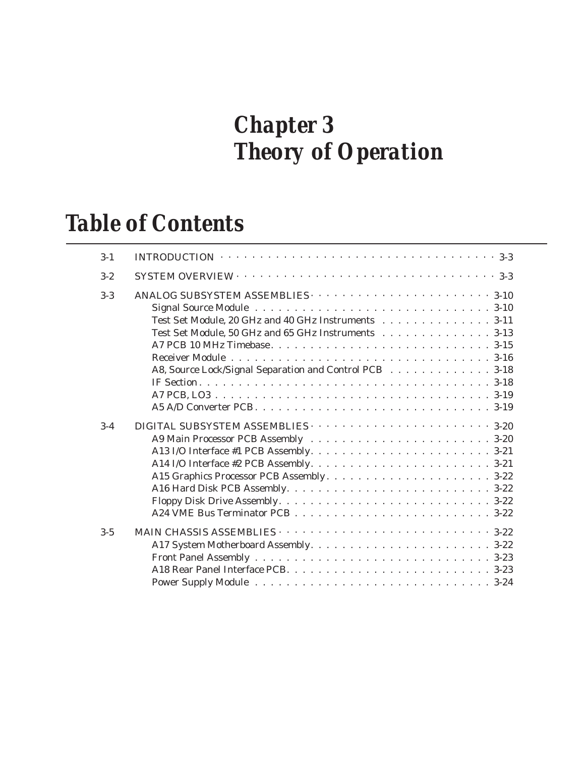# *Chapter 3 Theory of Operation*

# *Table of Contents*

| $3 - 1$ | INTRODUCTION $\cdots \cdots \cdots \cdots \cdots \cdots \cdots \cdots \cdots \cdots \cdots \cdots \cdots 3-3$                                                        |
|---------|----------------------------------------------------------------------------------------------------------------------------------------------------------------------|
| $3 - 2$ |                                                                                                                                                                      |
| $3-3$   | Test Set Module, 20 GHz and 40 GHz Instruments 3-11<br>Test Set Module, 50 GHz and 65 GHz Instruments 3-13<br>A8, Source Lock/Signal Separation and Control PCB 3-18 |
| $3-4$   |                                                                                                                                                                      |
| $3 - 5$ | MAIN CHASSIS ASSEMBLIES $\cdots \cdots \cdots \cdots \cdots \cdots \cdots \cdots \cdots \cdots 3-22$                                                                 |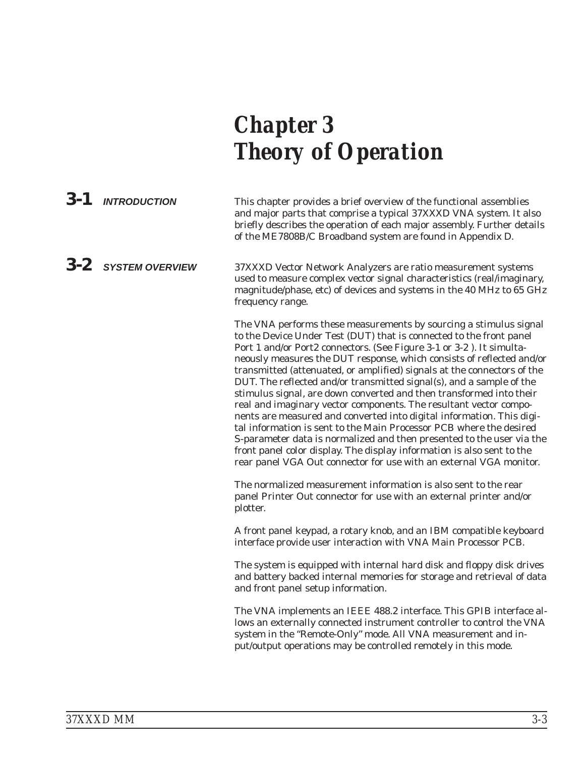# *Chapter 3 Theory of Operation*

*3-1 INTRODUCTION* This chapter provides a brief overview of the functional assemblies and major parts that comprise a typical 37XXXD VNA system. It also briefly describes the operation of each major assembly. Further details of the ME7808B/C Broadband system are found in Appendix D.

# *3-2 SYSTEM OVERVIEW* 37XXXD Vector Network Analyzers are ratio measurement systems used to measure complex vector signal characteristics (real/imaginary, magnitude/phase, etc) of devices and systems in the 40 MHz to 65 GHz frequency range.

The VNA performs these measurements by sourcing a stimulus signal to the Device Under Test (DUT) that is connected to the front panel Port 1 and/or Port2 connectors. (See Figure 3-1 or 3-2 ). It simultaneously measures the DUT response, which consists of reflected and/or transmitted (attenuated, or amplified) signals at the connectors of the DUT. The reflected and/or transmitted signal(s), and a sample of the stimulus signal, are down converted and then transformed into their real and imaginary vector components. The resultant vector components are measured and converted into digital information. This digital information is sent to the Main Processor PCB where the desired S-parameter data is normalized and then presented to the user via the front panel color display. The display information is also sent to the rear panel VGA Out connector for use with an external VGA monitor.

The normalized measurement information is also sent to the rear panel Printer Out connector for use with an external printer and/or plotter.

A front panel keypad, a rotary knob, and an IBM compatible keyboard interface provide user interaction with VNA Main Processor PCB.

The system is equipped with internal hard disk and floppy disk drives and battery backed internal memories for storage and retrieval of data and front panel setup information.

The VNA implements an IEEE 488.2 interface. This GPIB interface allows an externally connected instrument controller to control the VNA system in the "Remote-Only" mode. All VNA measurement and input/output operations may be controlled remotely in this mode.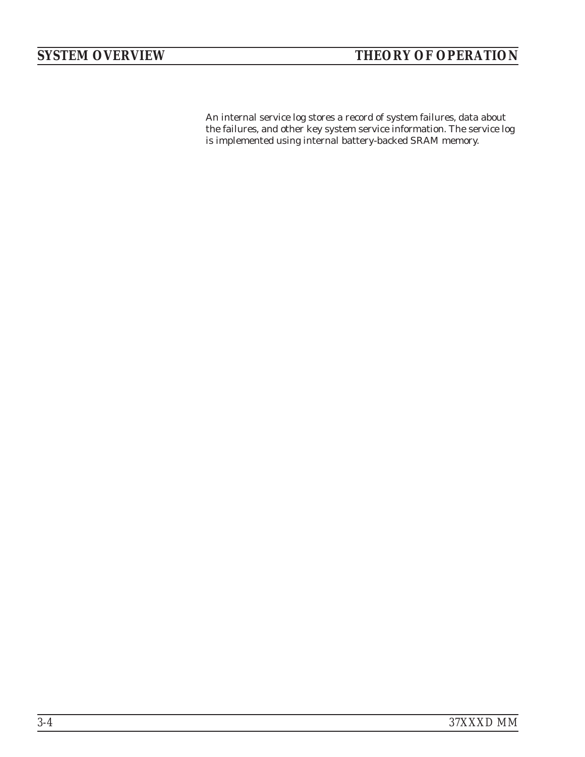An internal service log stores a record of system failures, data about the failures, and other key system service information. The service log is implemented using internal battery-backed SRAM memory.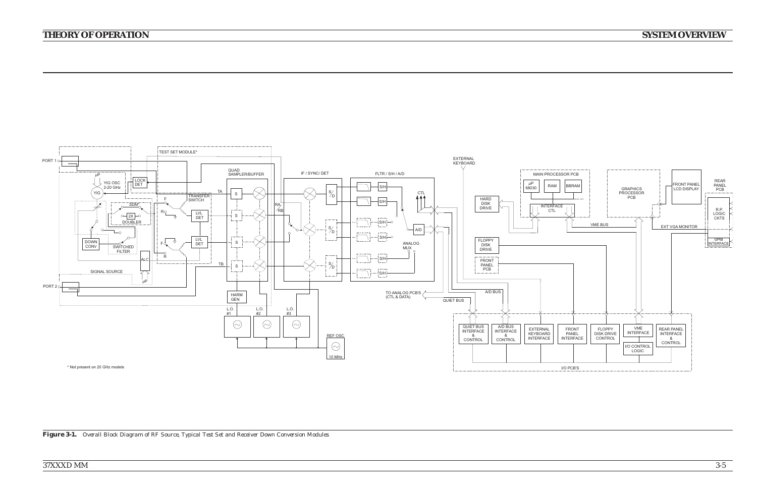# *37XXXD MM*

# *THEORY OF OPERATION*



Figure 3-1. Overall Block Diagram of RF Source, Typical Test Set and Receiver Down Conversion Modules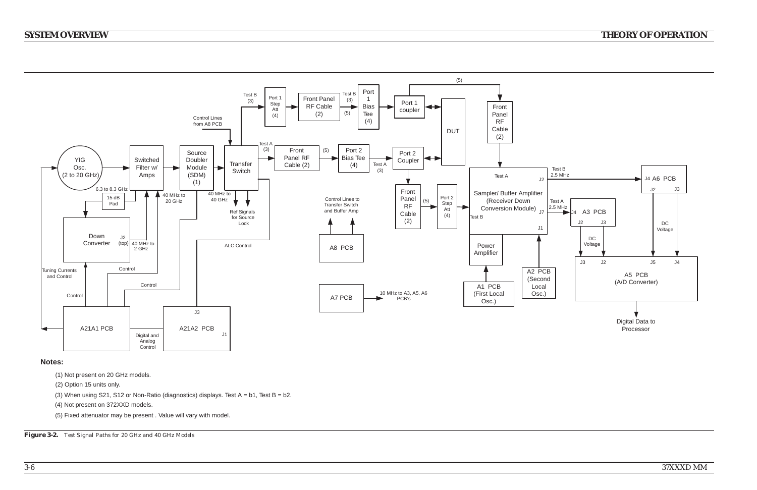*37XXXD MM*

# *SYSTEM OVERVIEW*

# *THEORY OF OPERATION*

# **Notes:**



- (1) Not present on 20 GHz models.
- (2) Option 15 units only.
- (3) When using S21, S12 or Non-Ratio (diagnostics) displays. Test  $A = b1$ , Test  $B = b2$ .
- (4) Not present on 372XXD models.
- (5) Fixed attenuator may be present . Value will vary with model.

*Figure 3-2. Test Signal Paths for <sup>20</sup> GHz and <sup>40</sup> GHz Models*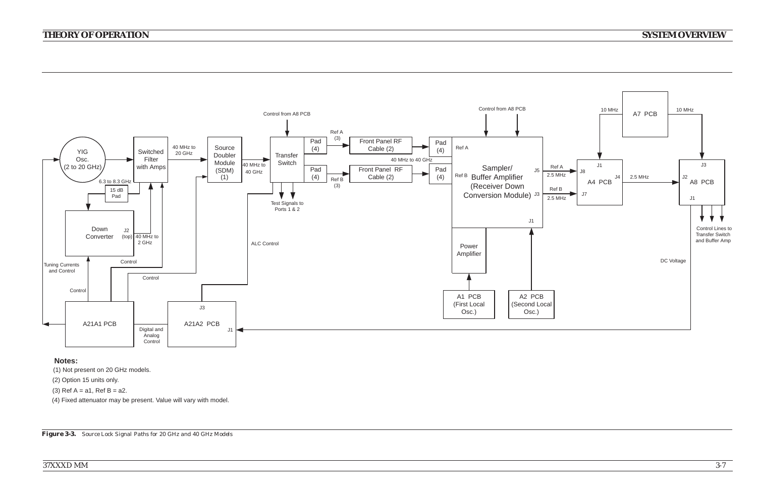# *THEORY OF OPERATION*

# *SYSTEM OVERVIEW*



# **Notes:**

- (1) Not present on 20 GHz models.
- (2) Option 15 units only.
- (3) Ref  $A = a1$ , Ref  $B = a2$ .
- (4) Fixed attenuator may be present. Value will vary with model.

Figure 3-3. Source Lock Signal Paths for 20 GHz and 40 GHz Models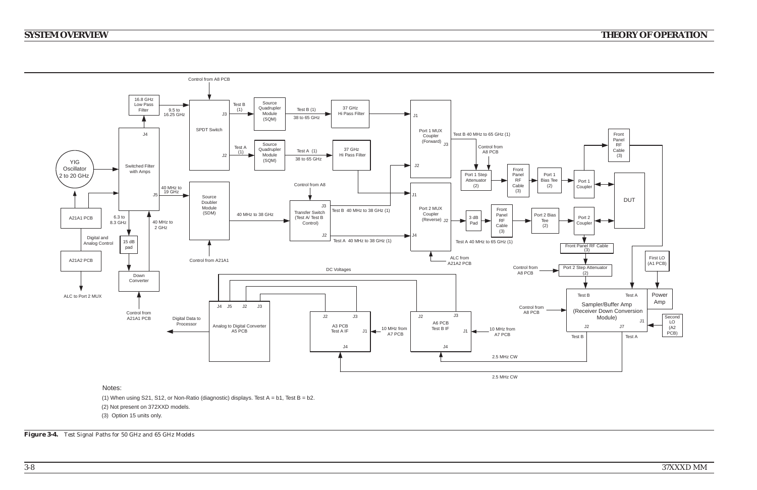*37XXXD MM*

# *SYSTEM OVERVIEW*

# *THEORY OF OPERATION*



- (2) Not present on 372XXD models.
- (3) Option 15 units only.

*Figure 3-4. Test Signal Paths for <sup>50</sup> GHz and <sup>65</sup> GHz Models*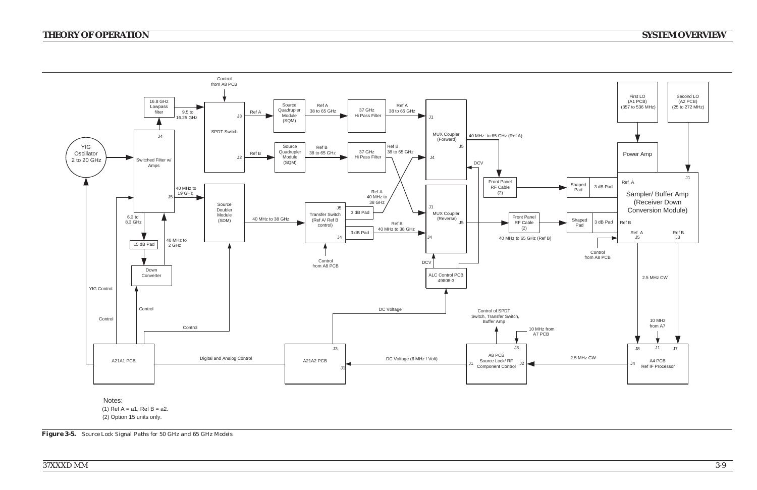# *THEORY OF OPERATION*



(2) Option 15 units only.

Figure 3-5. Source Lock Signal Paths for 50 GHz and 65 GHz Models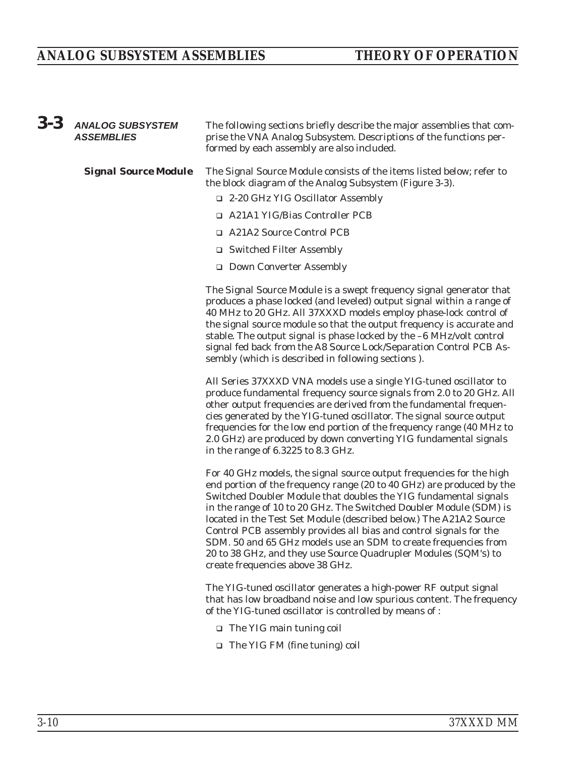# *ANALOG SUBSYSTEM ASSEMBLIES THEORY OF OPERATION*

| $3 - 3$ | <b>ANALOG SUBSYSTEM</b><br><b>ASSEMBLIES</b> | The following sections briefly describe the major assemblies that com-<br>prise the VNA Analog Subsystem. Descriptions of the functions per-<br>formed by each assembly are also included.                                                                                                                                                                                                                                                                                                                                                                                                                    |
|---------|----------------------------------------------|---------------------------------------------------------------------------------------------------------------------------------------------------------------------------------------------------------------------------------------------------------------------------------------------------------------------------------------------------------------------------------------------------------------------------------------------------------------------------------------------------------------------------------------------------------------------------------------------------------------|
|         | <b>Signal Source Module</b>                  | The Signal Source Module consists of the items listed below; refer to<br>the block diagram of the Analog Subsystem (Figure 3-3).<br>□ 2-20 GHz YIG Oscillator Assembly                                                                                                                                                                                                                                                                                                                                                                                                                                        |
|         |                                              | □ A21A1 YIG/Bias Controller PCB                                                                                                                                                                                                                                                                                                                                                                                                                                                                                                                                                                               |
|         |                                              | □ A21A2 Source Control PCB                                                                                                                                                                                                                                                                                                                                                                                                                                                                                                                                                                                    |
|         |                                              | □ Switched Filter Assembly                                                                                                                                                                                                                                                                                                                                                                                                                                                                                                                                                                                    |
|         |                                              | □ Down Converter Assembly                                                                                                                                                                                                                                                                                                                                                                                                                                                                                                                                                                                     |
|         |                                              | The Signal Source Module is a swept frequency signal generator that<br>produces a phase locked (and leveled) output signal within a range of<br>40 MHz to 20 GHz. All 37XXXD models employ phase-lock control of<br>the signal source module so that the output frequency is accurate and<br>stable. The output signal is phase locked by the -6 MHz/volt control<br>signal fed back from the A8 Source Lock/Separation Control PCB As-<br>sembly (which is described in following sections).                                                                                                                 |
|         |                                              | All Series 37XXXD VNA models use a single YIG-tuned oscillator to<br>produce fundamental frequency source signals from 2.0 to 20 GHz. All<br>other output frequencies are derived from the fundamental frequen-<br>cies generated by the YIG-tuned oscillator. The signal source output<br>frequencies for the low end portion of the frequency range (40 MHz to<br>2.0 GHz) are produced by down converting YIG fundamental signals<br>in the range of 6.3225 to 8.3 GHz.                                                                                                                                    |
|         |                                              | For 40 GHz models, the signal source output frequencies for the high<br>end portion of the frequency range (20 to 40 GHz) are produced by the<br>Switched Doubler Module that doubles the YIG fundamental signals<br>in the range of 10 to 20 GHz. The Switched Doubler Module (SDM) is<br>located in the Test Set Module (described below.) The A21A2 Source<br>Control PCB assembly provides all bias and control signals for the<br>SDM, 50 and 65 GHz models use an SDM to create frequencies from<br>20 to 38 GHz, and they use Source Quadrupler Modules (SQM's) to<br>create frequencies above 38 GHz. |
|         |                                              | The YIG-tuned oscillator generates a high-power RF output signal<br>that has low broadband noise and low spurious content. The frequency<br>of the YIG-tuned oscillator is controlled by means of:                                                                                                                                                                                                                                                                                                                                                                                                            |
|         |                                              | $\Box$ The YIG main tuning coil                                                                                                                                                                                                                                                                                                                                                                                                                                                                                                                                                                               |
|         |                                              | $\Box$ The YIG FM (fine tuning) coil                                                                                                                                                                                                                                                                                                                                                                                                                                                                                                                                                                          |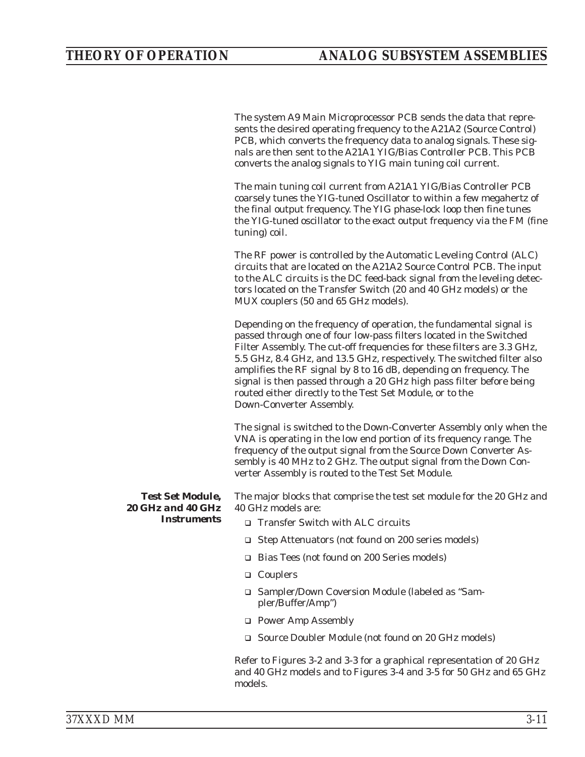The system A9 Main Microprocessor PCB sends the data that represents the desired operating frequency to the A21A2 (Source Control) PCB, which converts the frequency data to analog signals. These signals are then sent to the A21A1 YIG/Bias Controller PCB. This PCB converts the analog signals to YIG main tuning coil current.

The main tuning coil current from A21A1 YIG/Bias Controller PCB coarsely tunes the YIG-tuned Oscillator to within a few megahertz of the final output frequency. The YIG phase-lock loop then fine tunes the YIG-tuned oscillator to the exact output frequency via the FM (fine tuning) coil.

The RF power is controlled by the Automatic Leveling Control (ALC) circuits that are located on the A21A2 Source Control PCB. The input to the ALC circuits is the DC feed-back signal from the leveling detectors located on the Transfer Switch (20 and 40 GHz models) or the MUX couplers (50 and 65 GHz models).

Depending on the frequency of operation, the fundamental signal is passed through one of four low-pass filters located in the Switched Filter Assembly. The cut-off frequencies for these filters are 3.3 GHz, 5.5 GHz, 8.4 GHz, and 13.5 GHz, respectively. The switched filter also amplifies the RF signal by 8 to 16 dB, depending on frequency. The signal is then passed through a 20 GHz high pass filter before being routed either directly to the Test Set Module, or to the Down-Converter Assembly.

The signal is switched to the Down-Converter Assembly only when the VNA is operating in the low end portion of its frequency range. The frequency of the output signal from the Source Down Converter Assembly is 40 MHz to 2 GHz. The output signal from the Down Converter Assembly is routed to the Test Set Module.

*Test Set Module, 20 GHz and 40 GHz Instruments*

The major blocks that comprise the test set module for the 20 GHz and 40 GHz models are:

- □ Transfer Switch with ALC circuits
- □ Step Attenuators (not found on 200 series models)
- □ Bias Tees (not found on 200 Series models)
- □ Couplers
- □ Sampler/Down Coversion Module (labeled as "Sampler/Buffer/Amp")
- □ Power Amp Assembly
- □ Source Doubler Module (not found on 20 GHz models)

Refer to Figures 3-2 and 3-3 for a graphical representation of 20 GHz and 40 GHz models and to Figures 3-4 and 3-5 for 50 GHz and 65 GHz models.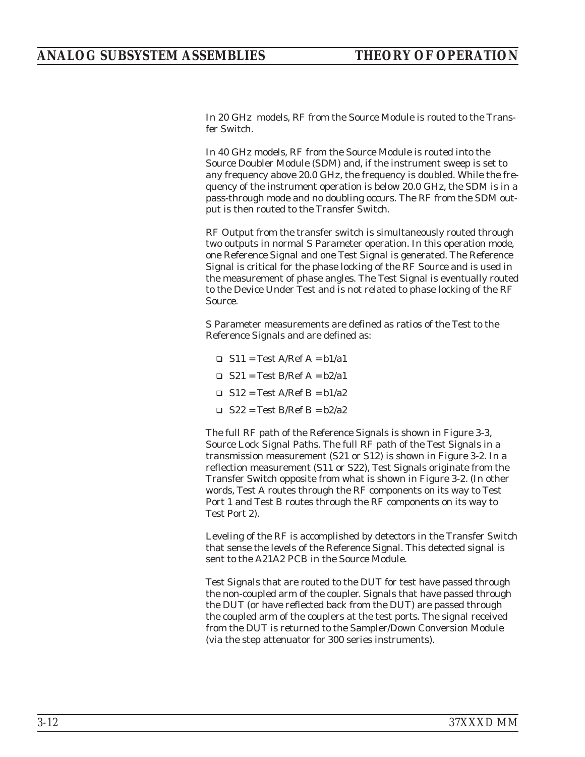In 20 GHz models, RF from the Source Module is routed to the Transfer Switch.

In 40 GHz models, RF from the Source Module is routed into the Source Doubler Module (SDM) and, if the instrument sweep is set to any frequency above 20.0 GHz, the frequency is doubled. While the frequency of the instrument operation is below 20.0 GHz, the SDM is in a pass-through mode and no doubling occurs. The RF from the SDM output is then routed to the Transfer Switch.

RF Output from the transfer switch is simultaneously routed through two outputs in normal S Parameter operation. In this operation mode, one Reference Signal and one Test Signal is generated. The Reference Signal is critical for the phase locking of the RF Source and is used in the measurement of phase angles. The Test Signal is eventually routed to the Device Under Test and is not related to phase locking of the RF Source.

S Parameter measurements are defined as ratios of the Test to the Reference Signals and are defined as:

- $\Box$  S11 = Test A/Ref A = b1/a1
- $\Box$  S21 = Test B/Ref A = b2/a1
- $\Box$  S12 = Test A/Ref B = b1/a2
- $\Box$  S22 = Test B/Ref B = b2/a2

The full RF path of the Reference Signals is shown in Figure 3-3, Source Lock Signal Paths. The full RF path of the Test Signals in a transmission measurement (S21 or S12) is shown in Figure 3-2. In a reflection measurement (S11 or S22), Test Signals originate from the Transfer Switch opposite from what is shown in Figure 3-2. (In other words, Test A routes through the RF components on its way to Test Port 1 and Test B routes through the RF components on its way to Test Port 2).

Leveling of the RF is accomplished by detectors in the Transfer Switch that sense the levels of the Reference Signal. This detected signal is sent to the A21A2 PCB in the Source Module.

Test Signals that are routed to the DUT for test have passed through the non-coupled arm of the coupler. Signals that have passed through the DUT (or have reflected back from the DUT) are passed through the coupled arm of the couplers at the test ports. The signal received from the DUT is returned to the Sampler/Down Conversion Module (via the step attenuator for 300 series instruments).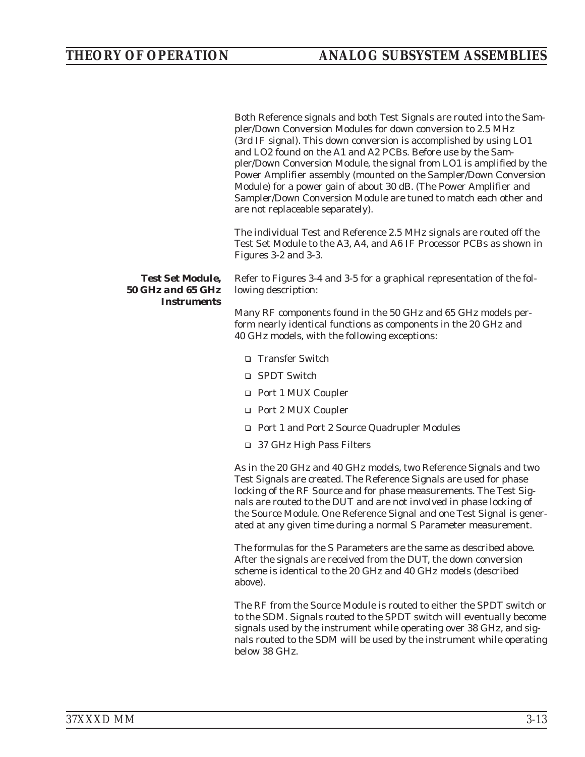Both Reference signals and both Test Signals are routed into the Sampler/Down Conversion Modules for down conversion to 2.5 MHz (3rd IF signal). This down conversion is accomplished by using LO1 and LO2 found on the A1 and A2 PCBs. Before use by the Sampler/Down Conversion Module, the signal from LO1 is amplified by the Power Amplifier assembly (mounted on the Sampler/Down Conversion Module) for a power gain of about 30 dB. (The Power Amplifier and Sampler/Down Conversion Module are tuned to match each other and are not replaceable separately).

The individual Test and Reference 2.5 MHz signals are routed off the Test Set Module to the A3, A4, and A6 IF Processor PCBs as shown in Figures 3-2 and 3-3.

*Test Set Module, 50 GHz and 65 GHz Instruments*

Refer to Figures 3-4 and 3-5 for a graphical representation of the following description:

Many RF components found in the 50 GHz and 65 GHz models perform nearly identical functions as components in the 20 GHz and 40 GHz models, with the following exceptions:

- □ Transfer Switch
- □ SPDT Switch
- □ Port 1 MUX Coupler
- □ Port 2 MUX Coupler
- □ Port 1 and Port 2 Source Quadrupler Modules
- □ 37 GHz High Pass Filters

As in the 20 GHz and 40 GHz models, two Reference Signals and two Test Signals are created. The Reference Signals are used for phase locking of the RF Source and for phase measurements. The Test Signals are routed to the DUT and are not involved in phase locking of the Source Module. One Reference Signal and one Test Signal is generated at any given time during a normal S Parameter measurement.

The formulas for the S Parameters are the same as described above. After the signals are received from the DUT, the down conversion scheme is identical to the 20 GHz and 40 GHz models (described above).

The RF from the Source Module is routed to either the SPDT switch or to the SDM. Signals routed to the SPDT switch will eventually become signals used by the instrument while operating over 38 GHz, and signals routed to the SDM will be used by the instrument while operating below 38 GHz.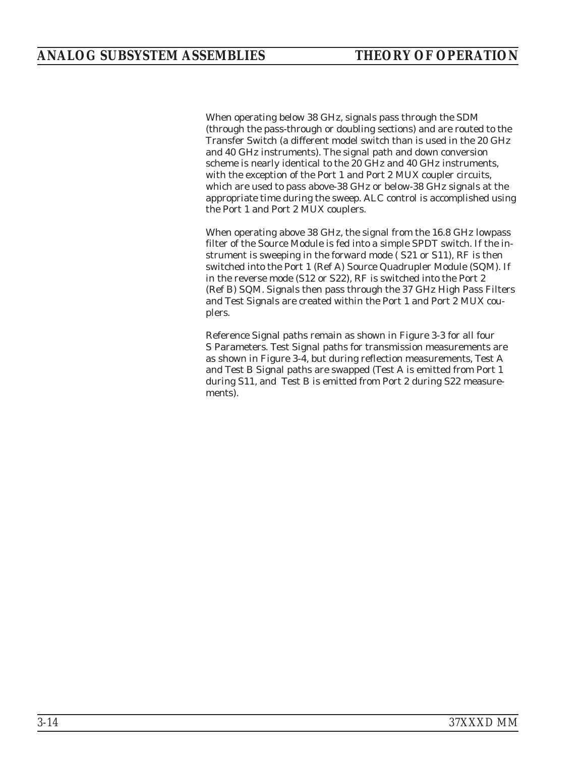When operating below 38 GHz, signals pass through the SDM (through the pass-through or doubling sections) and are routed to the Transfer Switch (a different model switch than is used in the 20 GHz and 40 GHz instruments). The signal path and down conversion scheme is nearly identical to the 20 GHz and 40 GHz instruments, with the exception of the Port 1 and Port 2 MUX coupler circuits, which are used to pass above-38 GHz or below-38 GHz signals at the appropriate time during the sweep. ALC control is accomplished using the Port 1 and Port 2 MUX couplers.

When operating above 38 GHz, the signal from the 16.8 GHz lowpass filter of the Source Module is fed into a simple SPDT switch. If the instrument is sweeping in the forward mode ( S21 or S11), RF is then switched into the Port 1 (Ref A) Source Quadrupler Module (SQM). If in the reverse mode (S12 or S22), RF is switched into the Port 2 (Ref B) SQM. Signals then pass through the 37 GHz High Pass Filters and Test Signals are created within the Port 1 and Port 2 MUX couplers.

Reference Signal paths remain as shown in Figure 3-3 for all four S Parameters. Test Signal paths for transmission measurements are as shown in Figure 3-4, but during reflection measurements, Test A and Test B Signal paths are swapped (Test A is emitted from Port 1 during S11, and Test B is emitted from Port 2 during S22 measurements).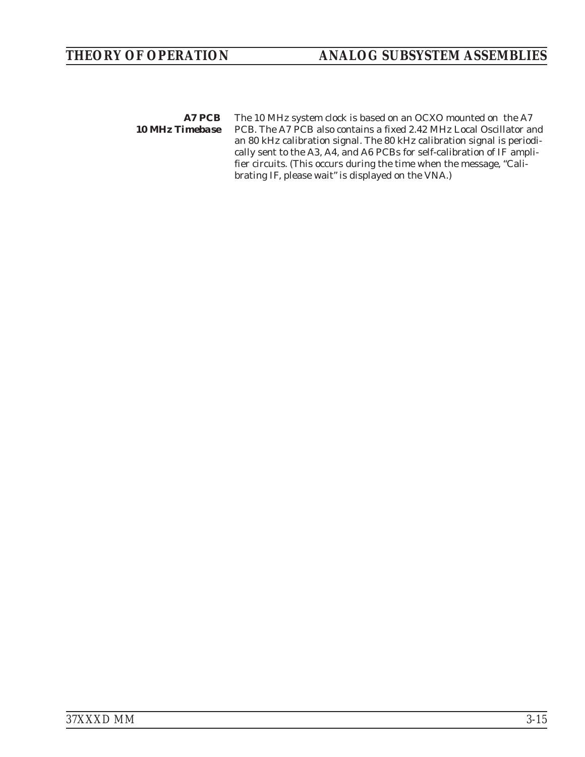*A7 PCB 10 MHz Timebase* The 10 MHz system clock is based on an OCXO mounted on the A7 PCB. The A7 PCB also contains a fixed 2.42 MHz Local Oscillator and an 80 kHz calibration signal. The 80 kHz calibration signal is periodically sent to the A3, A4, and A6 PCBs for self-calibration of IF amplifier circuits. (This occurs during the time when the message, "Calibrating IF, please wait" is displayed on the VNA.)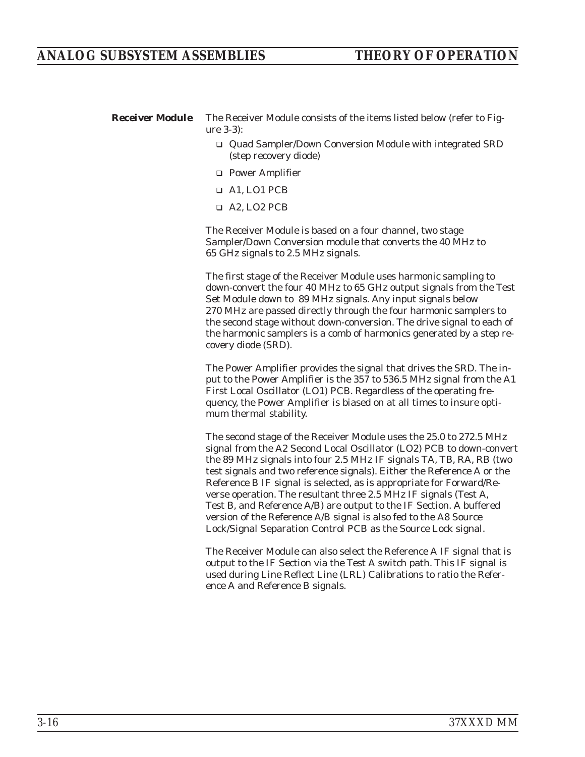*Receiver Module* The Receiver Module consists of the items listed below (refer to Figure 3-3):

- □ Quad Sampler/Down Conversion Module with integrated SRD (step recovery diode)
- □ Power Amplifier
- A1, LO1 PCB
- □ A2, LO2 PCB

The Receiver Module is based on a four channel, two stage Sampler/Down Conversion module that converts the 40 MHz to 65 GHz signals to 2.5 MHz signals.

The first stage of the Receiver Module uses harmonic sampling to down-convert the four 40 MHz to 65 GHz output signals from the Test Set Module down to 89 MHz signals. Any input signals below 270 MHz are passed directly through the four harmonic samplers to the second stage without down-conversion. The drive signal to each of the harmonic samplers is a comb of harmonics generated by a step recovery diode (SRD).

The Power Amplifier provides the signal that drives the SRD. The input to the Power Amplifier is the 357 to 536.5 MHz signal from the A1 First Local Oscillator (LO1) PCB. Regardless of the operating frequency, the Power Amplifier is biased on at all times to insure optimum thermal stability.

The second stage of the Receiver Module uses the 25.0 to 272.5 MHz signal from the A2 Second Local Oscillator (LO2) PCB to down-convert the 89 MHz signals into four 2.5 MHz IF signals TA, TB, RA, RB (two test signals and two reference signals). Either the Reference A or the Reference B IF signal is selected, as is appropriate for Forward/Reverse operation. The resultant three 2.5 MHz IF signals (Test A, Test B, and Reference A/B) are output to the IF Section. A buffered version of the Reference A/B signal is also fed to the A8 Source Lock/Signal Separation Control PCB as the Source Lock signal.

The Receiver Module can also select the Reference A IF signal that is output to the IF Section via the Test A switch path. This IF signal is used during Line Reflect Line (LRL) Calibrations to ratio the Reference A and Reference B signals.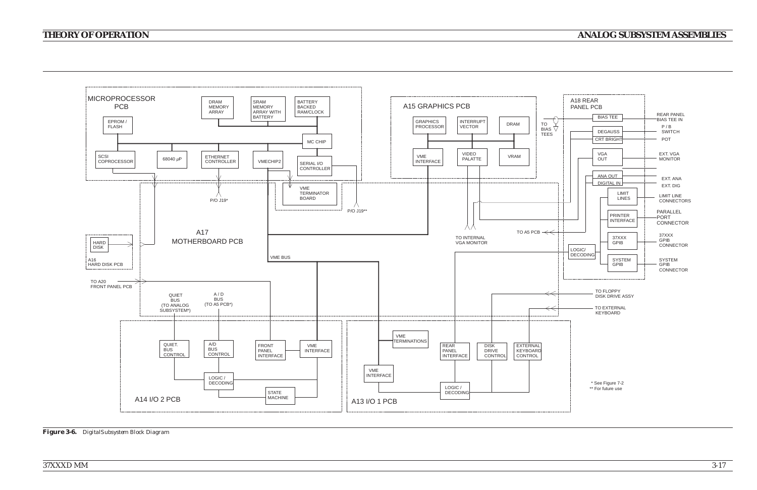*37XXXD MM*

# *THEORY OF OPERATION*

# *ANALOG SUBSYSTEM ASSEMBLIES*



*Figure 3-6. DigitalSubsystem Block Diagram*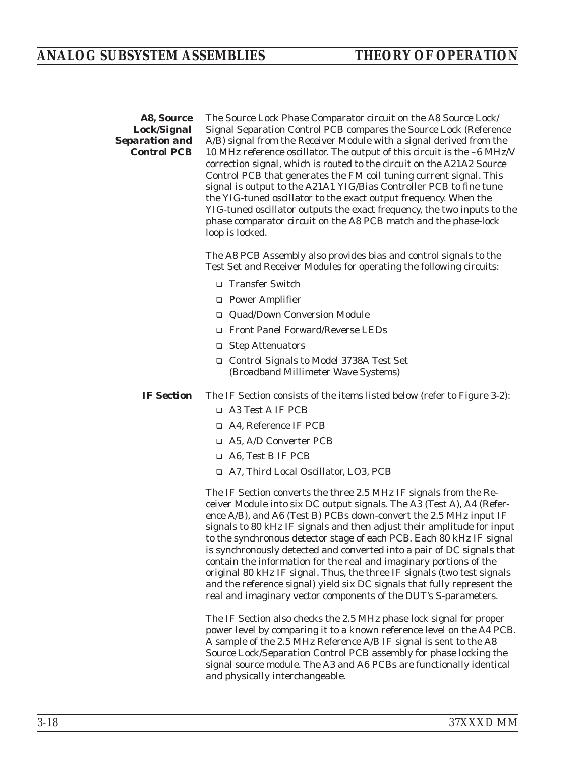### *A8, Source Lock/Signal Separation and Control PCB*

The Source Lock Phase Comparator circuit on the A8 Source Lock/ Signal Separation Control PCB compares the Source Lock (Reference A/B) signal from the Receiver Module with a signal derived from the 10 MHz reference oscillator. The output of this circuit is the –6 MHz/V correction signal, which is routed to the circuit on the A21A2 Source Control PCB that generates the FM coil tuning current signal. This signal is output to the A21A1 YIG/Bias Controller PCB to fine tune the YIG-tuned oscillator to the exact output frequency. When the YIG-tuned oscillator outputs the exact frequency, the two inputs to the phase comparator circuit on the A8 PCB match and the phase-lock loop is locked.

The A8 PCB Assembly also provides bias and control signals to the Test Set and Receiver Modules for operating the following circuits:

- □ Transfer Switch
- □ Power Amplifier
- □ Quad/Down Conversion Module
- □ Front Panel Forward/Reverse LEDs
- □ Step Attenuators
- □ Control Signals to Model 3738A Test Set (Broadband Millimeter Wave Systems)
- *IF Section* The IF Section consists of the items listed below (refer to Figure 3-2):
	- □ A3 Test A IF PCB
	- □ A4, Reference IF PCB
	- □ A5, A/D Converter PCB
	- □ A6, Test B IF PCB
	- □ A7, Third Local Oscillator, LO3, PCB

The IF Section converts the three 2.5 MHz IF signals from the Receiver Module into six DC output signals. The A3 (Test A), A4 (Reference A/B), and A6 (Test B) PCBs down-convert the 2.5 MHz input IF signals to 80 kHz IF signals and then adjust their amplitude for input to the synchronous detector stage of each PCB. Each 80 kHz IF signal is synchronously detected and converted into a pair of DC signals that contain the information for the real and imaginary portions of the original 80 kHz IF signal. Thus, the three IF signals (two test signals and the reference signal) yield six DC signals that fully represent the real and imaginary vector components of the DUT's S-parameters.

The IF Section also checks the 2.5 MHz phase lock signal for proper power level by comparing it to a known reference level on the A4 PCB. A sample of the 2.5 MHz Reference A/B IF signal is sent to the A8 Source Lock/Separation Control PCB assembly for phase locking the signal source module. The A3 and A6 PCBs are functionally identical and physically interchangeable.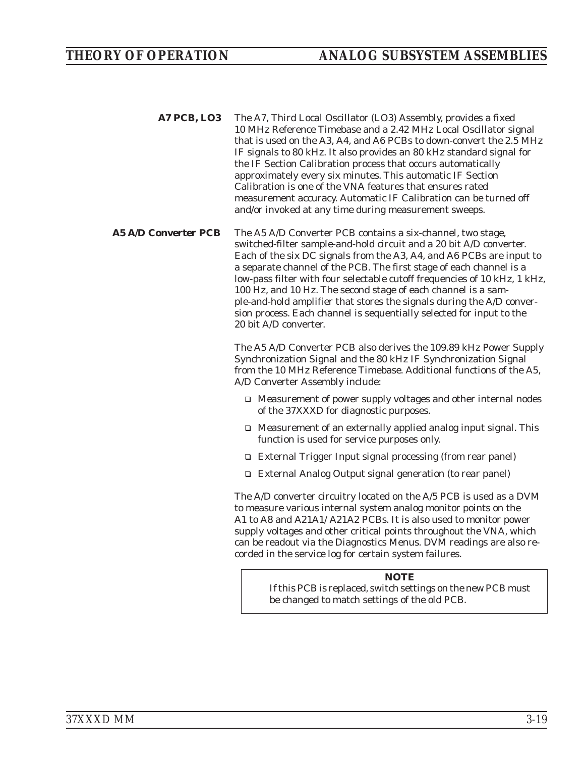- *A7 PCB, LO3* The A7, Third Local Oscillator (LO3) Assembly, provides a fixed 10 MHz Reference Timebase and a 2.42 MHz Local Oscillator signal that is used on the A3, A4, and A6 PCBs to down-convert the 2.5 MHz IF signals to 80 kHz. It also provides an 80 kHz standard signal for the IF Section Calibration process that occurs automatically approximately every six minutes. This automatic IF Section Calibration is one of the VNA features that ensures rated measurement accuracy. Automatic IF Calibration can be turned off and/or invoked at any time during measurement sweeps.
- *A5 A/D Converter PCB* The A5 A/D Converter PCB contains a six-channel, two stage, switched-filter sample-and-hold circuit and a 20 bit A/D converter. Each of the six DC signals from the A3, A4, and A6 PCBs are input to a separate channel of the PCB. The first stage of each channel is a low-pass filter with four selectable cutoff frequencies of 10 kHz, 1 kHz, 100 Hz, and 10 Hz. The second stage of each channel is a sample-and-hold amplifier that stores the signals during the A/D conversion process. Each channel is sequentially selected for input to the 20 bit A/D converter.

The A5 A/D Converter PCB also derives the 109.89 kHz Power Supply Synchronization Signal and the 80 kHz IF Synchronization Signal from the 10 MHz Reference Timebase. Additional functions of the A5, A/D Converter Assembly include:

- □ Measurement of power supply voltages and other internal nodes of the 37XXXD for diagnostic purposes.
- □ Measurement of an externally applied analog input signal. This function is used for service purposes only.
- □ External Trigger Input signal processing (from rear panel)
- □ External Analog Output signal generation (to rear panel)

The A/D converter circuitry located on the A/5 PCB is used as a DVM to measure various internal system analog monitor points on the A1 to A8 and A21A1/ A21A2 PCBs. It is also used to monitor power supply voltages and other critical points throughout the VNA, which can be readout via the Diagnostics Menus. DVM readings are also recorded in the service log for certain system failures.

# *NOTE*

If this PCB is replaced, switch settings on the new PCB must be changed to match settings of the old PCB.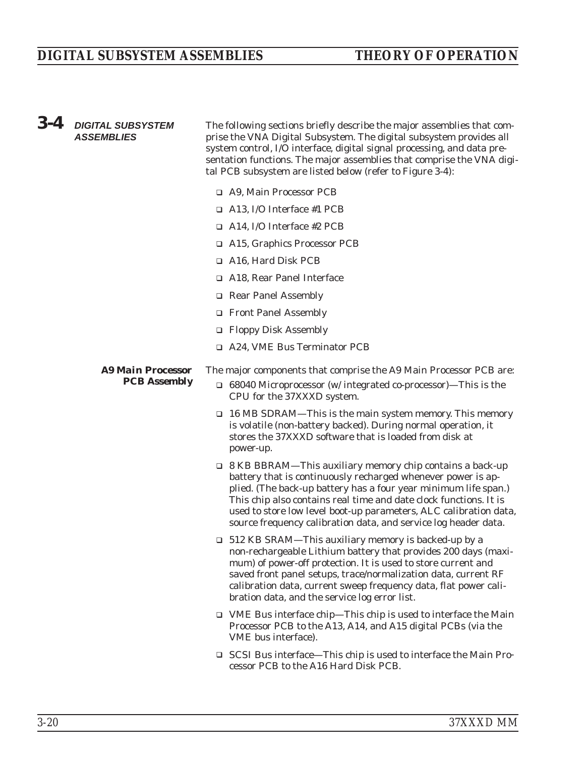# *DIGITAL SUBSYSTEM ASSEMBLIES THEORY OF OPERATION*

| $3 - 4$ | <b>DIGITAL SUBSYSTEM</b><br><b>ASSEMBLIES</b> | The following sections briefly describe the major assemblies that com-<br>prise the VNA Digital Subsystem. The digital subsystem provides all<br>system control, I/O interface, digital signal processing, and data pre-<br>sentation functions. The major assemblies that comprise the VNA digi-<br>tal PCB subsystem are listed below (refer to Figure 3-4):                                                  |
|---------|-----------------------------------------------|-----------------------------------------------------------------------------------------------------------------------------------------------------------------------------------------------------------------------------------------------------------------------------------------------------------------------------------------------------------------------------------------------------------------|
|         |                                               | □ A9, Main Processor PCB                                                                                                                                                                                                                                                                                                                                                                                        |
|         |                                               | $\Box$ A13, I/O Interface #1 PCB                                                                                                                                                                                                                                                                                                                                                                                |
|         |                                               | $\Box$ A14, I/O Interface #2 PCB                                                                                                                                                                                                                                                                                                                                                                                |
|         |                                               | □ A15, Graphics Processor PCB                                                                                                                                                                                                                                                                                                                                                                                   |
|         |                                               | $\Box$ A16, Hard Disk PCB                                                                                                                                                                                                                                                                                                                                                                                       |
|         |                                               | A18, Rear Panel Interface                                                                                                                                                                                                                                                                                                                                                                                       |
|         |                                               | Rear Panel Assembly                                                                                                                                                                                                                                                                                                                                                                                             |
|         |                                               | Front Panel Assembly                                                                                                                                                                                                                                                                                                                                                                                            |
|         |                                               | □ Floppy Disk Assembly                                                                                                                                                                                                                                                                                                                                                                                          |
|         |                                               | □ A24, VME Bus Terminator PCB                                                                                                                                                                                                                                                                                                                                                                                   |
|         | <b>A9 Main Processor</b>                      | The major components that comprise the A9 Main Processor PCB are:                                                                                                                                                                                                                                                                                                                                               |
|         | <b>PCB</b> Assembly                           | $\Box$ 68040 Microprocessor (w/ integrated co-processor)—This is the<br>CPU for the 37XXXD system.                                                                                                                                                                                                                                                                                                              |
|         |                                               | $\Box$ 16 MB SDRAM—This is the main system memory. This memory<br>is volatile (non-battery backed). During normal operation, it<br>stores the 37XXXD software that is loaded from disk at<br>power-up.                                                                                                                                                                                                          |
|         |                                               | $\Box$ 8 KB BBRAM—This auxiliary memory chip contains a back-up<br>battery that is continuously recharged whenever power is ap-<br>plied. (The back-up battery has a four year minimum life span.)<br>This chip also contains real time and date clock functions. It is<br>used to store low level boot-up parameters, ALC calibration data,<br>source frequency calibration data, and service log header data. |
|         |                                               | $\Box$ 512 KB SRAM—This auxiliary memory is backed-up by a<br>non-rechargeable Lithium battery that provides 200 days (maxi-<br>mum) of power-off protection. It is used to store current and<br>saved front panel setups, trace/normalization data, current RF<br>calibration data, current sweep frequency data, flat power cali-<br>bration data, and the service log error list.                            |
|         |                                               | $\Box$ VME Bus interface chip—This chip is used to interface the Main<br>Processor PCB to the A13, A14, and A15 digital PCBs (via the<br>VME bus interface).                                                                                                                                                                                                                                                    |
|         |                                               | □ SCSI Bus interface—This chip is used to interface the Main Pro-<br>cessor PCB to the A16 Hard Disk PCB.                                                                                                                                                                                                                                                                                                       |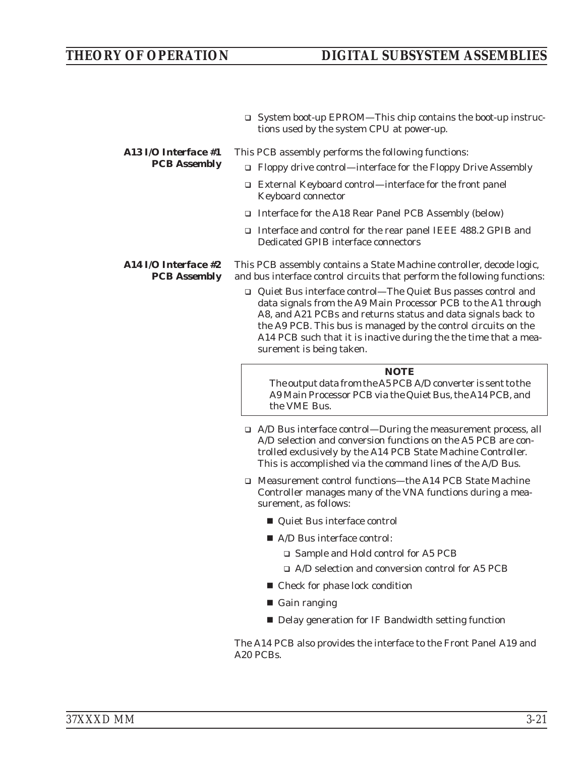# *THEORY OF OPERATION DIGITAL SUBSYSTEM ASSEMBLIES*

□ System boot-up EPROM—This chip contains the boot-up instructions used by the system CPU at power-up.

#### *A13 I/O Interface #1 PCB Assembly* This PCB assembly performs the following functions:

- □ Floppy drive control—interface for the Floppy Drive Assembly
- □ External Keyboard control—interface for the front panel Keyboard connector
- □ Interface for the A18 Rear Panel PCB Assembly (below)
- □ Interface and control for the rear panel IEEE 488.2 GPIB and Dedicated GPIB interface connectors

*A14 I/O Interface #2 PCB Assembly* This PCB assembly contains a State Machine controller, decode logic, and bus interface control circuits that perform the following functions:

> □ Quiet Bus interface control—The Quiet Bus passes control and data signals from the A9 Main Processor PCB to the A1 through A8, and A21 PCBs and returns status and data signals back to the A9 PCB. This bus is managed by the control circuits on the A14 PCB such that it is inactive during the the time that a measurement is being taken.

#### *NOTE*

The output data from the A5 PCB A/D converter is sent to the A9 Main Processor PCB via the Quiet Bus, the A14 PCB, and the VME Bus.

- □ A/D Bus interface control—During the measurement process, all A/D selection and conversion functions on the A5 PCB are controlled exclusively by the A14 PCB State Machine Controller. This is accomplished via the command lines of the A/D Bus.
- □ Measurement control functions—the A14 PCB State Machine Controller manages many of the VNA functions during a measurement, as follows:
	- Quiet Bus interface control
	- A/D Bus interface control:
		- □ Sample and Hold control for A5 PCB
		- □ A/D selection and conversion control for A5 PCB
	- Check for phase lock condition
	- Gain ranging
	- Delay generation for IF Bandwidth setting function

The A14 PCB also provides the interface to the Front Panel A19 and A20 PCBs.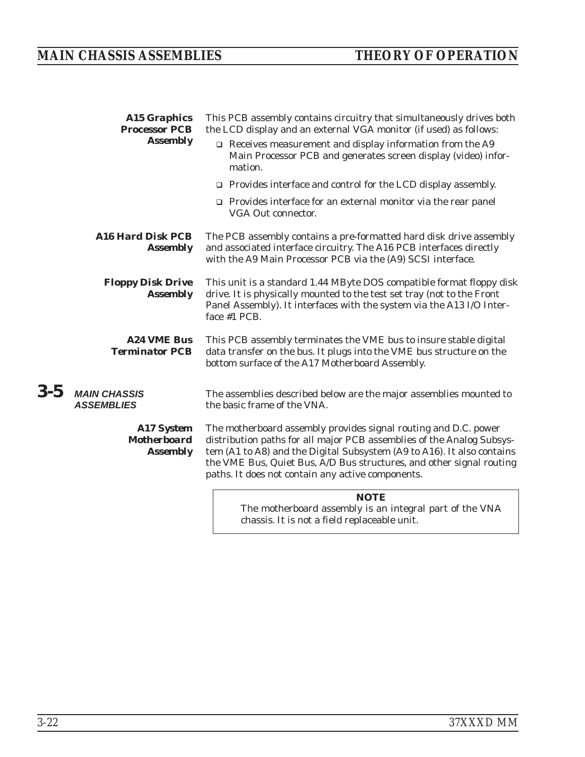# *MAIN CHASSIS ASSEMBLIES THEORY OF OPERATION*

|         | <b>A15 Graphics</b><br><b>Processor PCB</b>                | This PCB assembly contains circuitry that simultaneously drives both<br>the LCD display and an external VGA monitor (if used) as follows:                                                                                                                                                                                                       |
|---------|------------------------------------------------------------|-------------------------------------------------------------------------------------------------------------------------------------------------------------------------------------------------------------------------------------------------------------------------------------------------------------------------------------------------|
|         | <b>Assembly</b>                                            | $\Box$ Receives measurement and display information from the A9<br>Main Processor PCB and generates screen display (video) infor-<br>mation.                                                                                                                                                                                                    |
|         |                                                            | $\Box$ Provides interface and control for the LCD display assembly.                                                                                                                                                                                                                                                                             |
|         |                                                            | $\Box$ Provides interface for an external monitor via the rear panel<br>VGA Out connector.                                                                                                                                                                                                                                                      |
|         | <b>A16 Hard Disk PCB</b><br><b>Assembly</b>                | The PCB assembly contains a pre-formatted hard disk drive assembly<br>and associated interface circuitry. The A16 PCB interfaces directly<br>with the A9 Main Processor PCB via the (A9) SCSI interface.                                                                                                                                        |
|         | <b>Floppy Disk Drive</b><br><b>Assembly</b>                | This unit is a standard 1.44 MByte DOS compatible format floppy disk<br>drive. It is physically mounted to the test set tray (not to the Front<br>Panel Assembly). It interfaces with the system via the A13 I/O Inter-<br>face #1 PCB.                                                                                                         |
|         | <b>A24 VME Bus</b><br><b>Terminator PCB</b>                | This PCB assembly terminates the VME bus to insure stable digital<br>data transfer on the bus. It plugs into the VME bus structure on the<br>bottom surface of the A17 Motherboard Assembly.                                                                                                                                                    |
| $3 - 5$ | <b>MAIN CHASSIS</b><br><b>ASSEMBLIES</b>                   | The assemblies described below are the major assemblies mounted to<br>the basic frame of the VNA.                                                                                                                                                                                                                                               |
|         | <b>A17 System</b><br><b>Motherboard</b><br><b>Assembly</b> | The motherboard assembly provides signal routing and D.C. power<br>distribution paths for all major PCB assemblies of the Analog Subsys-<br>tem (A1 to A8) and the Digital Subsystem (A9 to A16). It also contains<br>the VME Bus, Quiet Bus, A/D Bus structures, and other signal routing<br>paths. It does not contain any active components. |
|         |                                                            | <b>NOTE</b>                                                                                                                                                                                                                                                                                                                                     |

The motherboard assembly is an integral part of the VNA chassis. It is not a field replaceable unit.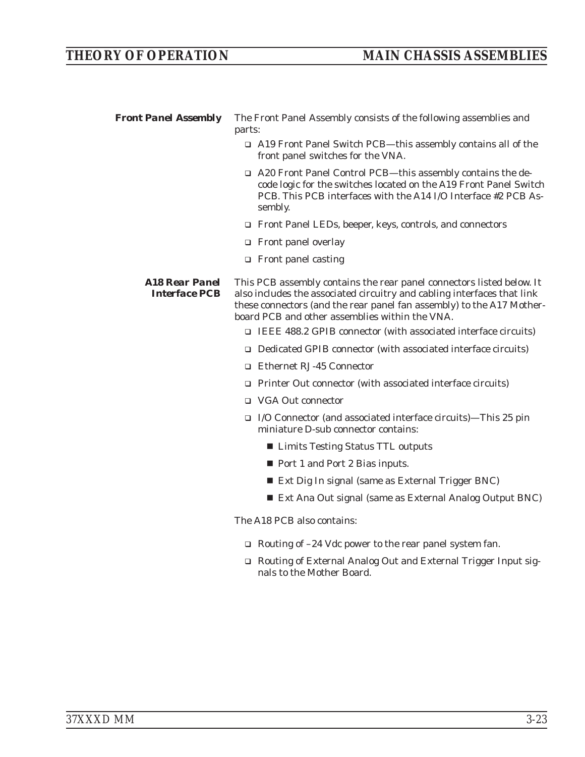*Front Panel Assembly* The Front Panel Assembly consists of the following assemblies and parts:

- □ A19 Front Panel Switch PCB—this assembly contains all of the front panel switches for the VNA.
- □ A20 Front Panel Control PCB—this assembly contains the decode logic for the switches located on the A19 Front Panel Switch PCB. This PCB interfaces with the A14 I/O Interface #2 PCB Assembly.
- □ Front Panel LEDs, beeper, keys, controls, and connectors
- □ Front panel overlay
- □ Front panel casting

*A18 Rear Panel Interface PCB* This PCB assembly contains the rear panel connectors listed below. It also includes the associated circuitry and cabling interfaces that link these connectors (and the rear panel fan assembly) to the A17 Motherboard PCB and other assemblies within the VNA.

- □ IEEE 488.2 GPIB connector (with associated interface circuits)
- □ Dedicated GPIB connector (with associated interface circuits)
- □ Ethernet RJ-45 Connector
- □ Printer Out connector (with associated interface circuits)
- □ VGA Out connector
- I/O Connector (and associated interface circuits)—This 25 pin miniature D-sub connector contains:
	- Limits Testing Status TTL outputs
	- Port 1 and Port 2 Bias inputs.
	- Ext Dig In signal (same as External Trigger BNC)
	- Ext Ana Out signal (same as External Analog Output BNC)

#### The A18 PCB also contains:

- □ Routing of -24 Vdc power to the rear panel system fan.
- □ Routing of External Analog Out and External Trigger Input signals to the Mother Board.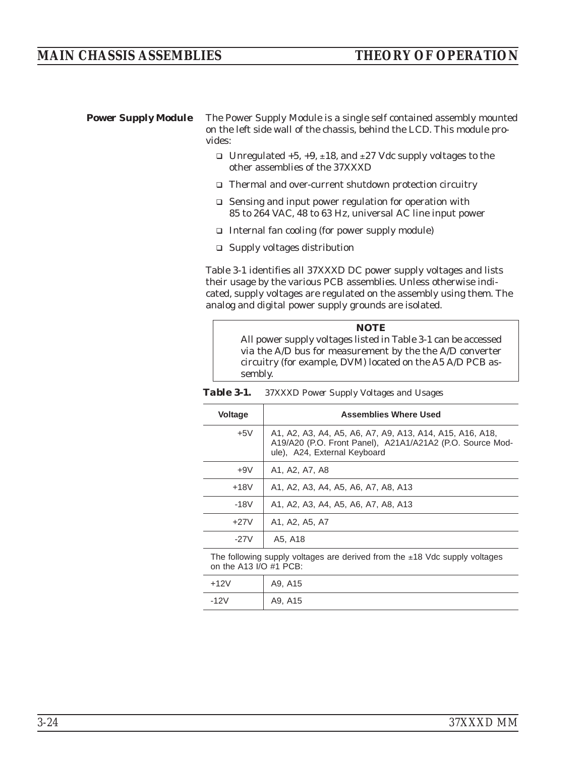**Power Supply Module** The Power Supply Module is a single self contained assembly mounted on the left side wall of the chassis, behind the LCD. This module provides:

- □ Unregulated +5, +9, ±18, and ±27 Vdc supply voltages to the other assemblies of the 37XXXD
- □ Thermal and over-current shutdown protection circuitry
- □ Sensing and input power regulation for operation with 85 to 264 VAC, 48 to 63 Hz, universal AC line input power
- □ Internal fan cooling (for power supply module)
- □ Supply voltages distribution

Table 3-1 identifies all 37XXXD DC power supply voltages and lists their usage by the various PCB assemblies. Unless otherwise indicated, supply voltages are regulated on the assembly using them. The analog and digital power supply grounds are isolated.



*Table 3-1. 37XXXD Power Supply Voltages and Usages*

| <b>Voltage</b> | <b>Assemblies Where Used</b>                                                                                                                          |
|----------------|-------------------------------------------------------------------------------------------------------------------------------------------------------|
| $+5V$          | A1, A2, A3, A4, A5, A6, A7, A9, A13, A14, A15, A16, A18,<br>A19/A20 (P.O. Front Panel), A21A1/A21A2 (P.O. Source Mod-<br>ule), A24, External Keyboard |
| $+9V$          | A1, A2, A7, A8                                                                                                                                        |
| $+18V$         | A1, A2, A3, A4, A5, A6, A7, A8, A13                                                                                                                   |
| $-18V$         | A1, A2, A3, A4, A5, A6, A7, A8, A13                                                                                                                   |
| $+27V$         | A1, A2, A5, A7                                                                                                                                        |
| -27V           | A5, A18                                                                                                                                               |

The following supply voltages are derived from the  $±18$  Vdc supply voltages on the A13 I/O #1 PCB:

| $+12V$ | A9, A15 |
|--------|---------|
| $-12V$ | A9, A15 |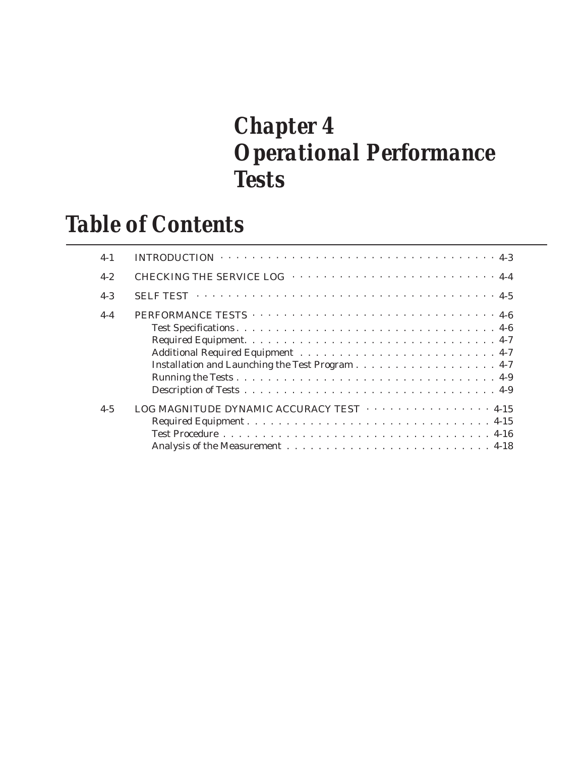# *Chapter 4 Operational Performance Tests*

# *Table of Contents*

| $4 - 1$ | INTRODUCTION $\cdots \cdots \cdots \cdots \cdots \cdots \cdots \cdots \cdots \cdots \cdots \cdots \cdots 4-3$ |
|---------|---------------------------------------------------------------------------------------------------------------|
| $4 - 2$ | CHECKING THE SERVICE LOG ·································                                                    |
| $4 - 3$ |                                                                                                               |
| $4 - 4$ |                                                                                                               |
|         |                                                                                                               |
|         |                                                                                                               |
|         |                                                                                                               |
|         |                                                                                                               |
|         |                                                                                                               |
|         |                                                                                                               |
| $4 - 5$ | LOG MAGNITUDE DYNAMIC ACCURACY TEST 4-15                                                                      |
|         |                                                                                                               |
|         |                                                                                                               |
|         |                                                                                                               |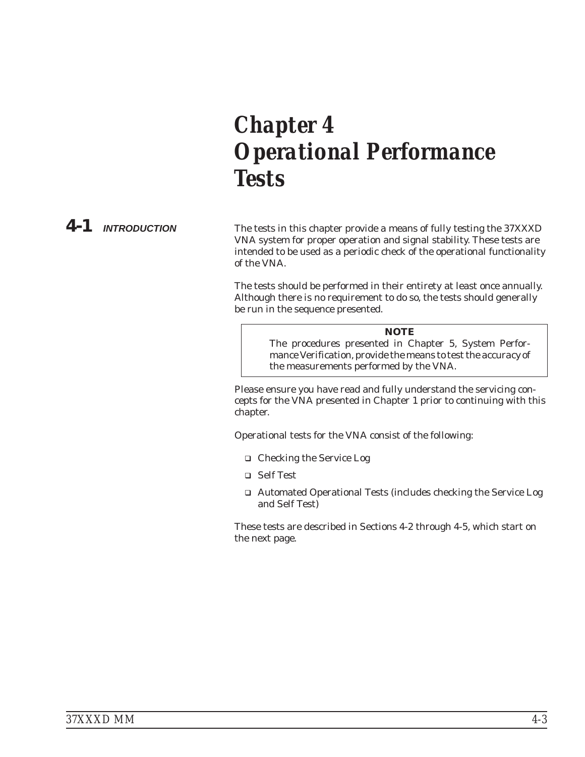# *Chapter 4 Operational Performance Tests*

*4-1 INTRODUCTION* The tests in this chapter provide a means of fully testing the 37XXXD VNA system for proper operation and signal stability. These tests are intended to be used as a periodic check of the operational functionality of the VNA.

> The tests should be performed in their entirety at least once annually. Although there is no requirement to do so, the tests should generally be run in the sequence presented.

#### *NOTE*

The procedures presented in Chapter 5, System Performance Verification, provide the means to test the *accuracy* of the measurements performed by the VNA.

Please ensure you have read and fully understand the servicing concepts for the VNA presented in Chapter 1 prior to continuing with this chapter.

Operational tests for the VNA consist of the following:

- □ Checking the Service Log
- □ Self Test
- □ Automated Operational Tests (includes checking the Service Log and Self Test)

These tests are described in Sections 4-2 through 4-5, which start on the next page.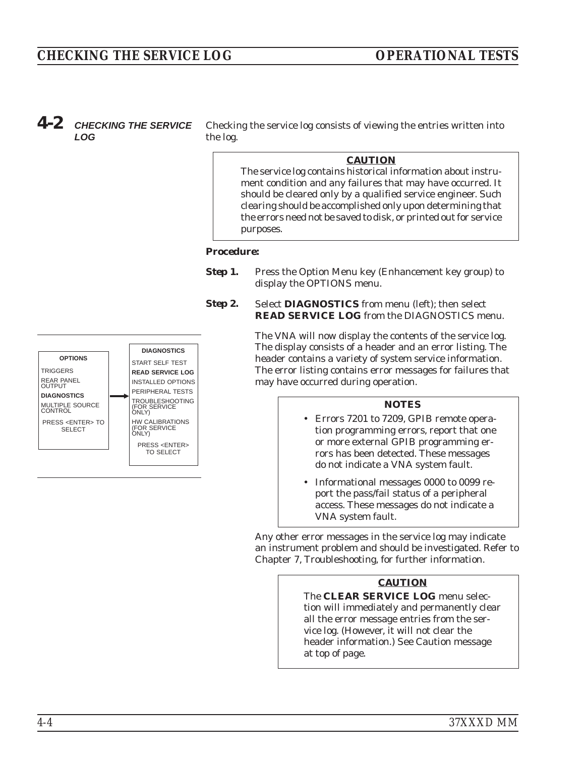# *CHECKING THE SERVICE LOG OPERATIONAL TESTS*

# *4-2 CHECKING THE SERVICE LOG*

Checking the service log consists of viewing the entries written into the log.

## *CAUTION*

The service log contains historical information about instrument condition and any failures that may have occurred. It should be cleared only by a qualified service engineer. Such clearing should be accomplished only upon determining that the errors need not be saved to disk, or printed out for service purposes.

#### *Procedure:*

- **Step 1.** Press the Option Menu key (Enhancement key group) to display the OPTIONS menu.
- **Step 2.** Select **DIAGNOSTICS** from menu (left); then select **READ SERVICE LOG** from the DIAGNOSTICS menu.

The VNA will now display the contents of the service log. The display consists of a header and an error listing. The header contains a variety of system service information. The error listing contains error messages for failures that may have occurred during operation.

#### *NOTES*

- Errors 7201 to 7209, GPIB remote operation programming errors, report that one or more external GPIB programming errors has been detected. These messages do not indicate a VNA system fault.
- - Informational messages 0000 to 0099 report the pass/fail status of a peripheral access. These messages do not indicate a VNA system fault.

Any other error messages in the service log may indicate an instrument problem and should be investigated. Refer to Chapter 7, Troubleshooting, for further information.

# *CAUTION*

The **CLEAR SERVICE LOG** menu selection will immediately and permanently clear all the error message entries from the service log. (However, it will not clear the header information.) See Caution message at top of page.

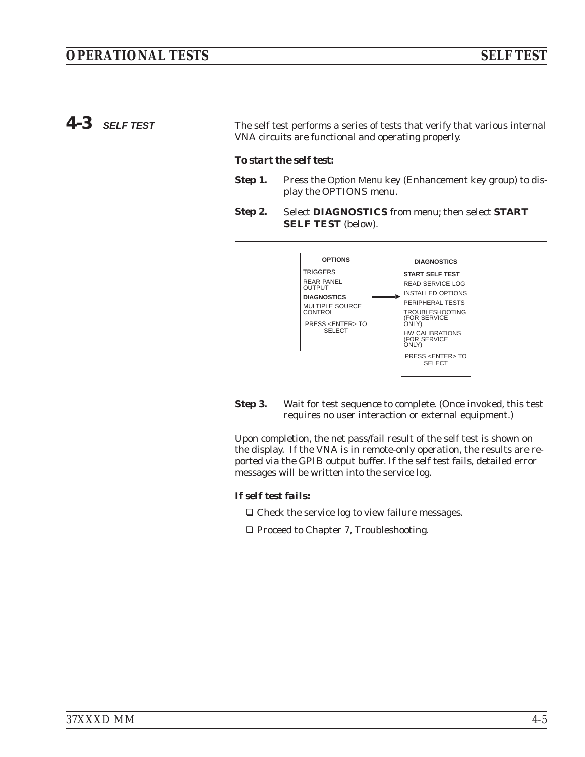4-3 **SELF TEST** The self test performs a series of tests that verify that various internal VNA circuits are functional and operating properly.

#### *To start the self test:*

- **Step 1.** Press the Option Menu key (Enhancement key group) to display the OPTIONS menu.
- *Step 2.* Select **DIAGNOSTICS** from menu; then select **START SELF TEST** (below).



**Step 3.** Wait for test sequence to complete. (Once invoked, this test requires no user interaction or external equipment.)

Upon completion, the net pass/fail result of the self test is shown on the display. If the VNA is in remote-only operation, the results are reported via the GPIB output buffer. If the self test fails, detailed error messages will be written into the service log.

## *If self test fails:*

- □ Check the service log to view failure messages.
- □ Proceed to Chapter 7, Troubleshooting.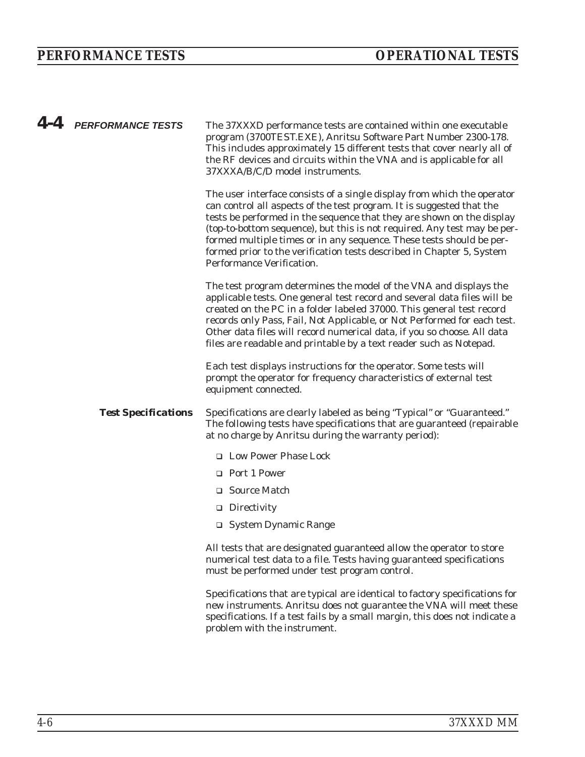| $4 - 4$ | <b>PERFORMANCE TESTS</b>   | The 37XXXD performance tests are contained within one executable<br>program (3700TEST.EXE), Anritsu Software Part Number 2300-178.<br>This includes approximately 15 different tests that cover nearly all of<br>the RF devices and circuits within the VNA and is applicable for all<br>37XXXA/B/C/D model instruments.                                                                                                                                                            |
|---------|----------------------------|-------------------------------------------------------------------------------------------------------------------------------------------------------------------------------------------------------------------------------------------------------------------------------------------------------------------------------------------------------------------------------------------------------------------------------------------------------------------------------------|
|         |                            | The user interface consists of a single display from which the operator<br>can control all aspects of the test program. It is suggested that the<br>tests be performed in the sequence that they are shown on the display<br>(top-to-bottom sequence), but this is not required. Any test may be per-<br>formed multiple times or in any sequence. These tests should be per-<br>formed prior to the verification tests described in Chapter 5, System<br>Performance Verification. |
|         |                            | The test program determines the model of the VNA and displays the<br>applicable tests. One general test record and several data files will be<br>created on the PC in a folder labeled 37000. This general test record<br>records only Pass, Fail, Not Applicable, or Not Performed for each test.<br>Other data files will record numerical data, if you so choose. All data<br>files are readable and printable by a text reader such as Notepad.                                 |
|         |                            | Each test displays instructions for the operator. Some tests will<br>prompt the operator for frequency characteristics of external test<br>equipment connected.                                                                                                                                                                                                                                                                                                                     |
|         | <b>Test Specifications</b> | Specifications are clearly labeled as being "Typical" or "Guaranteed."<br>The following tests have specifications that are guaranteed (repairable<br>at no charge by Anritsu during the warranty period):                                                                                                                                                                                                                                                                           |
|         |                            | <b>IDED</b> Low Power Phase Lock                                                                                                                                                                                                                                                                                                                                                                                                                                                    |
|         |                            | □ Port 1 Power                                                                                                                                                                                                                                                                                                                                                                                                                                                                      |
|         |                            | □ Source Match                                                                                                                                                                                                                                                                                                                                                                                                                                                                      |
|         |                            | $\Box$ Directivity                                                                                                                                                                                                                                                                                                                                                                                                                                                                  |
|         |                            | □ System Dynamic Range                                                                                                                                                                                                                                                                                                                                                                                                                                                              |
|         |                            | All tests that are designated guaranteed allow the operator to store<br>numerical test data to a file. Tests having guaranteed specifications<br>must be performed under test program control.                                                                                                                                                                                                                                                                                      |
|         |                            | Specifications that are typical are identical to factory specifications for<br>new instruments. Anritsu does not guarantee the VNA will meet these<br>specifications. If a test fails by a small margin, this does not indicate a<br>problem with the instrument.                                                                                                                                                                                                                   |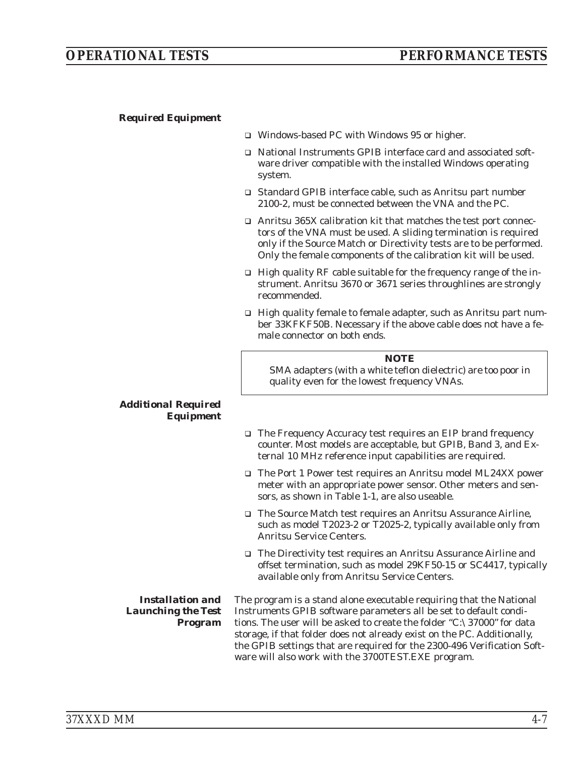# *OPERATIONAL TESTS PERFORMANCE TESTS*

### *Required Equipment*

- □ Windows-based PC with Windows 95 or higher.
- □ National Instruments GPIB interface card and associated software driver compatible with the installed Windows operating system.
- □ Standard GPIB interface cable, such as Anritsu part number 2100-2, must be connected between the VNA and the PC.
- □ Anritsu 365X calibration kit that matches the test port connectors of the VNA must be used. A sliding termination is required only if the Source Match or Directivity tests are to be performed. Only the female components of the calibration kit will be used.
- □ High quality RF cable suitable for the frequency range of the instrument. Anritsu 3670 or 3671 series throughlines are strongly recommended.
- □ High quality female to female adapter, such as Anritsu part number 33KFKF50B. Necessary if the above cable does not have a female connector on both ends.

#### *NOTE*

SMA adapters (with a white teflon dielectric) are too poor in quality even for the lowest frequency VNAs.

#### *Additional Required Equipment*

- □ The Frequency Accuracy test requires an EIP brand frequency counter. Most models are acceptable, but GPIB, Band 3, and External 10 MHz reference input capabilities are required.
- □ The Port 1 Power test requires an Anritsu model ML24XX power meter with an appropriate power sensor. Other meters and sensors, as shown in Table 1-1, are also useable.
- □ The Source Match test requires an Anritsu Assurance Airline, such as model T2023-2 or T2025-2, typically available only from Anritsu Service Centers.
- □ The Directivity test requires an Anritsu Assurance Airline and offset termination, such as model 29KF50-15 or SC4417, typically available only from Anritsu Service Centers.

*Installation and Launching the Test Program*

The program is a stand alone executable requiring that the National Instruments GPIB software parameters all be set to default conditions. The user will be asked to create the folder "C:\37000" for data storage, if that folder does not already exist on the PC. Additionally, the GPIB settings that are required for the 2300-496 Verification Software will also work with the 3700TEST.EXE program.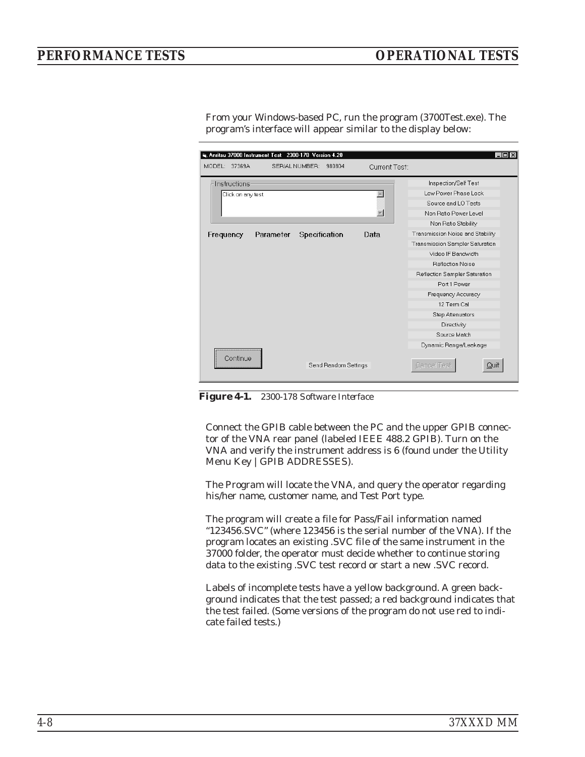# <span id="page-67-0"></span>*PERFORMANCE TESTS OPERATIONAL TESTS*

S. Anritsu 37000 Instrument Test 2300-178 Version 4.20  $L$ olxi MODEL: 37369A SERIAL NUMBER: 980804 **Current Test** Inspection/Self Test Instructions  $\overline{\blacksquare}$ Low Power Phase Lock Click on any test Source and LO Tests  $\overline{\phantom{a}}$ Non Batio Power Level Non Ratio Stability Frequency Parameter Specification Data Transmission Noise and Stability Transmission Sampler Saturation Video IF Bandwidth **Reflection Noise** Reflection Sampler Saturation Port 1 Power Frequency Accuracy 12 Term Cal Step Attenuators Directivity Source Match Dynamic Range/Leakage Continue Send Random Settings Cancel Test Quit

From your Windows-based PC, run the program (3700Test.exe). The program's interface will appear similar to the display below:

*Figure [4-1](#page-67-0). 2300-178 Software Interface*

Connect the GPIB cable between the PC and the upper GPIB connector of the VNA rear panel (labeled IEEE 488.2 GPIB). Turn on the VNA and verify the instrument address is 6 (found under the Utility Menu Key |GPIB ADDRESSES).

The Program will locate the VNA, and query the operator regarding his/her name, customer name, and Test Port type.

The program will create a file for Pass/Fail information named "123456.SVC" (where 123456 is the serial number of the VNA). If the program locates an existing .SVC file of the same instrument in the 37000 folder, the operator must decide whether to continue storing data to the existing .SVC test record or start a new .SVC record.

Labels of incomplete tests have a yellow background. A green background indicates that the test passed; a red background indicates that the test failed. (Some versions of the program do not use red to indicate failed tests.)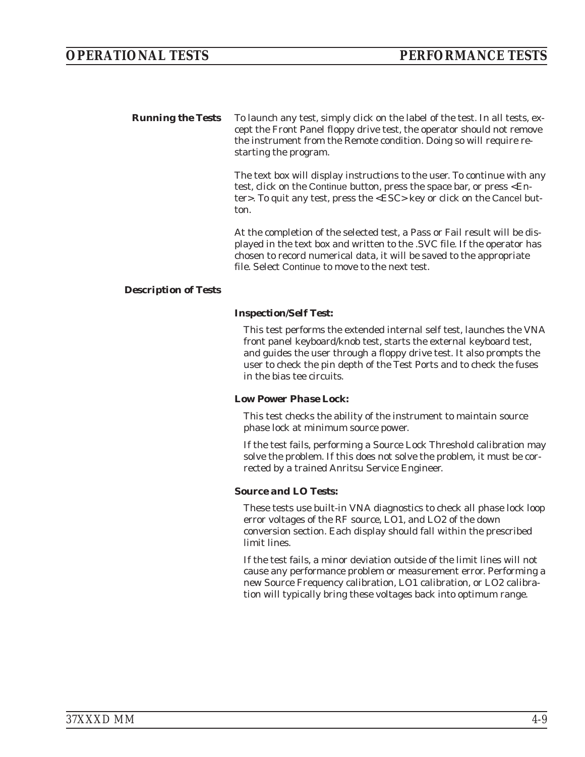*Running the Tests* To launch any test, simply click on the label of the test. In all tests, except the Front Panel floppy drive test, the operator should not remove the instrument from the Remote condition. Doing so will require restarting the program.

> The text box will display instructions to the user. To continue with any test, click on the Continue button, press the space bar, or press <Enter>. To quit any test, press the <ESC> key or click on the Cancel button.

At the completion of the selected test, a Pass or Fail result will be displayed in the text box and written to the .SVC file. If the operator has chosen to record numerical data, it will be saved to the appropriate file. Select Continue to move to the next test.

## *Description of Tests*

## *Inspection/Self Test:*

This test performs the extended internal self test, launches the VNA front panel keyboard/knob test, starts the external keyboard test, and guides the user through a floppy drive test. It also prompts the user to check the pin depth of the Test Ports and to check the fuses in the bias tee circuits.

#### *Low Power Phase Lock:*

This test checks the ability of the instrument to maintain source phase lock at minimum source power.

If the test fails, performing a Source Lock Threshold calibration may solve the problem. If this does not solve the problem, it must be corrected by a trained Anritsu Service Engineer.

# *Source and LO Tests:*

These tests use built-in VNA diagnostics to check all phase lock loop error voltages of the RF source, LO1, and LO2 of the down conversion section. Each display should fall within the prescribed limit lines.

If the test fails, a minor deviation outside of the limit lines will not cause any performance problem or measurement error. Performing a new Source Frequency calibration, LO1 calibration, or LO2 calibration will typically bring these voltages back into optimum range.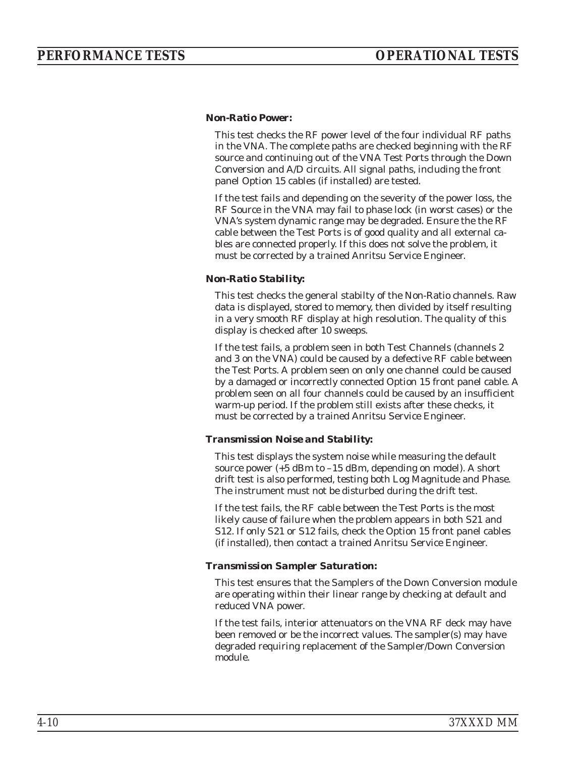## *Non-Ratio Power:*

This test checks the RF power level of the four individual RF paths in the VNA. The complete paths are checked beginning with the RF source and continuing out of the VNA Test Ports through the Down Conversion and A/D circuits. All signal paths, including the front panel Option 15 cables (if installed) are tested.

If the test fails and depending on the severity of the power loss, the RF Source in the VNA may fail to phase lock (in worst cases) or the VNA's system dynamic range may be degraded. Ensure the the RF cable between the Test Ports is of good quality and all external cables are connected properly. If this does not solve the problem, it must be corrected by a trained Anritsu Service Engineer.

## *Non-Ratio Stability:*

This test checks the general stabilty of the Non-Ratio channels. Raw data is displayed, stored to memory, then divided by itself resulting in a very smooth RF display at high resolution. The quality of this display is checked after 10 sweeps.

If the test fails, a problem seen in both Test Channels (channels 2 and 3 on the VNA) could be caused by a defective RF cable between the Test Ports. A problem seen on only one channel could be caused by a damaged or incorrectly connected Option 15 front panel cable. A problem seen on all four channels could be caused by an insufficient warm-up period. If the problem still exists after these checks, it must be corrected by a trained Anritsu Service Engineer.

# *Transmission Noise and Stability:*

This test displays the system noise while measuring the default source power (+5 dBm to –15 dBm, depending on model). A short drift test is also performed, testing both Log Magnitude and Phase. The instrument must not be disturbed during the drift test.

If the test fails, the RF cable between the Test Ports is the most likely cause of failure when the problem appears in both S21 and S12. If only S21 or S12 fails, check the Option 15 front panel cables (if installed), then contact a trained Anritsu Service Engineer.

#### *Transmission Sampler Saturation:*

This test ensures that the Samplers of the Down Conversion module are operating within their linear range by checking at default and reduced VNA power.

If the test fails, interior attenuators on the VNA RF deck may have been removed or be the incorrect values. The sampler(s) may have degraded requiring replacement of the Sampler/Down Conversion module.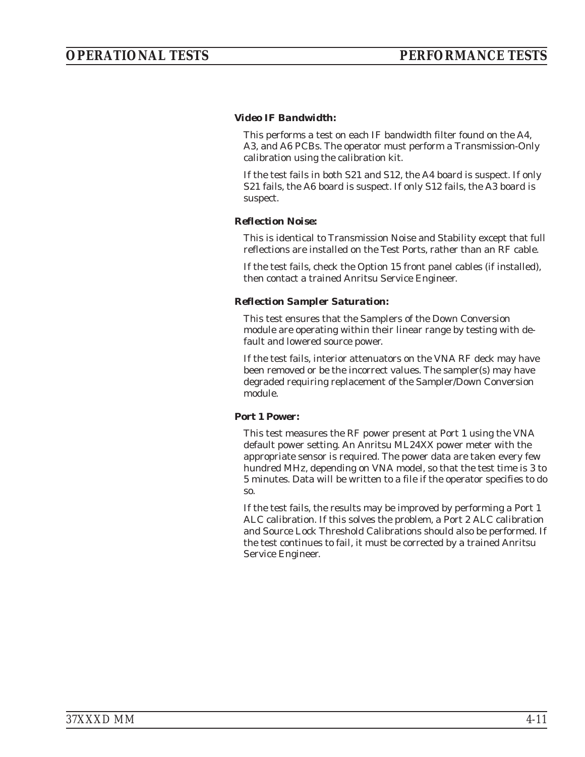# *Video IF Bandwidth:*

This performs a test on each IF bandwidth filter found on the A4, A3, and A6 PCBs. The operator must perform a Transmission-Only calibration using the calibration kit.

If the test fails in both S21 and S12, the A4 board is suspect. If only S21 fails, the A6 board is suspect. If only S12 fails, the A3 board is suspect.

## *Reflection Noise:*

This is identical to Transmission Noise and Stability except that full reflections are installed on the Test Ports, rather than an RF cable.

If the test fails, check the Option 15 front panel cables (if installed), then contact a trained Anritsu Service Engineer.

## *Reflection Sampler Saturation:*

This test ensures that the Samplers of the Down Conversion module are operating within their linear range by testing with default and lowered source power.

If the test fails, interior attenuators on the VNA RF deck may have been removed or be the incorrect values. The sampler(s) may have degraded requiring replacement of the Sampler/Down Conversion module.

# *Port 1 Power:*

This test measures the RF power present at Port 1 using the VNA default power setting. An Anritsu ML24XX power meter with the appropriate sensor is required. The power data are taken every few hundred MHz, depending on VNA model, so that the test time is 3 to 5 minutes. Data will be written to a file if the operator specifies to do so.

If the test fails, the results may be improved by performing a Port 1 ALC calibration. If this solves the problem, a Port 2 ALC calibration and Source Lock Threshold Calibrations should also be performed. If the test continues to fail, it must be corrected by a trained Anritsu Service Engineer.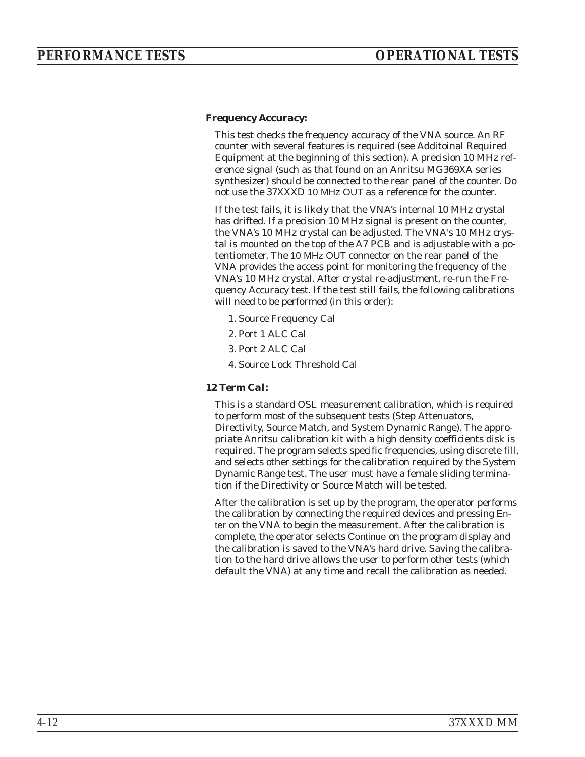## *Frequency Accuracy:*

This test checks the frequency accuracy of the VNA source. An RF counter with several features is required (see Additoinal Required Equipment at the beginning of this section). A precision 10 MHz reference signal (such as that found on an Anritsu MG369XA series synthesizer) should be connected to the rear panel of the counter. Do not use the 37XXXD 10 MHz OUT as a reference for the counter.

If the test fails, it is likely that the VNA's internal 10 MHz crystal has drifted. If a precision 10 MHz signal is present on the counter, the VNA's 10 MHz crystal can be adjusted. The VNA's 10 MHz crystal is mounted on the top of the A7 PCB and is adjustable with a potentiometer. The 10 MHz OUT connector on the rear panel of the VNA provides the access point for monitoring the frequency of the VNA's 10 MHz crystal. After crystal re-adjustment, re-run the Frequency Accuracy test. If the test still fails, the following calibrations will need to be performed (in this order):

- 1. Source Frequency Cal
- 2. Port 1 ALC Cal
- 3. Port 2 ALC Cal
- 4. Source Lock Threshold Cal

#### *12 Term Cal:*

This is a standard OSL measurement calibration, which is required to perform most of the subsequent tests (Step Attenuators, Directivity, Source Match, and System Dynamic Range). The appropriate Anritsu calibration kit with a high density coefficients disk is required. The program selects specific frequencies, using discrete fill, and selects other settings for the calibration required by the System Dynamic Range test. The user must have a female sliding termination if the Directivity or Source Match will be tested.

After the calibration is set up by the program, the operator performs the calibration by connecting the required devices and pressing Enter on the VNA to begin the measurement. After the calibration is complete, the operator selects Continue on the program display and the calibration is saved to the VNA's hard drive. Saving the calibration to the hard drive allows the user to perform other tests (which default the VNA) at any time and recall the calibration as needed.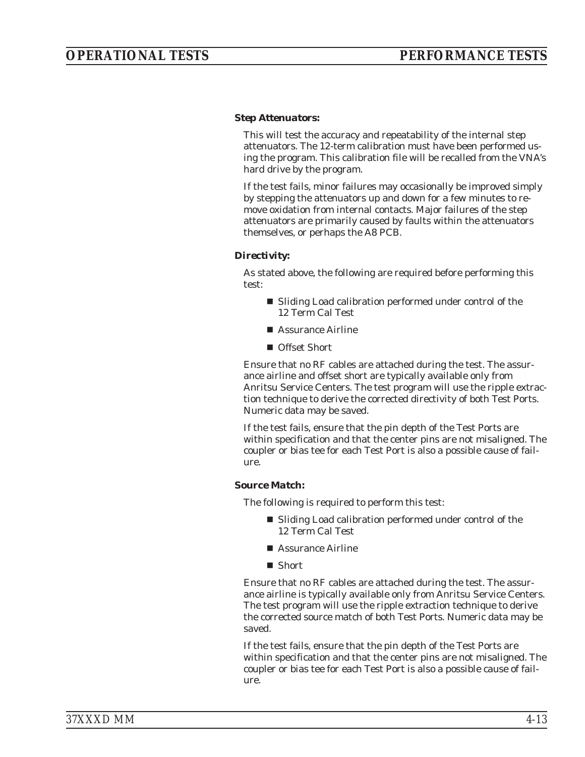#### *Step Attenuators:*

This will test the accuracy and repeatability of the internal step attenuators. The 12-term calibration must have been performed using the program. This calibration file will be recalled from the VNA's hard drive by the program.

If the test fails, minor failures may occasionally be improved simply by stepping the attenuators up and down for a few minutes to remove oxidation from internal contacts. Major failures of the step attenuators are primarily caused by faults within the attenuators themselves, or perhaps the A8 PCB.

#### *Directivity:*

As stated above, the following are required before performing this test:

- Sliding Load calibration performed under control of the 12 Term Cal Test
- Assurance Airline
- Offset Short

Ensure that no RF cables are attached during the test. The assurance airline and offset short are typically available only from Anritsu Service Centers. The test program will use the ripple extraction technique to derive the corrected directivity of both Test Ports. Numeric data may be saved.

If the test fails, ensure that the pin depth of the Test Ports are within specification and that the center pins are not misaligned. The coupler or bias tee for each Test Port is also a possible cause of failure.

#### *Source Match:*

The following is required to perform this test:

- Sliding Load calibration performed under control of the 12 Term Cal Test
- Assurance Airline
- Short

Ensure that no RF cables are attached during the test. The assurance airline is typically available only from Anritsu Service Centers. The test program will use the ripple extraction technique to derive the corrected source match of both Test Ports. Numeric data may be saved.

If the test fails, ensure that the pin depth of the Test Ports are within specification and that the center pins are not misaligned. The coupler or bias tee for each Test Port is also a possible cause of failure.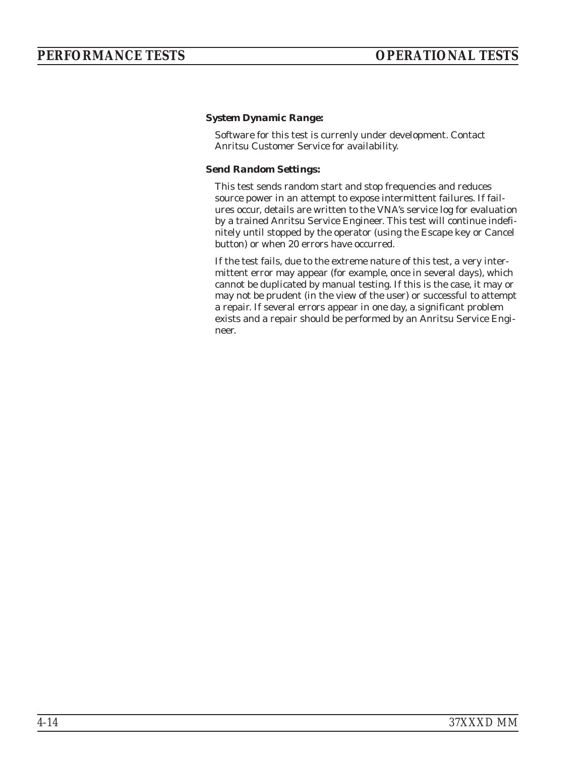#### *System Dynamic Range:*

Software for this test is currenly under development. Contact Anritsu Customer Service for availability.

#### *Send Random Settings:*

This test sends random start and stop frequencies and reduces source power in an attempt to expose intermittent failures. If failures occur, details are written to the VNA's service log for evaluation by a trained Anritsu Service Engineer. This test will continue indefinitely until stopped by the operator (using the Escape key or Cancel button) or when 20 errors have occurred.

If the test fails, due to the extreme nature of this test, a very intermittent error may appear (for example, once in several days), which cannot be duplicated by manual testing. If this is the case, it may or may not be prudent (in the view of the user) or successful to attempt a repair. If several errors appear in one day, a significant problem exists and a repair should be performed by an Anritsu Service Engineer.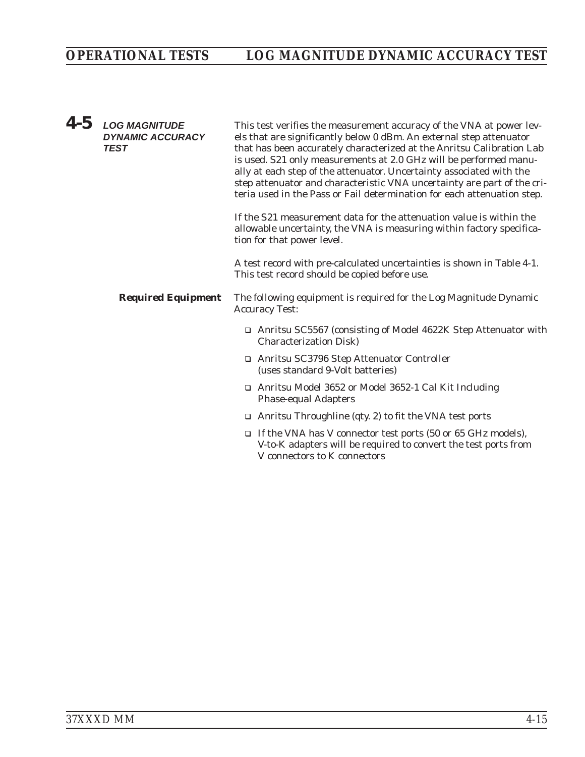| $4-5$ | <b>LOG MAGNITUDE</b><br><b>DYNAMIC ACCURACY</b><br><b>TEST</b> | This test verifies the measurement accuracy of the VNA at power lev-<br>els that are significantly below 0 dBm. An external step attenuator<br>that has been accurately characterized at the Anritsu Calibration Lab<br>is used. S21 only measurements at 2.0 GHz will be performed manu-<br>ally at each step of the attenuator. Uncertainty associated with the<br>step attenuator and characteristic VNA uncertainty are part of the cri-<br>teria used in the Pass or Fail determination for each attenuation step. |
|-------|----------------------------------------------------------------|-------------------------------------------------------------------------------------------------------------------------------------------------------------------------------------------------------------------------------------------------------------------------------------------------------------------------------------------------------------------------------------------------------------------------------------------------------------------------------------------------------------------------|
|       |                                                                | If the S21 measurement data for the attenuation value is within the<br>allowable uncertainty, the VNA is measuring within factory specifica-<br>tion for that power level.                                                                                                                                                                                                                                                                                                                                              |
|       |                                                                | A test record with pre-calculated uncertainties is shown in Table 4-1.<br>This test record should be copied before use.                                                                                                                                                                                                                                                                                                                                                                                                 |
|       | <b>Required Equipment</b>                                      | The following equipment is required for the Log Magnitude Dynamic<br><b>Accuracy Test:</b>                                                                                                                                                                                                                                                                                                                                                                                                                              |
|       |                                                                | □ Anritsu SC5567 (consisting of Model 4622K Step Attenuator with<br><b>Characterization Disk)</b>                                                                                                                                                                                                                                                                                                                                                                                                                       |
|       |                                                                | □ Anritsu SC3796 Step Attenuator Controller<br>(uses standard 9-Volt batteries)                                                                                                                                                                                                                                                                                                                                                                                                                                         |
|       |                                                                | □ Anritsu Model 3652 or Model 3652-1 Cal Kit Including<br><b>Phase-equal Adapters</b>                                                                                                                                                                                                                                                                                                                                                                                                                                   |
|       |                                                                | $\Box$ Anritsu Throughline (qty. 2) to fit the VNA test ports                                                                                                                                                                                                                                                                                                                                                                                                                                                           |
|       |                                                                | $\Box$ If the VNA has V connector test ports (50 or 65 GHz models),<br>V-to-K adapters will be required to convert the test ports from<br>V connectors to K connectors                                                                                                                                                                                                                                                                                                                                                  |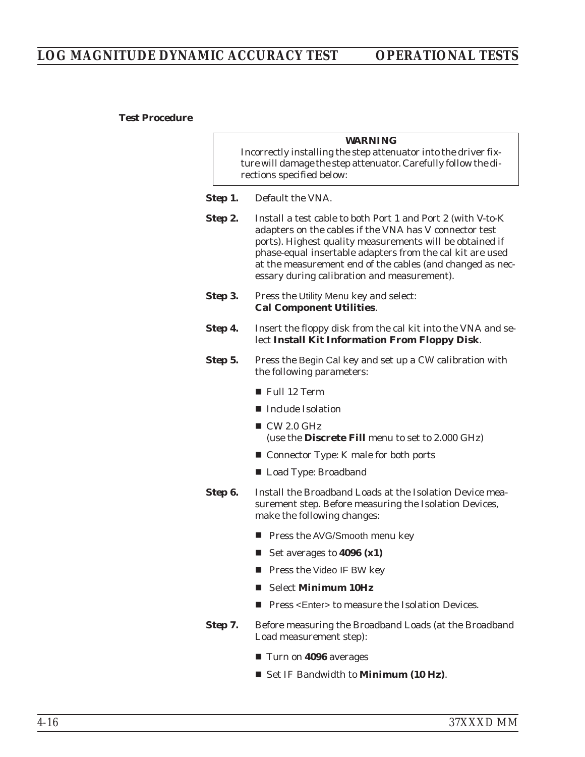#### *Test Procedure*

| <i><b>WARNING</b></i> |  |  |
|-----------------------|--|--|
|                       |  |  |

Incorrectly installing the step attenuator into the driver fixture will damage the step attenuator. Carefully follow the directions specified below:

- *Step 1.* Default the VNA.
- **Step 2.** Install a test cable to both Port 1 and Port 2 (with V-to-K) adapters on the cables if the VNA has V connector test ports). Highest quality measurements will be obtained if phase-equal insertable adapters from the cal kit are used at the measurement end of the cables (and changed as necessary during calibration and measurement).
- **Step 3.** Press the Utility Menu key and select: **Cal Component Utilities**.
- **Step 4.** Insert the floppy disk from the cal kit into the VNA and select **Install Kit Information From Floppy Disk**.
- **Step 5.** Press the Begin Cal key and set up a CW calibration with the following parameters:
	- Full 12 Term
	- Include Isolation
	- $\blacksquare$  CW 2.0 GHz (use the **Discrete Fill** menu to set to 2.000 GHz)
	- Connector Type: K male for both ports
	- Load Type: Broadband
- **Step 6.** Install the Broadband Loads at the Isolation Device measurement step. Before measuring the Isolation Devices, make the following changes:
	- Press the AVG/Smooth menu key
	- Set averages to **4096 (x1)**
	- **Press the Video IF BW key**
	- Select **Minimum 10Hz**
	- Press <Enter> to measure the Isolation Devices.
- **Step 7.** Before measuring the Broadband Loads (at the Broadband Load measurement step):
	- Turn on 4096 averages
	- Set IF Bandwidth to **Minimum (10 Hz)**.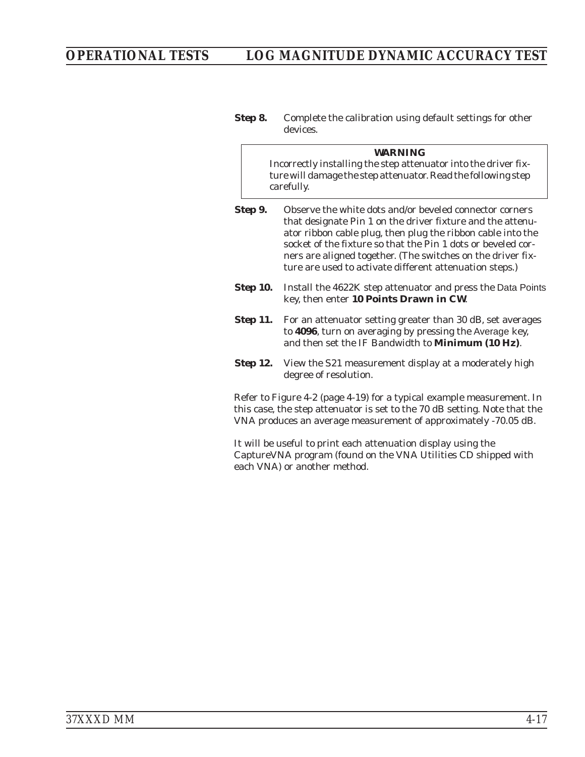**Step 8.** Complete the calibration using default settings for other devices.

|                 | <b>WARNING</b><br>Incorrectly installing the step attenuator into the driver fix-<br>ture will damage the step attenuator. Read the following step<br>carefully.                                                                                                                                                                                                               |
|-----------------|--------------------------------------------------------------------------------------------------------------------------------------------------------------------------------------------------------------------------------------------------------------------------------------------------------------------------------------------------------------------------------|
| Step 9.         | Observe the white dots and/or beveled connector corners<br>that designate Pin 1 on the driver fixture and the attenu-<br>ator ribbon cable plug, then plug the ribbon cable into the<br>socket of the fixture so that the Pin 1 dots or beveled cor-<br>ners are aligned together. (The switches on the driver fix-<br>ture are used to activate different attenuation steps.) |
| <b>Step 10.</b> | Install the 4622K step attenuator and press the Data Points<br>key, then enter 10 Points Drawn in CW.                                                                                                                                                                                                                                                                          |
| <b>Step 11.</b> | For an attenuator setting greater than 30 dB, set averages<br>to 4096, turn on averaging by pressing the Average key,<br>and then set the IF Bandwidth to Minimum (10 Hz).                                                                                                                                                                                                     |
| <b>Step 12.</b> | View the S21 measurement display at a moderately high<br>degree of resolution.                                                                                                                                                                                                                                                                                                 |
|                 | Refer to Figure 4-2 (page 4-19) for a typical example measurement. In<br>this case, the step attenuator is set to the 70 dB setting. Note that the<br>VNA produces an average measurement of approximately -70.05 dB.                                                                                                                                                          |
|                 |                                                                                                                                                                                                                                                                                                                                                                                |

It will be useful to print each attenuation display using the CaptureVNA program (found on the VNA Utilities CD shipped with each VNA) or another method.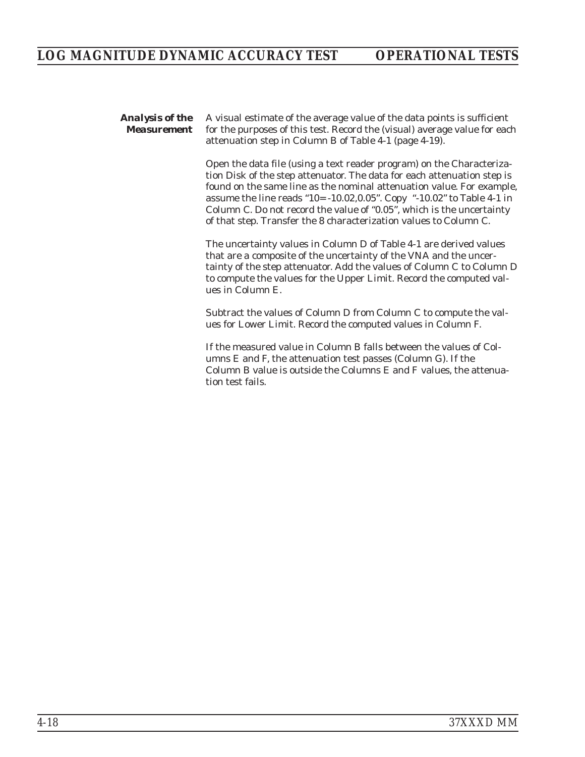*Analysis of the Measurement* A visual estimate of the average value of the data points is sufficient for the purposes of this test. Record the (visual) average value for each attenuation step in Column B of Table [4-1](#page-78-0) (page [4-19](#page-78-0)).

> Open the data file (using a text reader program) on the Characterization Disk of the step attenuator. The data for each attenuation step is found on the same line as the nominal attenuation value. For example, assume the line reads "10= -10.02,0.05". Copy "-10.02" to Table [4-1](#page-78-0) in Column C. Do not record the value of "0.05", which is the uncertainty of that step. Transfer the 8 characterization values to Column C.

> The uncertainty values in Column D of Table [4-1](#page-78-0) are derived values that are a composite of the uncertainty of the VNA and the uncertainty of the step attenuator. Add the values of Column C to Column D to compute the values for the Upper Limit. Record the computed values in Column E.

Subtract the values of Column D from Column C to compute the values for Lower Limit. Record the computed values in Column F.

If the measured value in Column B falls between the values of Columns E and F, the attenuation test passes (Column G). If the Column B value is outside the Columns E and F values, the attenuation test fails.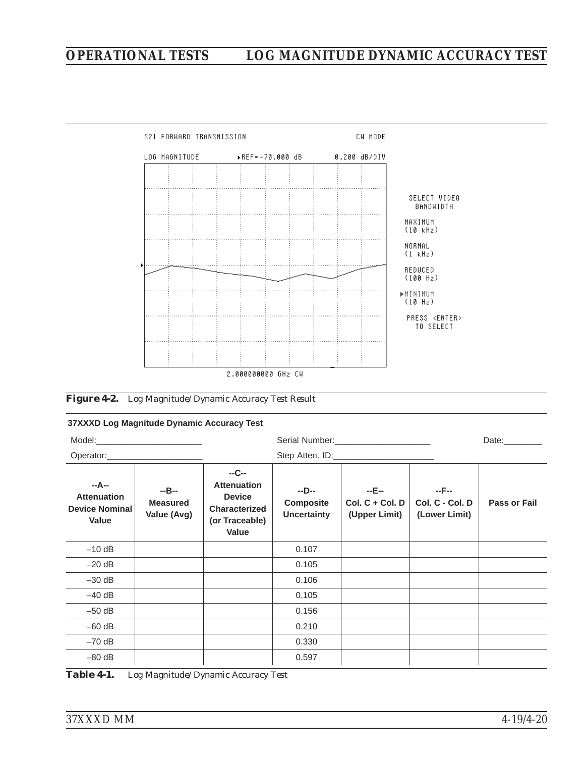### <span id="page-78-0"></span>*OPERATIONAL TESTS LOG MAGNITUDE DYNAMIC ACCURACY TEST*



#### *Figure [4-2.](#page-78-0) Log Magnitude/Dynamic Accuracy Test Result*

#### **37XXXD Log Magnitude Dynamic Accuracy Test**

| Model: Note and the second state of the second state of the second state of the second state of the second state of the second state of the second state of the second state of the second state of the second state of the se |                                         |                                                                                                 |                                                 |                                             |                                           | Date:________       |
|--------------------------------------------------------------------------------------------------------------------------------------------------------------------------------------------------------------------------------|-----------------------------------------|-------------------------------------------------------------------------------------------------|-------------------------------------------------|---------------------------------------------|-------------------------------------------|---------------------|
|                                                                                                                                                                                                                                |                                         |                                                                                                 |                                                 |                                             |                                           |                     |
| --A--<br><b>Attenuation</b><br><b>Device Nominal</b><br>Value                                                                                                                                                                  | $-B-$<br><b>Measured</b><br>Value (Avg) | $-C-$<br><b>Attenuation</b><br><b>Device</b><br><b>Characterized</b><br>(or Traceable)<br>Value | $-D-$<br><b>Composite</b><br><b>Uncertainty</b> | $-E-$<br>$Col. C + Col. D$<br>(Upper Limit) | $-F-$<br>Col. C - Col. D<br>(Lower Limit) | <b>Pass or Fail</b> |
| $-10$ dB                                                                                                                                                                                                                       |                                         |                                                                                                 | 0.107                                           |                                             |                                           |                     |
| $-20$ dB                                                                                                                                                                                                                       |                                         |                                                                                                 | 0.105                                           |                                             |                                           |                     |
| $-30$ dB                                                                                                                                                                                                                       |                                         |                                                                                                 | 0.106                                           |                                             |                                           |                     |
| $-40$ dB                                                                                                                                                                                                                       |                                         |                                                                                                 | 0.105                                           |                                             |                                           |                     |
| $-50$ dB                                                                                                                                                                                                                       |                                         |                                                                                                 | 0.156                                           |                                             |                                           |                     |
| $-60$ dB                                                                                                                                                                                                                       |                                         |                                                                                                 | 0.210                                           |                                             |                                           |                     |
| $-70$ dB                                                                                                                                                                                                                       |                                         |                                                                                                 | 0.330                                           |                                             |                                           |                     |
| $-80$ dB                                                                                                                                                                                                                       |                                         |                                                                                                 | 0.597                                           |                                             |                                           |                     |
| Table 4-1.                                                                                                                                                                                                                     |                                         | Log Magnitude/Dynamic Accuracy Test                                                             |                                                 |                                             |                                           |                     |

*37XXXD MM 4-19/4-20*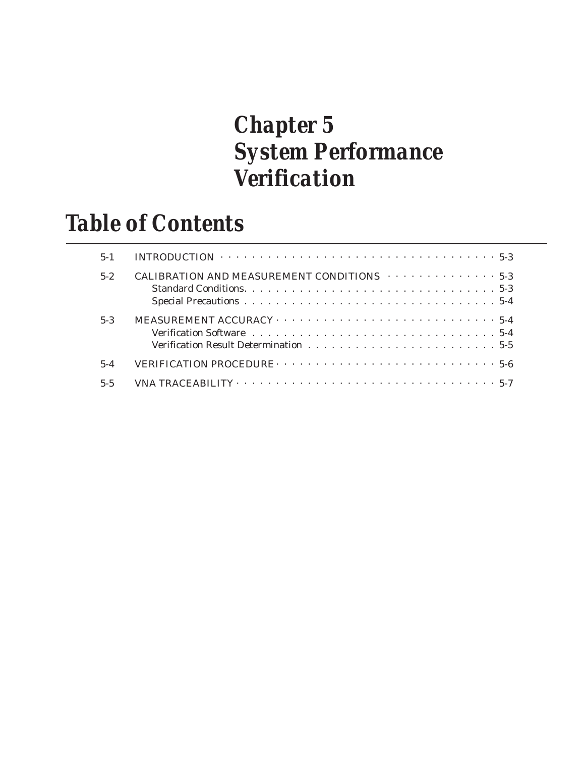## *Chapter 5 System Performance Verification*

### *Table of Contents*

| $5 - 1$ | INTRODUCTION $\cdots \cdots \cdots \cdots \cdots \cdots \cdots \cdots \cdots \cdots \cdots \cdots 5-3$     |
|---------|------------------------------------------------------------------------------------------------------------|
| $5-2$   | CALIBRATION AND MEASUREMENT CONDITIONS $\cdots \cdots \cdots \cdots$                                       |
| $5-3$   | Verification Software $\dots \dots \dots \dots \dots \dots \dots \dots \dots \dots \dots \dots \dots 5-4$  |
| $5 - 4$ | <b>VERIFICATION PROCEDURE</b> $\cdots \cdots \cdots \cdots \cdots \cdots \cdots \cdots \cdots \cdots 5-6$  |
| $5 - 5$ | VNA TRACEABILITY $\cdots \cdots \cdots \cdots \cdots \cdots \cdots \cdots \cdots \cdots \cdots \cdots 5-7$ |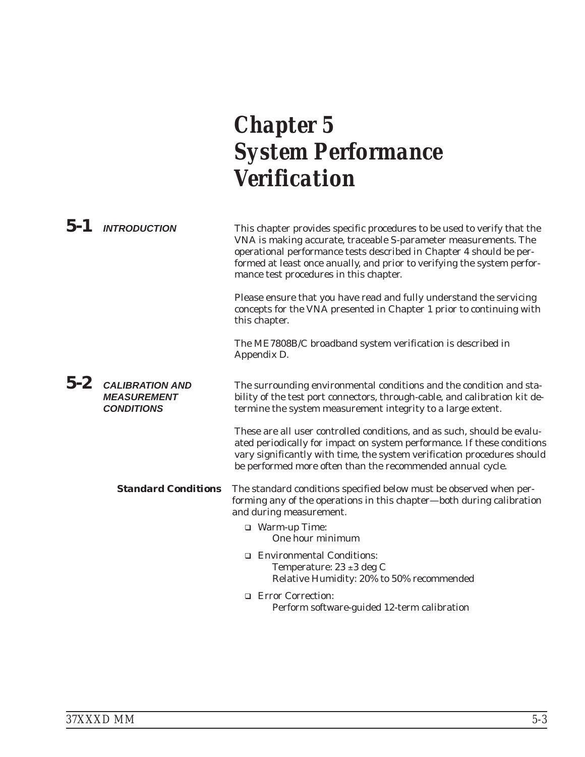# *Chapter 5 System Performance Verification*

| $5 - 1$ | <b>INTRODUCTION</b>                                               | This chapter provides specific procedures to be used to verify that the<br>VNA is making accurate, traceable S-parameter measurements. The<br>operational performance tests described in Chapter 4 should be per-<br>formed at least once anually, and prior to verifying the system perfor-<br>mance test procedures in this chapter. |
|---------|-------------------------------------------------------------------|----------------------------------------------------------------------------------------------------------------------------------------------------------------------------------------------------------------------------------------------------------------------------------------------------------------------------------------|
|         |                                                                   | Please ensure that you have read and fully understand the servicing<br>concepts for the VNA presented in Chapter 1 prior to continuing with<br>this chapter.                                                                                                                                                                           |
|         |                                                                   | The ME7808B/C broadband system verification is described in<br>Appendix D.                                                                                                                                                                                                                                                             |
| $5-2$   | <b>CALIBRATION AND</b><br><b>MEASUREMENT</b><br><b>CONDITIONS</b> | The surrounding environmental conditions and the condition and sta-<br>bility of the test port connectors, through-cable, and calibration kit de-<br>termine the system measurement integrity to a large extent.                                                                                                                       |
|         |                                                                   | These are all user controlled conditions, and as such, should be evalu-<br>ated periodically for impact on system performance. If these conditions<br>vary significantly with time, the system verification procedures should<br>be performed more often than the recommended annual cycle.                                            |
|         | <b>Standard Conditions</b>                                        | The standard conditions specified below must be observed when per-<br>forming any of the operations in this chapter-both during calibration<br>and during measurement.                                                                                                                                                                 |
|         |                                                                   | □ Warm-up Time:<br>One hour minimum                                                                                                                                                                                                                                                                                                    |
|         |                                                                   | □ Environmental Conditions:<br>Temperature: $23 \pm 3$ deg C<br>Relative Humidity: 20% to 50% recommended                                                                                                                                                                                                                              |
|         |                                                                   | □ Error Correction:<br>Perform software-guided 12-term calibration                                                                                                                                                                                                                                                                     |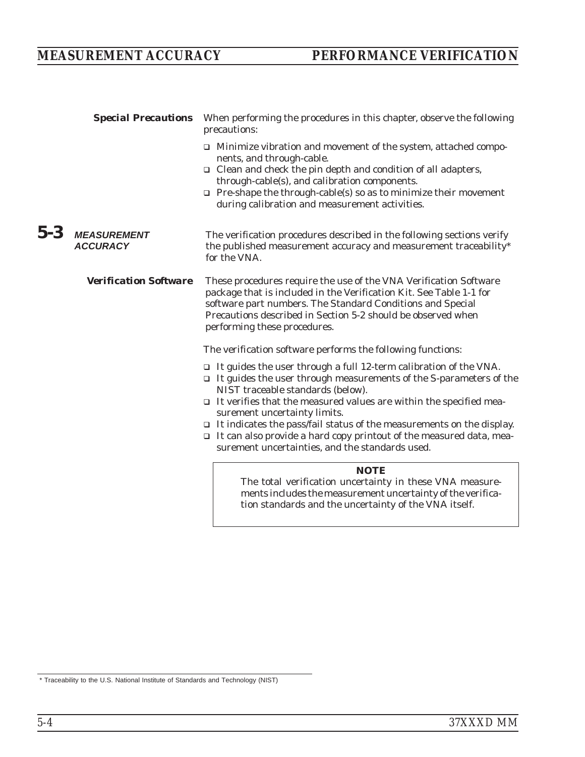| <b>Special Precautions</b>                   | When performing the procedures in this chapter, observe the following<br>precautions:                                                                                                                                                                                                                                                                                                                                                                                                                                       |
|----------------------------------------------|-----------------------------------------------------------------------------------------------------------------------------------------------------------------------------------------------------------------------------------------------------------------------------------------------------------------------------------------------------------------------------------------------------------------------------------------------------------------------------------------------------------------------------|
|                                              | I Minimize vibration and movement of the system, attached compo-<br>nents, and through-cable.<br>$\Box$ Clean and check the pin depth and condition of all adapters,<br>through-cable(s), and calibration components.<br>$\Box$ Pre-shape the through-cable(s) so as to minimize their movement<br>during calibration and measurement activities.                                                                                                                                                                           |
| 5-3<br><b>MEASUREMENT</b><br><b>ACCURACY</b> | The verification procedures described in the following sections verify<br>the published measurement accuracy and measurement traceability*<br>for the VNA.                                                                                                                                                                                                                                                                                                                                                                  |
| <b>Verification Software</b>                 | These procedures require the use of the VNA Verification Software<br>package that is included in the Verification Kit. See Table 1-1 for<br>software part numbers. The Standard Conditions and Special<br>Precautions described in Section 5-2 should be observed when<br>performing these procedures.                                                                                                                                                                                                                      |
|                                              | The verification software performs the following functions:                                                                                                                                                                                                                                                                                                                                                                                                                                                                 |
|                                              | It guides the user through a full 12-term calibration of the VNA.<br>$\Box$<br>$\Box$ It guides the user through measurements of the S-parameters of the<br>NIST traceable standards (below).<br>$\Box$ It verifies that the measured values are within the specified mea-<br>surement uncertainty limits.<br>$\Box$ It indicates the pass/fail status of the measurements on the display.<br>$\Box$ It can also provide a hard copy printout of the measured data, mea-<br>surement uncertainties, and the standards used. |
|                                              | <b>NOTE</b><br>The total verification uncertainty in these VNA measure-<br>ments includes the measurement uncertainty of the verifica-<br>tion standards and the uncertainty of the VNA itself.                                                                                                                                                                                                                                                                                                                             |

\* Traceability to the U.S. National Institute of Standards and Technology (NIST)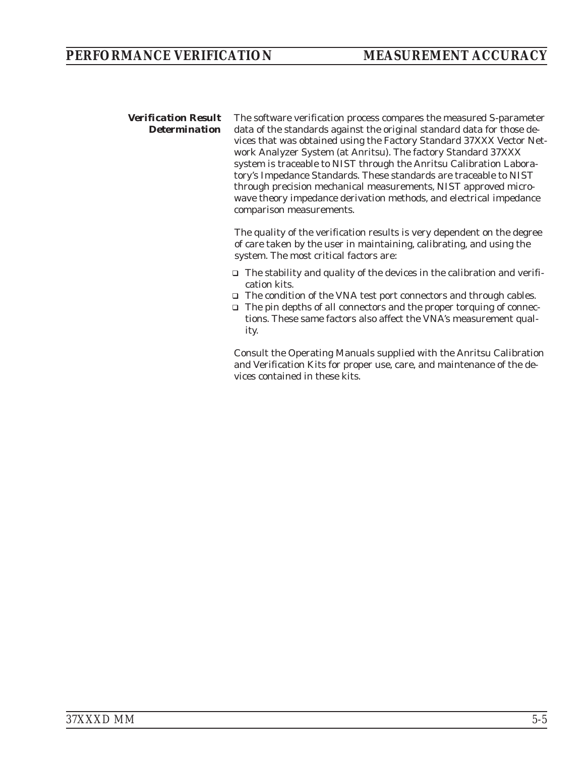*Verification Result Determination* The software verification process compares the measured S-parameter data of the standards against the original standard data for those devices that was obtained using the Factory Standard 37XXX Vector Network Analyzer System (at Anritsu). The factory Standard 37XXX system is traceable to NIST through the Anritsu Calibration Laboratory's Impedance Standards. These standards are traceable to NIST through precision mechanical measurements, NIST approved microwave theory impedance derivation methods, and electrical impedance comparison measurements.

> The quality of the verification results is very dependent on the degree of care taken by the user in maintaining, calibrating, and using the system. The most critical factors are:

- □ The stability and quality of the devices in the calibration and verification kits.
- □ The condition of the VNA test port connectors and through cables.
- □ The pin depths of all connectors and the proper torquing of connections. These same factors also affect the VNA's measurement quality.

Consult the Operating Manuals supplied with the Anritsu Calibration and Verification Kits for proper use, care, and maintenance of the devices contained in these kits.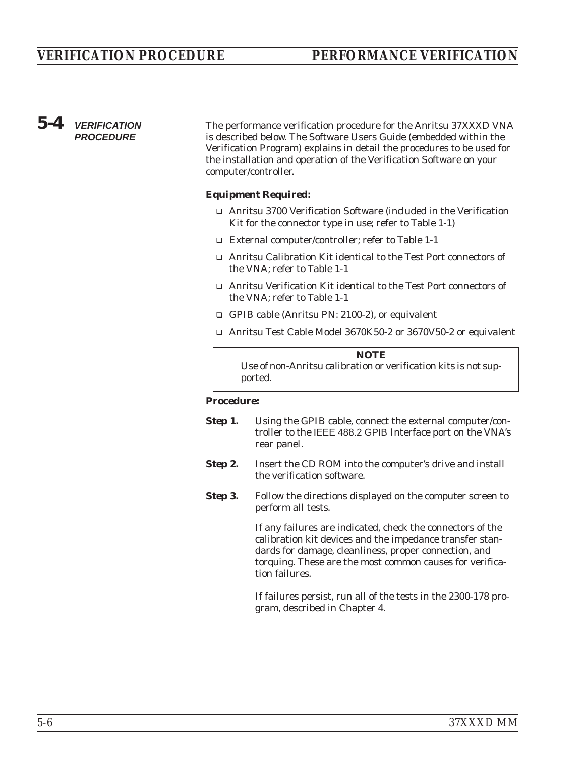### *5-4 VERIFICATION PROCEDURE*

The performance verification procedure for the Anritsu 37XXXD VNA is described below. The Software Users Guide (embedded within the Verification Program) explains in detail the procedures to be used for the installation and operation of the Verification Software on your computer/controller.

#### *Equipment Required:*

- □ Anritsu 3700 Verification Software (included in the Verification Kit for the connector type in use; refer to Table 1-1)
- □ External computer/controller; refer to Table 1-1
- □ Anritsu Calibration Kit identical to the Test Port connectors of the VNA; refer to Table 1-1
- □ Anritsu Verification Kit identical to the Test Port connectors of the VNA; refer to Table 1-1
- □ GPIB cable (Anritsu PN: 2100-2), or equivalent
- □ Anritsu Test Cable Model 3670K50-2 or 3670V50-2 or equivalent

*NOTE* Use of non-Anritsu calibration or verification kits is not supported.

#### *Procedure:*

- **Step 1.** Using the GPIB cable, connect the external computer/controller to the IEEE 488.2 GPIB Interface port on the VNA's rear panel.
- **Step 2.** Insert the CD ROM into the computer's drive and install the verification software.
- **Step 3.** Follow the directions displayed on the computer screen to perform all tests.

If any failures are indicated, check the connectors of the calibration kit devices and the impedance transfer standards for damage, cleanliness, proper connection, and torquing. These are the most common causes for verification failures.

If failures persist, run all of the tests in the 2300-178 program, described in Chapter 4.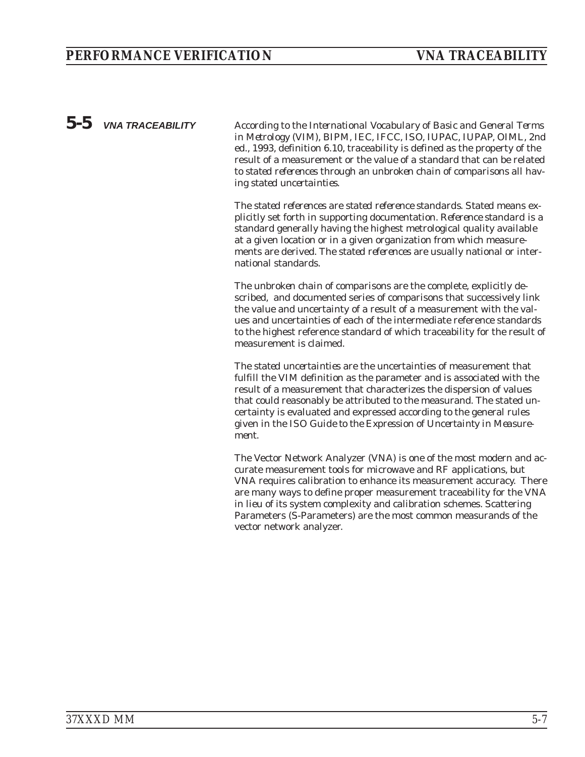*5-5 VNA TRACEABILITY* According to the *International Vocabulary of Basic and General Terms in Metrology (VIM), BIPM, IEC, IFCC, ISO, IUPAC, IUPAP, OIML*, 2nd ed., 1993, definition 6.10, traceability is defined as the property of the result of a measurement or the value of a standard that can be related to *stated references* through an *unbroken chain of comparisons* all having *stated uncertainties*.

> The *stated references* are *stated reference standards*. *Stated* means explicitly set forth in supporting documentation. *Reference standard* is a standard generally having the highest metrological quality available at a given location or in a given organization from which measurements are derived. The *stated references* are usually national or international standards.

The *unbroken chain of comparisons* are the complete, explicitly described, and documented series of comparisons that successively link the value and uncertainty of a result of a measurement with the values and uncertainties of each of the intermediate reference standards to the highest reference standard of which traceability for the result of measurement is claimed.

The *stated uncertainties* are the uncertainties of measurement that fulfill the VIM definition as the parameter and is associated with the result of a measurement that characterizes the dispersion of values that could reasonably be attributed to the measurand. The stated uncertainty is evaluated and expressed according to the general rules given in the *ISO Guide to the Expression of Uncertainty in Measurement*.

The Vector Network Analyzer (VNA) is one of the most modern and accurate measurement tools for microwave and RF applications, but VNA requires calibration to enhance its measurement accuracy. There are many ways to define proper measurement traceability for the VNA in lieu of its system complexity and calibration schemes. Scattering Parameters (S-Parameters) are the most common measurands of the vector network analyzer.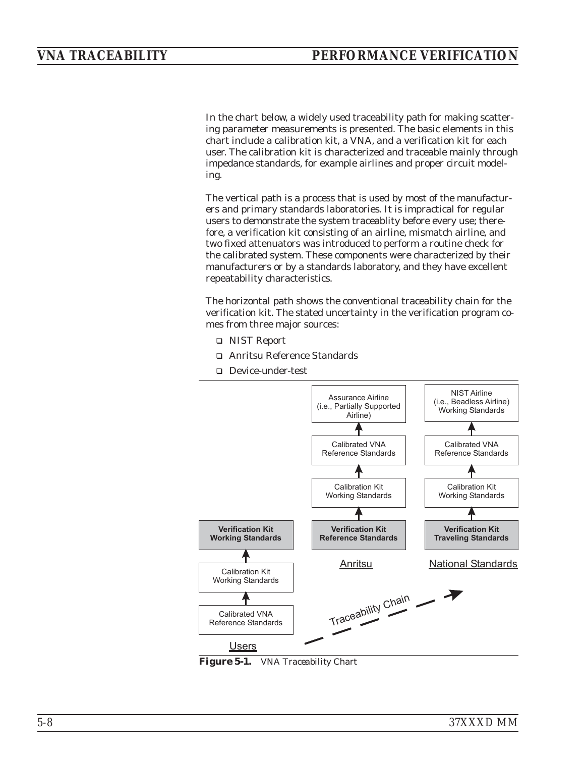<span id="page-87-0"></span>In the chart below, a widely used traceability path for making scattering parameter measurements is presented. The basic elements in this chart include a calibration kit, a VNA, and a verification kit for each user. The calibration kit is characterized and traceable mainly through impedance standards, for example airlines and proper circuit modeling.

The vertical path is a process that is used by most of the manufacturers and primary standards laboratories. It is impractical for regular users to demonstrate the system traceablity before every use; therefore, a verification kit consisting of an airline, mismatch airline, and two fixed attenuators was introduced to perform a routine check for the calibrated system. These components were characterized by their manufacturers or by a standards laboratory, and they have excellent repeatability characteristics.

The horizontal path shows the conventional traceability chain for the verification kit. The stated uncertainty in the verification program comes from three major sources:

- □ NIST Report
- □ Anritsu Reference Standards
- □ Device-under-test



*Figure [5-1](#page-87-0). VNA Traceability Chart*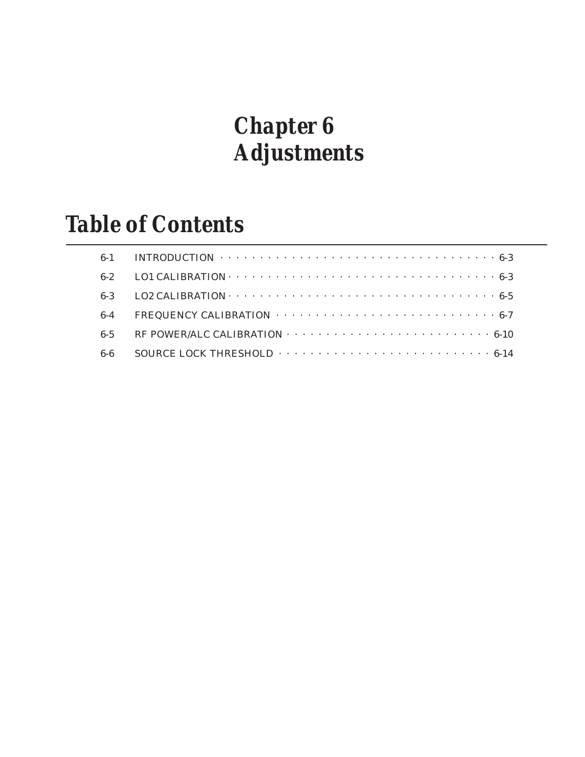## *Chapter 6 Adjustments*

# *Table of Contents*

|         | 6-2 LO1 CALIBRATION $\cdots \cdots \cdots \cdots \cdots \cdots \cdots \cdots \cdots \cdots \cdots \cdots \cdots 6-3$                |
|---------|-------------------------------------------------------------------------------------------------------------------------------------|
|         | 6-3 LO2 CALIBRATION $\cdots$ $\cdots$ $\cdots$ $\cdots$ $\cdots$ $\cdots$ $\cdots$ $\cdots$ $\cdots$ $\cdots$ $\cdots$ $\cdots$ 6-5 |
|         | 6-4 FREQUENCY CALIBRATION $\cdots \cdots \cdots \cdots \cdots \cdots \cdots \cdots \cdots \cdots 6$ -7                              |
| $6 - 5$ | RF POWER/ALC CALIBRATION $\cdots \cdots \cdots \cdots \cdots \cdots \cdots \cdots \cdots \cdots \cdots 6-10$                        |
|         |                                                                                                                                     |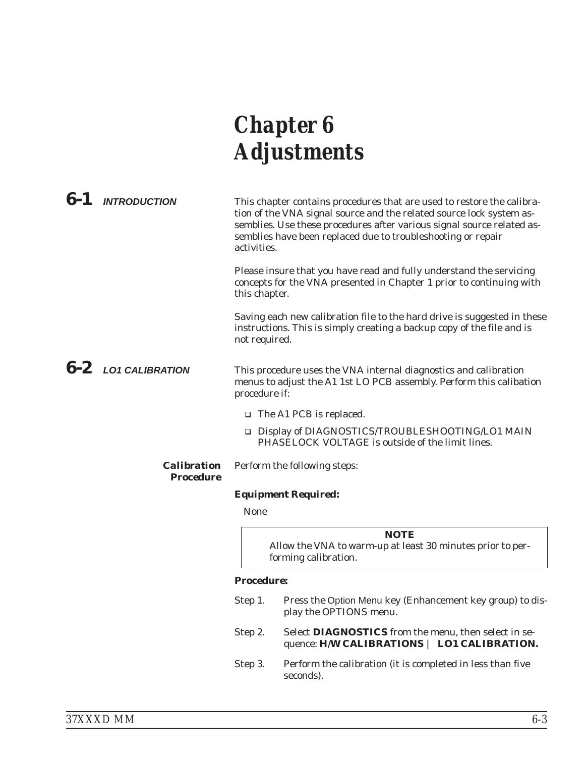## *Chapter 6 Adjustments*

*6-1 INTRODUCTION* This chapter contains procedures that are used to restore the calibration of the VNA signal source and the related source lock system assemblies. Use these procedures after various signal source related assemblies have been replaced due to troubleshooting or repair activities. Please insure that you have read and fully understand the servicing concepts for the VNA presented in Chapter 1 prior to continuing with this chapter. Saving each new calibration file to the hard drive is suggested in these instructions. This is simply creating a backup copy of the file and is not required. *6-2 LO1 CALIBRATION* This procedure uses the VNA internal diagnostics and calibration menus to adjust the A1 1st LO PCB assembly. Perform this calibation procedure if: □ The A1 PCB is replaced. □ Display of DIAGNOSTICS/TROUBLESHOOTING/LO1 MAIN PHASELOCK VOLTAGE is outside of the limit lines. *Calibration Procedure* Perform the following steps: *Equipment Required:*

#### None

*NOTE* Allow the VNA to warm-up at least 30 minutes prior to performing calibration.

#### *Procedure:*

- Step 1. Press the Option Menu key (Enhancement key group) to display the OPTIONS menu.
- Step 2. Select **DIAGNOSTICS** from the menu, then select in sequence: **H/W CALIBRATIONS** | **LO1 CALIBRATION.**
- Step 3. Perform the calibration (it is completed in less than five seconds).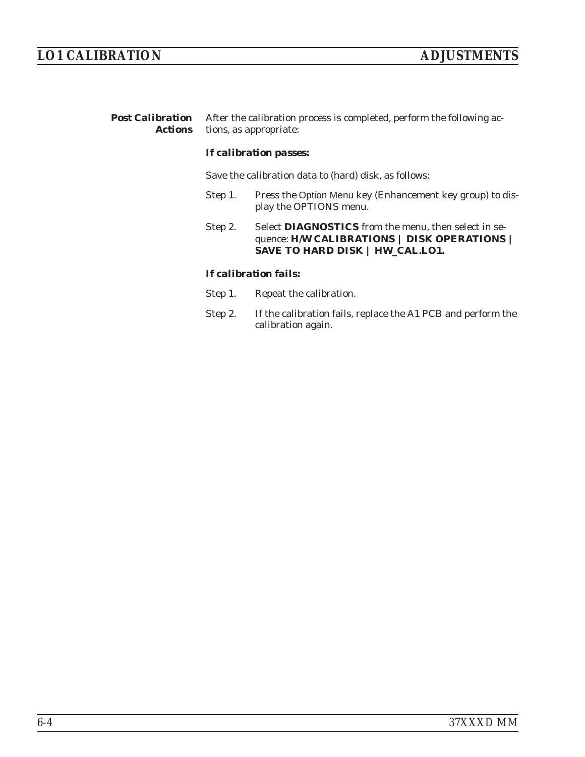| <b>Post Calibration</b> After the calibration process is completed, perform the following ac- |
|-----------------------------------------------------------------------------------------------|
| <b>Actions</b> tions, as appropriate:                                                         |

#### *If calibration passes:*

Save the calibration data to (hard) disk, as follows:

- Step 1. Press the Option Menu key (Enhancement key group) to display the OPTIONS menu.
- Step 2. Select **DIAGNOSTICS** from the menu, then select in sequence: **H/W CALIBRATIONS | DISK OPERATIONS | SAVE TO HARD DISK | HW\_CAL.LO1.**

#### *If calibration fails:*

- Step 1. Repeat the calibration.
- Step 2. If the calibration fails, replace the A1 PCB and perform the calibration again.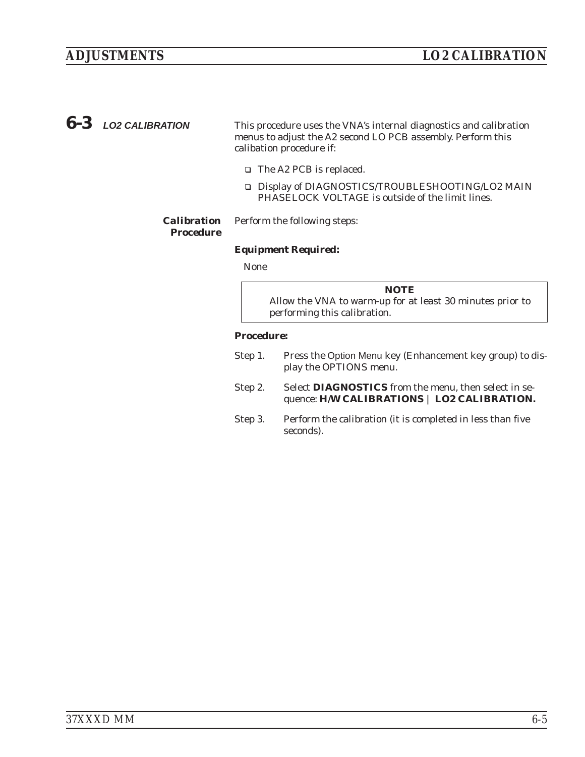*6-3 LO2 CALIBRATION* This procedure uses the VNA's internal diagnostics and calibration menus to adjust the A2 second LO PCB assembly. Perform this calibation procedure if:

- □ The A2 PCB is replaced.
- □ Display of DIAGNOSTICS/TROUBLESHOOTING/LO2 MAIN PHASELOCK VOLTAGE is outside of the limit lines.

#### *Calibration* Perform the following steps:

#### *Procedure*

#### *Equipment Required:*

None

*NOTE* Allow the VNA to warm-up for at least 30 minutes prior to performing this calibration.

#### *Procedure:*

- Step 1. Press the Option Menu key (Enhancement key group) to display the OPTIONS menu.
- Step 2. Select **DIAGNOSTICS** from the menu, then select in sequence: **H/W CALIBRATIONS** | **LO2 CALIBRATION.**
- Step 3. Perform the calibration (it is completed in less than five seconds).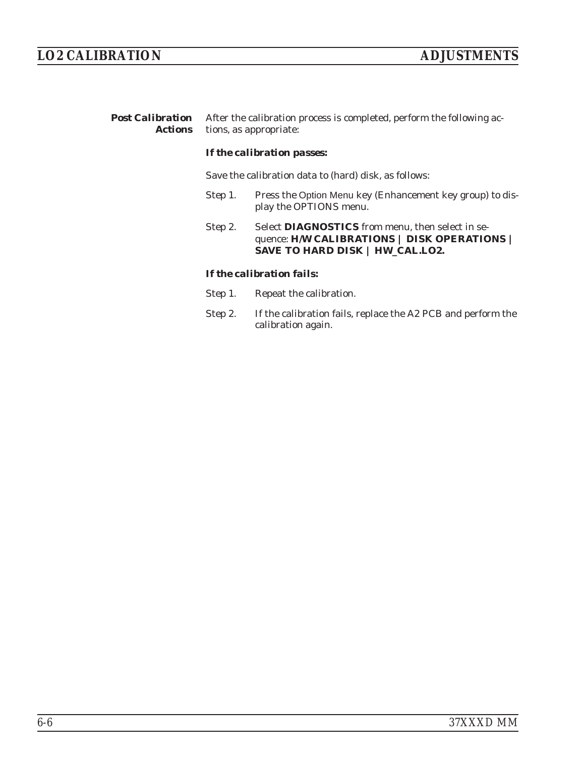| <b>Post Calibration</b> After the calibration process is completed, perform the following ac- |
|-----------------------------------------------------------------------------------------------|
| <b>Actions</b> tions, as appropriate:                                                         |

#### *If the calibration passes:*

Save the calibration data to (hard) disk, as follows:

- Step 1. Press the Option Menu key (Enhancement key group) to display the OPTIONS menu.
- Step 2. Select **DIAGNOSTICS** from menu, then select in sequence: **H/W CALIBRATIONS | DISK OPERATIONS | SAVE TO HARD DISK | HW\_CAL.LO2.**

#### *If the calibration fails:*

- Step 1. Repeat the calibration.
- Step 2. If the calibration fails, replace the A2 PCB and perform the calibration again.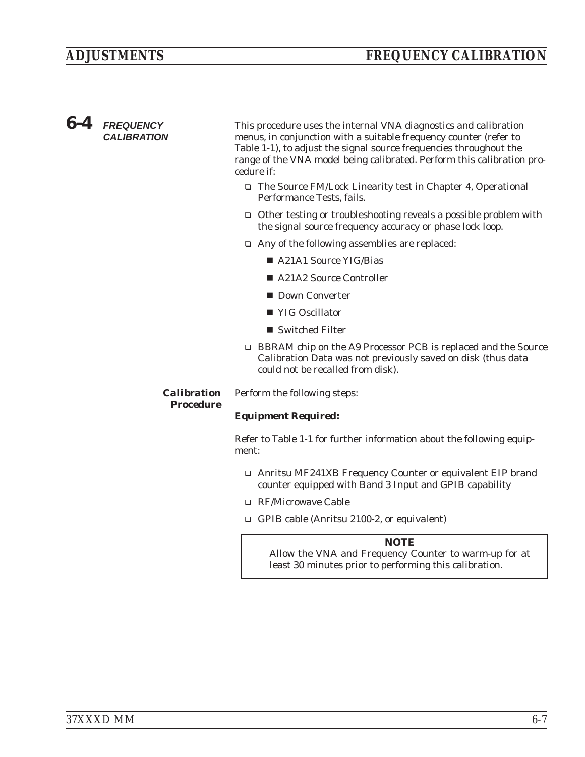### *6-4 FREQUENCY CALIBRATION*

This procedure uses the internal VNA diagnostics and calibration menus, in conjunction with a suitable frequency counter (refer to Table 1-1), to adjust the signal source frequencies throughout the range of the VNA model being calibrated. Perform this calibration procedure if:

- □ The Source FM/Lock Linearity test in Chapter 4, Operational Performance Tests, fails.
- □ Other testing or troubleshooting reveals a possible problem with the signal source frequency accuracy or phase lock loop.
- □ Any of the following assemblies are replaced:
	- A21A1 Source YIG/Bias
	- A21A2 Source Controller
	- Down Converter
	- YIG Oscillator
	- Switched Filter
- □ BBRAM chip on the A9 Processor PCB is replaced and the Source Calibration Data was not previously saved on disk (thus data could not be recalled from disk).

*Calibration* Perform the following steps:

*Procedure*

#### *Equipment Required:*

Refer to Table 1-1 for further information about the following equipment:

- □ Anritsu MF241XB Frequency Counter or equivalent EIP brand counter equipped with Band 3 Input and GPIB capability
- □ RF/Microwave Cable
- □ GPIB cable (Anritsu 2100-2, or equivalent)

#### *NOTE*

Allow the VNA and Frequency Counter to warm-up for at least 30 minutes prior to performing this calibration.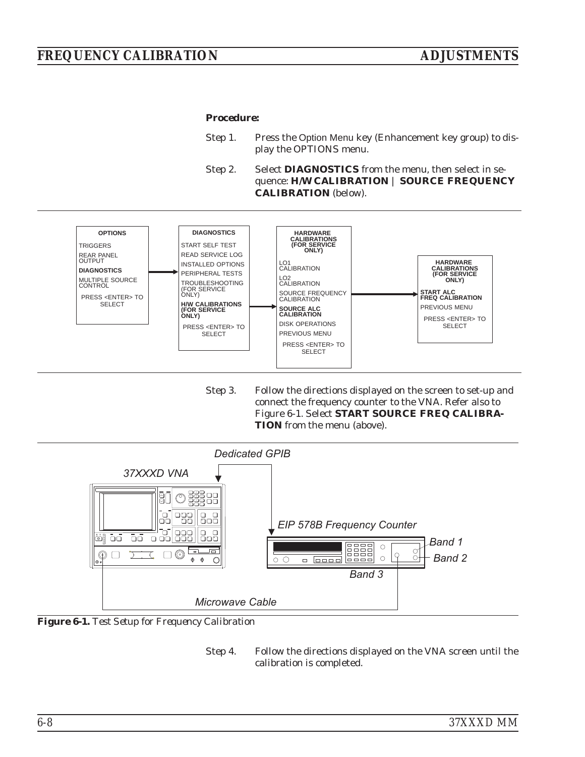#### <span id="page-95-0"></span>*Procedure:*

- Step 1. Press the Option Menu key (Enhancement key group) to display the OPTIONS menu.
- Step 2. Select **DIAGNOSTICS** from the menu, then select in sequence: **H/W CALIBRATION** | **SOURCE FREQUENCY CALIBRATION** (below).



Step 3. Follow the directions displayed on the screen to set-up and connect the frequency counter to the VNA. Refer also to Figure 6[-1.](#page-95-0) Select **START SOURCE FREQ CALIBRA-TION** from the menu (above).



*Figure 6-1. Test Setup for Frequency Calibration*

Step 4. Follow the directions displayed on the VNA screen until the calibration is completed.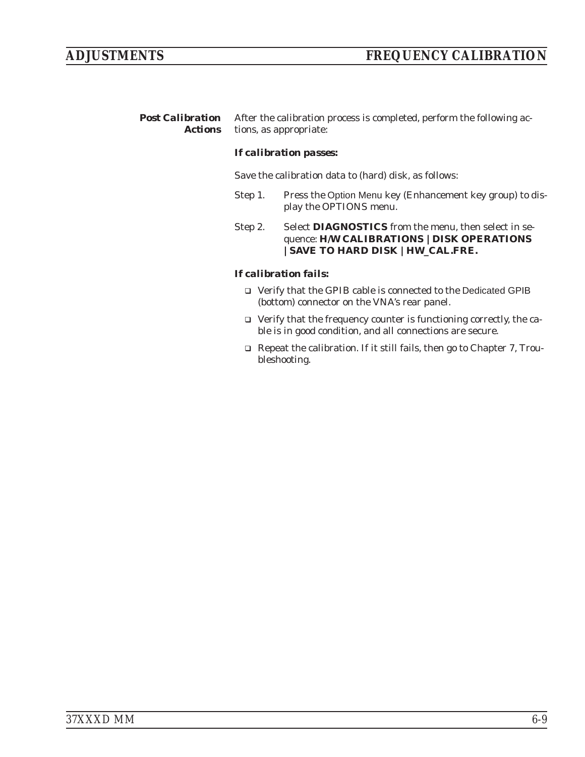*Post Calibration Actions* After the calibration process is completed, perform the following actions, as appropriate:

#### *If calibration passes:*

Save the calibration data to (hard) disk, as follows:

- Step 1. Press the Option Menu key (Enhancement key group) to display the OPTIONS menu.
- Step 2. Select **DIAGNOSTICS** from the menu, then select in sequence: **H/W CALIBRATIONS |DISK OPERATIONS |SAVE TO HARD DISK |HW\_CAL.FRE.**

#### *If calibration fails:*

- □ Verify that the GPIB cable is connected to the Dedicated GPIB (bottom) connector on the VNA's rear panel.
- □ Verify that the frequency counter is functioning correctly, the cable is in good condition, and all connections are secure.
- □ Repeat the calibration. If it still fails, then go to Chapter 7, Troubleshooting.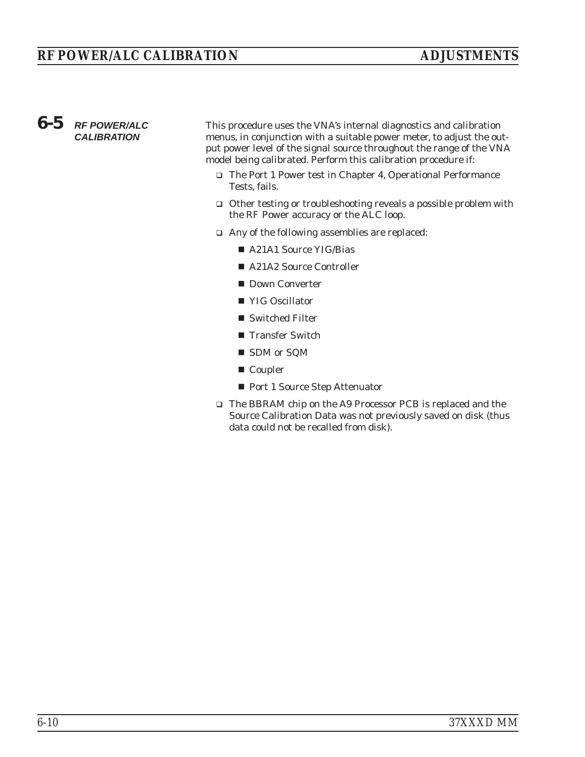### *6-5 RF POWER/ALC CALIBRATION*

This procedure uses the VNA's internal diagnostics and calibration menus, in conjunction with a suitable power meter, to adjust the output power level of the signal source throughout the range of the VNA model being calibrated. Perform this calibration procedure if:

- □ The Port 1 Power test in Chapter 4, Operational Performance Tests, fails.
- □ Other testing or troubleshooting reveals a possible problem with the RF Power accuracy or the ALC loop.
- □ Any of the following assemblies are replaced:
	- A21A1 Source YIG/Bias
	- A21A2 Source Controller
	- Down Converter
	- YIG Oscillator
	- Switched Filter
	- **Transfer Switch**
	- SDM or SQM
	- Coupler
	- Port 1 Source Step Attenuator
- □ The BBRAM chip on the A9 Processor PCB is replaced and the Source Calibration Data was not previously saved on disk (thus data could not be recalled from disk).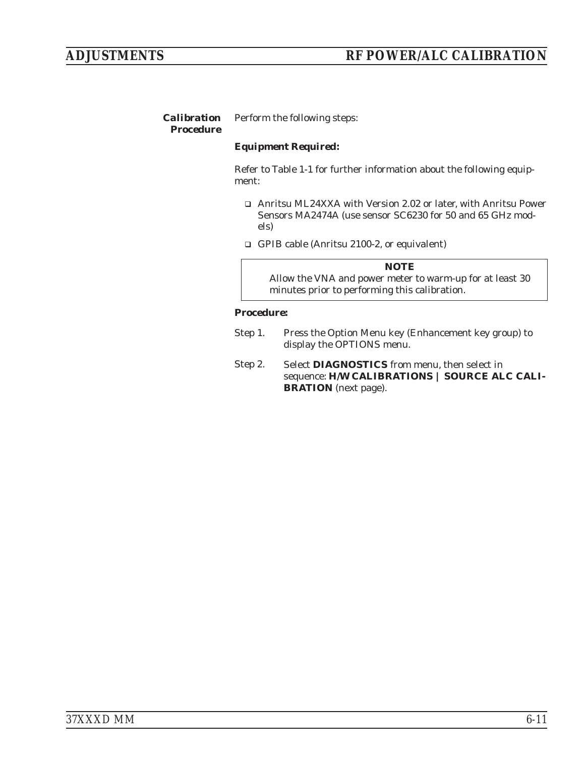#### *Calibration Procedure* Perform the following steps:

#### *Equipment Required:*

Refer to Table 1-1 for further information about the following equipment:

- □ Anritsu ML24XXA with Version 2.02 or later, with Anritsu Power Sensors MA2474A (use sensor SC6230 for 50 and 65 GHz models)
- □ GPIB cable (Anritsu 2100-2, or equivalent)

*NOTE* Allow the VNA and power meter to warm-up for at least 30 minutes prior to performing this calibration.

#### *Procedure:*

- Step 1. Press the Option Menu key (Enhancement key group) to display the OPTIONS menu.
- Step 2. Select **DIAGNOSTICS** from menu, then select in sequence: **H/W CALIBRATIONS | SOURCE ALC CALI-BRATION** (next page).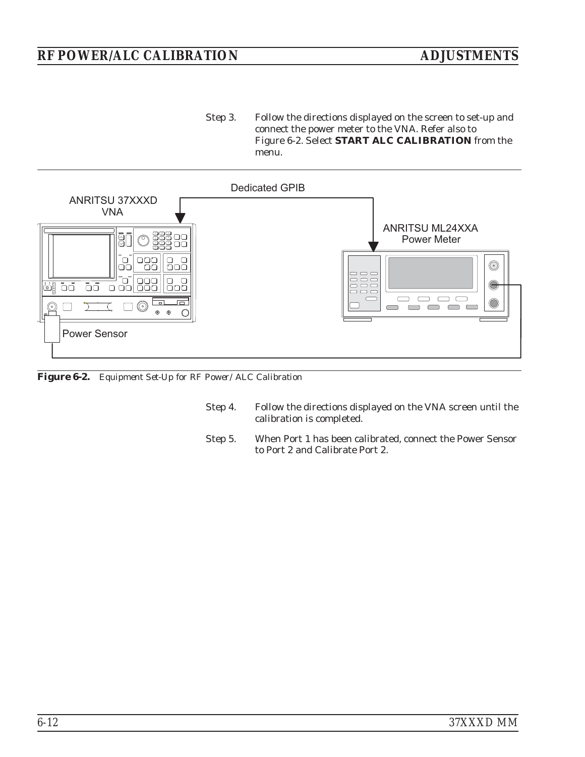### *RF POWER/ALC CALIBRATION ADJUSTMENTS*

Step 3. Follow the directions displayed on the screen to set-up and connect the power meter to the VNA. Refer also to Figure 6-2. Select **START ALC CALIBRATION** from the menu.



*Figure 6-2. Equipment Set-Up for RF Power/ALC Calibration*

- Step 4. Follow the directions displayed on the VNA screen until the calibration is completed.
- Step 5. When Port 1 has been calibrated, connect the Power Sensor to Port 2 and Calibrate Port 2.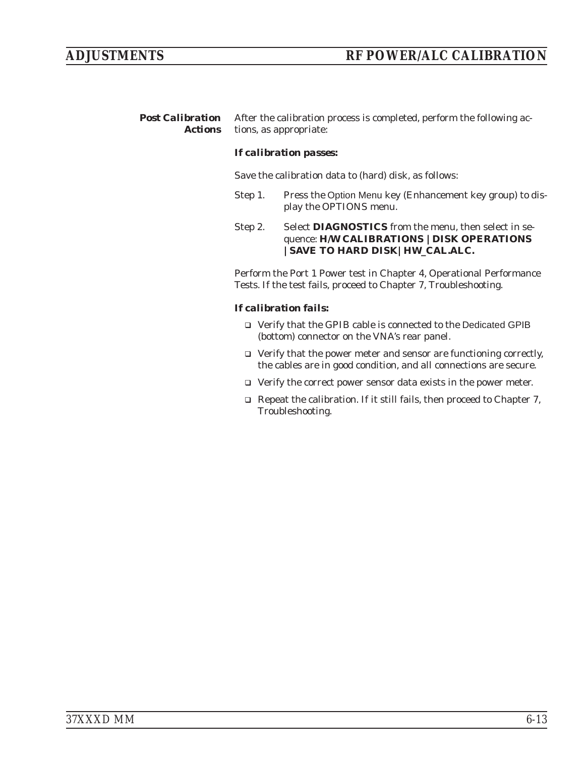*Post Calibration Actions* After the calibration process is completed, perform the following actions, as appropriate:

#### *If calibration passes:*

Save the calibration data to (hard) disk, as follows:

- Step 1. Press the Option Menu key (Enhancement key group) to display the OPTIONS menu.
- Step 2. Select **DIAGNOSTICS** from the menu, then select in sequence: **H/W CALIBRATIONS |DISK OPERATIONS |SAVE TO HARD DISK|HW\_CAL.ALC.**

Perform the Port 1 Power test in Chapter 4, Operational Performance Tests. If the test fails, proceed to Chapter 7, Troubleshooting.

#### *If calibration fails:*

- □ Verify that the GPIB cable is connected to the Dedicated GPIB (bottom) connector on the VNA's rear panel.
- □ Verify that the power meter and sensor are functioning correctly, the cables are in good condition, and all connections are secure.
- □ Verify the correct power sensor data exists in the power meter.
- □ Repeat the calibration. If it still fails, then proceed to Chapter 7, Troubleshooting.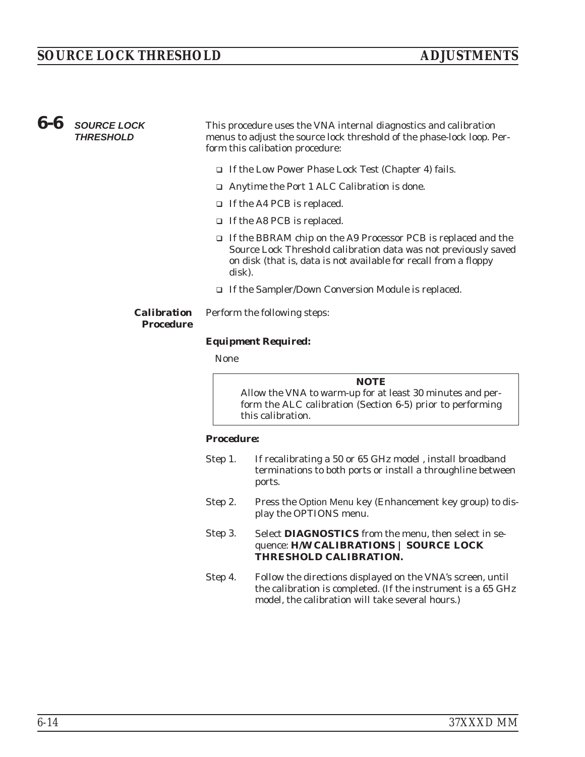*6-6 SOURCE LOCK THRESHOLD*

This procedure uses the VNA internal diagnostics and calibration menus to adjust the source lock threshold of the phase-lock loop. Perform this calibation procedure:

- □ If the Low Power Phase Lock Test (Chapter 4) fails.
- □ Anytime the Port 1 ALC Calibration is done.
- □ If the A4 PCB is replaced.
- □ If the A8 PCB is replaced.
- □ If the BBRAM chip on the A9 Processor PCB is replaced and the Source Lock Threshold calibration data was not previously saved on disk (that is, data is not available for recall from a floppy disk).
- □ If the Sampler/Down Conversion Module is replaced.

#### *Calibration Procedure*

### *Equipment Required:*

Perform the following steps:

None

*NOTE* Allow the VNA to warm-up for at least 30 minutes and perform the ALC calibration (Section 6-5) prior to performing this calibration.

#### *Procedure:*

| Step 1. | If recalibrating a 50 or 65 GHz model, install broadband<br>terminations to both ports or install a throughline between<br>ports.                                              |
|---------|--------------------------------------------------------------------------------------------------------------------------------------------------------------------------------|
| Step 2. | Press the Option Menu key (Enhancement key group) to dis-<br>play the OPTIONS menu.                                                                                            |
| Step 3. | Select DIAGNOSTICS from the menu, then select in se-<br>quence: H/W CALIBRATIONS   SOURCE LOCK<br>THRESHOLD CALIBRATION.                                                       |
| Step 4. | Follow the directions displayed on the VNA's screen, until<br>the calibration is completed. (If the instrument is a 65 GHz<br>model, the calibration will take several hours.) |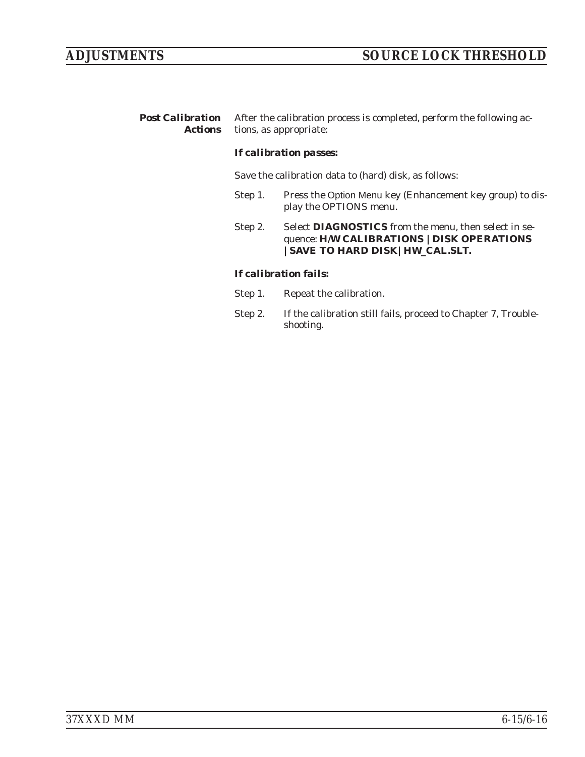*Post Calibration Actions* After the calibration process is completed, perform the following actions, as appropriate:

#### *If calibration passes:*

Save the calibration data to (hard) disk, as follows:

- Step 1. Press the Option Menu key (Enhancement key group) to display the OPTIONS menu.
- Step 2. Select **DIAGNOSTICS** from the menu, then select in sequence: **H/W CALIBRATIONS |DISK OPERATIONS |SAVE TO HARD DISK|HW\_CAL.SLT.**

#### *If calibration fails:*

- Step 1. Repeat the calibration.
- Step 2. If the calibration still fails, proceed to Chapter 7, Troubleshooting.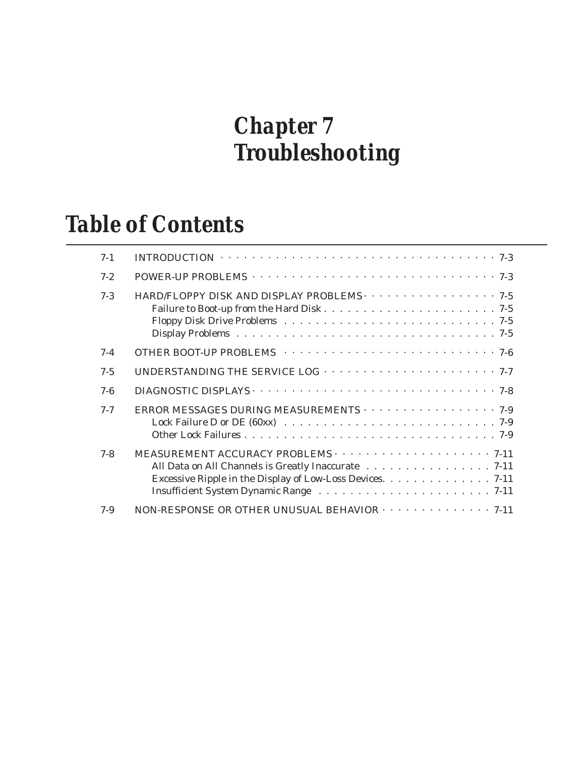### *Chapter 7 Troubleshooting*

### *Table of Contents*

| $7 - 1$ | INTRODUCTION $\cdots \cdots \cdots \cdots \cdots \cdots \cdots \cdots \cdots \cdots \cdots \cdots \cdots$        |
|---------|------------------------------------------------------------------------------------------------------------------|
| $7 - 2$ |                                                                                                                  |
| $7 - 3$ | HARD/FLOPPY DISK AND DISPLAY PROBLEMS 7-5                                                                        |
| $7 - 4$ |                                                                                                                  |
| $7 - 5$ |                                                                                                                  |
| $7 - 6$ |                                                                                                                  |
| $7 - 7$ | ERROR MESSAGES DURING MEASUREMENTS 7-9                                                                           |
| $7 - 8$ | All Data on All Channels is Greatly Inaccurate 7-11<br>Excessive Ripple in the Display of Low-Loss Devices. 7-11 |
| $7 - 9$ | NON-RESPONSE OR OTHER UNUSUAL BEHAVIOR $\cdots$ 7-11                                                             |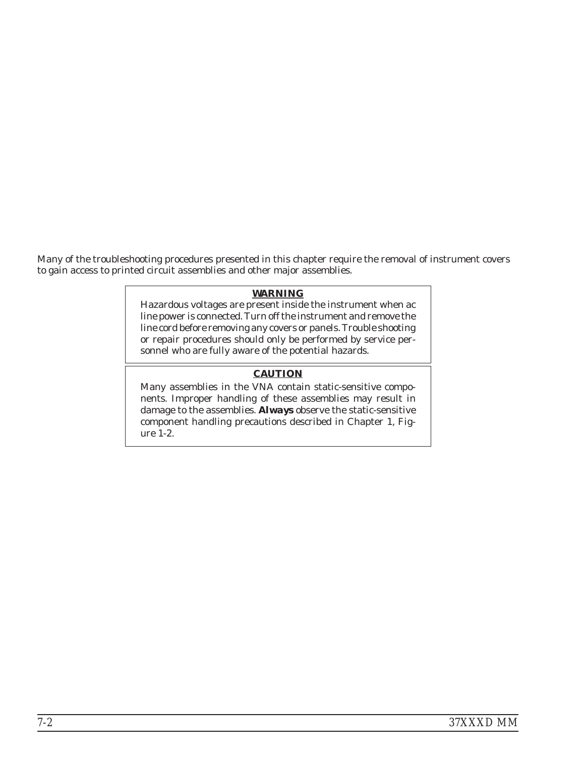Many of the troubleshooting procedures presented in this chapter require the removal of instrument covers to gain access to printed circuit assemblies and other major assemblies.

#### *WARNING*

Hazardous voltages are present inside the instrument when ac line power is connected. Turn off the instrument and remove the line cord before removing any covers or panels. Trouble shooting or repair procedures should only be performed by service personnel who are fully aware of the potential hazards.

### *CAUTION*

Many assemblies in the VNA contain static-sensitive components. Improper handling of these assemblies may result in damage to the assemblies. *Always* observe the static-sensitive component handling precautions described in Chapter 1, Figure 1-2.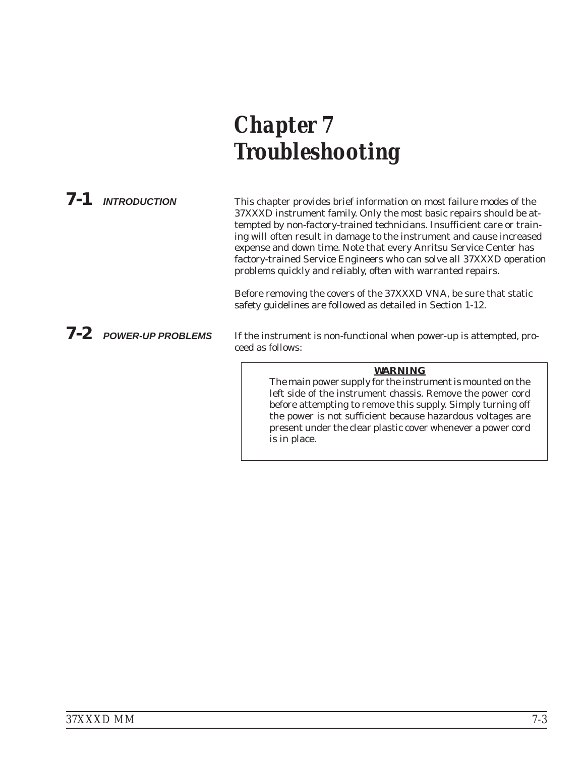# *Chapter 7 Troubleshooting*

*7-1 INTRODUCTION* This chapter provides brief information on most failure modes of the 37XXXD instrument family. Only the most basic repairs should be attempted by non-factory-trained technicians. Insufficient care or training will often result in damage to the instrument and cause increased expense and down time. Note that every Anritsu Service Center has factory-trained Service Engineers who can solve all 37XXXD operation problems quickly and reliably, often with warranted repairs.

> Before removing the covers of the 37XXXD VNA, be sure that static safety guidelines are followed as detailed in Section 1-12.

*7-2 POWER-UP PROBLEMS* If the instrument is non-functional when power-up is attempted, proceed as follows:

#### *WARNING*

The main power supply for the instrument is mounted on the left side of the instrument chassis. Remove the power cord before attempting to remove this supply. Simply turning off the power is not sufficient because hazardous voltages are present under the clear plastic cover whenever a power cord is in place.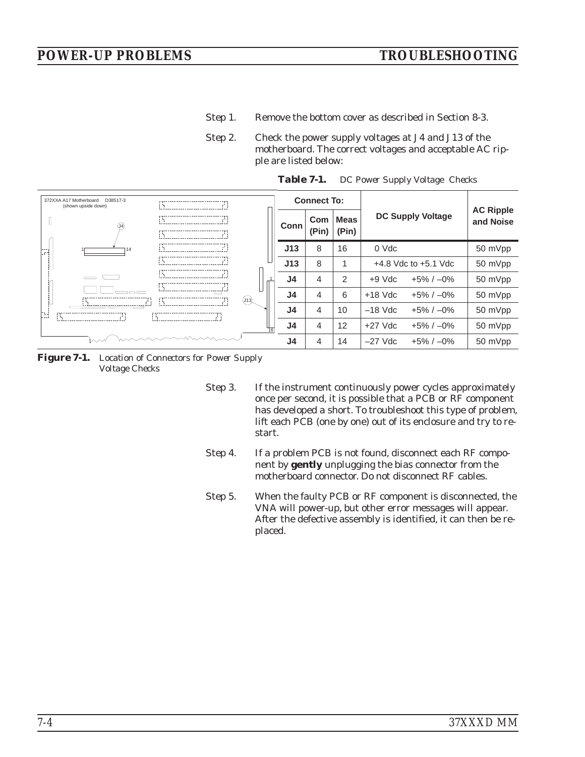- Step 1. Remove the bottom cover as described in Section 8-3.
- Step 2. Check the power supply voltages at J4 and J13 of the motherboard. The correct voltages and acceptable AC ripple are listed below:

| 372XXA A17 Motherboard<br>D38517-3<br>(shown upside down) |            |             | <b>Connect To:</b> |                |              |                      |                          |                          |                               |
|-----------------------------------------------------------|------------|-------------|--------------------|----------------|--------------|----------------------|--------------------------|--------------------------|-------------------------------|
|                                                           |            |             |                    | Conn           | Com<br>(Pin) | <b>Meas</b><br>(Pin) |                          | <b>DC Supply Voltage</b> | <b>AC Ripple</b><br>and Noise |
| $- -$                                                     | 14<br>i ta |             |                    | J13            | 8            | 16                   | 0 Vdc                    |                          | 50 mVpp                       |
|                                                           |            |             |                    | J13            | 8            |                      | $+4.8$ Vdc to $+5.1$ Vdc |                          | 50 mVpp                       |
|                                                           |            |             |                    | J4             | 4            | 2                    | $+9$ Vdc                 | $+5\% / -0\%$            | 50 mVpp                       |
|                                                           |            |             | (J13)              | J <sub>4</sub> | 4            | 6                    | $+18$ Vdc                | $+5\% / -0\%$            | 50 mVpp                       |
| H                                                         |            | i ta<br>i i |                    | J <sub>4</sub> | 4            | 10                   | $-18$ Vdc                | $+5\% / -0\%$            | 50 mVpp                       |
|                                                           |            |             |                    | J <sub>4</sub> | 4            | 12                   | $+27$ Vdc                | $+5\% / -0\%$            | 50 mVpp                       |
|                                                           | mmmmmm     |             |                    | J4             | 4            | 14                   | $-27$ Vdc                | $+5\% / -0\%$            | 50 mVpp                       |

*Table 7-1. DC Power Supply Voltage Checks*

*Figure 7-1. Location of Connectors for Power Supply Voltage Checks*

Step 3. If the instrument continuously power cycles approximately once per second, it is possible that a PCB or RF component has developed a short. To troubleshoot this type of problem, lift each PCB (one by one) out of its enclosure and try to restart.

- Step 4. If a problem PCB is not found, disconnect each RF component by **gently** unplugging the bias connector from the motherboard connector. Do not disconnect RF cables.
- Step 5. When the faulty PCB or RF component is disconnected, the VNA will power-up, but other error messages will appear. After the defective assembly is identified, it can then be replaced.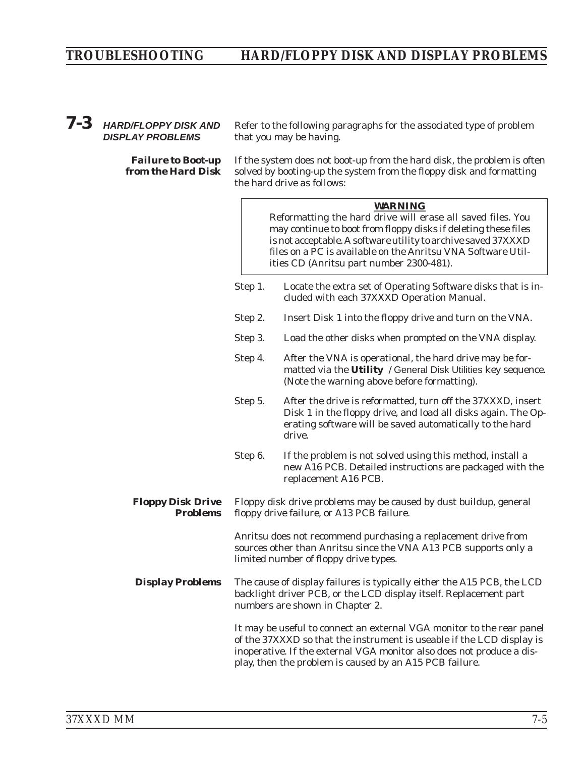# *TROUBLESHOOTING HARD/FLOPPY DISK AND DISPLAY PROBLEMS*

## *7-3 HARD/FLOPPY DISK AND DISPLAY PROBLEMS*

*Failure to Boot-up from the Hard Disk*

Refer to the following paragraphs for the associated type of problem that you may be having.

If the system does not boot-up from the hard disk, the problem is often solved by booting-up the system from the floppy disk and formatting the hard drive as follows:

#### *WARNING*

Reformatting the hard drive will erase all saved files. You may continue to boot from floppy disks if deleting these files is not acceptable. A software utility to archive saved 37XXXD files on a PC is available on the Anritsu VNA Software Utilities CD (Anritsu part number 2300-481).

- Step 1. Locate the extra set of Operating Software disks that is included with each 37XXXD Operation Manual.
- Step 2. Insert Disk 1 into the floppy drive and turn on the VNA.
- Step 3. Load the other disks when prompted on the VNA display.
- Step 4. After the VNA is operational, the hard drive may be formatted via the **Utility** / General Disk Utilities key sequence. (Note the warning above before formatting).
- Step 5. After the drive is reformatted, turn off the 37XXXD, insert Disk 1 in the floppy drive, and load all disks again. The Operating software will be saved automatically to the hard drive.
- Step 6. If the problem is not solved using this method, install a new A16 PCB. Detailed instructions are packaged with the replacement A16 PCB.

#### *Floppy Disk Drive Problems* Floppy disk drive problems may be caused by dust buildup, general floppy drive failure, or A13 PCB failure.

Anritsu does not recommend purchasing a replacement drive from sources other than Anritsu since the VNA A13 PCB supports only a limited number of floppy drive types.

**Display Problems** The cause of display failures is typically either the A15 PCB, the LCD backlight driver PCB, or the LCD display itself. Replacement part numbers are shown in Chapter 2.

> It may be useful to connect an external VGA monitor to the rear panel of the 37XXXD so that the instrument is useable if the LCD display is inoperative. If the external VGA monitor also does not produce a display, then the problem is caused by an A15 PCB failure.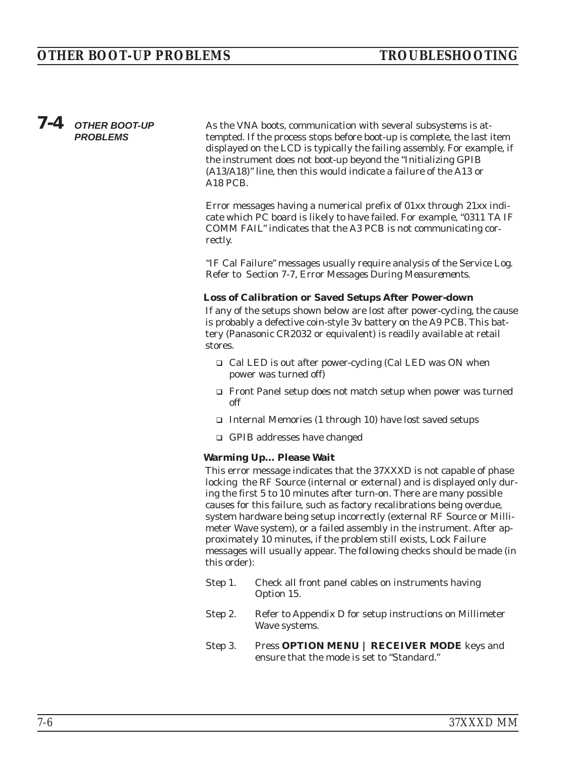# *7-4 OTHER BOOT-UP PROBLEMS*

As the VNA boots, communication with several subsystems is attempted. If the process stops before boot-up is complete, the last item displayed on the LCD is typically the failing assembly. For example, if the instrument does not boot-up beyond the "Initializing GPIB (A13/A18)" line, then this would indicate a failure of the A13 or A18 PCB.

Error messages having a numerical prefix of 01xx through 21xx indicate which PC board is likely to have failed. For example, "0311 TA IF COMM FAIL" indicates that the A3 PCB is not communicating correctly.

"IF Cal Failure" messages usually require analysis of the Service Log. Refer to Section 7-7, *Error Messages During Measurements*.

#### **Loss of Calibration or Saved Setups After Power-down**

If any of the setups shown below are lost after power-cycling, the cause is probably a defective coin-style 3v battery on the A9 PCB. This battery (Panasonic CR2032 or equivalent) is readily available at retail stores.

- □ Cal LED is out after power-cycling (Cal LED was ON when power was turned off)
- □ Front Panel setup does not match setup when power was turned off
- □ Internal Memories (1 through 10) have lost saved setups
- □ GPIB addresses have changed

#### **Warming Up… Please Wait**

This error message indicates that the 37XXXD is not capable of phase locking the RF Source (internal or external) and is displayed only during the first 5 to 10 minutes after turn-on. There are many possible causes for this failure, such as factory recalibrations being overdue, system hardware being setup incorrectly (external RF Source or Millimeter Wave system), or a failed assembly in the instrument. After approximately 10 minutes, if the problem still exists, Lock Failure messages will usually appear. The following checks should be made (in this order):

- Step 1. Check all front panel cables on instruments having Option 15.
- Step 2. Refer to Appendix D for setup instructions on Millimeter Wave systems.
- Step 3. Press **OPTION MENU | RECEIVER MODE** keys and ensure that the mode is set to "Standard."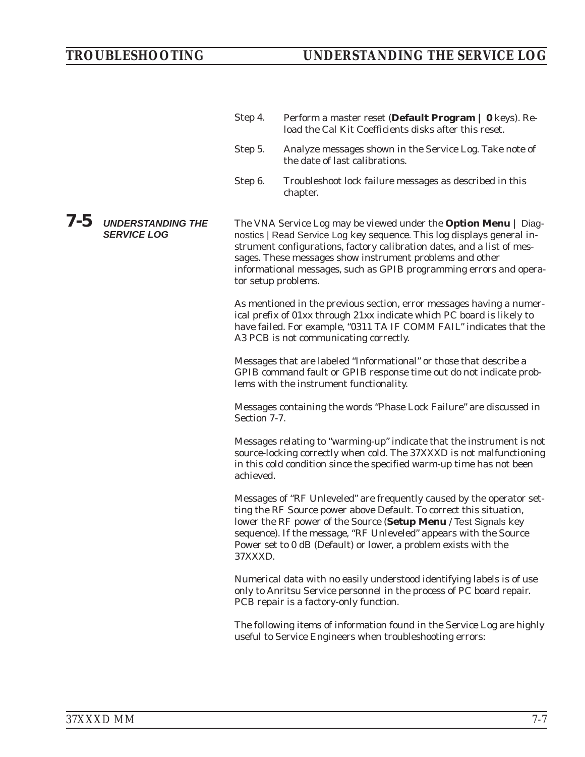Step 4. Perform a master reset (**Default Program | 0** keys). Reload the Cal Kit Coefficients disks after this reset.

Step 5. Analyze messages shown in the Service Log. Take note of the date of last calibrations. Step 6. Troubleshoot lock failure messages as described in this chapter. *7-5 UNDERSTANDING THE SERVICE LOG* The VNA Service Log may be viewed under the **Option Menu** | Diagnostics | Read Service Log key sequence. This log displays general instrument configurations, factory calibration dates, and a list of messages. These messages show instrument problems and other informational messages, such as GPIB programming errors and operator setup problems. As mentioned in the previous section, error messages having a numerical prefix of 01xx through 21xx indicate which PC board is likely to have failed. For example, "0311 TA IF COMM FAIL" indicates that the A3 PCB is not communicating correctly. Messages that are labeled "Informational" or those that describe a GPIB command fault or GPIB response time out do not indicate problems with the instrument functionality. Messages containing the words "Phase Lock Failure" are discussed in Section 7-7. Messages relating to "warming-up" indicate that the instrument is not source-locking correctly when cold. The 37XXXD is not malfunctioning in this cold condition since the specified warm-up time has not been achieved. Messages of "RF Unleveled" are frequently caused by the operator setting the RF Source power above Default. To correct this situation, lower the RF power of the Source (**Setup Menu** / Test Signals key sequence). If the message, "RF Unleveled" appears with the Source Power set to 0 dB (Default) or lower, a problem exists with the 37XXXD. Numerical data with no easily understood identifying labels is of use only to Anritsu Service personnel in the process of PC board repair. PCB repair is a factory-only function. The following items of information found in the Service Log are highly useful to Service Engineers when troubleshooting errors: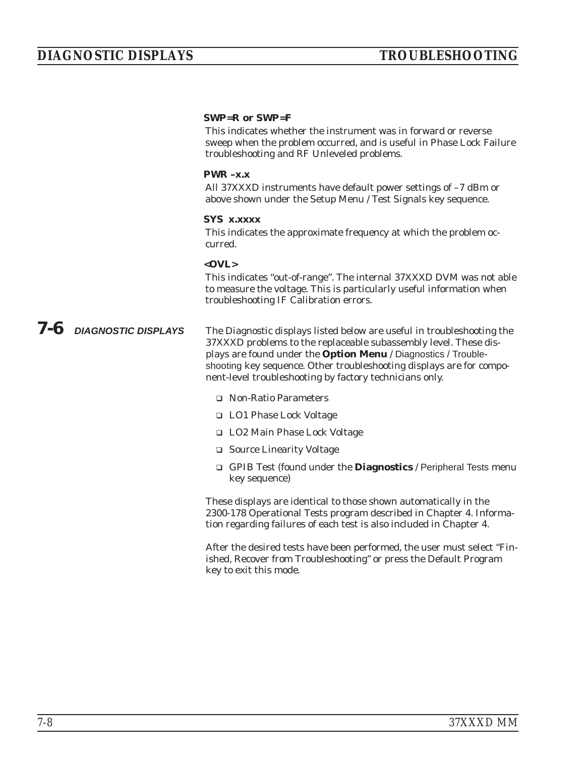#### **SWP=R or SWP=F**

This indicates whether the instrument was in forward or reverse sweep when the problem occurred, and is useful in Phase Lock Failure troubleshooting and RF Unleveled problems.

#### **PWR –x.x**

All 37XXXD instruments have default power settings of –7 dBm or above shown under the Setup Menu / Test Signals key sequence.

#### **SYS x.xxxx**

This indicates the approximate frequency at which the problem occurred.

#### **<OVL>**

This indicates "out-of-range". The internal 37XXXD DVM was not able to measure the voltage. This is particularly useful information when troubleshooting IF Calibration errors.

### *7-6 DIAGNOSTIC DISPLAYS* The Diagnostic displays listed below are useful in troubleshooting the 37XXXD problems to the replaceable subassembly level. These displays are found under the **Option Menu** / Diagnostics / Troubleshooting key sequence. Other troubleshooting displays are for component-level troubleshooting by factory technicians only.

- □ Non-Ratio Parameters
- □ LO1 Phase Lock Voltage
- □ LO2 Main Phase Lock Voltage
- □ Source Linearity Voltage
- □ GPIB Test (found under the **Diagnostics** / Peripheral Tests menu key sequence)

These displays are identical to those shown automatically in the 2300-178 Operational Tests program described in Chapter 4. Information regarding failures of each test is also included in Chapter 4.

After the desired tests have been performed, the user must select "Finished, Recover from Troubleshooting" or press the Default Program key to exit this mode.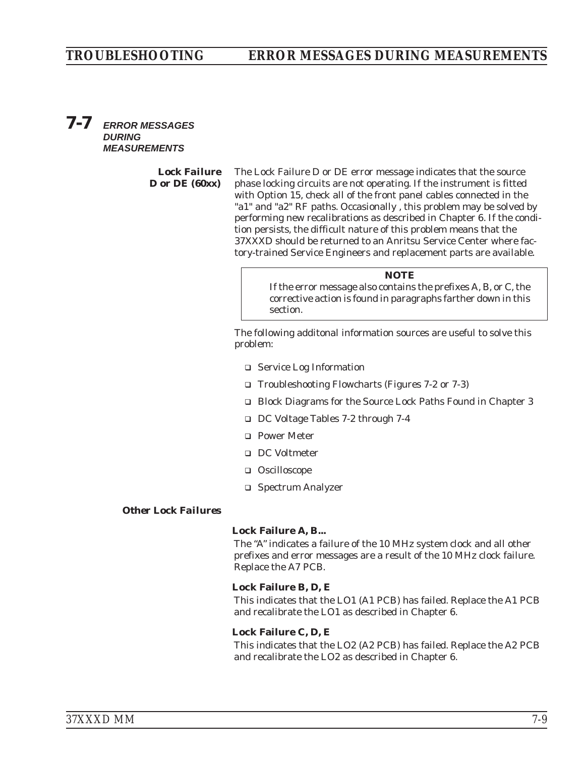### *TROUBLESHOOTING ERROR MESSAGES DURING MEASUREMENTS*

### *7-7 ERROR MESSAGES DURING MEASUREMENTS*

*Lock Failure D or DE (60xx)*

The Lock Failure D or DE error message indicates that the source phase locking circuits are not operating. If the instrument is fitted with Option 15, check all of the front panel cables connected in the "a1" and "a2" RF paths. Occasionally , this problem may be solved by performing new recalibrations as described in Chapter 6. If the condition persists, the difficult nature of this problem means that the 37XXXD should be returned to an Anritsu Service Center where factory-trained Service Engineers and replacement parts are available.

#### *NOTE*

If the error message also contains the prefixes A, B, or C, the corrective action is found in paragraphs farther down in this section.

The following additonal information sources are useful to solve this problem:

- □ Service Log Information
- □ Troubleshooting Flowcharts (Figures 7-2 or 7-3)
- □ Block Diagrams for the Source Lock Paths Found in Chapter 3
- DC Voltage Tables 7-2 through 7-4
- Power Meter
- DC Voltmeter
- □ Oscilloscope
- □ Spectrum Analyzer

#### *Other Lock Failures*

#### **Lock Failure A, B...**

The "A" indicates a failure of the 10 MHz system clock and all other prefixes and error messages are a result of the 10 MHz clock failure. Replace the A7 PCB.

#### **Lock Failure B, D, E**

This indicates that the LO1 (A1 PCB) has failed. Replace the A1 PCB and recalibrate the LO1 as described in Chapter 6.

#### **Lock Failure C, D, E**

This indicates that the LO2 (A2 PCB) has failed. Replace the A2 PCB and recalibrate the LO2 as described in Chapter 6.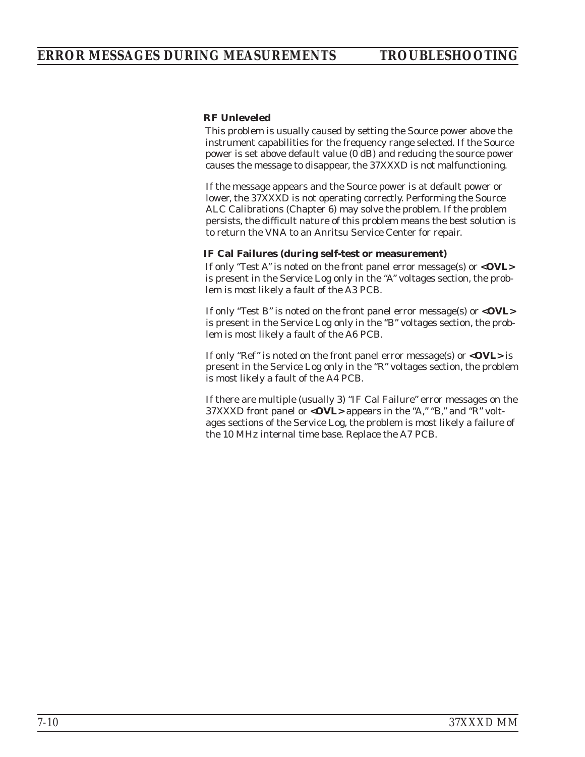#### **RF Unleveled**

This problem is usually caused by setting the Source power above the instrument capabilities for the frequency range selected. If the Source power is set above default value (0 dB) and reducing the source power causes the message to disappear, the 37XXXD is not malfunctioning.

If the message appears and the Source power is at default power or lower, the 37XXXD is not operating correctly. Performing the Source ALC Calibrations (Chapter 6) may solve the problem. If the problem persists, the difficult nature of this problem means the best solution is to return the VNA to an Anritsu Service Center for repair.

#### **IF Cal Failures (during self-test or measurement)**

If only "Test A" is noted on the front panel error message(s) or **<OVL>** is present in the Service Log only in the "A" voltages section, the problem is most likely a fault of the A3 PCB.

If only "Test B" is noted on the front panel error message(s) or **<OVL>** is present in the Service Log only in the "B" voltages section, the problem is most likely a fault of the A6 PCB.

If only "Ref" is noted on the front panel error message(s) or  $\langle$ OVL> is present in the Service Log only in the "R" voltages section, the problem is most likely a fault of the A4 PCB.

If there are multiple (usually 3) "IF Cal Failure" error messages on the 37XXXD front panel or **<OVL>** appears in the "A," "B," and "R" voltages sections of the Service Log, the problem is most likely a failure of the 10 MHz internal time base. Replace the A7 PCB.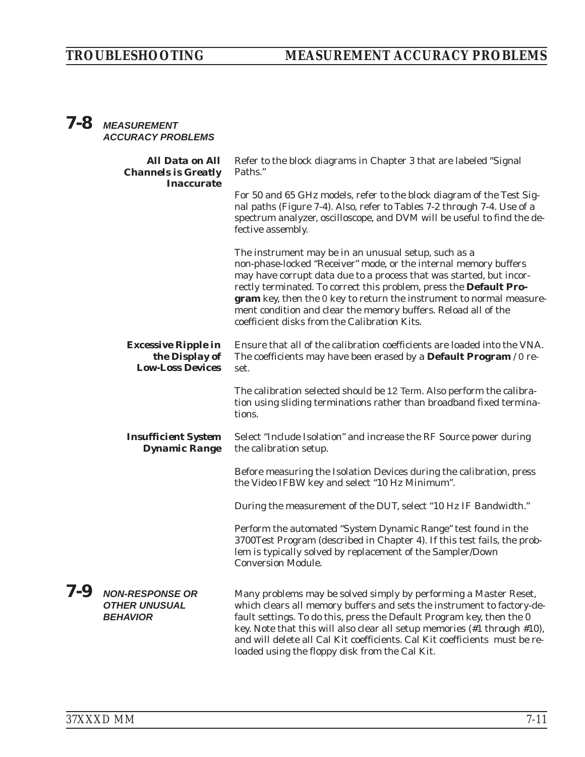# *TROUBLESHOOTING MEASUREMENT ACCURACY PROBLEMS*

# *7-8 MEASUREMENT ACCURACY PROBLEMS*

|     | <b>All Data on All</b><br><b>Channels is Greatly</b><br><b>Inaccurate</b> | Refer to the block diagrams in Chapter 3 that are labeled "Signal<br>Paths."                                                                                                                                                                                                                                                                                                                                                                                    |
|-----|---------------------------------------------------------------------------|-----------------------------------------------------------------------------------------------------------------------------------------------------------------------------------------------------------------------------------------------------------------------------------------------------------------------------------------------------------------------------------------------------------------------------------------------------------------|
|     |                                                                           | For 50 and 65 GHz models, refer to the block diagram of the Test Sig-<br>nal paths (Figure 7-4). Also, refer to Tables 7-2 through 7-4. Use of a<br>spectrum analyzer, oscilloscope, and DVM will be useful to find the de-<br>fective assembly.                                                                                                                                                                                                                |
|     |                                                                           | The instrument may be in an unusual setup, such as a<br>non-phase-locked "Receiver" mode, or the internal memory buffers<br>may have corrupt data due to a process that was started, but incor-<br>rectly terminated. To correct this problem, press the Default Pro-<br>gram key, then the 0 key to return the instrument to normal measure-<br>ment condition and clear the memory buffers. Reload all of the<br>coefficient disks from the Calibration Kits. |
|     | <b>Excessive Ripple in</b><br>the Display of<br><b>Low-Loss Devices</b>   | Ensure that all of the calibration coefficients are loaded into the VNA.<br>The coefficients may have been erased by a Default Program / 0 re-<br>set.                                                                                                                                                                                                                                                                                                          |
|     |                                                                           | The calibration selected should be 12 Term. Also perform the calibra-<br>tion using sliding terminations rather than broadband fixed termina-<br>tions.                                                                                                                                                                                                                                                                                                         |
|     | <b>Insufficient System</b><br><b>Dynamic Range</b>                        | Select "Include Isolation" and increase the RF Source power during<br>the calibration setup.                                                                                                                                                                                                                                                                                                                                                                    |
|     |                                                                           | Before measuring the Isolation Devices during the calibration, press<br>the Video IFBW key and select "10 Hz Minimum".                                                                                                                                                                                                                                                                                                                                          |
|     |                                                                           | During the measurement of the DUT, select "10 Hz IF Bandwidth."                                                                                                                                                                                                                                                                                                                                                                                                 |
|     |                                                                           | Perform the automated "System Dynamic Range" test found in the<br>3700Test Program (described in Chapter 4). If this test fails, the prob-<br>lem is typically solved by replacement of the Sampler/Down<br><b>Conversion Module.</b>                                                                                                                                                                                                                           |
| 7-9 | <b>NON-RESPONSE OR</b><br><b>OTHER UNUSUAL</b><br><b>BEHAVIOR</b>         | Many problems may be solved simply by performing a Master Reset,<br>which clears all memory buffers and sets the instrument to factory-de-<br>fault settings. To do this, press the Default Program key, then the 0<br>key. Note that this will also clear all setup memories (#1 through #10),<br>and will delete all Cal Kit coefficients. Cal Kit coefficients must be re-<br>loaded using the floppy disk from the Cal Kit.                                 |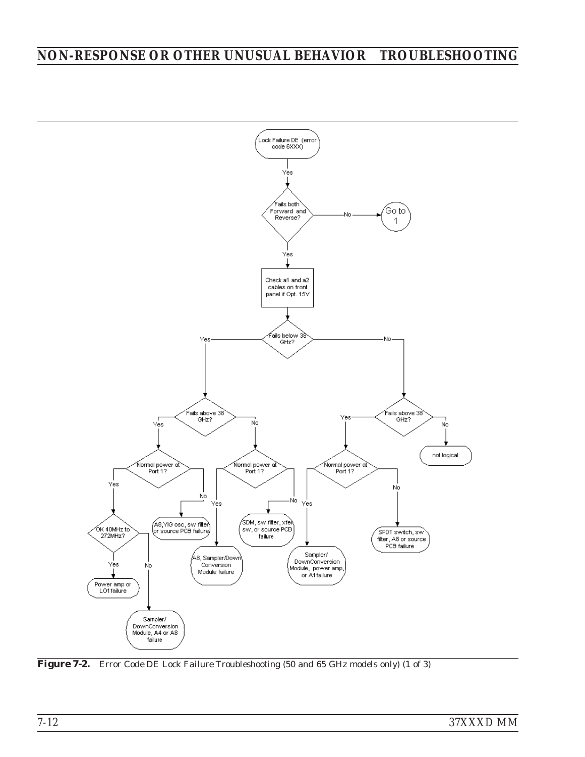# *NON-RESPONSE OR OTHER UNUSUAL BEHAVIOR TROUBLESHOOTING*



*Figure 7-2. Error Code DE Lock Failure Troubleshooting (50 and 65 GHz models only) (1 of 3)*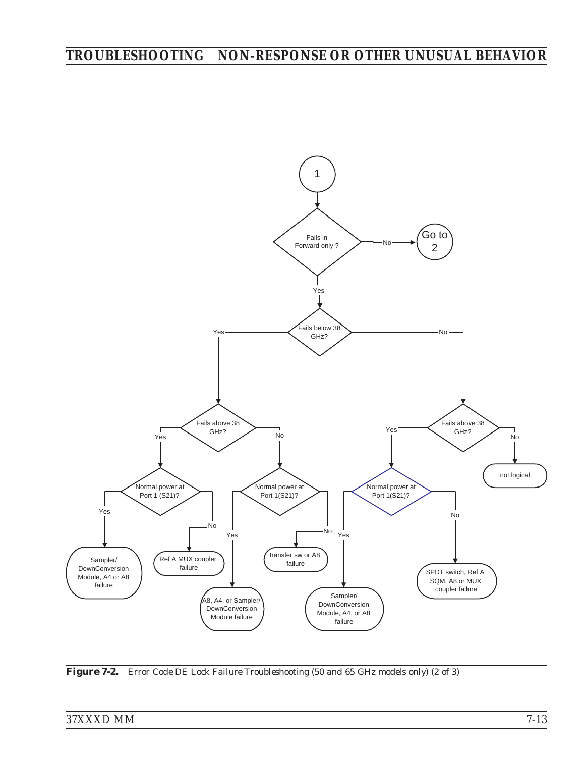# *TROUBLESHOOTING NON-RESPONSE OR OTHER UNUSUAL BEHAVIOR*



*Figure 7-2. Error Code DE Lock Failure Troubleshooting (50 and 65 GHz models only) (2 of 3)*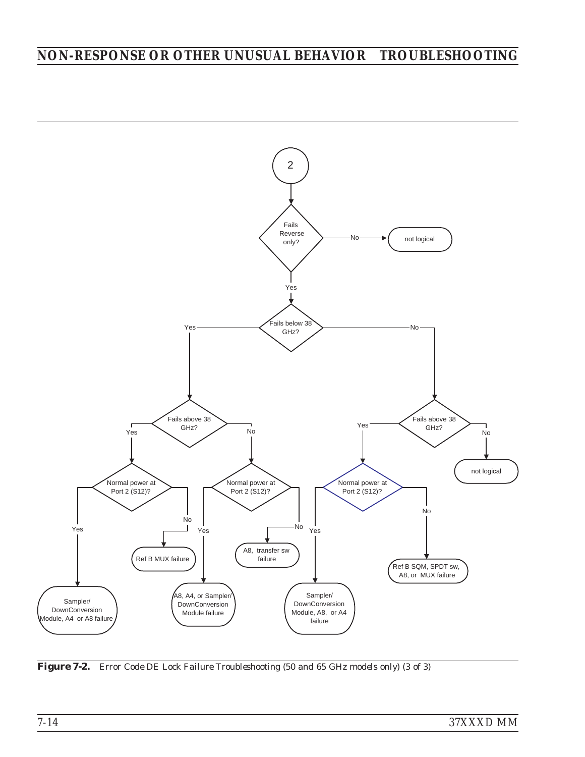# *NON-RESPONSE OR OTHER UNUSUAL BEHAVIOR TROUBLESHOOTING*



*Figure 7-2. Error Code DE Lock Failure Troubleshooting (50 and 65 GHz models only) (3 of 3)*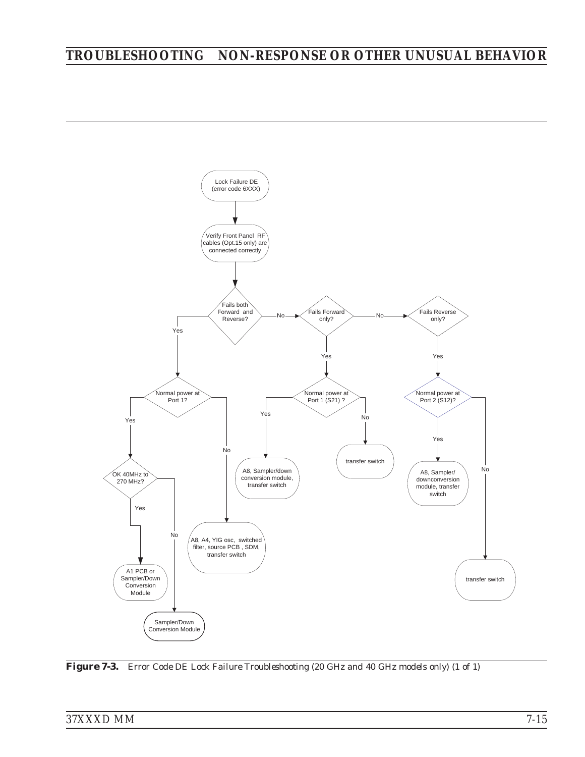# *TROUBLESHOOTING NON-RESPONSE OR OTHER UNUSUAL BEHAVIOR*



*Figure 7-3. Error Code DE Lock Failure Troubleshooting (20 GHz and 40 GHz models only) (1 of 1)*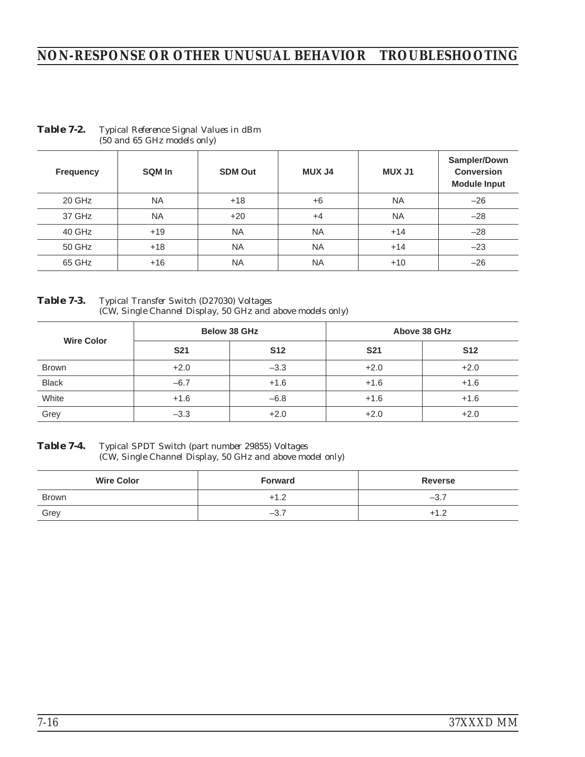# *NON-RESPONSE OR OTHER UNUSUAL BEHAVIOR TROUBLESHOOTING*

| <b>Frequency</b> | SQM In    | <b>SDM Out</b> | <b>MUX J4</b> | <b>MUX J1</b> | Sampler/Down<br><b>Conversion</b><br><b>Module Input</b> |
|------------------|-----------|----------------|---------------|---------------|----------------------------------------------------------|
| 20 GHz           | <b>NA</b> | $+18$          | $+6$          | <b>NA</b>     | $-26$                                                    |
| 37 GHz           | <b>NA</b> | $+20$          | $+4$          | <b>NA</b>     | $-28$                                                    |
| 40 GHz           | $+19$     | <b>NA</b>      | <b>NA</b>     | $+14$         | $-28$                                                    |
| 50 GHz           | $+18$     | <b>NA</b>      | <b>NA</b>     | $+14$         | $-23$                                                    |
| 65 GHz           | $+16$     | <b>NA</b>      | <b>NA</b>     | $+10$         | $-26$                                                    |

#### *Table 7-2. Typical Reference Signal Values in dBm (50 and 65 GHz models only)*

*Table 7-3. Typical Transfer Switch (D27030) Voltages (CW, Single Channel Display, 50 GHz and above models only)*

|                   | Below 38 GHz |            | Above 38 GHz |            |
|-------------------|--------------|------------|--------------|------------|
| <b>Wire Color</b> | <b>S21</b>   | <b>S12</b> | <b>S21</b>   | <b>S12</b> |
| <b>Brown</b>      | $+2.0$       | $-3.3$     | $+2.0$       | $+2.0$     |
| <b>Black</b>      | $-6.7$       | $+1.6$     | $+1.6$       | $+1.6$     |
| White             | $+1.6$       | $-6.8$     | $+1.6$       | $+1.6$     |
| Grey              | $-3.3$       | $+2.0$     | $+2.0$       | $+2.0$     |

*Table 7-4. Typical SPDT Switch (part number 29855) Voltages (CW, Single Channel Display, 50 GHz and above model only)*

| <b>Wire Color</b> | <b>Forward</b> | Reverse |
|-------------------|----------------|---------|
| <b>Brown</b>      | $+1.2$         | $-3.$   |
| Grey              | $-3.7$         | ⊥ 1     |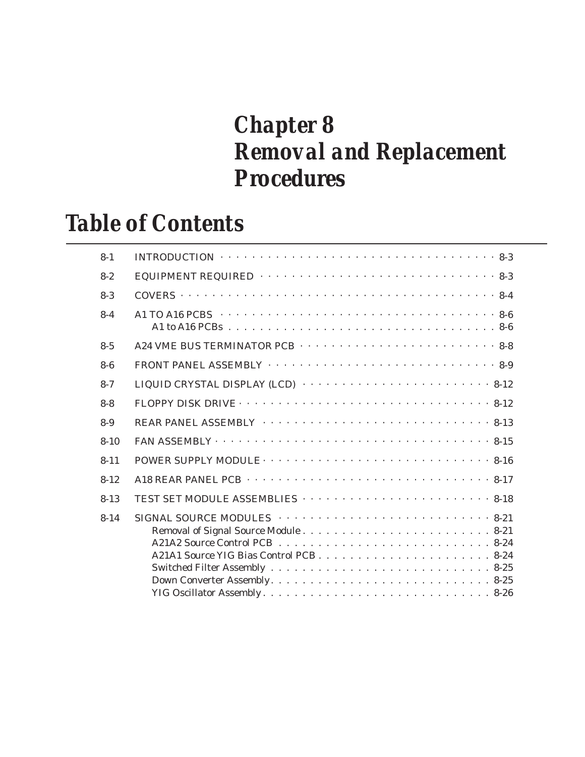# *Chapter 8 Removal and Replacement Procedures*

# *Table of Contents*

| $8 - 1$  | INTRODUCTION $\cdots \cdots \cdots \cdots \cdots \cdots \cdots \cdots \cdots \cdots \cdots \cdots 8-3$                     |
|----------|----------------------------------------------------------------------------------------------------------------------------|
| $8 - 2$  | EQUIPMENT REQUIRED $\cdots \cdots \cdots \cdots \cdots \cdots \cdots \cdots \cdots \cdots \cdots 8-3$                      |
| $8 - 3$  |                                                                                                                            |
| $8 - 4$  |                                                                                                                            |
| $8 - 5$  |                                                                                                                            |
| $8-6$    |                                                                                                                            |
| $8 - 7$  | LIQUID CRYSTAL DISPLAY (LCD) $\cdots \cdots \cdots \cdots \cdots \cdots \cdots \cdots \cdots 8-12$                         |
| $8 - 8$  |                                                                                                                            |
| $8-9$    |                                                                                                                            |
| $8 - 10$ |                                                                                                                            |
| $8 - 11$ | POWER SUPPLY MODULE $\cdots \cdots \cdots \cdots \cdots \cdots \cdots \cdots \cdots \cdots \cdots 8-16$                    |
| $8 - 12$ |                                                                                                                            |
| $8 - 13$ |                                                                                                                            |
| $8 - 14$ | SIGNAL SOURCE MODULES $\cdots \cdots \cdots \cdots \cdots \cdots \cdots \cdots \cdots 8-21$<br>Down Converter Assembly8-25 |
|          |                                                                                                                            |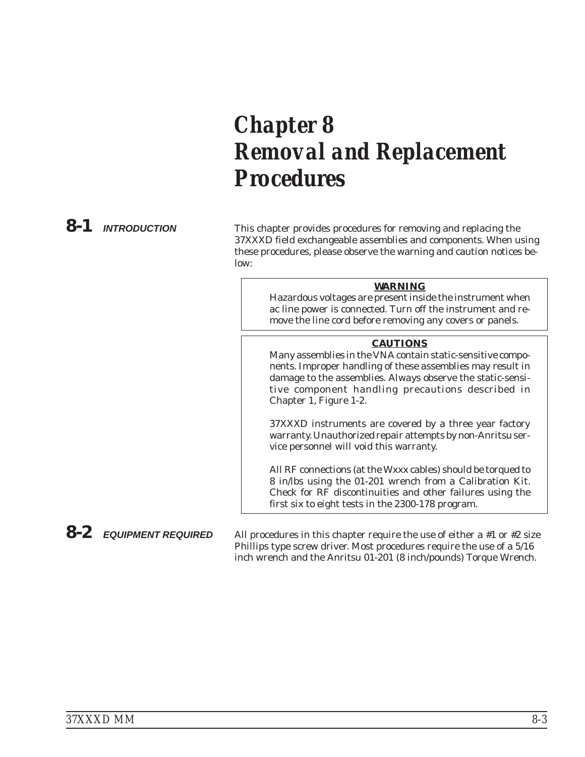# *Chapter 8 Removal and Replacement Procedures*

*8-1 INTRODUCTION* This chapter provides procedures for removing and replacing the 37XXXD field exchangeable assemblies and components. When using these procedures, please observe the warning and caution notices below:

### *WARNING*

Hazardous voltages are present inside the instrument when ac line power is connected. Turn off the instrument and remove the line cord before removing any covers or panels.

#### *CAUTIONS*

Many assemblies in the VNA contain static-sensitive components. Improper handling of these assemblies may result in damage to the assemblies. *Always* observe the static-sensitive component handling precautions described in Chapter 1, Figure 1-2.

37XXXD instruments are covered by a three year factory warranty. Unauthorized repair attempts by non-Anritsu service personnel will void this warranty.

All RF connections (at the Wxxx cables) should be torqued to 8 in/lbs using the 01-201 wrench from a Calibration Kit. Check for RF discontinuities and other failures using the first six to eight tests in the 2300-178 program.

*8-2 EQUIPMENT REQUIRED* All procedures in this chapter require the use of either a #1 or #2 size Phillips type screw driver. Most procedures require the use of a 5/16 inch wrench and the Anritsu 01-201 (8 inch/pounds) Torque Wrench.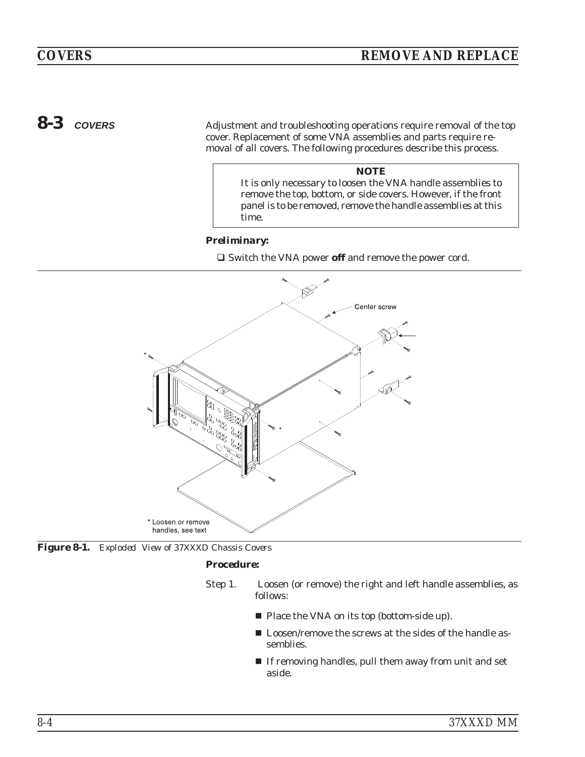<span id="page-123-0"></span>8-3 *COVERS* Adjustment and troubleshooting operations require removal of the top cover. Replacement of some VNA assemblies and parts require removal of all covers. The following procedures describe this process.

> *NOTE* It is only necessary to loosen the VNA handle assemblies to remove the top, bottom, or side covers. However, if the front

> panel is to be removed, remove the handle assemblies at this

# *Preliminary:*

time.

□ Switch the VNA power off and remove the power cord.





#### *Procedure:*

- Step 1. Loosen (or remove) the right and left handle assemblies, as follows:
	- Place the VNA on its top (bottom-side up).
	- **Loosen/remove the screws at the sides of the handle as**semblies.
	- If removing handles, pull them away from unit and set aside.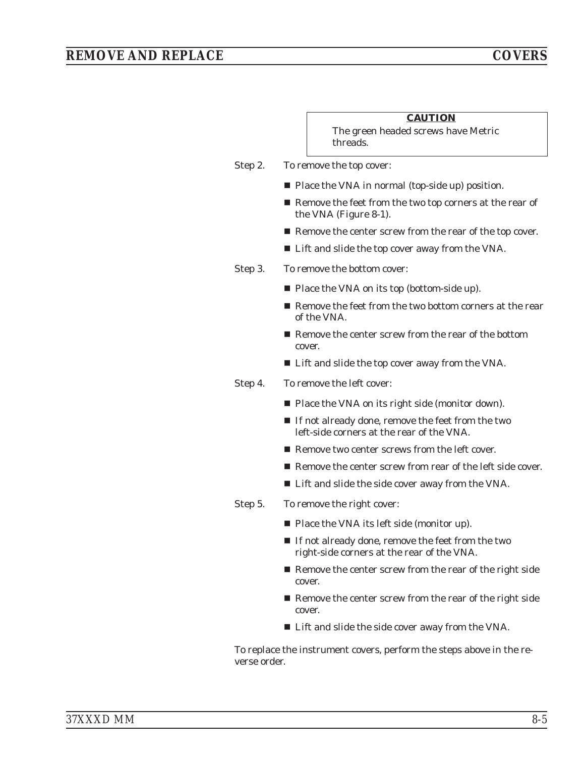# *REMOVE AND REPLACE COVERS*

|         | <b>CAUTION</b><br>The green headed screws have Metric                                            |
|---------|--------------------------------------------------------------------------------------------------|
|         | threads.                                                                                         |
| Step 2. | To remove the top cover:                                                                         |
|         | Place the VNA in normal (top-side up) position.                                                  |
|         | ■ Remove the feet from the two top corners at the rear of<br>the VNA (Figure 8-1).               |
|         | ■ Remove the center screw from the rear of the top cover.                                        |
|         | ■ Lift and slide the top cover away from the VNA.                                                |
| Step 3. | To remove the bottom cover:                                                                      |
|         | ■ Place the VNA on its top (bottom-side up).                                                     |
|         | Remove the feet from the two bottom corners at the rear<br>of the VNA.                           |
|         | ■ Remove the center screw from the rear of the bottom<br>cover.                                  |
|         | ■ Lift and slide the top cover away from the VNA.                                                |
| Step 4. | To remove the left cover:                                                                        |
|         | ■ Place the VNA on its right side (monitor down).                                                |
|         | ■ If not already done, remove the feet from the two<br>left-side corners at the rear of the VNA. |
|         | ■ Remove two center screws from the left cover.                                                  |
|         | ■ Remove the center screw from rear of the left side cover.                                      |
|         | ■ Lift and slide the side cover away from the VNA.                                               |
| Step 5. | To remove the right cover:                                                                       |
|         | $\blacksquare$ Place the VNA its left side (monitor up).                                         |
|         | If not already done, remove the feet from the two<br>right-side corners at the rear of the VNA.  |
|         | ■ Remove the center screw from the rear of the right side<br>cover.                              |
|         | ■ Remove the center screw from the rear of the right side<br>cover.                              |
|         | ■ Lift and slide the side cover away from the VNA.                                               |
|         | To replace the instrument covers, perform the steps above in the re-                             |

*37XXXD MM 8-5*

verse order.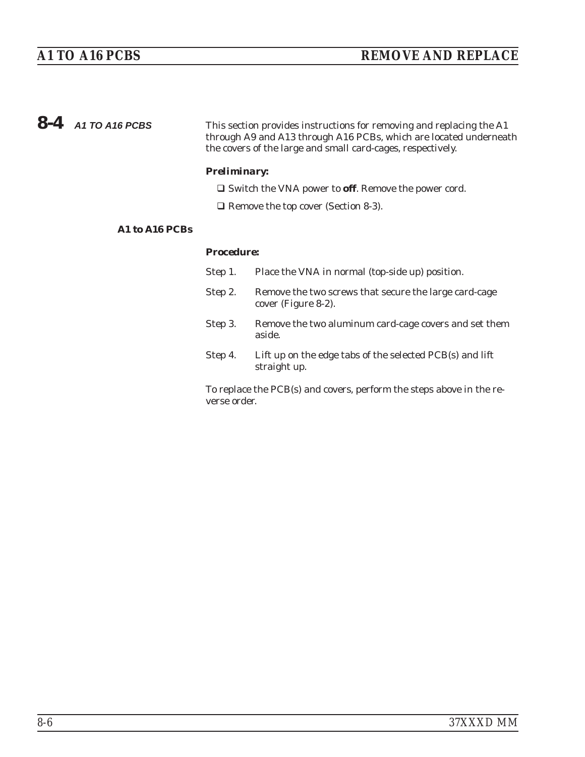| $8-4$ A1 TO A16 PCBS | This section provides instructions for removing and replacing the A1 |
|----------------------|----------------------------------------------------------------------|
|                      | through A9 and A13 through A16 PCBs, which are located underneath    |
|                      | the covers of the large and small card-cages, respectively.          |

### *Preliminary:*

□ Switch the VNA power to off. Remove the power cord.

□ Remove the top cover (Section [8-3\)](#page-123-0).

### *A1 to A16 PCBs*

#### *Procedure:*

| Step 1.      | Place the VNA in normal (top-side up) position.                              |
|--------------|------------------------------------------------------------------------------|
| Step 2.      | Remove the two screws that secure the large card-cage<br>cover (Figure 8-2). |
| Step 3.      | Remove the two aluminum card-cage covers and set them<br>aside.              |
| Step 4.      | Lift up on the edge tabs of the selected PCB(s) and lift<br>straight up.     |
| verse order. | To replace the PCB(s) and covers, perform the steps above in the re-         |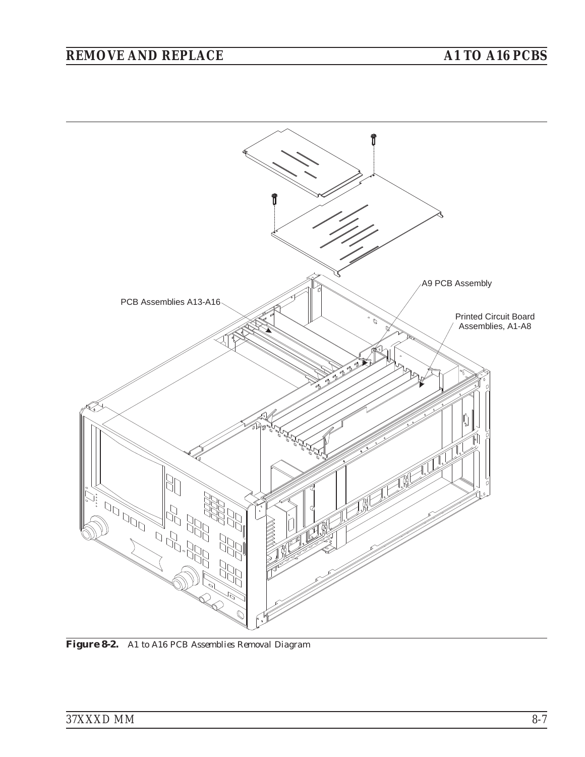# <span id="page-126-0"></span>*REMOVE AND REPLACE A1 TO A16 PCBS*



*Figure 8[-2.](#page-126-0) A1 to A16 PCB Assemblies Removal Diagram*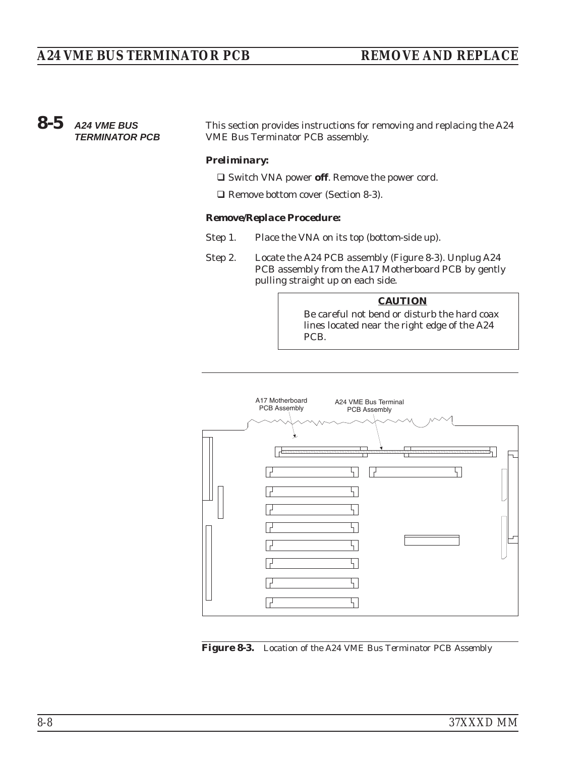# <span id="page-127-0"></span>*8-5 A24 VME BUS TERMINATOR PCB*

This section provides instructions for removing and replacing the A24 VME Bus Terminator PCB assembly.

#### *Preliminary:*

- □ Switch VNA power off. Remove the power cord.
- □ Remove bottom cover (Section [8-3\)](#page-123-0).

#### *Remove/Replace Procedure:*

- Step 1. Place the VNA on its top (bottom-side up).
- Step 2. Locate the A24 PCB assembly (Figure 8[-3\)](#page-127-0). Unplug A24 PCB assembly from the A17 Motherboard PCB by gently pulling straight up on each side.

#### *CAUTION*

Be careful not bend or disturb the hard coax lines located near the right edge of the A24 PCB.



*Figure 8[-3.](#page-127-0) Location of the A24 VME Bus Terminator PCB Assembly*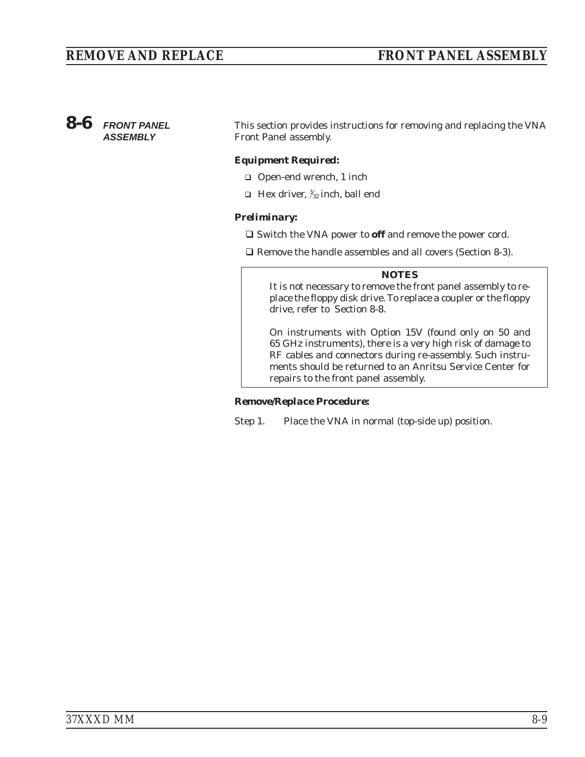### *8-6 FRONT PANEL ASSEMBLY*

This section provides instructions for removing and replacing the VNA Front Panel assembly.

### *Equipment Required:*

- □ Open-end wrench, 1 inch
- $\Box$  Hex driver,  $\frac{3}{2}$  inch, ball end

### *Preliminary:*

- Switch the VNA power to **off** and remove the power cord.

□ Remove the handle assembles and all covers (Section [8-3](#page-123-0)).

#### *NOTES*

It is not necessary to remove the front panel assembly to replace the floppy disk drive. To replace a coupler or the floppy drive, refer to Section 8-8.

On instruments with Option 15V (found only on 50 and 65 GHz instruments), there is a very high risk of damage to RF cables and connectors during re-assembly. Such instruments should be returned to an Anritsu Service Center for repairs to the front panel assembly.

### *Remove/Replace Procedure:*

Step 1. Place the VNA in normal (top-side up) position.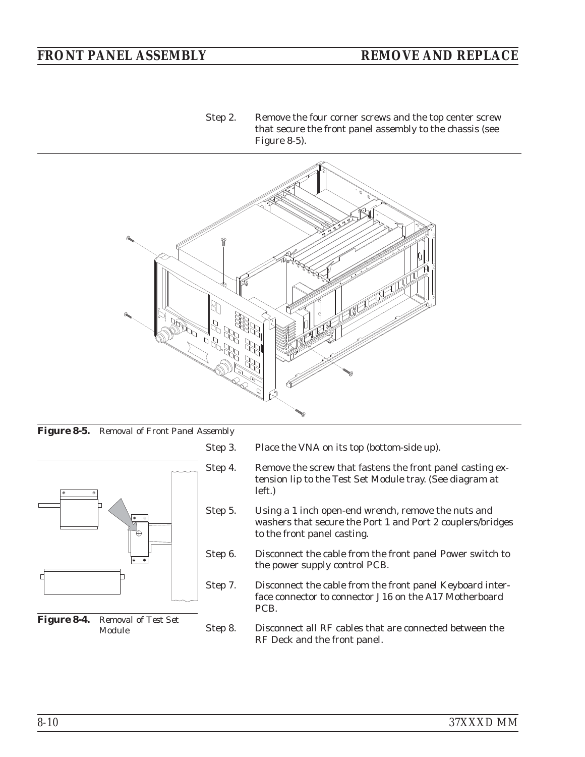<span id="page-129-0"></span>Step 2. Remove the four corner screws and the top center screw that secure the front panel assembly to the chassis (see Figure 8[-5\)](#page-129-0).



*Figure 8[-5.](#page-129-0) Removal of Front Panel Assembly*



*Figure 8[-4.](#page-129-0) Removal of Test Set Module*

- Step 3. Place the VNA on its top (bottom-side up).
- Step 4. Remove the screw that fastens the front panel casting extension lip to the Test Set Module tray. (See diagram at left.)
- Step 5. Using a 1 inch open-end wrench, remove the nuts and washers that secure the Port 1 and Port 2 couplers/bridges to the front panel casting.
- Step 6. Disconnect the cable from the front panel Power switch to the power supply control PCB.
- Step 7. Disconnect the cable from the front panel Keyboard interface connector to connector J16 on the A17 Motherboard PCB.
- Step 8. Disconnect all RF cables that are connected between the RF Deck and the front panel.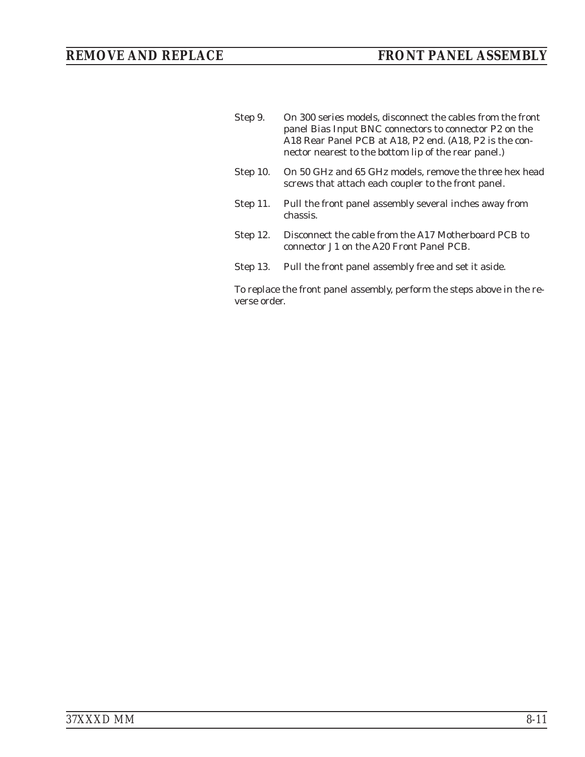| Step 9.    | On 300 series models, disconnect the cables from the front<br>panel Bias Input BNC connectors to connector P2 on the<br>A18 Rear Panel PCB at A18, P2 end. (A18, P2 is the con-<br>nector nearest to the bottom lip of the rear panel.) |
|------------|-----------------------------------------------------------------------------------------------------------------------------------------------------------------------------------------------------------------------------------------|
| Step 10.   | On 50 GHz and 65 GHz models, remove the three hex head<br>screws that attach each coupler to the front panel.                                                                                                                           |
| Step $11.$ | Pull the front panel assembly several inches away from<br>chassis.                                                                                                                                                                      |
| Step 12.   | Disconnect the cable from the A17 Motherboard PCB to<br>connector J1 on the A20 Front Panel PCB.                                                                                                                                        |
| Step 13.   | Pull the front panel assembly free and set it aside.                                                                                                                                                                                    |
|            | To replace the front panel assembly, perform the steps above in the re-                                                                                                                                                                 |

verse order.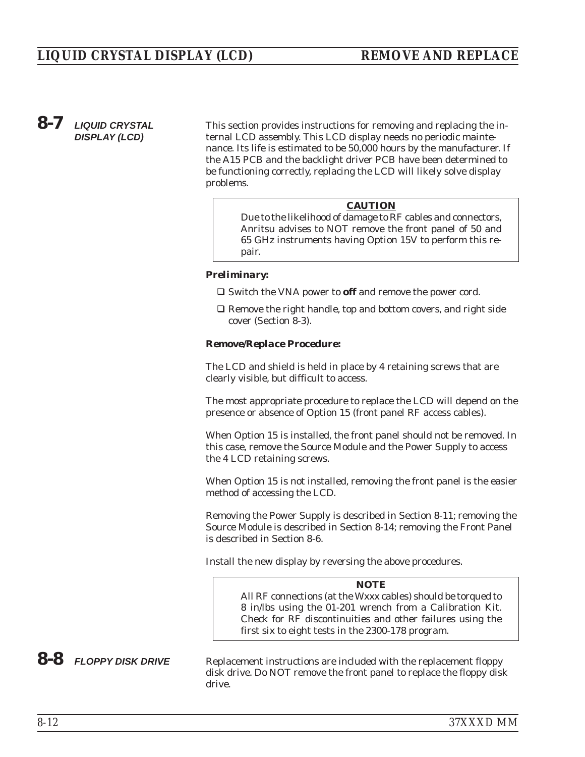# *8-7 LIQUID CRYSTAL DISPLAY (LCD)*

This section provides instructions for removing and replacing the internal LCD assembly. This LCD display needs no periodic maintenance. Its life is estimated to be 50,000 hours by the manufacturer. If the A15 PCB and the backlight driver PCB have been determined to be functioning correctly, replacing the LCD will likely solve display problems.

#### *CAUTION*

Due to the likelihood of damage to RF cables and connectors, Anritsu advises to NOT remove the front panel of 50 and 65 GHz instruments having Option 15V to perform this repair.

#### *Preliminary:*

- Switch the VNA power to **off** and remove the power cord.
- □ Remove the right handle, top and bottom covers, and right side cover (Section 8-3).

#### *Remove/Replace Procedure:*

The LCD and shield is held in place by 4 retaining screws that are clearly visible, but difficult to access.

The most appropriate procedure to replace the LCD will depend on the presence or absence of Option 15 (front panel RF access cables).

When Option 15 is installed, the front panel should not be removed. In this case, remove the Source Module and the Power Supply to access the 4 LCD retaining screws.

When Option 15 is not installed, removing the front panel is the easier method of accessing the LCD.

Removing the Power Supply is described in Section 8-11; removing the Source Module is described in Section 8-14; removing the Front Panel is described in Section 8-6.

Install the new display by reversing the above procedures.

#### *NOTE*

All RF connections (at the Wxxx cables) should be torqued to 8 in/lbs using the 01-201 wrench from a Calibration Kit. Check for RF discontinuities and other failures using the first six to eight tests in the 2300-178 program.

8-8 **FLOPPY DISK DRIVE** Replacement instructions are included with the replacement floppy disk drive. Do NOT remove the front panel to replace the floppy disk drive.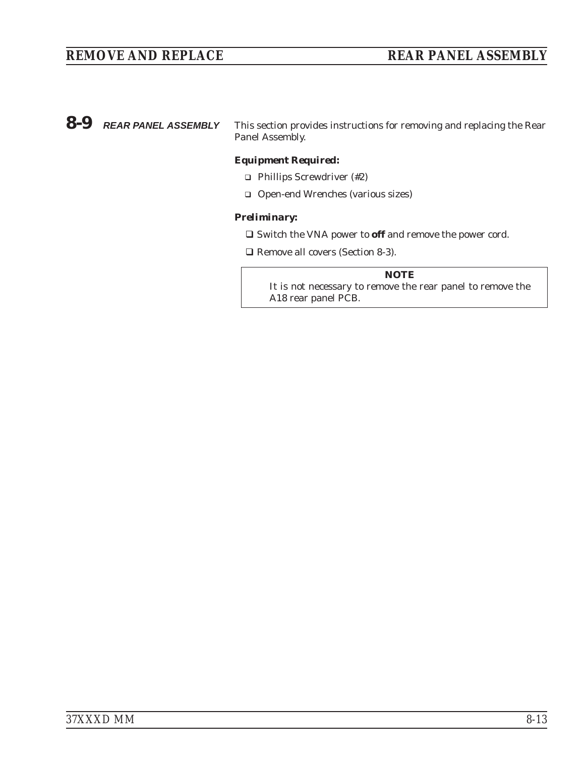<span id="page-132-0"></span>*8-9 REAR PANEL ASSEMBLY* This section provides instructions for removing and replacing the Rear Panel Assembly.

#### *Equipment Required:*

- □ Phillips Screwdriver (#2)
- □ Open-end Wrenches (various sizes)

#### *Preliminary:*

- Switch the VNA power to **off** and remove the power cord.

□ Remove all covers (Section [8-3\)](#page-123-0).

#### *NOTE*

It is not necessary to remove the rear panel to remove the A18 rear panel PCB.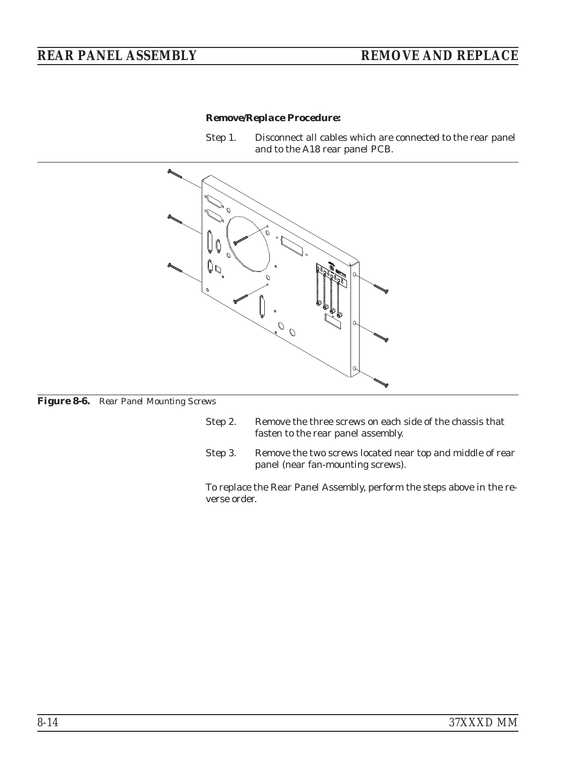### *Remove/Replace Procedure:*

Step 1. Disconnect all cables which are connected to the rear panel and to the A18 rear panel PCB.



*Figure 8-6. Rear Panel Mounting Screws*

- Step 2. Remove the three screws on each side of the chassis that fasten to the rear panel assembly.
- Step 3. Remove the two screws located near top and middle of rear panel (near fan-mounting screws).

To replace the Rear Panel Assembly, perform the steps above in the reverse order.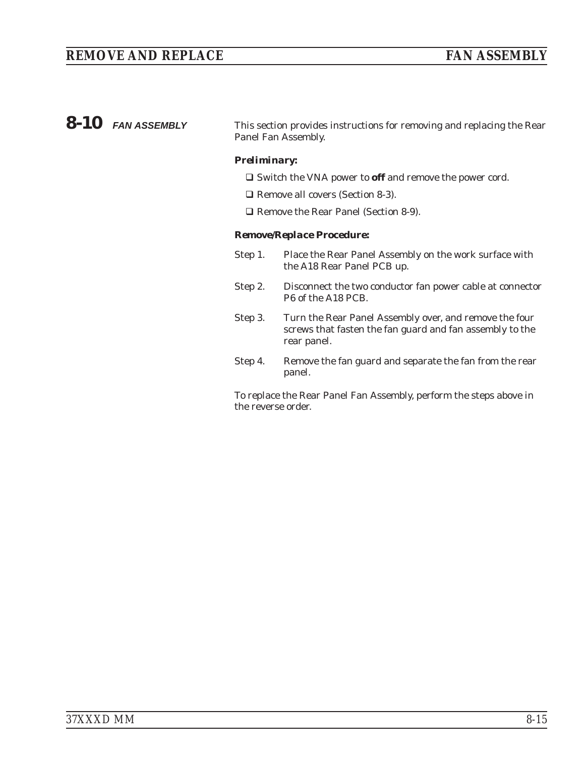# *REMOVE AND REPLACE* FAN ASSEMBLY

| $8-10$ FAN ASSEMBLY | This section provides instructions for removing and replacing the Rear<br>Panel Fan Assembly. |
|---------------------|-----------------------------------------------------------------------------------------------|
|                     | <b>Preliminary:</b>                                                                           |
|                     | $\Box$ Switch the VNA power to <b>off</b> and remove the power cord.                          |

- □ Remove all covers (Section [8-3\)](#page-123-0).
- □ Remove the Rear Panel (Section [8-9](#page-132-0)).

### *Remove/Replace Procedure:*

- Step 1. Place the Rear Panel Assembly on the work surface with the A18 Rear Panel PCB up.
- Step 2. Disconnect the two conductor fan power cable at connector P6 of the A18 PCB.
- Step 3. Turn the Rear Panel Assembly over, and remove the four screws that fasten the fan guard and fan assembly to the rear panel.
- Step 4. Remove the fan guard and separate the fan from the rear panel.

To replace the Rear Panel Fan Assembly, perform the steps above in the reverse order.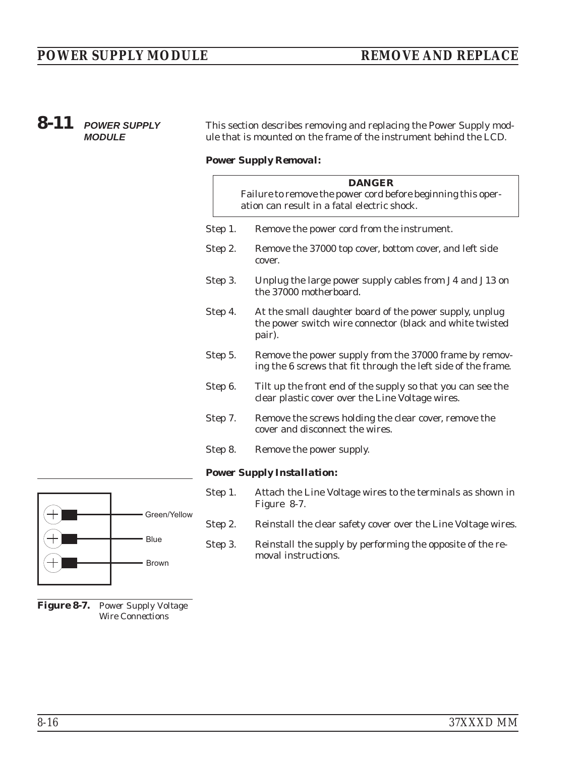<span id="page-135-0"></span>

| 8-11<br><b>POWER SUPPLY</b><br><b>MODULE</b> |              |         | This section describes removing and replacing the Power Supply mod-<br>ule that is mounted on the frame of the instrument behind the LCD. |  |  |  |
|----------------------------------------------|--------------|---------|-------------------------------------------------------------------------------------------------------------------------------------------|--|--|--|
|                                              |              |         | <b>Power Supply Removal:</b>                                                                                                              |  |  |  |
|                                              |              |         | <b>DANGER</b><br>Failure to remove the power cord before beginning this oper-<br>ation can result in a fatal electric shock.              |  |  |  |
|                                              |              | Step 1. | Remove the power cord from the instrument.                                                                                                |  |  |  |
|                                              |              | Step 2. | Remove the 37000 top cover, bottom cover, and left side<br>cover.                                                                         |  |  |  |
|                                              |              | Step 3. | Unplug the large power supply cables from J4 and J13 on<br>the 37000 motherboard.                                                         |  |  |  |
|                                              |              | Step 4. | At the small daughter board of the power supply, unplug<br>the power switch wire connector (black and white twisted<br>pair).             |  |  |  |
|                                              |              | Step 5. | Remove the power supply from the 37000 frame by remov-<br>ing the 6 screws that fit through the left side of the frame.                   |  |  |  |
|                                              |              | Step 6. | Tilt up the front end of the supply so that you can see the<br>clear plastic cover over the Line Voltage wires.                           |  |  |  |
|                                              |              | Step 7. | Remove the screws holding the clear cover, remove the<br>cover and disconnect the wires.                                                  |  |  |  |
|                                              |              | Step 8. | Remove the power supply.                                                                                                                  |  |  |  |
|                                              |              |         | <b>Power Supply Installation:</b>                                                                                                         |  |  |  |
|                                              |              | Step 1. | Attach the Line Voltage wires to the terminals as shown in<br>Figure 8-7.                                                                 |  |  |  |
|                                              | Green/Yellow | Step 2. | Reinstall the clear safety cover over the Line Voltage wires.                                                                             |  |  |  |
|                                              | <b>Blue</b>  | Step 3. | Reinstall the supply by performing the opposite of the re-                                                                                |  |  |  |

moval instructions.

*Figure 8-7. Power Supply Voltage Wire Connections*

Brown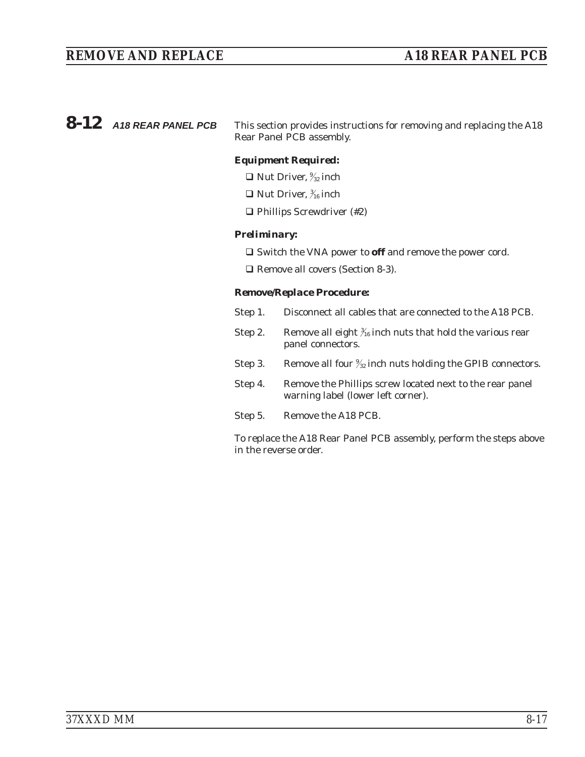# *REMOVE AND REPLACE A18 REAR PANEL PCB*

**8-12** A18 REAR PANEL PCB This section provides instructions for removing and replacing the A18 Rear Panel PCB assembly.

#### *Equipment Required:*

- $\Box$  Nut Driver,  $\frac{9}{32}$  inch
- $\Box$  Nut Driver,  $\frac{3}{16}$  inch
- □ Phillips Screwdriver (#2)

#### *Preliminary:*

□ Switch the VNA power to **off** and remove the power cord.

□ Remove all covers (Section [8-3\)](#page-123-0).

#### *Remove/Replace Procedure:*

- Step 1. Disconnect all cables that are connected to the A18 PCB.
- Step 2. Bemove all eight  $\frac{3}{16}$  inch nuts that hold the various rear panel connectors.
- Step 3. Remove all four  $\frac{9}{22}$  inch nuts holding the GPIB connectors.
- Step 4. Remove the Phillips screw located next to the rear panel warning label (lower left corner).
- Step 5. Remove the A18 PCB.

To replace the A18 Rear Panel PCB assembly, perform the steps above in the reverse order.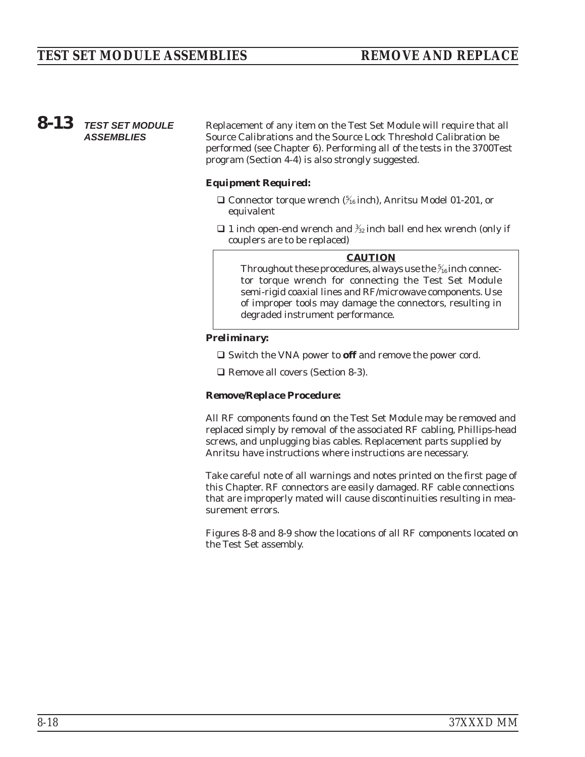# *8-13 TEST SET MODULE ASSEMBLIES*

Replacement of any item on the Test Set Module will require that all Source Calibrations and the Source Lock Threshold Calibration be performed (see Chapter 6). Performing all of the tests in the 3700Test program (Section 4-4) is also strongly suggested.

#### *Equipment Required:*

- $\Box$  Connector torque wrench ( $\frac{5}{16}$ inch), Anritsu Model 01-201, or equivalent
- $\Box$  1 inch open-end wrench and  $\frac{3}{2}$  inch ball end hex wrench (only if couplers are to be replaced)

#### *CAUTION*

Throughout these procedures, *always* use the  $\frac{5}{16}$  inch connector torque wrench for connecting the Test Set Module semi-rigid coaxial lines and RF/microwave components. Use of improper tools may damage the connectors, resulting in degraded instrument performance.

#### *Preliminary:*

□ Switch the VNA power to **off** and remove the power cord.

□ Remove all covers (Section [8-3\)](#page-123-0).

#### *Remove/Replace Procedure:*

All RF components found on the Test Set Module may be removed and replaced simply by removal of the associated RF cabling, Phillips-head screws, and unplugging bias cables. Replacement parts supplied by Anritsu have instructions where instructions are necessary.

Take careful note of all warnings and notes printed on the first page of this Chapter. RF connectors are easily damaged. RF cable connections that are improperly mated will cause discontinuities resulting in measurement errors.

Figures 8[-8](#page-138-0) and 8-[9](#page-139-0) show the locations of all RF components located on the Test Set assembly.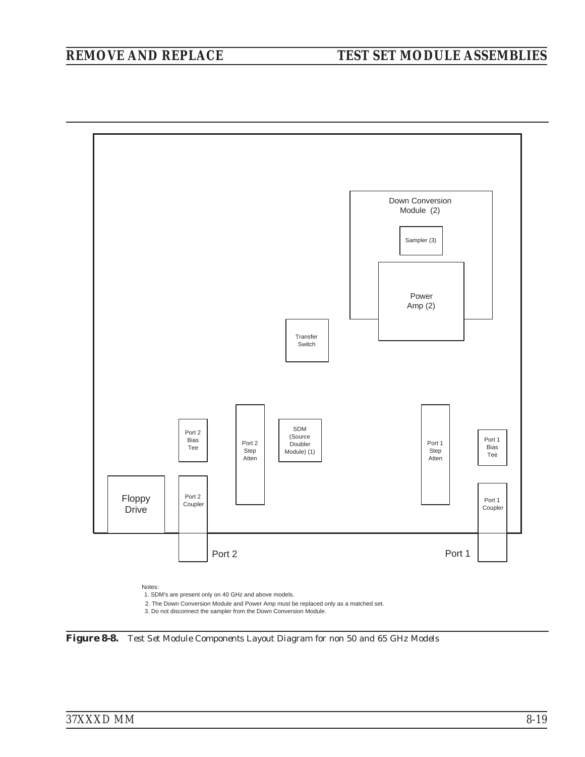<span id="page-138-0"></span>

*Figure 8[-8.](#page-138-0) Test Set Module Components Layout Diagram for non 50 and 65 GHz Models*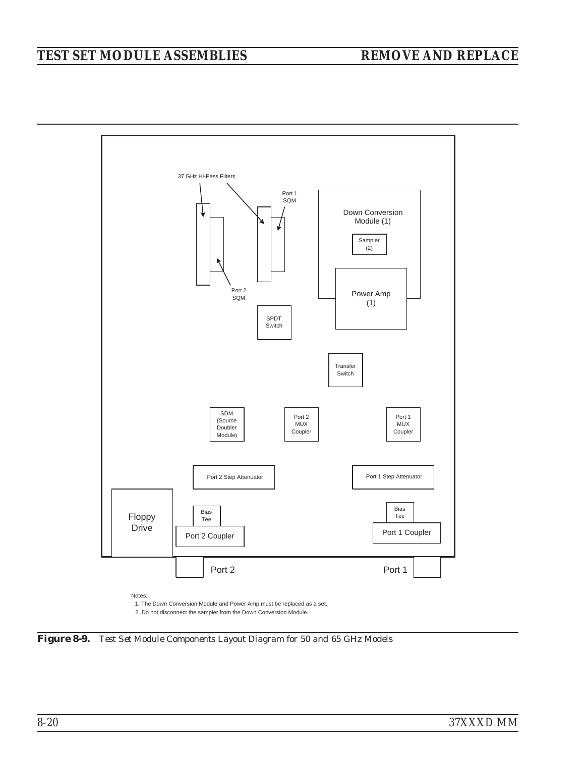# <span id="page-139-0"></span>*TEST SET MODULE ASSEMBLIES REMOVE AND REPLACE*



*Figure 8[-9.](#page-139-0) Test Set Module Components Layout Diagram for 50 and 65 GHz Models*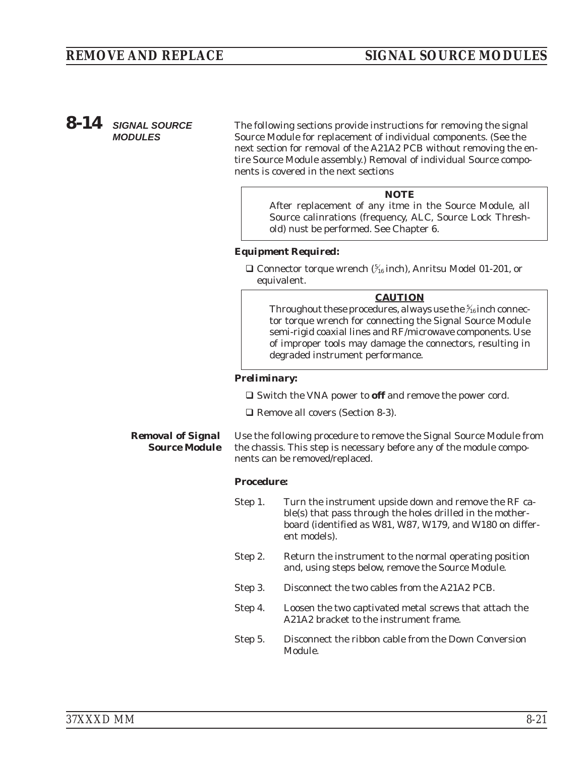# *8-14 SIGNAL SOURCE MODULES*

The following sections provide instructions for removing the signal Source Module for replacement of individual components. (See the next section for removal of the A21A2 PCB without removing the entire Source Module assembly.) Removal of individual Source components is covered in the next sections

#### *NOTE*

After replacement of any itme in the Source Module, all Source calinrations (frequency, ALC, Source Lock Threshold) nust be performed. See Chapter 6.

#### *Equipment Required:*

□ Connector torque wrench ( $\frac{5}{16}$ inch), Anritsu Model 01-201, or equivalent.

#### *CAUTION*

Throughout these procedures, *always* use the  $\frac{5}{16}$  inch connector torque wrench for connecting the Signal Source Module semi-rigid coaxial lines and RF/microwave components. Use of improper tools may damage the connectors, resulting in degraded instrument performance.

#### *Preliminary:*

□ Switch the VNA power to **off** and remove the power cord.

□ Remove all covers (Section [8-3\)](#page-123-0).

#### *Removal of Signal Source Module* Use the following procedure to remove the Signal Source Module from the chassis. This step is necessary before any of the module components can be removed/replaced.

#### *Procedure:*

- Step 1. Turn the instrument upside down and remove the RF cable(s) that pass through the holes drilled in the motherboard (identified as W81, W87, W179, and W180 on different models).
- Step 2. Return the instrument to the normal operating position and, using steps below, remove the Source Module.
- Step 3. Disconnect the two cables from the A21A2 PCB.
- Step 4. Loosen the two captivated metal screws that attach the A21A2 bracket to the instrument frame.
- Step 5. Disconnect the ribbon cable from the Down Conversion Module.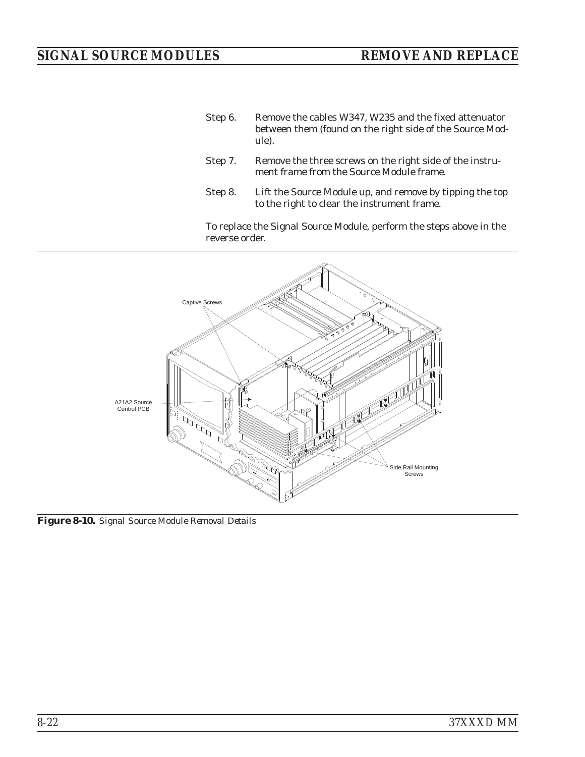- Step 6. Remove the cables W347, W235 and the fixed attenuator between them (found on the right side of the Source Module).
- Step 7. Remove the three screws on the right side of the instrument frame from the Source Module frame.
- Step 8. Lift the Source Module up, and remove by tipping the top to the right to clear the instrument frame.

To replace the Signal Source Module, perform the steps above in the reverse order.



*Figure 8-10. Signal Source Module Removal Details*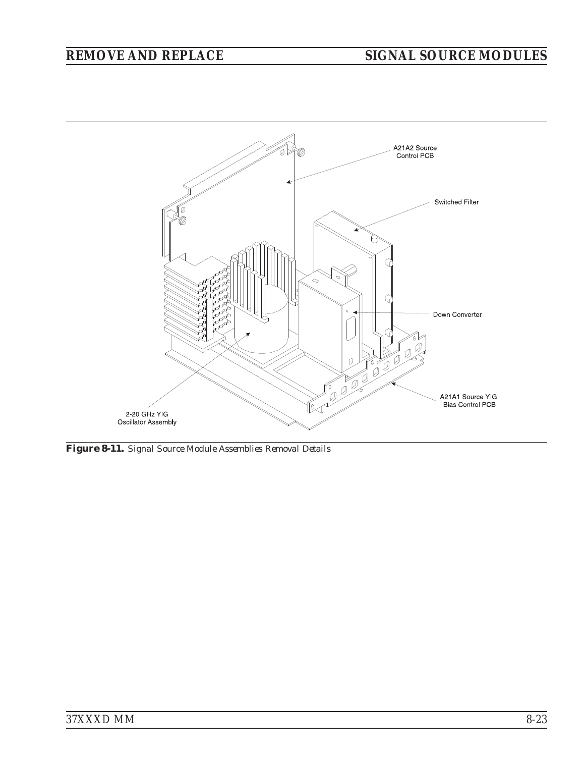<span id="page-142-0"></span>

*Figure 8-11. Signal Source Module Assemblies Removal Details*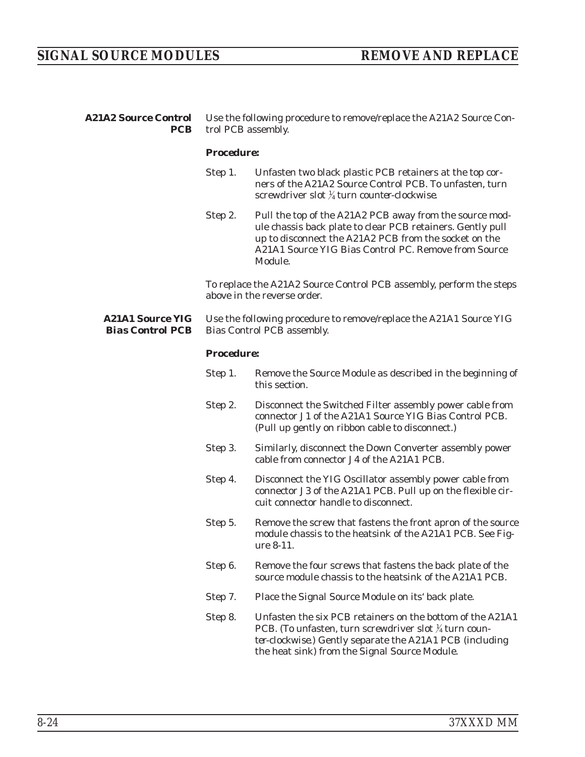| <b>A21A2 Source Control</b><br>PCB                 | Use the following procedure to remove/replace the A21A2 Source Con-<br>trol PCB assembly. |                                                                                                                                                                                                                                                   |  |
|----------------------------------------------------|-------------------------------------------------------------------------------------------|---------------------------------------------------------------------------------------------------------------------------------------------------------------------------------------------------------------------------------------------------|--|
|                                                    | <b>Procedure:</b>                                                                         |                                                                                                                                                                                                                                                   |  |
|                                                    | Step 1.                                                                                   | Unfasten two black plastic PCB retainers at the top cor-<br>ners of the A21A2 Source Control PCB. To unfasten, turn<br>screwdriver slot $\frac{1}{4}$ turn <i>counter-clockwise</i> .                                                             |  |
|                                                    | Step 2.                                                                                   | Pull the top of the A21A2 PCB away from the source mod-<br>ule chassis back plate to clear PCB retainers. Gently pull<br>up to disconnect the A21A2 PCB from the socket on the<br>A21A1 Source YIG Bias Control PC. Remove from Source<br>Module. |  |
|                                                    |                                                                                           | To replace the A21A2 Source Control PCB assembly, perform the steps<br>above in the reverse order.                                                                                                                                                |  |
| <b>A21A1 Source YIG</b><br><b>Bias Control PCB</b> |                                                                                           | Use the following procedure to remove/replace the A21A1 Source YIG<br><b>Bias Control PCB assembly.</b>                                                                                                                                           |  |
|                                                    | <b>Procedure:</b>                                                                         |                                                                                                                                                                                                                                                   |  |
|                                                    | Step 1.                                                                                   | Remove the Source Module as described in the beginning of<br>this section.                                                                                                                                                                        |  |
|                                                    | Step 2.                                                                                   | Disconnect the Switched Filter assembly power cable from<br>connector J1 of the A21A1 Source YIG Bias Control PCB.<br>(Pull up gently on ribbon cable to disconnect.)                                                                             |  |
|                                                    | Step 3.                                                                                   | Similarly, disconnect the Down Converter assembly power<br>cable from connector J4 of the A21A1 PCB.                                                                                                                                              |  |
|                                                    | Step 4.                                                                                   | Disconnect the YIG Oscillator assembly power cable from<br>connector J3 of the A21A1 PCB. Pull up on the flexible cir-<br>cuit connector handle to disconnect.                                                                                    |  |
|                                                    | Step 5.                                                                                   | Remove the screw that fastens the front apron of the source<br>module chassis to the heatsink of the A21A1 PCB. See Fig-<br>ure 8-11.                                                                                                             |  |
|                                                    | Step 6.                                                                                   | Remove the four screws that fastens the back plate of the<br>source module chassis to the heatsink of the A21A1 PCB.                                                                                                                              |  |
|                                                    | Step 7.                                                                                   | Place the Signal Source Module on its' back plate.                                                                                                                                                                                                |  |
|                                                    | Step 8.                                                                                   | Unfasten the six PCB retainers on the bottom of the A21A1<br>PCB. (To unfasten, turn screwdriver slot 1/4 turn coun-<br>ter-clockwise.) Gently separate the A21A1 PCB (including                                                                  |  |

the heat sink) from the Signal Source Module.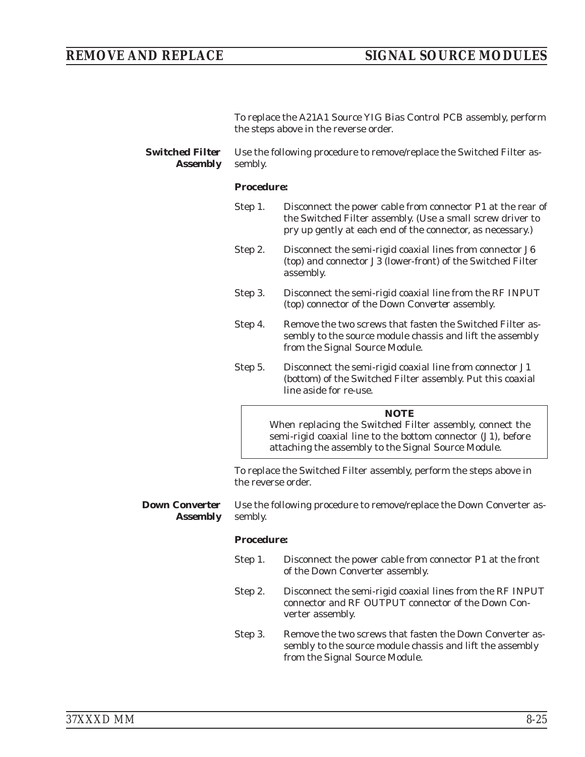To replace the A21A1 Source YIG Bias Control PCB assembly, perform the steps above in the reverse order.

*Switched Filter Assembly* Use the following procedure to remove/replace the Switched Filter assembly.

#### *Procedure:*

- Step 1. Disconnect the power cable from connector P1 at the rear of the Switched Filter assembly. (Use a small screw driver to pry up gently at each end of the connector, as necessary.)
- Step 2. Disconnect the semi-rigid coaxial lines from connector J6 (top) and connector J3 (lower-front) of the Switched Filter assembly.
- Step 3. Disconnect the semi-rigid coaxial line from the RF INPUT (top) connector of the *Down Converter* assembly.
- Step 4. Remove the two screws that fasten the Switched Filter assembly to the source module chassis and lift the assembly from the Signal Source Module.
- Step 5. Disconnect the semi-rigid coaxial line from connector J1 (bottom) of the Switched Filter assembly. Put this coaxial line aside for re-use.

#### *NOTE*

When replacing the Switched Filter assembly, connect the semi-rigid coaxial line to the bottom connector (J1), before attaching the assembly to the Signal Source Module.

To replace the Switched Filter assembly, perform the steps above in the reverse order.

*Down Converter Assembly* Use the following procedure to remove/replace the Down Converter assembly.

#### *Procedure:*

- Step 1. Disconnect the power cable from connector P1 at the front of the Down Converter assembly.
- Step 2. Disconnect the semi-rigid coaxial lines from the RF INPUT connector and RF OUTPUT connector of the Down Converter assembly.
- Step 3. Remove the two screws that fasten the Down Converter assembly to the source module chassis and lift the assembly from the Signal Source Module.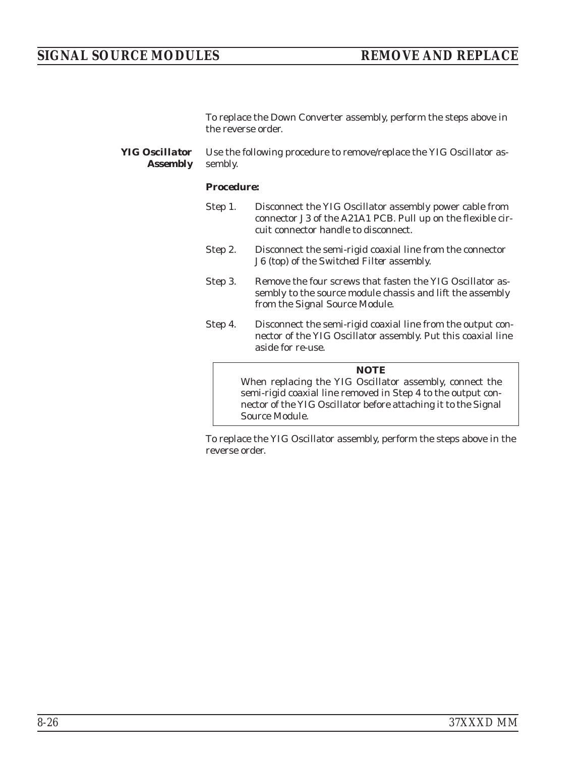### *SIGNAL SOURCE MODULES REMOVE AND REPLACE*

To replace the Down Converter assembly, perform the steps above in the reverse order.

*YIG Oscillator Assembly* Use the following procedure to remove/replace the YIG Oscillator assembly.

#### *Procedure:*

| Step 4. | Disconnect the semi-rigid coaxial line from the output con-<br>nector of the YIG Oscillator assembly. Put this coaxial line<br>aside for re-use.               |
|---------|----------------------------------------------------------------------------------------------------------------------------------------------------------------|
| Step 3. | Remove the four screws that fasten the YIG Oscillator as-<br>sembly to the source module chassis and lift the assembly<br>from the Signal Source Module.       |
| Step 2. | Disconnect the semi-rigid coaxial line from the connector<br>J6 (top) of the Switched Filter assembly.                                                         |
| Step 1. | Disconnect the YIG Oscillator assembly power cable from<br>connector J3 of the A21A1 PCB. Pull up on the flexible cir-<br>cuit connector handle to disconnect. |

When replacing the YIG Oscillator assembly, connect the semi-rigid coaxial line removed in Step 4 to the output connector of the YIG Oscillator before attaching it to the Signal Source Module.

To replace the YIG Oscillator assembly, perform the steps above in the reverse order.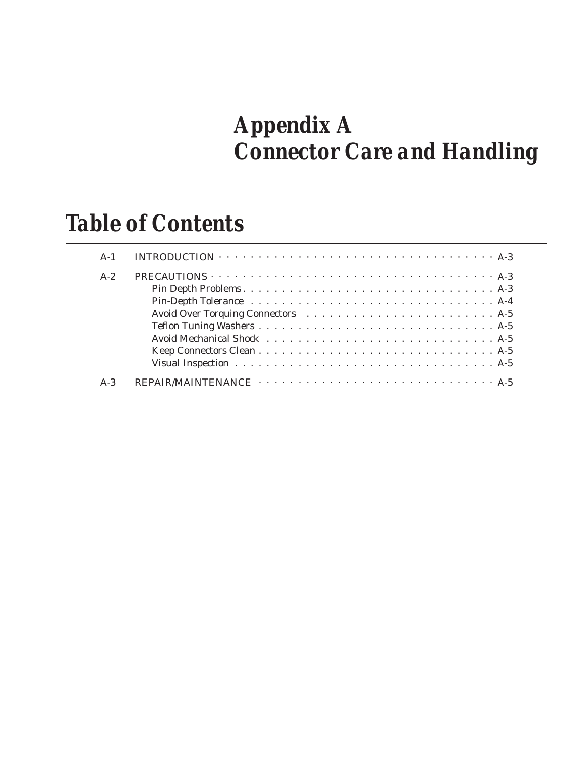# *Appendix A Connector Care and Handling*

# *Table of Contents*

| $A-1$ | INTRODUCTION $\cdots \cdots \cdots \cdots \cdots \cdots \cdots \cdots \cdots \cdots \cdots \cdots$ |
|-------|----------------------------------------------------------------------------------------------------|
| $A-2$ | PRECAUTIONS $\cdots \cdots \cdots \cdots \cdots \cdots \cdots \cdots \cdots \cdots \cdots \cdots$  |
|       |                                                                                                    |
|       |                                                                                                    |
|       |                                                                                                    |
|       |                                                                                                    |
|       |                                                                                                    |
|       |                                                                                                    |
|       |                                                                                                    |
| $A-3$ |                                                                                                    |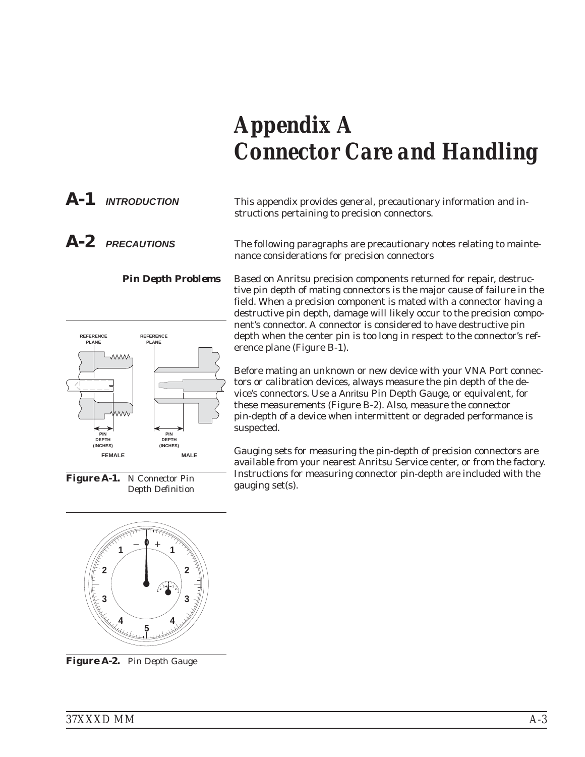# *Appendix A Connector Care and Handling*

*A-1 INTRODUCTION* This appendix provides general, precautionary information and instructions pertaining to precision connectors.

*A-2 PRECAUTIONS* The following paragraphs are precautionary notes relating to maintenance considerations for precision connectors

> **Pin Depth Problems** Based on Anritsu precision components returned for repair, destructive pin depth of mating connectors is the major cause of failure in the field. When a precision component is mated with a connector having a destructive pin depth, damage will likely occur to the precision component's connector. A connector is considered to have destructive pin depth when the center pin is too long in respect to the connector's reference plane (Figure B-1).

> > Before mating an unknown or new device with your VNA Port connectors or calibration devices, always measure the pin depth of the device's connectors. Use a Anritsu Pin Depth Gauge, or equivalent, for these measurements (Figure B-2). Also, measure the connector pin-depth of a device when intermittent or degraded performance is suspected.

> > Gauging sets for measuring the pin-depth of precision connectors are available from your nearest Anritsu Service center, or from the factory. Instructions for measuring connector pin-depth are included with the gauging set(s).

*Figure A-1. N Connector Pin*



**5**



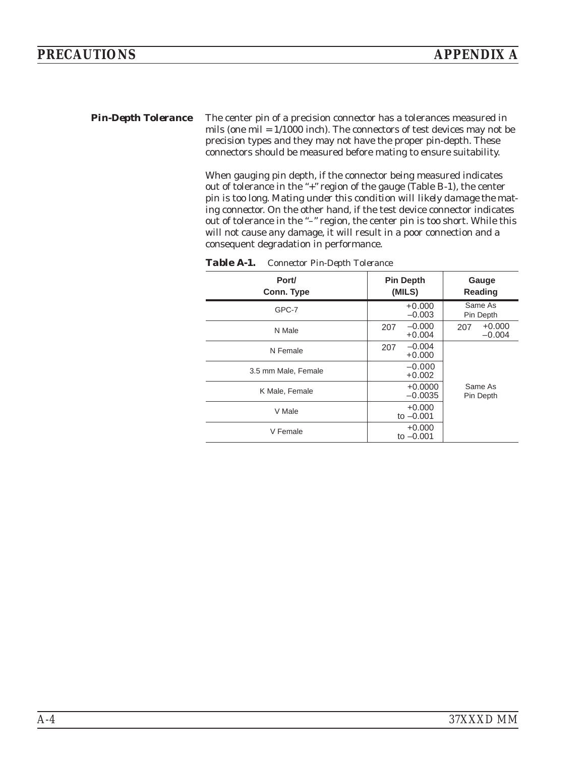**Pin-Depth Tolerance** The center pin of a precision connector has a tolerances measured in mils (one mil = 1/1000 inch). The connectors of test devices may not be precision types and they may not have the proper pin-depth. These connectors should be measured before mating to ensure suitability.

> When gauging pin depth, if the connector being measured indicates out of tolerance in the "+" region of the gauge (Table B-1), the center pin is too long. *Mating under this condition will likely damage the mating connector*. On the other hand, if the test device connector indicates out of tolerance in the "–" region, the center pin is too short. While this will not cause any damage, it will result in a poor connection and a consequent degradation in performance.

| Port/<br>Conn. Type | <b>Pin Depth</b><br>(MILS)  | Gauge<br><b>Reading</b>     |
|---------------------|-----------------------------|-----------------------------|
| GPC-7               | $+0.000$<br>$-0.003$        | Same As<br>Pin Depth        |
| N Male              | $-0.000$<br>207<br>$+0.004$ | $+0.000$<br>207<br>$-0.004$ |
| N Female            | $-0.004$<br>207<br>$+0.000$ |                             |
| 3.5 mm Male, Female | $-0.000$<br>$+0.002$        |                             |
| K Male, Female      | $+0.0000$<br>$-0.0035$      | Same As<br>Pin Depth        |
| V Male              | $+0.000$<br>to $-0.001$     |                             |
| V Female            | $+0.000$<br>to $-0.001$     |                             |

| Table A-1. | <b>Connector Pin-Depth Tolerance</b> |  |
|------------|--------------------------------------|--|
|            |                                      |  |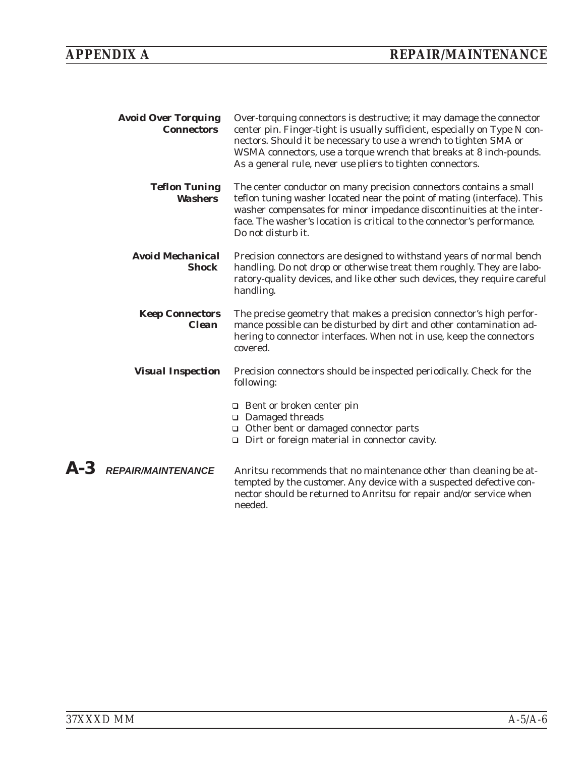| <b>Avoid Over Torquing</b><br><b>Connectors</b> | Over-torquing connectors is destructive; it may damage the connector<br>center pin. Finger-tight is usually sufficient, especially on Type N con-<br>nectors. Should it be necessary to use a wrench to tighten SMA or<br>WSMA connectors, use a torque wrench that breaks at 8 inch-pounds.<br>As a general rule, never use pliers to tighten connectors. |
|-------------------------------------------------|------------------------------------------------------------------------------------------------------------------------------------------------------------------------------------------------------------------------------------------------------------------------------------------------------------------------------------------------------------|
| <b>Teflon Tuning</b><br><b>Washers</b>          | The center conductor on many precision connectors contains a small<br>teflon tuning washer located near the point of mating (interface). This<br>washer compensates for minor impedance discontinuities at the inter-<br>face. The washer's location is critical to the connector's performance.<br>Do not disturb it.                                     |
| <b>Avoid Mechanical</b><br><b>Shock</b>         | Precision connectors are designed to withstand years of normal bench<br>handling. Do not drop or otherwise treat them roughly. They are labo-<br>ratory-quality devices, and like other such devices, they require careful<br>handling.                                                                                                                    |
| <b>Keep Connectors</b><br><b>Clean</b>          | The precise geometry that makes a precision connector's high perfor-<br>mance possible can be disturbed by dirt and other contamination ad-<br>hering to connector interfaces. When not in use, keep the connectors<br>covered.                                                                                                                            |
| <b>Visual Inspection</b>                        | Precision connectors should be inspected periodically. Check for the<br>following:                                                                                                                                                                                                                                                                         |
|                                                 | $\Box$ Bent or broken center pin<br>□ Damaged threads<br>□ Other bent or damaged connector parts<br>$\Box$ Dirt or foreign material in connector cavity.                                                                                                                                                                                                   |
| $\bm{A}$ - $\bm{3}$ repair/maintenance          | Anritsu recommends that no maintenance other than cleaning be at-<br>tempted by the customer. Any device with a suspected defective con-<br>nector should be returned to Anritsu for repair and/or service when<br>needed.                                                                                                                                 |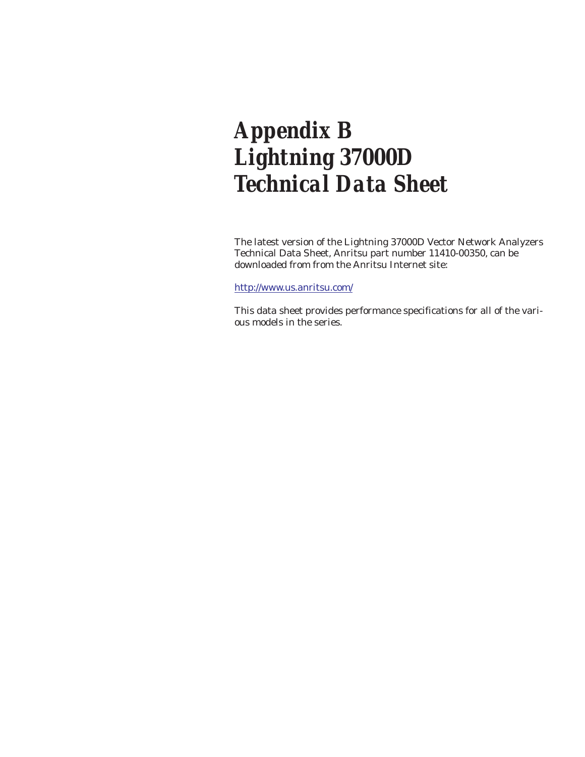# *Appendix B Lightning 37000D Technical Data Sheet*

The latest version of the Lightning 37000D Vector Network Analyzers Technical Data Sheet, Anritsu part number 11410-00350, can be downloaded from from the Anritsu Internet site:

#### <http://www.us.anritsu.com/>

This data sheet provides performance specifications for all of the various models in the series.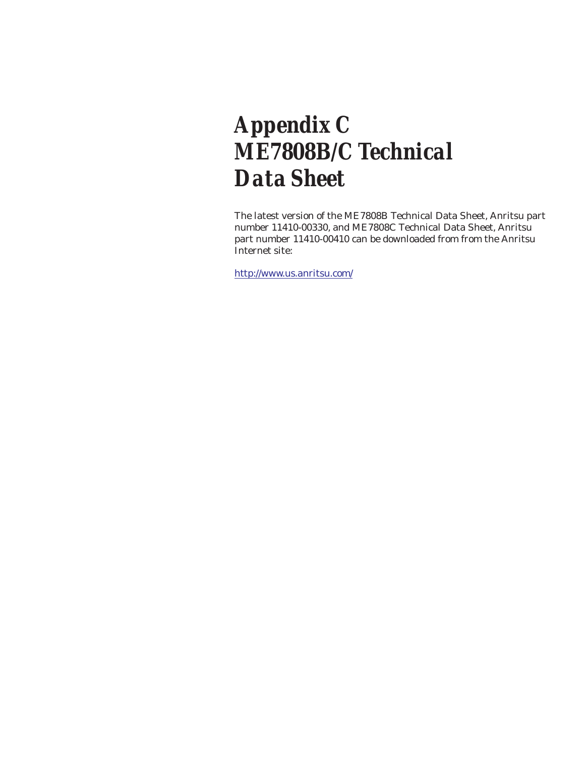# *Appendix C ME7808B/C Technical Data Sheet*

The latest version of the ME7808B Technical Data Sheet, Anritsu part number 11410-00330, and ME7808C Technical Data Sheet, Anritsu part number 11410-00410 can be downloaded from from the Anritsu Internet site:

<http://www.us.anritsu.com/>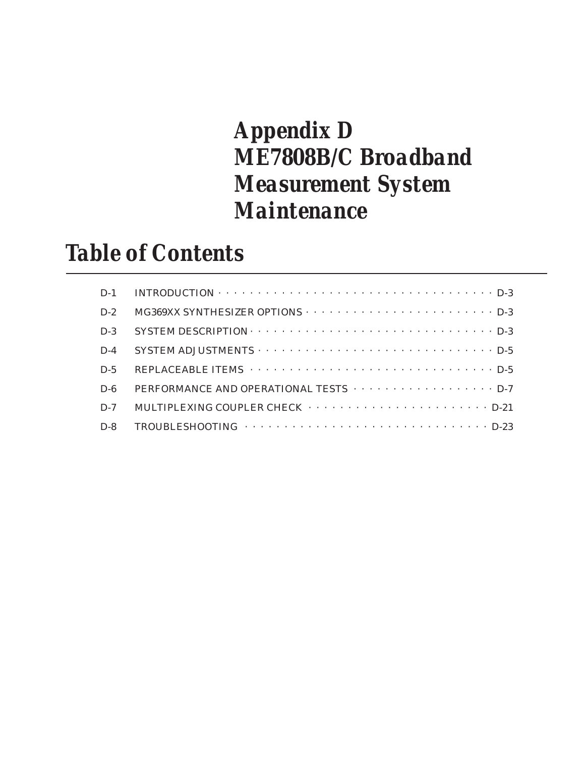# *Appendix D ME7808B/C Broadband Measurement System Maintenance*

# *Table of Contents*

|       | $D-1$ INTRODUCTION $\cdots \cdots \cdots \cdots \cdots \cdots \cdots \cdots \cdots \cdots \cdots \cdots D-3$ |
|-------|--------------------------------------------------------------------------------------------------------------|
| $D-2$ |                                                                                                              |
| $D-3$ |                                                                                                              |
| $D-4$ |                                                                                                              |
| $D-5$ |                                                                                                              |
| $D-6$ | PERFORMANCE AND OPERATIONAL TESTS $\cdots$ D-7                                                               |
| $D-7$ |                                                                                                              |
| $D-8$ |                                                                                                              |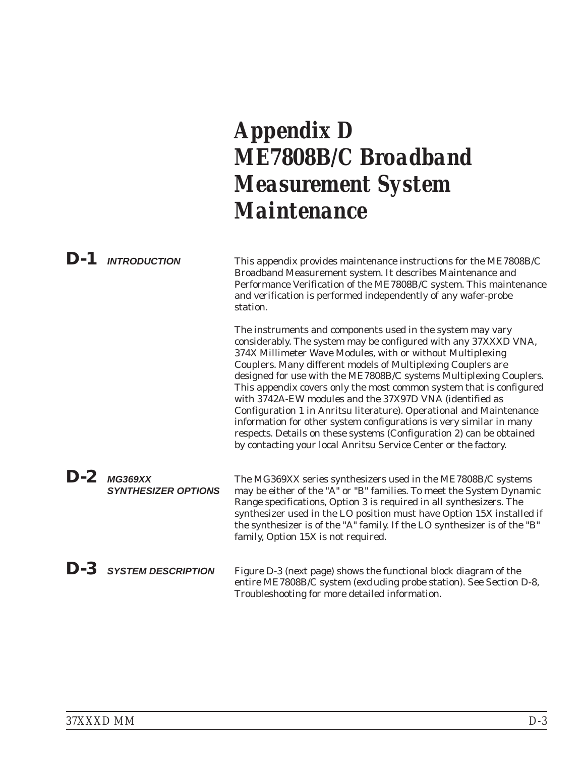# *Appendix D ME7808B/C Broadband Measurement System Maintenance*

|             | $D-1$ INTRODUCTION                          | This appendix provides maintenance instructions for the ME7808B/C<br>Broadband Measurement system. It describes Maintenance and<br>Performance Verification of the ME7808B/C system. This maintenance<br>and verification is performed independently of any wafer-probe<br>station.                                                                                                                                                                                                                                                                                                                                                                                                                                                                          |
|-------------|---------------------------------------------|--------------------------------------------------------------------------------------------------------------------------------------------------------------------------------------------------------------------------------------------------------------------------------------------------------------------------------------------------------------------------------------------------------------------------------------------------------------------------------------------------------------------------------------------------------------------------------------------------------------------------------------------------------------------------------------------------------------------------------------------------------------|
|             |                                             | The instruments and components used in the system may vary<br>considerably. The system may be configured with any 37XXXD VNA,<br>374X Millimeter Wave Modules, with or without Multiplexing<br>Couplers. Many different models of Multiplexing Couplers are<br>designed for use with the ME7808B/C systems Multiplexing Couplers.<br>This appendix covers only the most common system that is configured<br>with 3742A-EW modules and the 37X97D VNA (identified as<br>Configuration 1 in Anritsu literature). Operational and Maintenance<br>information for other system configurations is very similar in many<br>respects. Details on these systems (Configuration 2) can be obtained<br>by contacting your local Anritsu Service Center or the factory. |
|             | $D-2$ MG369XX<br><b>SYNTHESIZER OPTIONS</b> | The MG369XX series synthesizers used in the ME7808B/C systems<br>may be either of the "A" or "B" families. To meet the System Dynamic<br>Range specifications, Option 3 is required in all synthesizers. The<br>synthesizer used in the LO position must have Option 15X installed if<br>the synthesizer is of the "A" family. If the LO synthesizer is of the "B"<br>family, Option 15X is not required.                                                                                                                                                                                                                                                                                                                                                    |
| $\bm{D}$ -3 | <b>SYSTEM DESCRIPTION</b>                   | Figure D-3 (next page) shows the functional block diagram of the<br>entire ME7808B/C system (excluding probe station). See Section D-8,<br>Troubleshooting for more detailed information.                                                                                                                                                                                                                                                                                                                                                                                                                                                                                                                                                                    |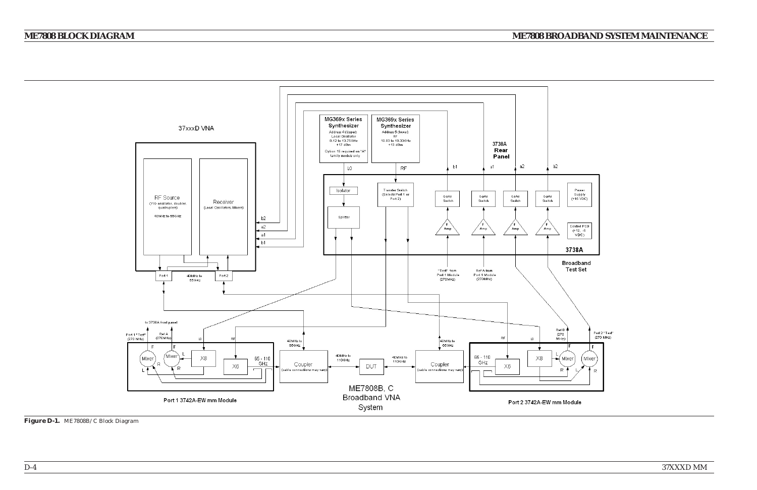*37XXXD MM*37XXXD MM



## *ME7808 BROADBAND SYSTEM MAINTENANCE*

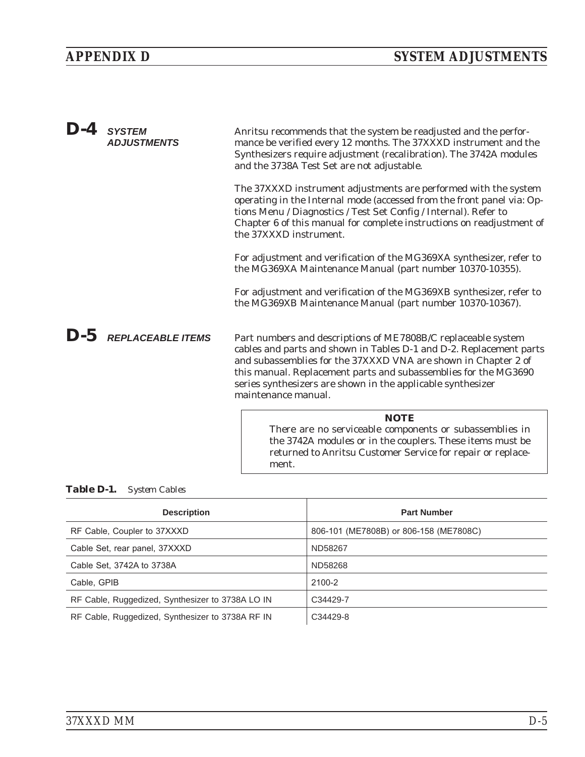<span id="page-160-0"></span>

| $D-4$ | <b>SYSTEM</b><br><b>ADJUSTMENTS</b> | Anritsu recommends that the system be readjusted and the perfor-<br>mance be verified every 12 months. The 37XXXD instrument and the<br>Synthesizers require adjustment (recalibration). The 3742A modules<br>and the 3738A Test Set are not adjustable.                                                                                                        |
|-------|-------------------------------------|-----------------------------------------------------------------------------------------------------------------------------------------------------------------------------------------------------------------------------------------------------------------------------------------------------------------------------------------------------------------|
|       |                                     | The 37XXXD instrument adjustments are performed with the system<br>operating in the Internal mode (accessed from the front panel via: Op-<br>tions Menu / Diagnostics / Test Set Config / Internal). Refer to<br>Chapter 6 of this manual for complete instructions on readjustment of<br>the 37XXXD instrument.                                                |
|       |                                     | For adjustment and verification of the MG369XA synthesizer, refer to<br>the MG369XA Maintenance Manual (part number 10370-10355).                                                                                                                                                                                                                               |
|       |                                     | For adjustment and verification of the MG369XB synthesizer, refer to<br>the MG369XB Maintenance Manual (part number 10370-10367).                                                                                                                                                                                                                               |
|       | $\bm{D}$ -5 REPLACEABLE ITEMS       | Part numbers and descriptions of ME7808B/C replaceable system<br>cables and parts and shown in Tables D-1 and D-2. Replacement parts<br>and subassemblies for the 37XXXD VNA are shown in Chapter 2 of<br>this manual. Replacement parts and subassemblies for the MG3690<br>series synthesizers are shown in the applicable synthesizer<br>maintenance manual. |
|       |                                     | <b>NOTE</b><br>There are no serviceable components or subassemblies in<br>the 3742A modules or in the couplers. These items must be<br>returned to Anritsu Customer Service for repair or replace-                                                                                                                                                              |

### *Table D[-1.](#page-160-0) System Cables*

| <b>Description</b>                               | <b>Part Number</b>                     |
|--------------------------------------------------|----------------------------------------|
| RF Cable, Coupler to 37XXXD                      | 806-101 (ME7808B) or 806-158 (ME7808C) |
| Cable Set, rear panel, 37XXXD                    | ND58267                                |
| Cable Set, 3742A to 3738A                        | ND58268                                |
| Cable, GPIB                                      | 2100-2                                 |
| RF Cable, Ruggedized, Synthesizer to 3738A LO IN | C34429-7                               |
| RF Cable, Ruggedized, Synthesizer to 3738A RF IN | C34429-8                               |

ment.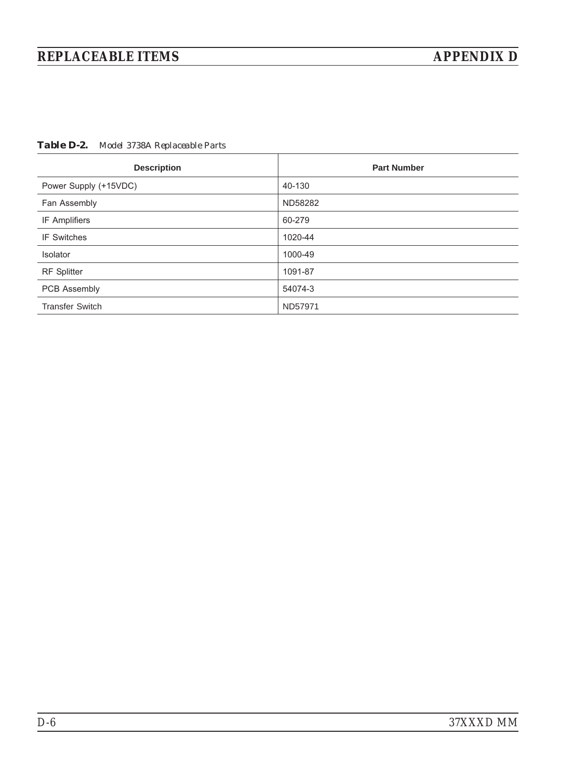# <span id="page-161-0"></span>*REPLACEABLE ITEMS APPENDIX D*

*Table D[-2.](#page-161-0) Model 3738A Replaceable Parts*

| <b>Description</b>     | <b>Part Number</b> |
|------------------------|--------------------|
| Power Supply (+15VDC)  | 40-130             |
| Fan Assembly           | ND58282            |
| IF Amplifiers          | 60-279             |
| <b>IF Switches</b>     | 1020-44            |
| Isolator               | 1000-49            |
| <b>RF</b> Splitter     | 1091-87            |
| PCB Assembly           | 54074-3            |
| <b>Transfer Switch</b> | ND57971            |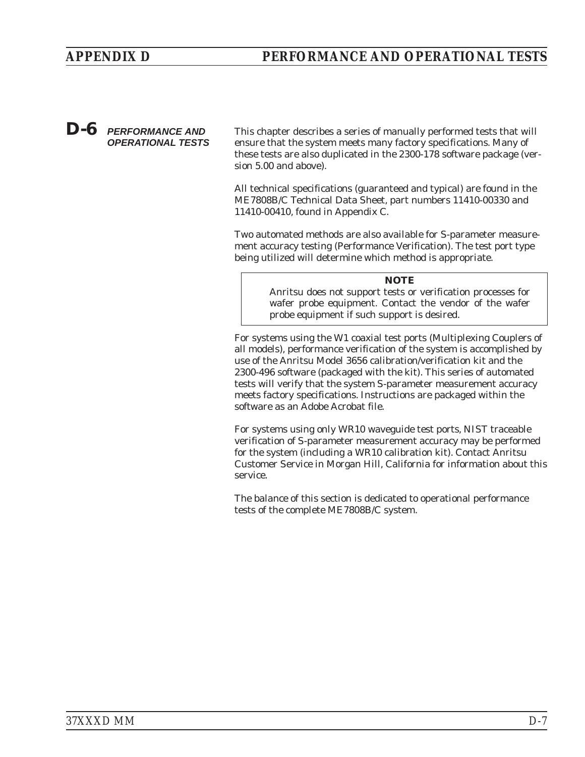### *D-6 PERFORMANCE AND OPERATIONAL TESTS*

This chapter describes a series of manually performed tests that will ensure that the system meets many factory specifications. Many of these tests are also duplicated in the 2300-178 software package (version 5.00 and above).

All technical specifications (guaranteed and typical) are found in the ME7808B/C Technical Data Sheet, part numbers 11410-00330 and 11410-00410, found in Appendix C.

Two automated methods are also available for S-parameter measurement accuracy testing (Performance Verification). The test port type being utilized will determine which method is appropriate.

#### *NOTE*

Anritsu does not support tests or verification processes for wafer probe equipment. Contact the vendor of the wafer probe equipment if such support is desired.

For systems using the W1 coaxial test ports (Multiplexing Couplers of all models), performance verification of the system is accomplished by use of the Anritsu Model 3656 calibration/verification kit and the 2300-496 software (packaged with the kit). This series of automated tests will verify that the system S-parameter measurement accuracy meets factory specifications. Instructions are packaged within the software as an Adobe Acrobat file.

For systems using only WR10 waveguide test ports, NIST traceable verification of S-parameter measurement accuracy may be performed for the system (including a WR10 calibration kit). Contact Anritsu Customer Service in Morgan Hill, California for information about this service.

The balance of this section is dedicated to operational performance tests of the complete ME7808B/C system.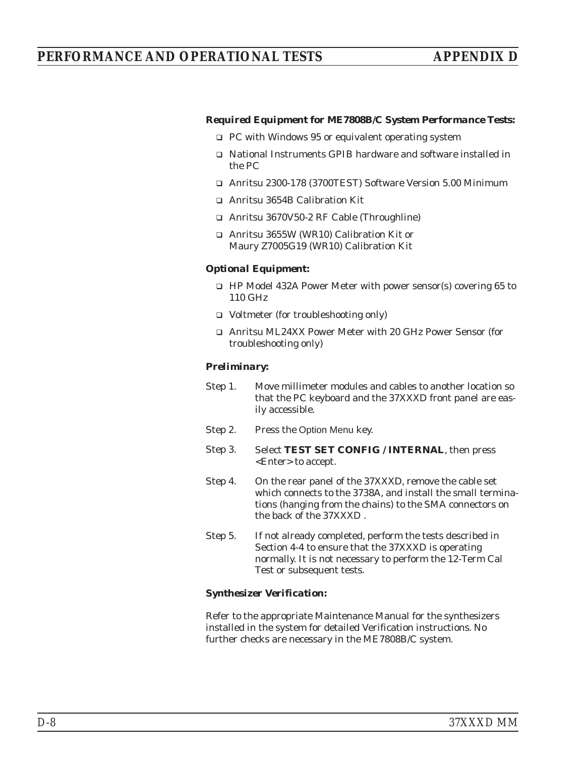### *PERFORMANCE AND OPERATIONAL TESTS APPENDIX D*

#### *Required Equipment for ME7808B/C System Performance Tests:*

- □ PC with Windows 95 or equivalent operating system
- □ National Instruments GPIB hardware and software installed in the PC
- Anritsu 2300-178 (3700TEST) Software Version 5.00 Minimum
- □ Anritsu 3654B Calibration Kit
- □ Anritsu 3670V50-2 RF Cable (Throughline)
- □ Anritsu 3655W (WR10) Calibration Kit or Maury Z7005G19 (WR10) Calibration Kit

#### *Optional Equipment:*

- □ HP Model 432A Power Meter with power sensor(s) covering 65 to 110 GHz
- □ Voltmeter (for troubleshooting only)
- □ Anritsu ML24XX Power Meter with 20 GHz Power Sensor (for troubleshooting only)

#### *Preliminary:*

- Step 1. Move millimeter modules and cables to another location so that the PC keyboard and the 37XXXD front panel are easily accessible.
- Step 2. Press the Option Menu key.
- Step 3. Select **TEST SET CONFIG / INTERNAL**, then press <Enter> to accept.
- Step 4. On the rear panel of the 37XXXD, remove the cable set which connects to the 3738A, and install the small terminations (hanging from the chains) to the SMA connectors on the back of the 37XXXD .
- Step 5. If not already completed, perform the tests described in Section 4-4 to ensure that the 37XXXD is operating normally. It is not necessary to perform the 12-Term Cal Test or subsequent tests.

#### *Synthesizer Verification:*

Refer to the appropriate Maintenance Manual for the synthesizers installed in the system for detailed Verification instructions. No further checks are necessary in the ME7808B/C system.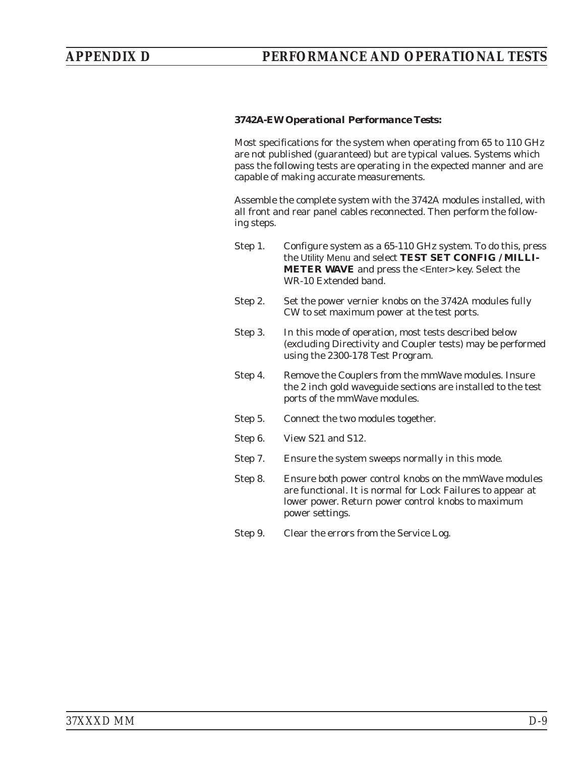#### *3742A-EW Operational Performance Tests:*

Most specifications for the system when operating from 65 to 110 GHz are not published (guaranteed) but are typical values. Systems which pass the following tests are operating in the expected manner and are capable of making accurate measurements.

Assemble the complete system with the 3742A modules installed, with all front and rear panel cables reconnected. Then perform the following steps.

- Step 1. Configure system as a 65-110 GHz system. To do this, press the Utility Menu and select **TEST SET CONFIG / MILLI-METER WAVE** and press the <Enter> key. Select the WR-10 Extended band.
- Step 2. Set the power vernier knobs on the 3742A modules fully CW to set maximum power at the test ports.
- Step 3. In this mode of operation, most tests described below (excluding Directivity and Coupler tests) may be performed using the 2300-178 Test Program.
- Step 4. Remove the Couplers from the mmWave modules. Insure the 2 inch gold waveguide sections are installed to the test ports of the mmWave modules.
- Step 5. Connect the two modules together.
- Step 6. View S21 and S12.
- Step 7. Ensure the system sweeps normally in this mode.
- Step 8. Ensure both power control knobs on the mmWave modules are functional. It is normal for Lock Failures to appear at lower power. Return power control knobs to maximum power settings.
- Step 9. Clear the errors from the Service Log.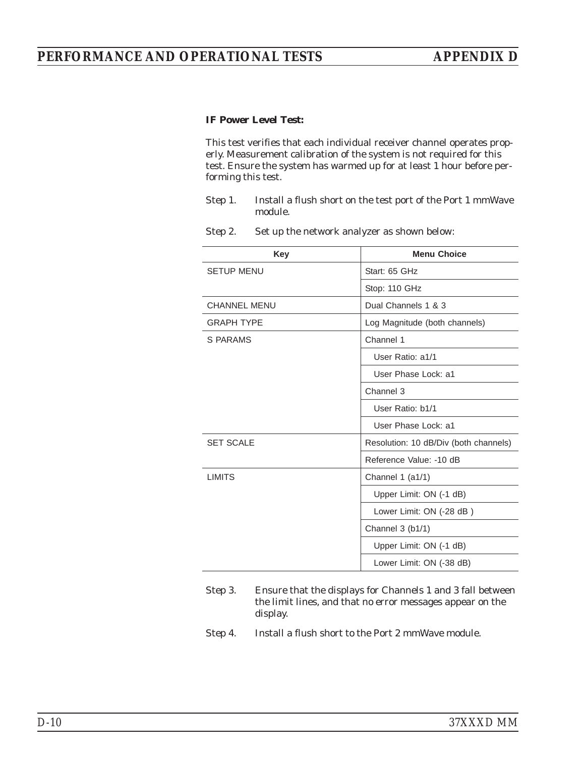### *IF Power Level Test:*

This test verifies that each individual receiver channel operates properly. Measurement calibration of the system is not required for this test. Ensure the system has warmed up for at least 1 hour before performing this test.

- Step 1. Install a flush short on the test port of the Port 1 mmWave module.
- Step 2. Set up the network analyzer as shown below:

| <b>Key</b>          | <b>Menu Choice</b>                    |
|---------------------|---------------------------------------|
| <b>SETUP MENU</b>   | Start: 65 GHz                         |
|                     | Stop: 110 GHz                         |
| <b>CHANNEL MENU</b> | Dual Channels 1 & 3                   |
| <b>GRAPH TYPE</b>   | Log Magnitude (both channels)         |
| S PARAMS            | Channel 1                             |
|                     | User Ratio: a1/1                      |
|                     | User Phase Lock: a1                   |
|                     | Channel 3                             |
|                     | User Ratio: b1/1                      |
|                     | User Phase Lock: a1                   |
| <b>SET SCALE</b>    | Resolution: 10 dB/Div (both channels) |
|                     | Reference Value: -10 dB               |
| <b>LIMITS</b>       | Channel $1$ (a $1/1$ )                |
|                     | Upper Limit: ON (-1 dB)               |
|                     | Lower Limit: ON (-28 dB)              |
|                     | Channel 3 (b1/1)                      |
|                     | Upper Limit: ON (-1 dB)               |
|                     | Lower Limit: ON (-38 dB)              |

- Step 3. Ensure that the displays for Channels 1 and 3 fall between the limit lines, and that no error messages appear on the display.
- Step 4. Install a flush short to the Port 2 mmWave module.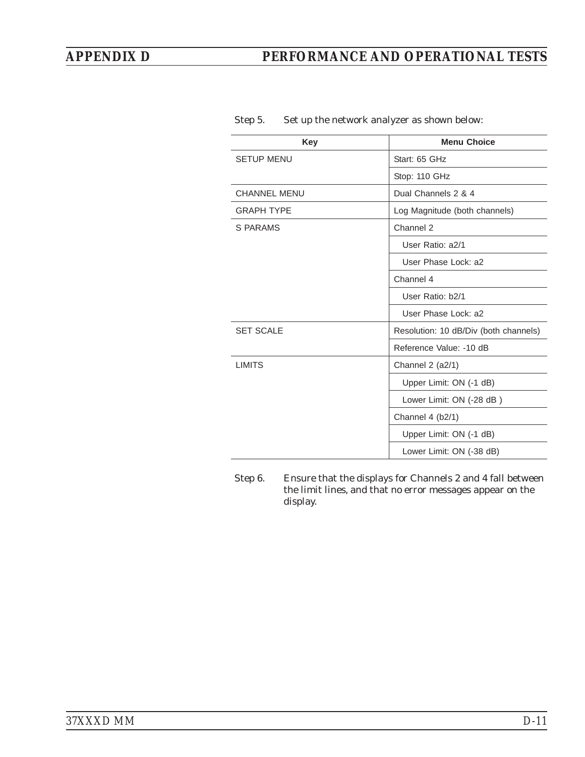## *APPENDIX D PERFORMANCE AND OPERATIONAL TESTS*

| <b>Key</b>          | <b>Menu Choice</b>                    |
|---------------------|---------------------------------------|
| <b>SETUP MENU</b>   | Start: 65 GHz                         |
|                     | Stop: 110 GHz                         |
| <b>CHANNEL MENU</b> | Dual Channels 2 & 4                   |
| <b>GRAPH TYPE</b>   | Log Magnitude (both channels)         |
| S PARAMS            | Channel 2                             |
|                     | User Ratio: a2/1                      |
|                     | User Phase Lock: a2                   |
|                     | Channel 4                             |
|                     | User Ratio: b2/1                      |
|                     | User Phase Lock: a2                   |
| <b>SET SCALE</b>    | Resolution: 10 dB/Div (both channels) |
|                     | Reference Value: -10 dB               |
| <b>LIMITS</b>       | Channel 2 (a2/1)                      |
|                     | Upper Limit: ON (-1 dB)               |
|                     | Lower Limit: ON (-28 dB)              |
|                     | Channel 4 (b2/1)                      |
|                     | Upper Limit: ON (-1 dB)               |
|                     | Lower Limit: ON (-38 dB)              |

#### Step 5. Set up the network analyzer as shown below:

Step 6. Ensure that the displays for Channels 2 and 4 fall between the limit lines, and that no error messages appear on the display.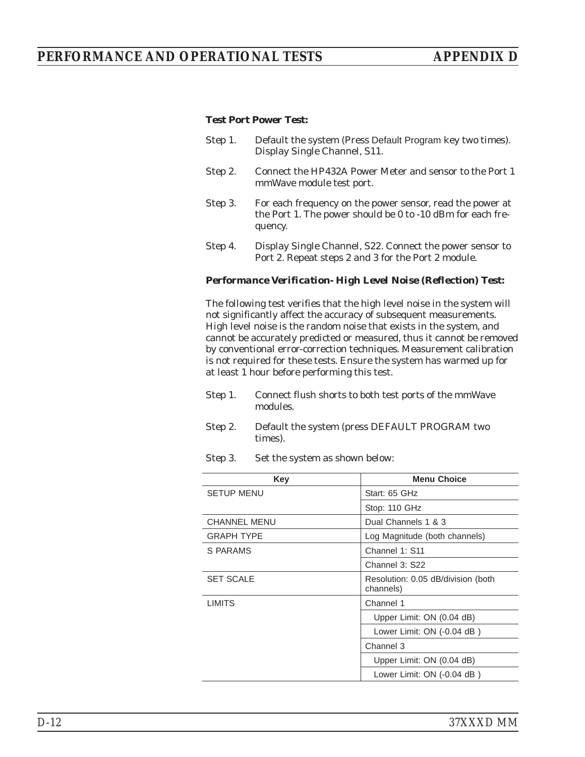#### *Test Port Power Test:*

- Step 1. Default the system (Press Default Program key two times). Display Single Channel, S11.
- Step 2. Connect the HP432A Power Meter and sensor to the Port 1 mmWave module test port.
- Step 3. For each frequency on the power sensor, read the power at the Port 1. The power should be 0 to -10 dBm for each frequency.
- Step 4. Display Single Channel, S22. Connect the power sensor to Port 2. Repeat steps 2 and 3 for the Port 2 module.

#### *Performance Verification- High Level Noise (Reflection) Test:*

The following test verifies that the high level noise in the system will not significantly affect the accuracy of subsequent measurements. High level noise is the random noise that exists in the system, and cannot be accurately predicted or measured, thus it cannot be removed by conventional error-correction techniques. Measurement calibration is not required for these tests. Ensure the system has warmed up for at least 1 hour before performing this test.

- Step 1. Connect flush shorts to both test ports of the mmWave modules.
- Step 2. Default the system (press DEFAULT PROGRAM two times).
- Step 3. Set the system as shown below:

| Key                 | <b>Menu Choice</b>                              |
|---------------------|-------------------------------------------------|
| <b>SETUP MENU</b>   | Start: 65 GHz                                   |
|                     | Stop: 110 GHz                                   |
| <b>CHANNEL MENU</b> | Dual Channels 1 & 3                             |
| <b>GRAPH TYPE</b>   | Log Magnitude (both channels)                   |
| S PARAMS            | Channel 1: S11                                  |
|                     | Channel 3: S22                                  |
| <b>SET SCALE</b>    | Resolution: 0.05 dB/division (both<br>channels) |
| <b>LIMITS</b>       | Channel 1                                       |
|                     | Upper Limit: ON (0.04 dB)                       |
|                     | Lower Limit: ON (-0.04 dB)                      |
|                     | Channel 3                                       |
|                     | Upper Limit: ON (0.04 dB)                       |
|                     | Lower Limit: ON (-0.04 dB)                      |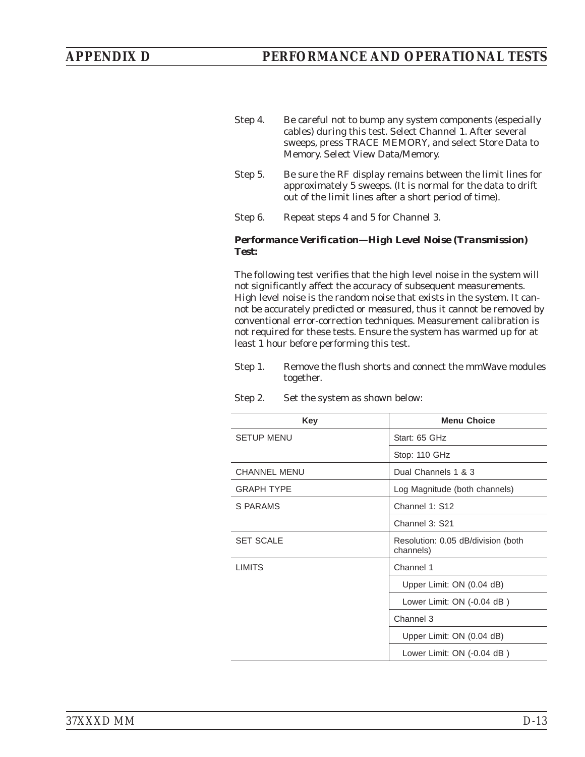- Step 4. Be careful not to bump any system components (especially cables) during this test. Select Channel 1. After several sweeps, press TRACE MEMORY, and select Store Data to Memory. Select View Data/Memory.
- Step 5. Be sure the RF display remains between the limit lines for approximately 5 sweeps. (It is normal for the data to drift out of the limit lines after a short period of time).
- Step 6. Repeat steps 4 and 5 for Channel 3.

#### *Performance Verification—High Level Noise (Transmission) Test:*

The following test verifies that the high level noise in the system will not significantly affect the accuracy of subsequent measurements. High level noise is the random noise that exists in the system. It cannot be accurately predicted or measured, thus it cannot be removed by conventional error-correction techniques. Measurement calibration is not required for these tests. Ensure the system has warmed up for at least 1 hour before performing this test.

Step 1. Remove the flush shorts and connect the mmWave modules together.

| Set the system as shown below: |
|--------------------------------|

| Key                 | <b>Menu Choice</b>                              |  |  |
|---------------------|-------------------------------------------------|--|--|
| <b>SETUP MENU</b>   | Start: 65 GHz                                   |  |  |
|                     | Stop: 110 GHz                                   |  |  |
| <b>CHANNEL MENU</b> | Dual Channels 1 & 3                             |  |  |
| <b>GRAPH TYPE</b>   | Log Magnitude (both channels)                   |  |  |
| S PARAMS            | Channel 1: S12                                  |  |  |
|                     | Channel 3: S21                                  |  |  |
| <b>SET SCALE</b>    | Resolution: 0.05 dB/division (both<br>channels) |  |  |
| <b>LIMITS</b>       | Channel 1                                       |  |  |
|                     | Upper Limit: ON (0.04 dB)                       |  |  |
|                     | Lower Limit: ON (-0.04 dB)                      |  |  |
|                     | Channel 3                                       |  |  |
|                     | Upper Limit: ON (0.04 dB)                       |  |  |
|                     | Lower Limit: ON (-0.04 dB)                      |  |  |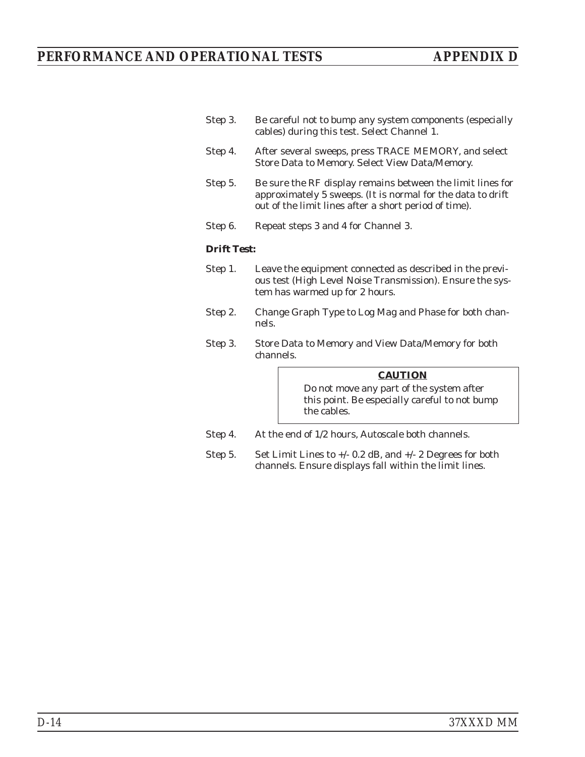| Step 3. | Be careful not to bump any system components (especially |
|---------|----------------------------------------------------------|
|         | cables) during this test. Select Channel 1.              |

- Step 4. After several sweeps, press TRACE MEMORY, and select Store Data to Memory. Select View Data/Memory.
- Step 5. Be sure the RF display remains between the limit lines for approximately 5 sweeps. (It is normal for the data to drift out of the limit lines after a short period of time).
- Step 6. Repeat steps 3 and 4 for Channel 3.

#### *Drift Test:*

- Step 1. Leave the equipment connected as described in the previous test (High Level Noise Transmission). Ensure the system has warmed up for 2 hours.
- Step 2. Change Graph Type to Log Mag and Phase for both channels.
- Step 3. Store Data to Memory and View Data/Memory for both channels.

#### *CAUTION*

Do not move any part of the system after this point. Be especially careful to not bump the cables.

- Step 4. At the end of 1/2 hours, Autoscale both channels.
- Step 5. Set Limit Lines to +/- 0.2 dB, and +/- 2 Degrees for both channels. Ensure displays fall within the limit lines.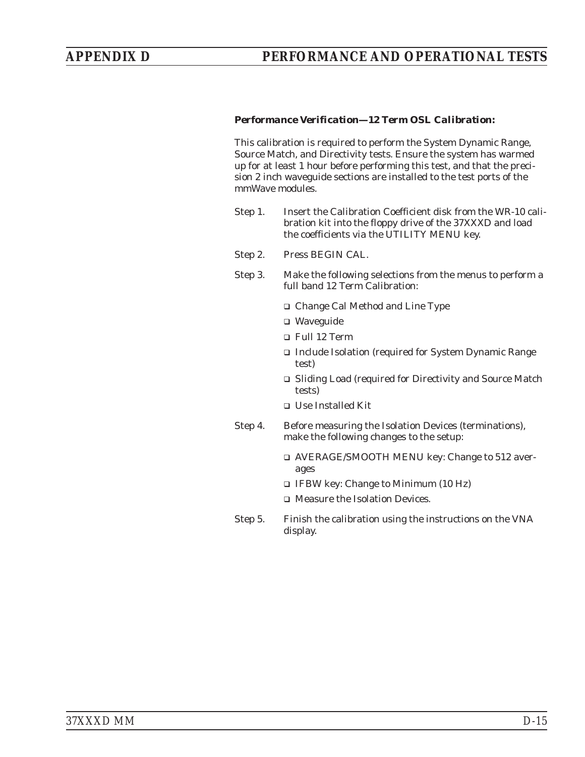#### *Performance Verification—12 Term OSL Calibration:*

This calibration is required to perform the System Dynamic Range, Source Match, and Directivity tests. Ensure the system has warmed up for at least 1 hour before performing this test, and that the precision 2 inch waveguide sections are installed to the test ports of the mmWave modules.

- Step 1. Insert the Calibration Coefficient disk from the WR-10 calibration kit into the floppy drive of the 37XXXD and load the coefficients via the UTILITY MENU key.
- Step 2. Press BEGIN CAL.
- Step 3. Make the following selections from the menus to perform a full band 12 Term Calibration:
	- □ Change Cal Method and Line Type
	- □ Waveguide
	- □ Full 12 Term
	- □ Include Isolation (required for System Dynamic Range test)
	- □ Sliding Load (required for Directivity and Source Match tests)
	- □ Use Installed Kit
- Step 4. Before measuring the Isolation Devices (terminations), make the following changes to the setup:
	- □ AVERAGE/SMOOTH MENU key: Change to 512 averages
	- IFBW key: Change to Minimum (10 Hz)
	- Measure the Isolation Devices.
- Step 5. Finish the calibration using the instructions on the VNA display.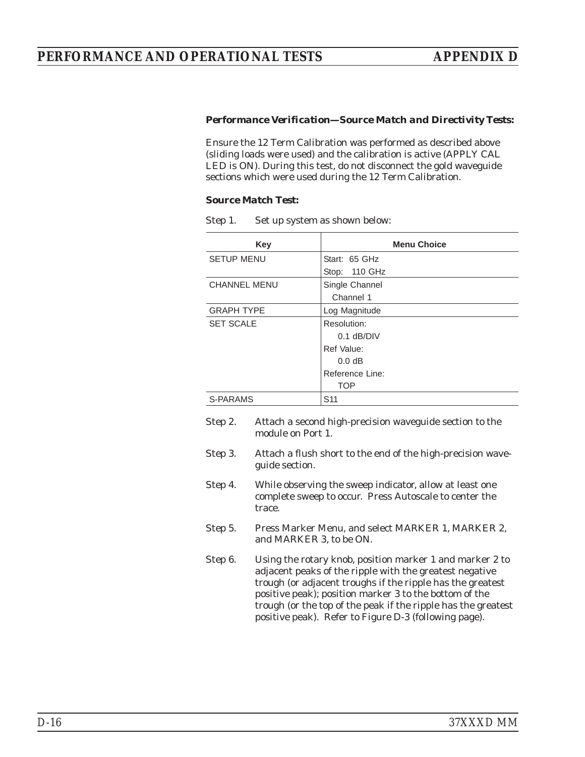#### *Performance Verification—Source Match and Directivity Tests:*

Ensure the 12 Term Calibration was performed as described above (sliding loads were used) and the calibration is active (APPLY CAL LED is ON). During this test, do not disconnect the gold waveguide sections which were used during the 12 Term Calibration.

#### *Source Match Test:*

| <b>Key</b>          | <b>Menu Choice</b> |
|---------------------|--------------------|
| <b>SETUP MENU</b>   | Start: 65 GHz      |
|                     | Stop: 110 GHz      |
| <b>CHANNEL MENU</b> | Single Channel     |
|                     | Channel 1          |
| <b>GRAPH TYPE</b>   | Log Magnitude      |
| <b>SET SCALE</b>    | Resolution:        |
|                     | $0.1$ dB/DIV       |
|                     | Ref Value:         |
|                     | 0.0 dB             |
|                     | Reference Line:    |
|                     | <b>TOP</b>         |
| S-PARAMS            | S <sub>11</sub>    |

Step 1. Set up system as shown below:

| Step 2. | Attach a second high-precision waveguide section to the<br>module on Port 1.                                                                                                                                                                                                                                                                                          |
|---------|-----------------------------------------------------------------------------------------------------------------------------------------------------------------------------------------------------------------------------------------------------------------------------------------------------------------------------------------------------------------------|
| Step 3. | Attach a flush short to the end of the high-precision wave-<br>guide section.                                                                                                                                                                                                                                                                                         |
| Step 4. | While observing the sweep indicator, allow at least one<br>complete sweep to occur. Press Autoscale to center the<br>trace.                                                                                                                                                                                                                                           |
| Step 5. | Press Marker Menu, and select MARKER 1, MARKER 2,<br>and MARKER 3, to be ON.                                                                                                                                                                                                                                                                                          |
| Step 6. | Using the rotary knob, position marker 1 and marker 2 to<br>adjacent peaks of the ripple with the greatest negative<br>trough (or adjacent troughs if the ripple has the greatest<br>positive peak); position marker 3 to the bottom of the<br>trough (or the top of the peak if the ripple has the greatest<br>positive peak). Refer to Figure D-3 (following page). |
|         |                                                                                                                                                                                                                                                                                                                                                                       |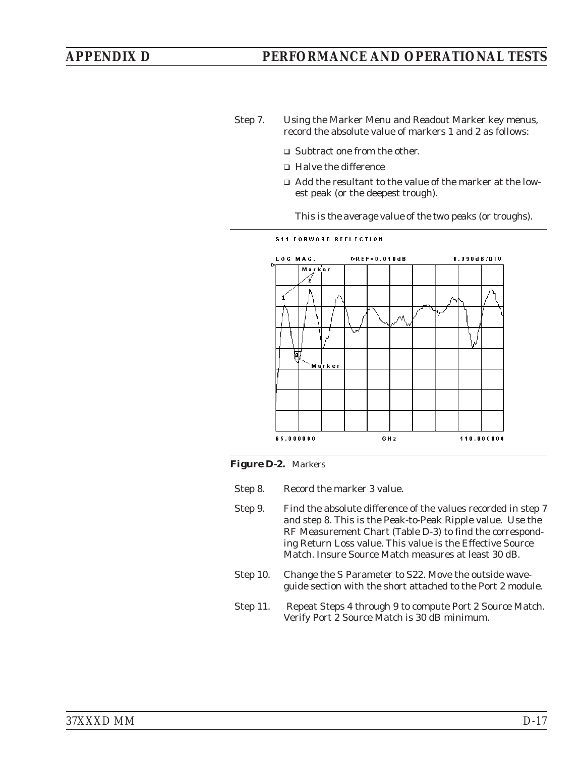- Step 7. Using the Marker Menu and Readout Marker key menus, record the absolute value of markers 1 and 2 as follows:
	- □ Subtract one from the other.
	- Halve the difference
	- Add the resultant to the value of the marker at the lowest peak (or the deepest trough).

*This is the average value of the two peaks (or troughs).*



#### *Figure D-2. Markers*

- Step 8. Record the marker 3 value.
- Step 9. Find the absolute difference of the values recorded in step 7 and step 8. This is the Peak-to-Peak Ripple value. Use the RF Measurement Chart (Table D-3) to find the corresponding Return Loss value. This value is the Effective Source Match. Insure Source Match measures at least 30 dB.
- Step 10. Change the S Parameter to S22. Move the outside waveguide section with the short attached to the Port 2 module.
- Step 11. Repeat Steps 4 through 9 to compute Port 2 Source Match. Verify Port 2 Source Match is 30 dB minimum.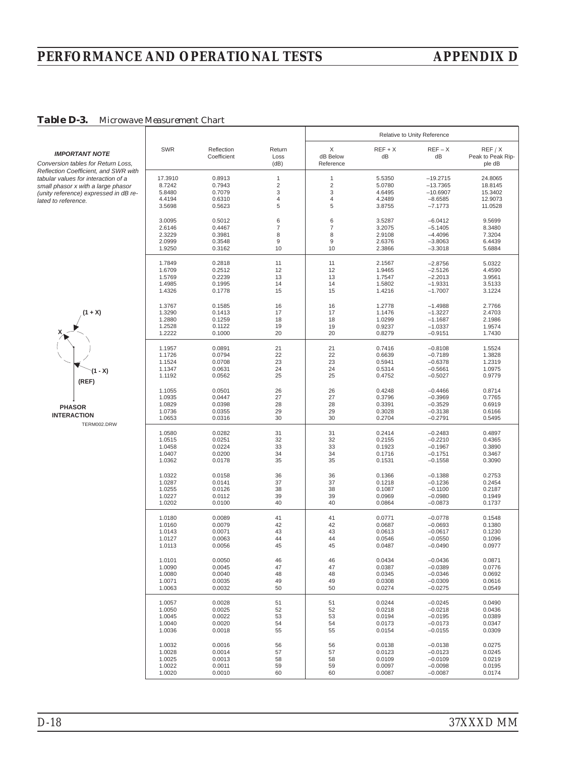## *PERFORMANCE AND OPERATIONAL TESTS APPENDIX D*

#### *Table D-3. Microwave Measurement Chart*

|                                                                             |            |                           |                        | Relative to Unity Reference |               |                        |                                       |
|-----------------------------------------------------------------------------|------------|---------------------------|------------------------|-----------------------------|---------------|------------------------|---------------------------------------|
| <b>IMPORTANT NOTE</b><br>Conversion tables for Return Loss,                 | <b>SWR</b> | Reflection<br>Coefficient | Return<br>Loss<br>(dB) | X<br>dB Below<br>Reference  | $REF+X$<br>dB | $REF-X$<br>dB          | REF/ X<br>Peak to Peak Rip-<br>ple dB |
| Reflection Coefficient, and SWR with<br>tabular values for interaction of a | 17.3910    | 0.8913                    | $\mathbf{1}$           | 1                           | 5.5350        | $-19.2715$             | 24.8065                               |
|                                                                             | 8.7242     | 0.7943                    | $\overline{2}$         | $\overline{c}$              | 5.0780        | $-13.7365$             | 18.8145                               |
| small phasor x with a large phasor<br>(unity reference) expressed in dB re- | 5.8480     | 0.7079                    | 3                      | 3                           | 4.6495        | $-10.6907$             | 15.3402                               |
|                                                                             | 4.4194     | 0.6310                    | 4                      | 4                           | 4.2489        | $-8.6585$              | 12.9073                               |
| lated to reference.                                                         | 3.5698     | 0.5623                    | 5                      | 5                           | 3.8755        | $-7.1773$              | 11.0528                               |
|                                                                             | 3.0095     | 0.5012                    | 6                      | 6                           | 3.5287        | $-6.0412$              | 9.5699                                |
|                                                                             | 2.6146     | 0.4467                    | 7                      | 7                           | 3.2075        | $-5.1405$              | 8.3480                                |
|                                                                             | 2.3229     | 0.3981                    | 8                      | 8                           | 2.9108        | $-4.4096$              | 7.3204                                |
|                                                                             | 2.0999     | 0.3548                    | $\mathsf g$            | $9\,$                       | 2.6376        | $-3.8063$              | 6.4439                                |
|                                                                             | 1.9250     | 0.3162                    | 10                     | 10                          | 2.3866        | $-3.3018$              | 5.6884                                |
|                                                                             | 1.7849     | 0.2818                    | 11                     | 11                          | 2.1567        | $-2.8756$              | 5.0322                                |
|                                                                             | 1.6709     | 0.2512                    | 12                     | 12                          | 1.9465        | $-2.5126$              | 4.4590                                |
|                                                                             | 1.5769     | 0.2239                    | 13                     | 13                          | 1.7547        | $-2.2013$              | 3.9561                                |
|                                                                             | 1.4985     | 0.1995                    | 14                     | 14                          | 1.5802        | $-1.9331$              | 3.5133                                |
|                                                                             | 1.4326     | 0.1778                    | 15                     | 15                          | 1.4216        | $-1.7007$              | 3.1224                                |
|                                                                             | 1.3767     | 0.1585                    | 16                     | 16                          | 1.2778        | $-1.4988$              | 2.7766                                |
| $(1 + X)$                                                                   | 1.3290     | 0.1413                    | 17                     | 17                          | 1.1476        | $-1.3227$              | 2.4703                                |
|                                                                             | 1.2880     | 0.1259                    | 18                     | 18                          | 1.0299        | $-1.1687$              | 2.1986                                |
|                                                                             | 1.2528     | 0.1122                    | 19                     | 19                          | 0.9237        | $-1.0337$              | 1.9574                                |
|                                                                             | 1.2222     | 0.1000                    | 20                     | 20                          | 0.8279        | $-0.9151$              | 1.7430                                |
|                                                                             | 1.1957     | 0.0891                    | 21                     | 21                          | 0.7416        | $-0.8108$              | 1.5524                                |
|                                                                             | 1.1726     | 0.0794                    | 22                     | 22                          | 0.6639        | $-0.7189$              | 1.3828                                |
|                                                                             | 1.1524     | 0.0708                    | 23                     | 23                          | 0.5941        | $-0.6378$              | 1.2319                                |
| $(1 - X)$                                                                   | 1.1347     | 0.0631                    | 24                     | 24                          | 0.5314        | $-0.5661$              | 1.0975                                |
| (REF)                                                                       | 1.1192     | 0.0562                    | 25                     | 25                          | 0.4752        | $-0.5027$              | 0.9779                                |
|                                                                             | 1.1055     | 0.0501                    | 26                     | 26                          | 0.4248        |                        | 0.8714                                |
|                                                                             | 1.0935     | 0.0447                    | 27                     | 27                          | 0.3796        | $-0.4466$<br>$-0.3969$ | 0.7765                                |
|                                                                             | 1.0829     | 0.0398                    | 28                     | 28                          | 0.3391        | $-0.3529$              | 0.6919                                |
| <b>PHASOR</b>                                                               | 1.0736     | 0.0355                    | 29                     | 29                          | 0.3028        | $-0.3138$              | 0.6166                                |
| <b>INTERACTION</b>                                                          | 1.0653     | 0.0316                    | 30                     | 30                          | 0.2704        | $-0.2791$              | 0.5495                                |
| TERM002.DRW                                                                 |            |                           |                        |                             |               |                        |                                       |
|                                                                             | 1.0580     | 0.0282                    | 31                     | 31                          | 0.2414        | $-0.2483$              | 0.4897                                |
|                                                                             | 1.0515     | 0.0251                    | 32                     | 32                          | 0.2155        | $-0.2210$              | 0.4365                                |
|                                                                             | 1.0458     | 0.0224                    | 33                     | 33                          | 0.1923        | $-0.1967$              | 0.3890                                |
|                                                                             | 1.0407     | 0.0200                    | 34                     | 34                          | 0.1716        | $-0.1751$              | 0.3467                                |
|                                                                             | 1.0362     | 0.0178                    | 35                     | 35                          | 0.1531        | $-0.1558$              | 0.3090                                |
|                                                                             | 1.0322     | 0.0158                    | 36                     | 36                          | 0.1366        | $-0.1388$              | 0.2753                                |
|                                                                             | 1.0287     | 0.0141                    | 37                     | 37                          | 0.1218        | $-0.1236$              | 0.2454                                |
|                                                                             | 1.0255     | 0.0126                    | 38                     | 38                          | 0.1087        | $-0.1100$              | 0.2187                                |
|                                                                             | 1.0227     | 0.0112                    | 39                     | 39                          | 0.0969        | $-0.0980$              | 0.1949                                |
|                                                                             | 1.0202     | 0.0100                    | 40                     | 40                          | 0.0864        | $-0.0873$              | 0.1737                                |
|                                                                             | 1.0180     | 0.0089                    | 41                     | 41                          | 0.0771        | $-0.0778$              | 0.1548                                |
|                                                                             | 1.0160     | 0.0079                    | 42                     | 42                          | 0.0687        | $-0.0693$              | 0.1380                                |
|                                                                             | 1.0143     | 0.0071                    | 43                     | 43                          | 0.0613        | $-0.0617$              | 0.1230                                |
|                                                                             | 1.0127     | 0.0063                    | 44                     | 44                          | 0.0546        | $-0.0550$              | 0.1096                                |
|                                                                             | 1.0113     | 0.0056                    | 45                     | 45                          | 0.0487        | $-0.0490$              | 0.0977                                |
|                                                                             | 1.0101     | 0.0050                    | 46                     | 46                          | 0.0434        | $-0.0436$              | 0.0871                                |
|                                                                             | 1.0090     | 0.0045                    | 47                     | 47                          | 0.0387        | $-0.0389$              | 0.0776                                |
|                                                                             | 1.0080     | 0.0040                    | 48                     | 48                          | 0.0345        | $-0.0346$              | 0.0692                                |
|                                                                             | 1.0071     | 0.0035                    | 49                     | 49                          | 0.0308        | $-0.0309$              | 0.0616                                |
|                                                                             | 1.0063     | 0.0032                    | 50                     | 50                          | 0.0274        | $-0.0275$              | 0.0549                                |
|                                                                             | 1.0057     | 0.0028                    | 51                     | 51                          | 0.0244        | $-0.0245$              | 0.0490                                |
|                                                                             | 1.0050     | 0.0025                    | 52                     | 52                          | 0.0218        | $-0.0218$              | 0.0436                                |
|                                                                             | 1.0045     | 0.0022                    | 53                     | 53                          | 0.0194        | $-0.0195$              | 0.0389                                |
|                                                                             | 1.0040     | 0.0020                    | 54                     | 54                          | 0.0173        | $-0.0173$              | 0.0347                                |
|                                                                             | 1.0036     | 0.0018                    | 55                     | 55                          | 0.0154        | $-0.0155$              | 0.0309                                |
|                                                                             | 1.0032     | 0.0016                    | 56                     | 56                          | 0.0138        | $-0.0138$              | 0.0275                                |
|                                                                             | 1.0028     | 0.0014                    | 57                     | 57                          | 0.0123        | $-0.0123$              | 0.0245                                |
|                                                                             | 1.0025     | 0.0013                    | 58                     | 58                          | 0.0109        | $-0.0109$              | 0.0219                                |
|                                                                             | 1.0022     | 0.0011                    | 59                     | 59                          | 0.0097        | $-0.0098$              | 0.0195                                |
|                                                                             | 1.0020     | 0.0010                    | 60                     | 60                          | 0.0087        | $-0.0087$              | 0.0174                                |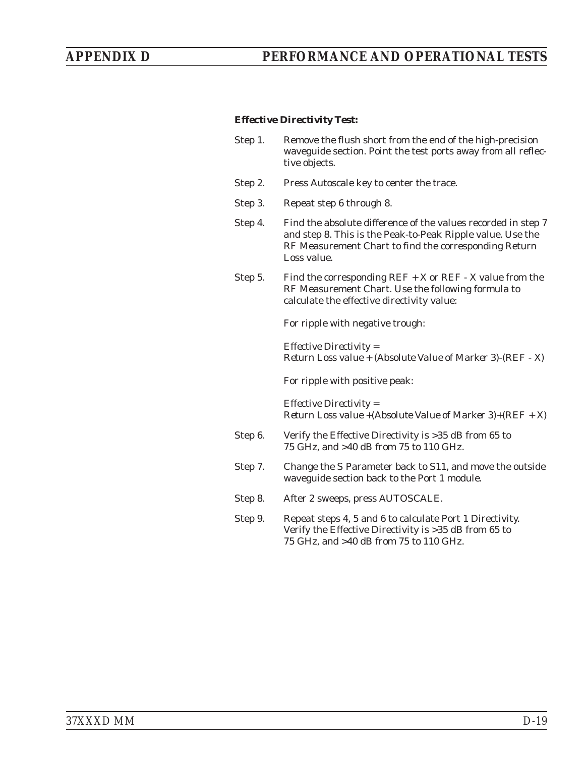#### *Effective Directivity Test:*

| Step 1. | Remove the flush short from the end of the high-precision     |
|---------|---------------------------------------------------------------|
|         | waveguide section. Point the test ports away from all reflec- |
|         | tive objects.                                                 |

- Step 2. Press Autoscale key to center the trace.
- Step 3. Repeat step 6 through 8.
- Step 4. Find the absolute difference of the values recorded in step 7 and step 8. This is the Peak-to-Peak Ripple value. Use the RF Measurement Chart to find the corresponding Return Loss value.
- Step 5. Find the corresponding  $REF + X$  or  $REF X$  value from the RF Measurement Chart. Use the following formula to calculate the effective directivity value:

For ripple with negative trough:

*Effective Directivity = Return Loss value + (Absolute Value of Marker 3)-(REF - X)*

For ripple with positive peak:

*Effective Directivity = Return Loss value +(Absolute Value of Marker 3)+(REF + X)*

- Step 6. Verify the Effective Directivity is >35 dB from 65 to 75 GHz, and >40 dB from 75 to 110 GHz.
- Step 7. Change the S Parameter back to S11, and move the outside waveguide section back to the Port 1 module.
- Step 8. After 2 sweeps, press AUTOSCALE.
- Step 9. Repeat steps 4, 5 and 6 to calculate Port 1 Directivity. Verify the Effective Directivity is >35 dB from 65 to 75 GHz, and >40 dB from 75 to 110 GHz.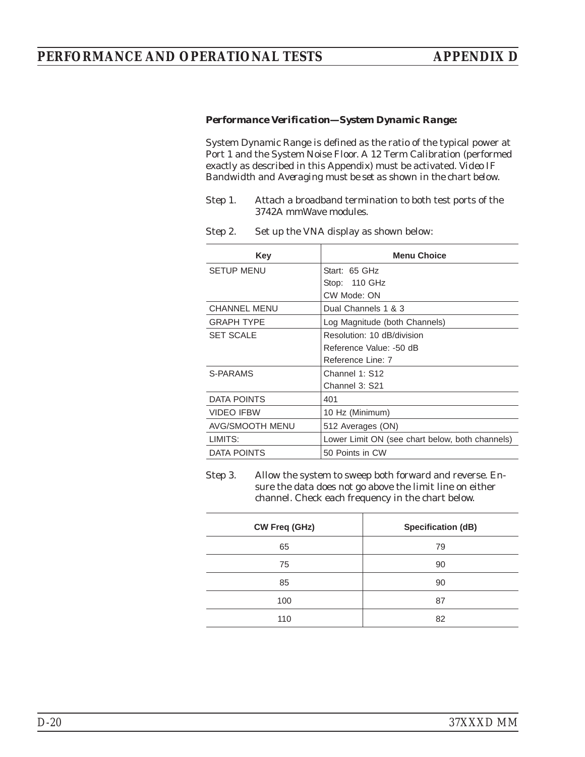#### *Performance Verification—System Dynamic Range:*

System Dynamic Range is defined as the ratio of the typical power at Port 1 and the System Noise Floor. A 12 Term Calibration (performed exactly as described in this Appendix) must be activated. *Video IF Bandwidth and Averaging must be set as shown in the chart below.*

- Step 1. Attach a broadband termination to both test ports of the 3742A mmWave modules.
- Step 2. Set up the VNA display as shown below:

| Key                 | <b>Menu Choice</b>                              |
|---------------------|-------------------------------------------------|
| <b>SETUP MENU</b>   | Start: 65 GHz                                   |
|                     | Stop: 110 GHz                                   |
|                     | CW Mode: ON                                     |
| <b>CHANNEL MENU</b> | Dual Channels 1 & 3                             |
| <b>GRAPH TYPE</b>   | Log Magnitude (both Channels)                   |
| <b>SET SCALE</b>    | Resolution: 10 dB/division                      |
|                     | Reference Value: -50 dB                         |
|                     | Reference Line: 7                               |
| S-PARAMS            | Channel 1: S12                                  |
|                     | Channel 3: S21                                  |
| DATA POINTS         | 401                                             |
| <b>VIDEO IFBW</b>   | 10 Hz (Minimum)                                 |
| AVG/SMOOTH MENU     | 512 Averages (ON)                               |
| LIMITS:             | Lower Limit ON (see chart below, both channels) |
| DATA POINTS         | 50 Points in CW                                 |

Step 3. Allow the system to sweep both forward and reverse. Ensure the data does not go above the limit line on either channel. Check each frequency in the chart below.

| <b>CW Freq (GHz)</b> | Specification (dB) |
|----------------------|--------------------|
| 65                   | 79                 |
| 75                   | 90                 |
| 85                   | 90                 |
| 100                  | 87                 |
| 110                  | 82                 |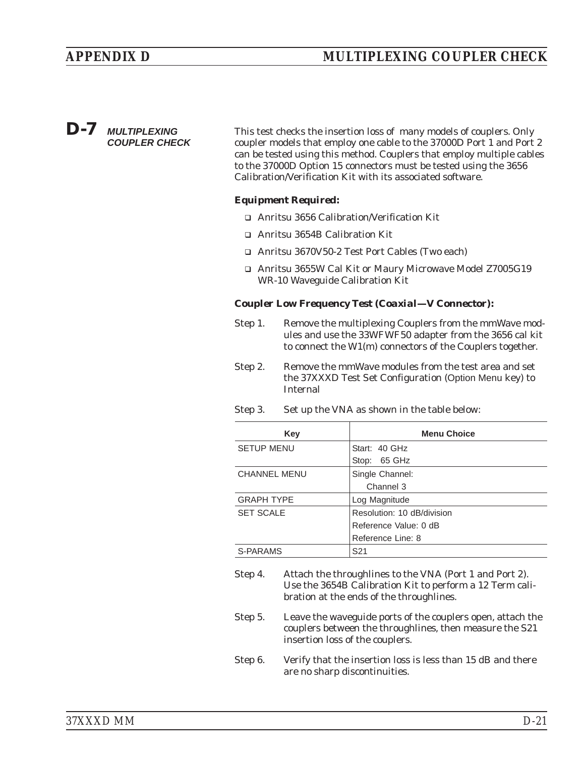### *D-7 MULTIPLEXING COUPLER CHECK*

This test checks the insertion loss of many models of couplers. Only coupler models that employ one cable to the 37000D Port 1 and Port 2 can be tested using this method. Couplers that employ multiple cables to the 37000D Option 15 connectors must be tested using the 3656 Calibration/Verification Kit with its associated software.

### *Equipment Required:*

- □ Anritsu 3656 Calibration/Verification Kit
- □ Anritsu 3654B Calibration Kit
- □ Anritsu 3670V50-2 Test Port Cables (Two each)
- □ Anritsu 3655W Cal Kit or Maury Microwave Model Z7005G19 WR-10 Waveguide Calibration Kit

#### *Coupler Low Frequency Test (Coaxial—V Connector):*

- Step 1. Remove the multiplexing Couplers from the mmWave modules and use the 33WFWF50 adapter from the 3656 cal kit to connect the W1(m) connectors of the Couplers together.
- Step 2. Remove the mmWave modules from the test area and set the 37XXXD Test Set Configuration (Option Menu key) to Internal
- Step 3. Set up the VNA as shown in the table below:

| Key                 | <b>Menu Choice</b>         |  |
|---------------------|----------------------------|--|
| <b>SETUP MENU</b>   | Start: 40 GHz              |  |
|                     | Stop: 65 GHz               |  |
| <b>CHANNEL MENU</b> | Single Channel:            |  |
|                     | Channel 3                  |  |
| <b>GRAPH TYPE</b>   | Log Magnitude              |  |
| <b>SET SCALE</b>    | Resolution: 10 dB/division |  |
|                     | Reference Value: 0 dB      |  |
|                     | Reference Line: 8          |  |
| S-PARAMS            | S <sub>21</sub>            |  |

- Step 4. Attach the throughlines to the VNA (Port 1 and Port 2). Use the 3654B Calibration Kit to perform a 12 Term calibration at the ends of the throughlines.
- Step 5. Leave the waveguide ports of the couplers open, attach the couplers between the throughlines, then measure the S21 insertion loss of the couplers.
- Step 6. Verify that the insertion loss is less than 15 dB and there are no sharp discontinuities.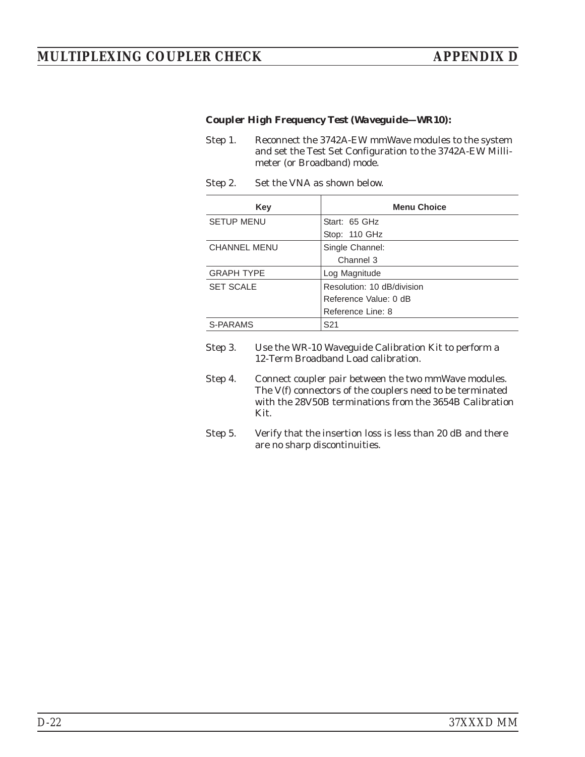### *MULTIPLEXING COUPLER CHECK APPENDIX D*

#### *Coupler High Frequency Test (Waveguide—WR10):*

- Step 1. Reconnect the 3742A-EW mmWave modules to the system and set the Test Set Configuration to the 3742A-EW Millimeter (or Broadband) mode.
- Step 2. Set the VNA as shown below.

| Key                 | <b>Menu Choice</b>         |
|---------------------|----------------------------|
| <b>SETUP MENU</b>   | Start: 65 GHz              |
|                     | Stop: 110 GHz              |
| <b>CHANNEL MENU</b> | Single Channel:            |
|                     | Channel 3                  |
| <b>GRAPH TYPE</b>   | Log Magnitude              |
| <b>SET SCALE</b>    | Resolution: 10 dB/division |
|                     | Reference Value: 0 dB      |
|                     | Reference Line: 8          |
| S-PARAMS            | S <sub>21</sub>            |

- Step 3. Use the WR-10 Waveguide Calibration Kit to perform a 12-Term Broadband Load calibration.
- Step 4. Connect coupler pair between the two mmWave modules. The V(f) connectors of the couplers need to be terminated with the 28V50B terminations from the 3654B Calibration Kit.
- Step 5. Verify that the insertion loss is less than 20 dB and there are no sharp discontinuities.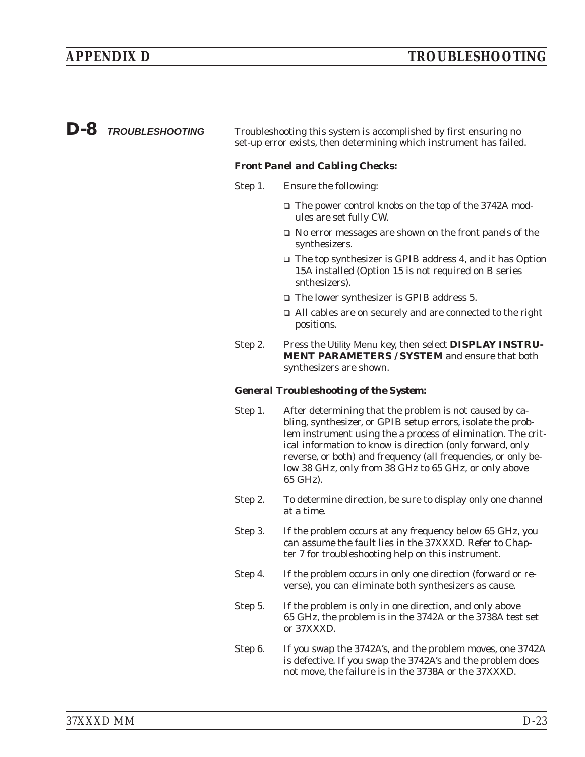### <span id="page-178-0"></span>*D-8 TROUBLESHOOTING* Troubleshooting this system is accomplished by first ensuring no set-up error exists, then determining which instrument has failed.

#### *Front Panel and Cabling Checks:*

- Step 1. Ensure the following:
	- □ The power control knobs on the top of the 3742A modules are set fully CW.
	- □ No error messages are shown on the front panels of the synthesizers.
	- □ The top synthesizer is GPIB address 4, and it has Option 15A installed (Option 15 is not required on B series snthesizers).
	- The lower synthesizer is GPIB address 5.
	- All cables are on securely and are connected to the right positions.
- Step 2. Press the Utility Menu key, then select **DISPLAY INSTRU-MENT PARAMETERS / SYSTEM** and ensure that both synthesizers are shown.

#### *General Troubleshooting of the System:*

- Step 1. After determining that the problem is not caused by cabling, synthesizer, or GPIB setup errors, isolate the problem instrument using the a process of elimination. The critical information to know is direction (only forward, only reverse, or both) and frequency (all frequencies, or only below 38 GHz, only from 38 GHz to 65 GHz, or only above 65 GHz).
- Step 2. To determine direction, be sure to display only one channel at a time.
- Step 3. If the problem occurs at any frequency below 65 GHz, you can assume the fault lies in the 37XXXD. Refer to Chapter 7 for troubleshooting help on this instrument.
- Step 4. If the problem occurs in only one direction (forward or reverse), you can eliminate both synthesizers as cause.
- Step 5. If the problem is only in one direction, and only above 65 GHz, the problem is in the 3742A or the 3738A test set or 37XXXD.
- Step 6. If you swap the 3742A's, and the problem moves, one 3742A is defective. If you swap the 3742A's and the problem does not move, the failure is in the 3738A or the 37XXXD.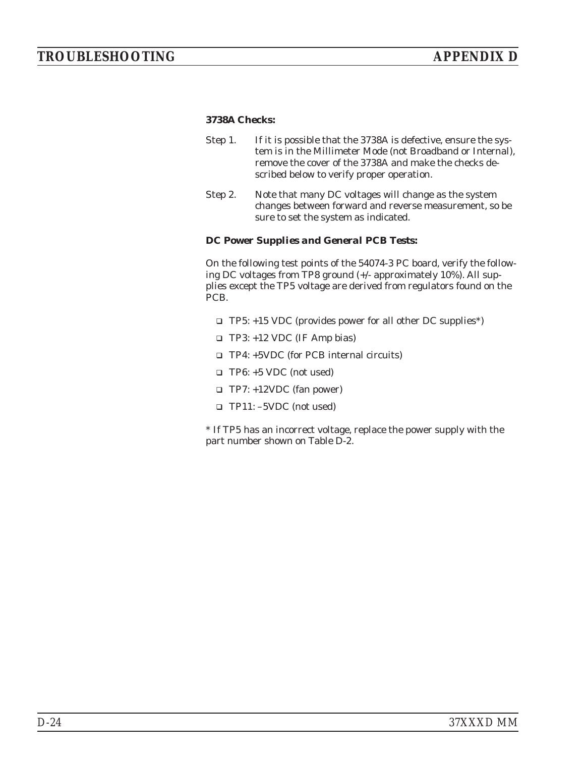#### *3738A Checks:*

- Step 1. If it is possible that the 3738A is defective, ensure the system is in the Millimeter Mode (not Broadband or Internal), remove the cover of the 3738A and make the checks described below to verify proper operation.
- Step 2. Note that many DC voltages will change as the system changes between forward and reverse measurement, so be sure to set the system as indicated.

#### *DC Power Supplies and General PCB Tests:*

On the following test points of the 54074-3 PC board, verify the following DC voltages from TP8 ground (+/- approximately 10%). All supplies except the TP5 voltage are derived from regulators found on the PCB.

- TP5: +15 VDC (provides power for all other DC supplies\*)
- TP3: +12 VDC (IF Amp bias)
- TP4: +5VDC (for PCB internal circuits)
- TP6: +5 VDC (not used)
- TP7: +12VDC (fan power)
- TP11: –5VDC (not used)

\* If TP5 has an incorrect voltage, replace the power supply with the part number shown on Table D-2.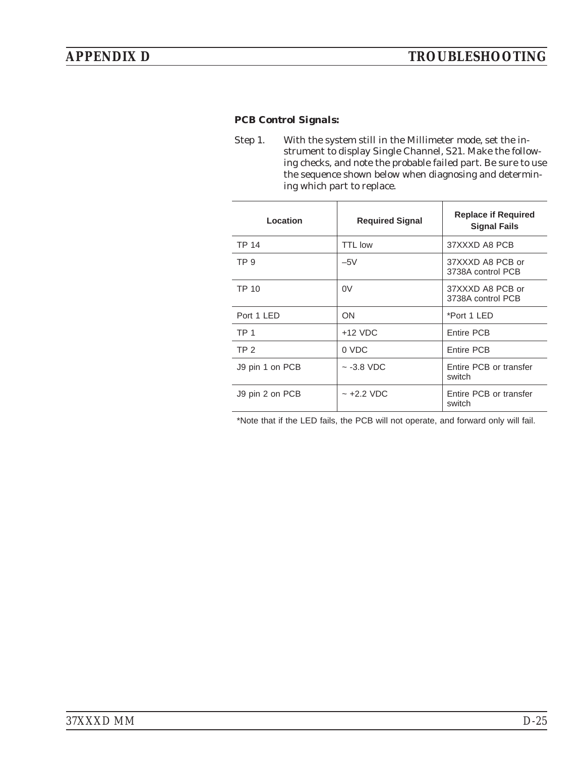#### *PCB Control Signals:*

Step 1. With the system still in the Millimeter mode, set the instrument to display Single Channel, S21. Make the following checks, and note the probable failed part. Be sure to use the sequence shown below when diagnosing and determining which part to replace.

| Location        | <b>Required Signal</b> | <b>Replace if Required</b><br><b>Signal Fails</b> |
|-----------------|------------------------|---------------------------------------------------|
| TP 14           | <b>TTL low</b>         | 37XXXD A8 PCB                                     |
| TP <sub>9</sub> | $-5V$                  | 37XXXD A8 PCB or<br>3738A control PCB             |
| TP 10           | 0V                     | 37XXXD A8 PCB or<br>3738A control PCB             |
| Port 1 LED      | ON                     | *Port 1 LED                                       |
| TP <sub>1</sub> | $+12$ VDC              | Entire PCB                                        |
| TP <sub>2</sub> | 0 VDC                  | Entire PCB                                        |
| J9 pin 1 on PCB | $\sim$ -3.8 VDC        | Entire PCB or transfer<br>switch                  |
| J9 pin 2 on PCB | $\sim$ +2.2 VDC        | Entire PCB or transfer<br>switch                  |

\*Note that if the LED fails, the PCB will not operate, and forward only will fail.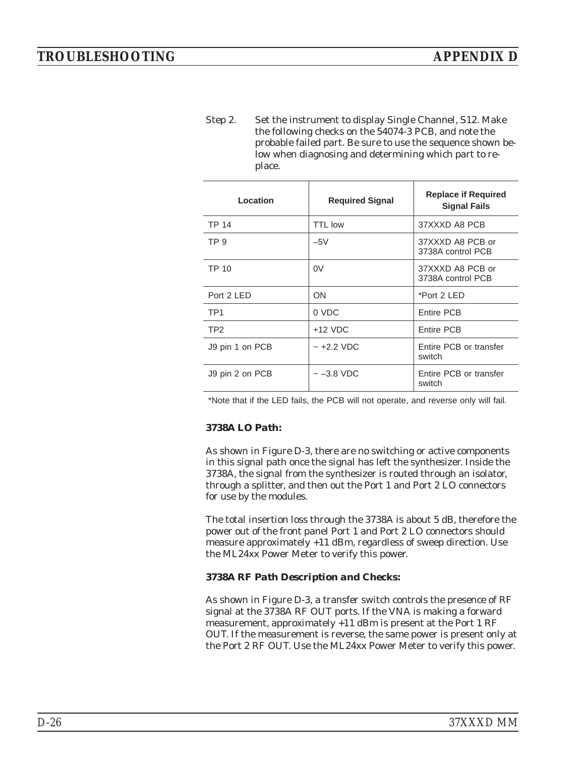Step 2. Set the instrument to display Single Channel, S12. Make the following checks on the 54074-3 PCB, and note the probable failed part. Be sure to use the sequence shown below when diagnosing and determining which part to replace.

| Location        | <b>Required Signal</b> | <b>Replace if Required</b><br><b>Signal Fails</b> |
|-----------------|------------------------|---------------------------------------------------|
| <b>TP 14</b>    | <b>TTL low</b>         | 37XXXD A8 PCB                                     |
| TP <sub>9</sub> | $-5V$                  | 37XXXD A8 PCB or<br>3738A control PCB             |
| TP 10           | 0V                     | 37XXXD A8 PCB or<br>3738A control PCB             |
| Port 2 LED      | <b>ON</b>              | *Port 2 LED                                       |
| TP <sub>1</sub> | 0 VDC                  | Entire PCB                                        |
| TP <sub>2</sub> | $+12$ VDC              | Entire PCB                                        |
| J9 pin 1 on PCB | $~1 - 12.2$ VDC        | Entire PCB or transfer<br>switch                  |
| J9 pin 2 on PCB | $\sim$ $-3.8$ VDC      | Entire PCB or transfer<br>switch                  |

\*Note that if the LED fails, the PCB will not operate, and reverse only will fail.

#### *3738A LO Path:*

As shown in Figure D-3, there are no switching or active components in this signal path once the signal has left the synthesizer. Inside the 3738A, the signal from the synthesizer is routed through an isolator, through a splitter, and then out the Port 1 and Port 2 LO connectors for use by the modules.

The total insertion loss through the 3738A is about 5 dB, therefore the power out of the front panel Port 1 and Port 2 LO connectors should measure approximately +11 dBm, regardless of sweep direction. Use the ML24xx Power Meter to verify this power.

#### *3738A RF Path Description and Checks:*

As shown in Figure D-3, a transfer switch controls the presence of RF signal at the 3738A RF OUT ports. If the VNA is making a forward measurement, approximately +11 dBm is present at the Port 1 RF OUT. If the measurement is reverse, the same power is present only at the Port 2 RF OUT. Use the ML24xx Power Meter to verify this power.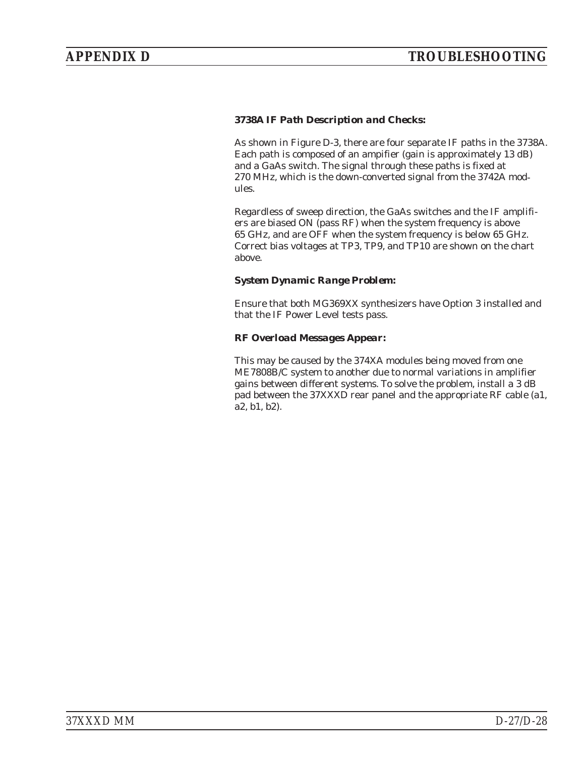#### *3738A IF Path Description and Checks:*

As shown in Figure D-3, there are four separate IF paths in the 3738A. Each path is composed of an ampifier (gain is approximately 13 dB) and a GaAs switch. The signal through these paths is fixed at 270 MHz, which is the down-converted signal from the 3742A modules.

Regardless of sweep direction, the GaAs switches and the IF amplifiers are biased ON (pass RF) when the system frequency is above 65 GHz, and are OFF when the system frequency is below 65 GHz. Correct bias voltages at TP3, TP9, and TP10 are shown on the chart above.

#### *System Dynamic Range Problem:*

Ensure that both MG369XX synthesizers have Option 3 installed and that the IF Power Level tests pass.

#### *RF Overload Messages Appear:*

This may be caused by the 374XA modules being moved from one ME7808B/C system to another due to normal variations in amplifier gains between different systems. To solve the problem, install a 3 dB pad between the 37XXXD rear panel and the appropriate RF cable (a1, a2, b1, b2).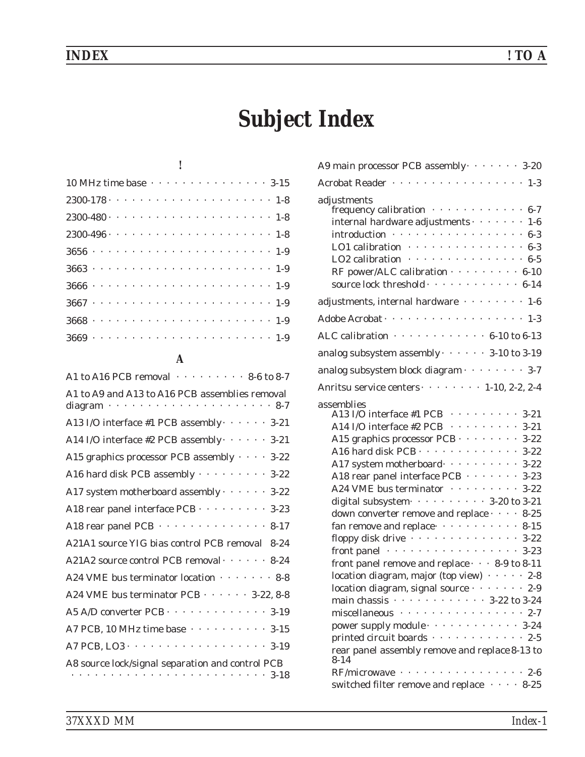## *INDEX ! TO A*

# *Subject Index*

#### *!*

| 10 MHz time base 3-15                                    |  |  |  |  |  |  |  |  |  |  |  |  |
|----------------------------------------------------------|--|--|--|--|--|--|--|--|--|--|--|--|
|                                                          |  |  |  |  |  |  |  |  |  |  |  |  |
| $2300 - 480 - 18$                                        |  |  |  |  |  |  |  |  |  |  |  |  |
| $2300 - 496 - \cdots - \cdots - \cdots - \cdots - 1 - 8$ |  |  |  |  |  |  |  |  |  |  |  |  |
|                                                          |  |  |  |  |  |  |  |  |  |  |  |  |
|                                                          |  |  |  |  |  |  |  |  |  |  |  |  |
|                                                          |  |  |  |  |  |  |  |  |  |  |  |  |
|                                                          |  |  |  |  |  |  |  |  |  |  |  |  |
|                                                          |  |  |  |  |  |  |  |  |  |  |  |  |
|                                                          |  |  |  |  |  |  |  |  |  |  |  |  |

# *A*

| A1 to A16 PCB removal 8-6 to 8-7                                                                                          |
|---------------------------------------------------------------------------------------------------------------------------|
| A1 to A9 and A13 to A16 PCB assemblies removal<br>$\cdot$ 8-7<br>diagram $\cdot$                                          |
| A13 I/O interface #1 PCB assembly · · · · · · 3-21                                                                        |
| A14 I/O interface #2 PCB assembly $\cdots$ 3-21                                                                           |
| A15 graphics processor PCB assembly · · · · 3-22                                                                          |
| A16 hard disk PCB assembly 3-22                                                                                           |
| A17 system motherboard assembly · · · · · · 3-22                                                                          |
| A18 rear panel interface PCB · · · · · · · · · 3-23                                                                       |
| A18 rear panel PCB · · · · · · · · · · · · · · 8-17                                                                       |
| A21A1 source YIG bias control PCB removal 8-24                                                                            |
| A21A2 source control PCB removal · · · · · · 8-24                                                                         |
| A24 VME bus terminator location · · · · · · · 8-8                                                                         |
| A24 VME bus terminator PCB · · · · · · 3-22, 8-8                                                                          |
| A5 A/D converter PCB · · · · · · · · · · · · · 3-19                                                                       |
| A7 PCB, 10 MHz time base $\cdots$ 3-15                                                                                    |
| A7 PCB, LO3 3-19                                                                                                          |
| A8 source lock/signal separation and control PCB<br>$\mathcal{A}$ , and a set of the set of the $\mathcal{A}$<br>$3 - 18$ |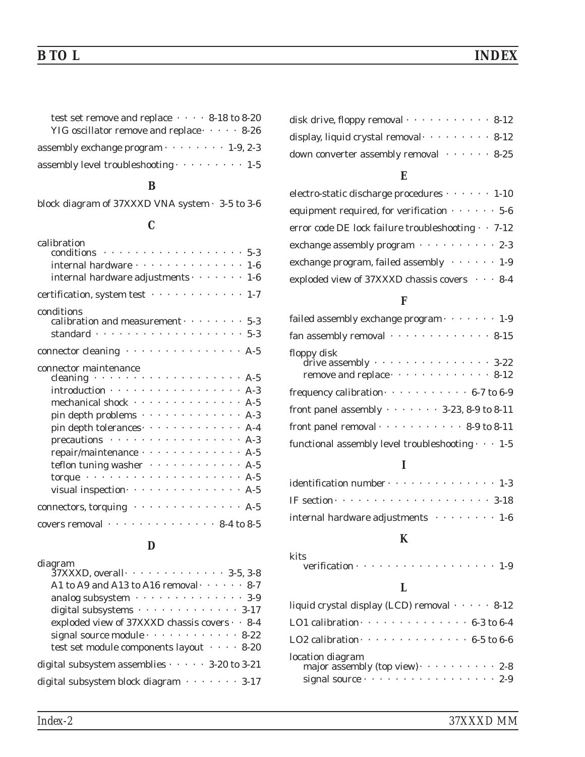### *B TO L INDEX*

| test set remove and replace $\cdots$ 8-18 to 8-20 |
|---------------------------------------------------|
| YIG oscillator remove and replace $\cdots$ 8-26   |
| assembly exchange program $\cdots$ 1-9, 2-3       |
| assembly level troubleshooting $\cdots$ 1-5       |

### *B*

[block diagram of 37XXXD VNA system · 3-5 to 3-6](#page-40-0)

### *C*

| calibration<br>conditions $\cdots$ 5-3                               |  |  |  |  |
|----------------------------------------------------------------------|--|--|--|--|
|                                                                      |  |  |  |  |
| internal hardware · · · · · · · · · · · · · · · 1-6                  |  |  |  |  |
| internal hardware adjustments $\cdots$ 1-6                           |  |  |  |  |
| certification, system test 1-7                                       |  |  |  |  |
| conditions<br>calibration and measurement $\cdots$ 5-3               |  |  |  |  |
| standard $\cdots$ 5-3                                                |  |  |  |  |
|                                                                      |  |  |  |  |
| connector cleaning A-5                                               |  |  |  |  |
| connector maintenance                                                |  |  |  |  |
| cleaning $\cdots$ $\cdots$ $\cdots$ $\cdots$ $\cdots$ $\cdots$ $A-5$ |  |  |  |  |
| introduction · · · · · · · · · · · · · · · · · · A-3                 |  |  |  |  |
| mechanical shock · · · · · · · · · · · · · · · A-5                   |  |  |  |  |
| pin depth problems A-3                                               |  |  |  |  |
| pin depth tolerances A-4                                             |  |  |  |  |
| precautions A-3                                                      |  |  |  |  |
| repair/maintenance · · · · · · · · · · · · · · A-5                   |  |  |  |  |
| teflon tuning washer A-5                                             |  |  |  |  |
| torque $\cdots$ A-5                                                  |  |  |  |  |
| visual inspection $\cdots$ 4-5                                       |  |  |  |  |
| connectors, torquing A-5                                             |  |  |  |  |
| covers removal $\cdots$ 8-4 to 8-5                                   |  |  |  |  |

# *D*

| diagram                                            |
|----------------------------------------------------|
| 37XXXD, overall 3-5, 3-8                           |
| A1 to A9 and A13 to A16 removal $\cdots$ 8-7       |
| analog subsystem 3-9                               |
| digital subsystems 3-17                            |
| exploded view of 37XXXD chassis covers · · 8-4     |
| signal source module $\cdots$ 8-22                 |
| test set module components layout (1997-1998)      |
| digital subsystem assemblies $\cdots$ 3-20 to 3-21 |
| digital subsystem block diagram $\cdots$ 3-17      |
|                                                    |

| disk drive, floppy removal $\cdots \cdots \cdots$ 8-12 |  |  |  |  |
|--------------------------------------------------------|--|--|--|--|
| display, liquid crystal removal $\cdots$ 8-12          |  |  |  |  |
| down converter assembly removal $\cdots$ 8-25          |  |  |  |  |

# *E*

| electro-static discharge procedures $\cdots$ 1-10         |
|-----------------------------------------------------------|
| equipment required, for verification $\cdots$ 5-6         |
| error code DE lock failure troubleshooting $\cdot$ . 7-12 |
| exchange assembly program $\cdots$ ,  2-3                 |
| exchange program, failed assembly $\cdots$ 1-9            |
| exploded view of 37XXXD chassis covers $\cdots$ 8-4       |

#### *F*

| failed assembly exchange $program \cdot \cdot \cdot \cdot \cdot 1-9$                          |
|-----------------------------------------------------------------------------------------------|
| fan assembly removal $\cdots \cdots \cdots \cdots 8-15$                                       |
| floppy disk<br>$\frac{1}{2}$ drive assembly $\cdots$ 3-22<br>remove and replace $\cdots$ 8-12 |
|                                                                                               |
| front panel assembly $\cdots \cdots$ 3-23, 8-9 to 8-11                                        |
| front panel removal $\cdots$ 8-9 to 8-11                                                      |
| functional assembly level troubleshooting $\cdots$ 1-5                                        |

# *I*

| $identification number \cdots \cdots \cdots \cdots 1-3$  |
|----------------------------------------------------------|
| IF section $\cdots$ 3-18                                 |
| internal hardware adjustments $\cdots \cdots \cdots 1-6$ |

# *K*

| kits                      |  |  |  |  |  |  |  |  |  |
|---------------------------|--|--|--|--|--|--|--|--|--|
| verification $\cdots$ 1-9 |  |  |  |  |  |  |  |  |  |

# *L*

| liquid crystal display (LCD) removal $\cdots$ 8-12                                       |
|------------------------------------------------------------------------------------------|
| LO1 calibration $\cdots$ 6-3 to 6-4                                                      |
| LO2 calibration $\cdots$ 6-5 to 6-6                                                      |
| location diagram<br>major assembly (top view) $\cdots$ 2-8<br>signal source $\cdots$ 2-9 |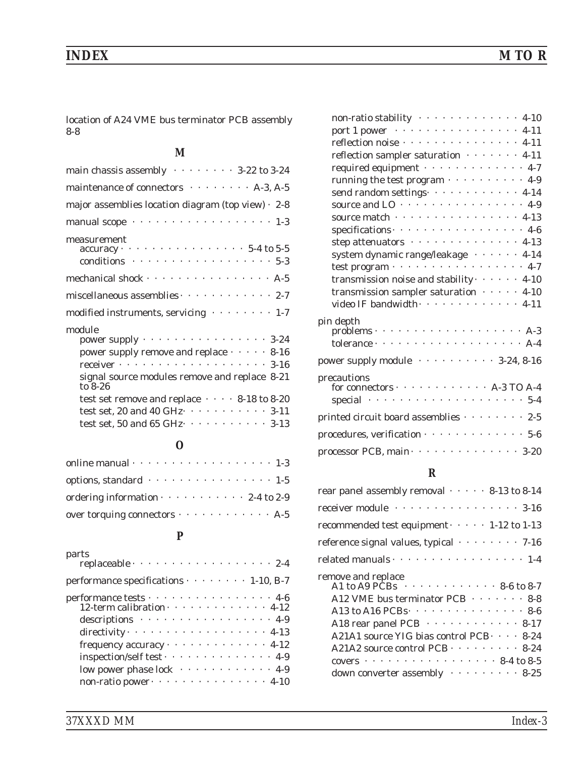[location of A24 VME bus terminator PCB assembly](#page-127-0) [8-8](#page-127-0)

#### *M*

| main chassis assembly $\cdots \cdots \cdots 3-22$ to 3-24                                                                                                                      |
|--------------------------------------------------------------------------------------------------------------------------------------------------------------------------------|
| maintenance of connectors A-3, A-5                                                                                                                                             |
| major assemblies location diagram (top view) $\cdot$ 2-8                                                                                                                       |
| manual scope 1-3                                                                                                                                                               |
| measurement<br>$accuracy \cdot \cdot \cdot \cdot \cdot \cdot \cdot \cdot \cdot \cdot \cdot \cdot \cdot \cdot \cdot \cdot 5-4$ to 5-5<br>conditions $\cdots$ 5-3                |
| mechanical shock · · · · · · · · · · · · · · · · · A-5                                                                                                                         |
| miscellaneous assemblies $\cdots$ 2-7                                                                                                                                          |
| modified instruments, servicing values of 1-7                                                                                                                                  |
| module<br>power supply $\cdots$ 3-24<br>power supply remove and replace $\cdots$ 8-16<br>receiver $\cdots$ 3-16<br>signal source modules remove and replace 8-21               |
| to $8-26$<br>test set remove and replace $\cdots$ 8-18 to 8-20                                                                                                                 |
| test set, 20 and 40 GHz $\cdot \cdot \cdot \cdot \cdot \cdot \cdot \cdot \cdot 3$ -11<br>test set, 50 and 65 GHz $\cdot \cdot \cdot \cdot \cdot \cdot \cdot \cdot \cdot 3$ -13 |
|                                                                                                                                                                                |

#### *O*

| options, standard · · · · · · · · · · · · · · · · 1-5 |
|-------------------------------------------------------|
| ordering information $\cdots$ 2-4 to 2-9              |
| over torquing connectors $\cdots$ $A-5$               |

# *P*

| parts<br>replaceable 2-4                                                                                                                                                                                                                                                                                          |
|-------------------------------------------------------------------------------------------------------------------------------------------------------------------------------------------------------------------------------------------------------------------------------------------------------------------|
| performance specifications $\cdots$ $\cdots$ 1-10, B-7                                                                                                                                                                                                                                                            |
| $\begin{array}{cccccccccc} \text{performance tests} & \cdot & \cdot & \cdot & \cdot & \cdot & \cdot & \cdot & \cdot & \cdot & \cdot & \cdot & \cdot & 4\text{-}6 \\ \text{12-term calibration} & \cdot & \cdot & \cdot & \cdot & \cdot & \cdot & \cdot & \cdot & \cdot & \cdot & \cdot & 4\text{-}12 \end{array}$ |
| descriptions 4-9                                                                                                                                                                                                                                                                                                  |
| directivity $\cdots$ 4-13                                                                                                                                                                                                                                                                                         |
| frequency accuracy · · · · · · · · · · · · · 4-12                                                                                                                                                                                                                                                                 |
| inspection/self test · · · · · · · · · · · · · · 4-9                                                                                                                                                                                                                                                              |
| low power phase lock $\cdots$ 4-9                                                                                                                                                                                                                                                                                 |
| non-ratio power · · · · · · · · · · · · · · · · 4-10                                                                                                                                                                                                                                                              |

| non-ratio stability 4-10                                                                          |
|---------------------------------------------------------------------------------------------------|
| port 1 power · · · · · · · · · · · · · · · · · 4-11                                               |
| reflection noise · · · · · · · · · · · · · · · · 4-11                                             |
| reflection sampler saturation $\cdots \cdots$ 4-11                                                |
| required equipment 4-7                                                                            |
| running the test program 4-9                                                                      |
| send random settings 4-14                                                                         |
| source and $LO \cdot \cdot \cdot \cdot \cdot \cdot \cdot \cdot \cdot \cdot \cdot \cdot \cdot 4-9$ |
| source match · · · · · · · · · · · · · · · · · 4-13                                               |
| specifications 4-6                                                                                |
| step attenuators 4-13                                                                             |
| system dynamic range/leakage · · · · · · 4-14                                                     |
| test program $\cdots$ 4-7                                                                         |
| transmission noise and stability $\cdots$ 4-10                                                    |
| transmission sampler saturation $\cdots$ 4-10                                                     |
| video IF bandwidth · · · · · · · · · · · · · 4-11                                                 |
|                                                                                                   |
|                                                                                                   |
|                                                                                                   |
| power supply module contracts of 3-24, 8-16                                                       |
| precautions                                                                                       |
| for connectors $\cdots$ A-3 TO A-4                                                                |
| special $\cdots$ 5-4                                                                              |
| printed circuit board assemblies 2-5                                                              |
| procedures, verification · · · · · · · · · · · · · · 5-6                                          |
| processor PCB, main · · · · · · · · · · · · · · 3-20                                              |
|                                                                                                   |

#### *R*

| receiver module $\cdots \cdots \cdots \cdots \cdots 3-16$                                                                                                                                                                                                                                                                                                                                                 |
|-----------------------------------------------------------------------------------------------------------------------------------------------------------------------------------------------------------------------------------------------------------------------------------------------------------------------------------------------------------------------------------------------------------|
|                                                                                                                                                                                                                                                                                                                                                                                                           |
| recommended test equipment $\cdots$ 1-12 to 1-13                                                                                                                                                                                                                                                                                                                                                          |
| reference signal values, typical $\cdots \cdots$ 7-16                                                                                                                                                                                                                                                                                                                                                     |
| related manuals $\cdots$ 1-4                                                                                                                                                                                                                                                                                                                                                                              |
| remove and replace<br>A1 to A9 PCBs $\cdots$ 8-6 to 8-7<br>A12 VME bus terminator PCB · · · · · · · 8-8<br>A13 to A16 PCBs · · · · · · · · · · · · · · · 8-6<br>A18 rear panel PCB · · · · · · · · · · · · 8-17<br>A21A1 source YIG bias control PCB · · · · 8-24<br>A21A2 source control PCB · · · · · · · · · 8-24<br>covers $\cdots$ 8-4 to 8-5<br>down converter assembly $\cdots \cdots \cdots 8-25$ |
|                                                                                                                                                                                                                                                                                                                                                                                                           |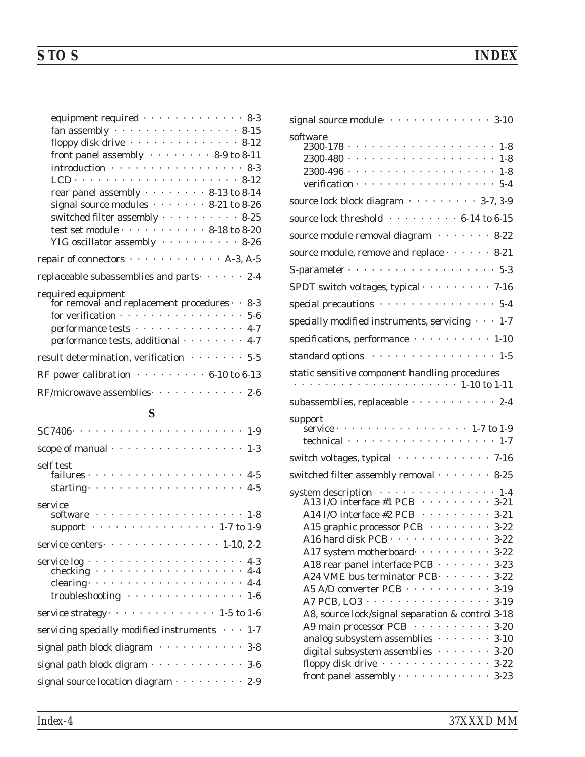| equipment required 8-3                                                                                                         |
|--------------------------------------------------------------------------------------------------------------------------------|
| fan assembly $\cdots$ 8-15                                                                                                     |
| floppy disk drive $\cdots \cdots \cdots \cdots \cdots 8-12$                                                                    |
| front panel assembly $\cdots \cdots \cdots 8-9$ to 8-11                                                                        |
| $introduction \cdot \cdot \cdot \cdot \cdot \cdot \cdot \cdot \cdot \cdot \cdot \cdot \cdot \cdot \cdot \cdot \cdot \cdot 8-3$ |
|                                                                                                                                |
| rear panel assembly $\cdots$ 8-13 to 8-14                                                                                      |
| signal source modules $\cdots$ 8-21 to 8-26                                                                                    |
| switched filter assembly $\cdots$ 8-25                                                                                         |
| test set module $\cdots$ 8-18 to 8-20                                                                                          |
| YIG oscillator assembly 8-26                                                                                                   |
| repair of connectors $\cdots$ A-3, A-5                                                                                         |
| replaceable subassemblies and parts $\cdots$ 2-4                                                                               |
| required equipment                                                                                                             |
| for removal and replacement procedures $\cdot$ 8-3                                                                             |
| for verification $\cdots$ 5-6                                                                                                  |
| performance tests 4-7                                                                                                          |
| performance tests, additional 4-7                                                                                              |
| result determination, verification $\cdots \cdots 5.5$                                                                         |
| RF power calibration $\cdots \cdots \cdots 6-10$ to 6-13                                                                       |
| $RF/microwave$ assemblies $\cdots$ 2-6                                                                                         |

# *S*

| scope of manual · · · · · · · · · · · · · · · · · 1-3                           |
|---------------------------------------------------------------------------------|
| self test<br>$\frac{1}{100}$ failures $\cdots$ 4-5                              |
|                                                                                 |
|                                                                                 |
| service                                                                         |
|                                                                                 |
| support $\cdots$ 1-7 to 1-9                                                     |
| service centers $\cdots$ $\cdots$ $\cdots$ $\cdots$ $\cdots$ $\cdots$ 1-10, 2-2 |
|                                                                                 |
|                                                                                 |
| clearing $\cdots$ 4-4                                                           |
|                                                                                 |
| service strategy $\cdots$ 1-5 to 1-6                                            |
| servicing specially modified instruments $\cdots$ 1-7                           |
| signal path block diagram 3-8                                                   |
| signal path block digram $\cdots$ 3-6                                           |
| signal source location diagram · · · · · · · · · 2-9                            |

| software<br>$2300 - 496 - \cdots - \cdots - \cdots - \cdots - 1 - 8$<br>verification $\cdots$ 5-4                                                                                                                                                                                                                                                                                                                                                                                                                                                                                                                                                                                                         |
|-----------------------------------------------------------------------------------------------------------------------------------------------------------------------------------------------------------------------------------------------------------------------------------------------------------------------------------------------------------------------------------------------------------------------------------------------------------------------------------------------------------------------------------------------------------------------------------------------------------------------------------------------------------------------------------------------------------|
| source lock block diagram 3-7, 3-9                                                                                                                                                                                                                                                                                                                                                                                                                                                                                                                                                                                                                                                                        |
| source lock threshold 6-14 to 6-15                                                                                                                                                                                                                                                                                                                                                                                                                                                                                                                                                                                                                                                                        |
| source module removal diagram ········ 8-22                                                                                                                                                                                                                                                                                                                                                                                                                                                                                                                                                                                                                                                               |
| source module, remove and replace $\cdots$ $\cdots$ 8-21                                                                                                                                                                                                                                                                                                                                                                                                                                                                                                                                                                                                                                                  |
| S-parameter $\cdots$ 5-3                                                                                                                                                                                                                                                                                                                                                                                                                                                                                                                                                                                                                                                                                  |
| SPDT switch voltages, typical · · · · · · · · · 7-16                                                                                                                                                                                                                                                                                                                                                                                                                                                                                                                                                                                                                                                      |
| special precautions 5-4                                                                                                                                                                                                                                                                                                                                                                                                                                                                                                                                                                                                                                                                                   |
| specially modified instruments, servicing $\cdots$ 1-7                                                                                                                                                                                                                                                                                                                                                                                                                                                                                                                                                                                                                                                    |
| specifications, performance 1-10                                                                                                                                                                                                                                                                                                                                                                                                                                                                                                                                                                                                                                                                          |
| standard options 1-5                                                                                                                                                                                                                                                                                                                                                                                                                                                                                                                                                                                                                                                                                      |
| static sensitive component handling procedures                                                                                                                                                                                                                                                                                                                                                                                                                                                                                                                                                                                                                                                            |
| subassemblies, replaceable $\cdots$ 2-4                                                                                                                                                                                                                                                                                                                                                                                                                                                                                                                                                                                                                                                                   |
| support<br>service · · · · · · · · · · · · · · · · · · 1-7 to 1-9<br>technical $\cdots$ 1-7                                                                                                                                                                                                                                                                                                                                                                                                                                                                                                                                                                                                               |
| switch voltages, typical 7-16                                                                                                                                                                                                                                                                                                                                                                                                                                                                                                                                                                                                                                                                             |
| switched filter assembly removal · · · · · · · 8-25                                                                                                                                                                                                                                                                                                                                                                                                                                                                                                                                                                                                                                                       |
| system description 1-4<br>A13 I/O interface #1 PCB $\cdots$ $\cdots$ $\cdots$ 3-21<br>A14 I/O interface #2 PCB · · · · · · · · · 3-21<br>A15 graphic processor PCB · · · · · · · · 3-22<br>A16 hard disk PCB · · · · · · · · · · · · · 3-22<br>A17 system motherboard  3-22<br>A18 rear panel interface PCB · · · · · · · 3-23<br>A24 VME bus terminator PCB. 3-22<br>A5 A/D converter PCB · · · · · · · · · · · 3-19<br>A7 PCB, LO3 3-19<br>A8, source lock/signal separation & control 3-18<br>A9 main processor PCB ············ 3-20<br>analog subsystem assemblies $\cdots$ 3-10<br>digital subsystem assemblies $\cdots \cdots$ 3-20<br>floppy disk drive $\cdots \cdots \cdots \cdots \cdots 3-22$ |
| front panel assembly $\cdots$ 3-23                                                                                                                                                                                                                                                                                                                                                                                                                                                                                                                                                                                                                                                                        |